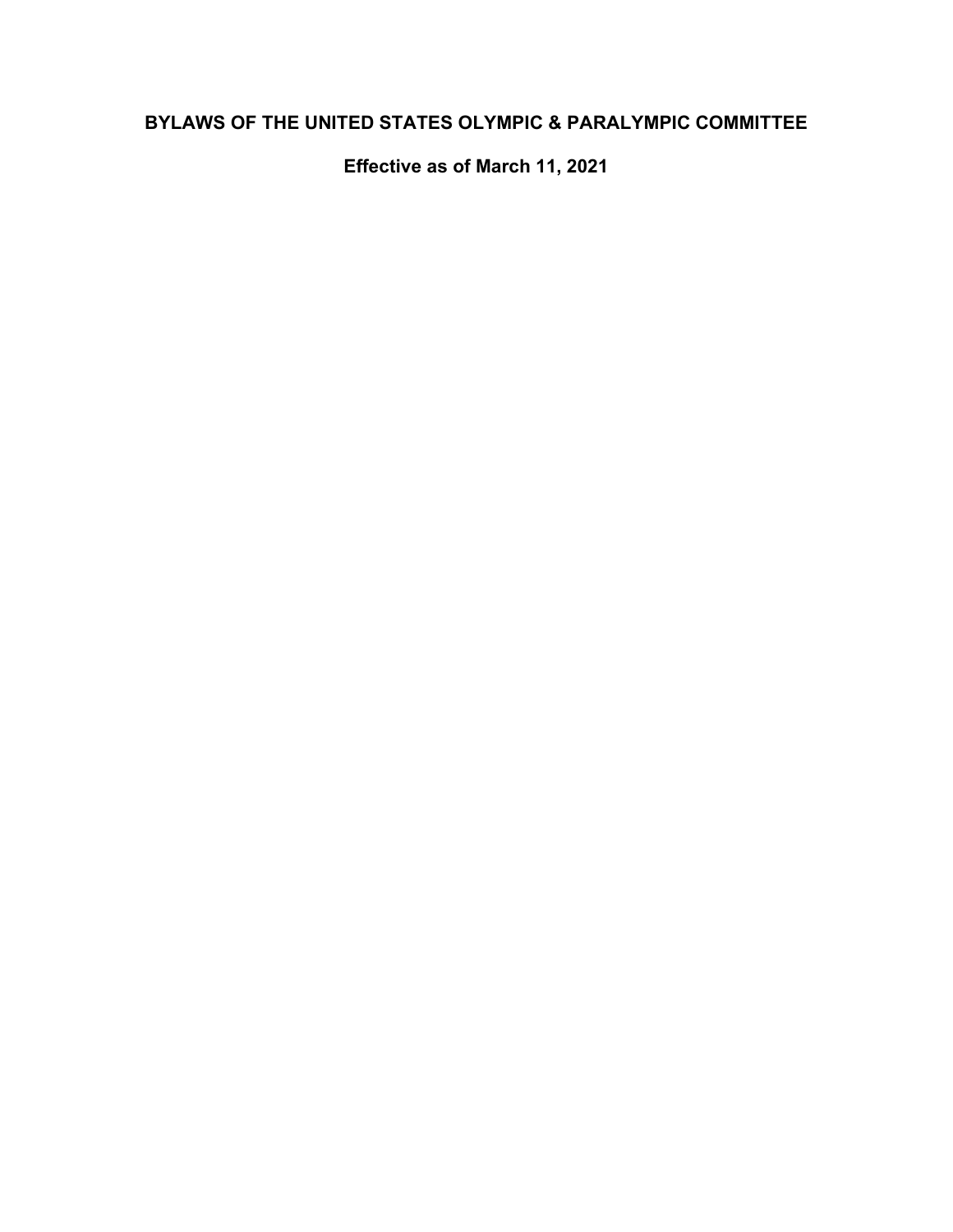# **BYLAWS OF THE UNITED STATES OLYMPIC & PARALYMPIC COMMITTEE**

**Effective as of March 11, 2021**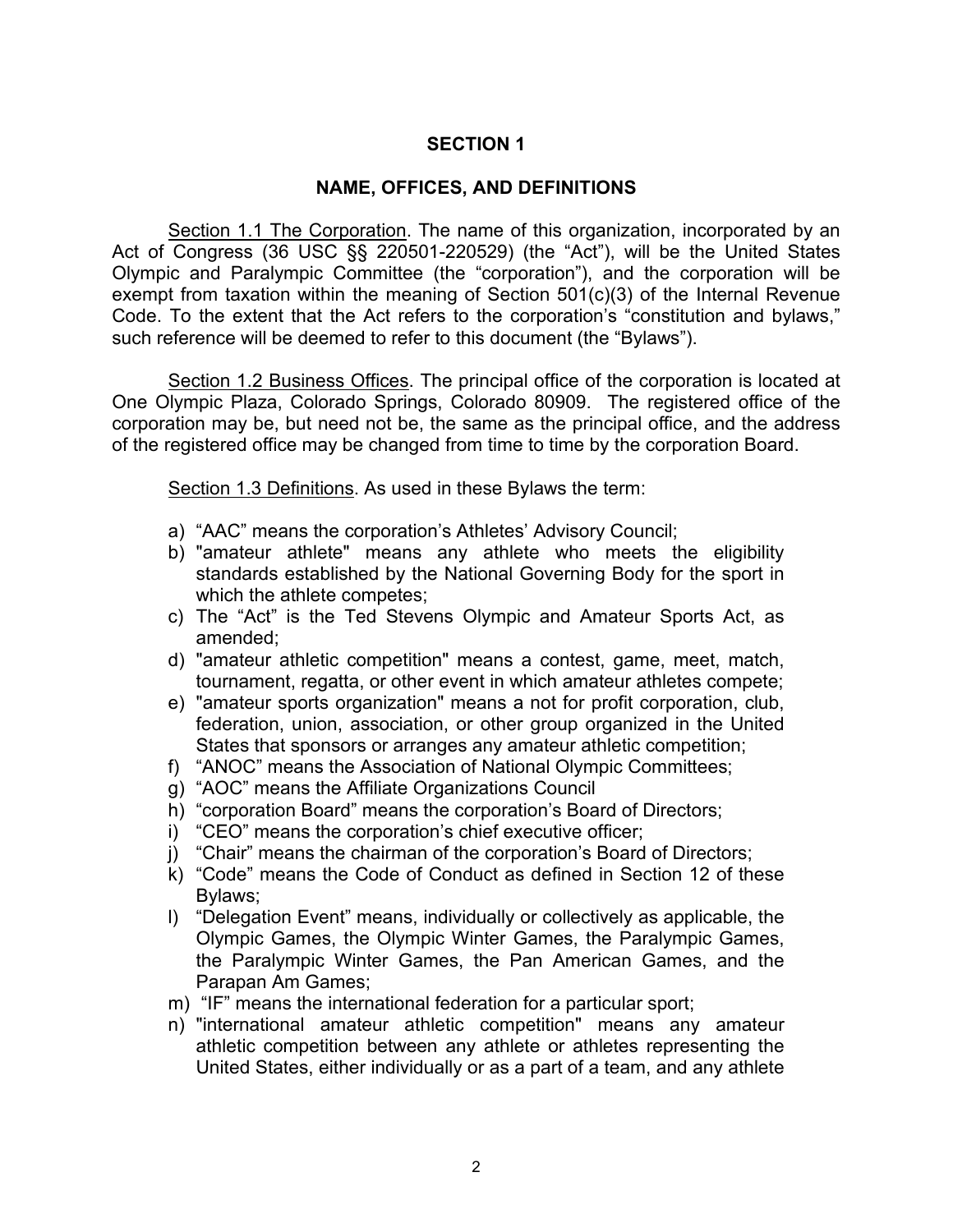# **SECTION 1**

### **NAME, OFFICES, AND DEFINITIONS**

Section 1.1 The Corporation. The name of this organization, incorporated by an Act of Congress (36 USC §§ 220501-220529) (the "Act"), will be the United States Olympic and Paralympic Committee (the "corporation"), and the corporation will be exempt from taxation within the meaning of Section 501(c)(3) of the Internal Revenue Code. To the extent that the Act refers to the corporation's "constitution and bylaws," such reference will be deemed to refer to this document (the "Bylaws").

Section 1.2 Business Offices. The principal office of the corporation is located at One Olympic Plaza, Colorado Springs, Colorado 80909. The registered office of the corporation may be, but need not be, the same as the principal office, and the address of the registered office may be changed from time to time by the corporation Board.

Section 1.3 Definitions. As used in these Bylaws the term:

- a) "AAC" means the corporation's Athletes' Advisory Council;
- b) "amateur athlete" means any athlete who meets the eligibility standards established by the National Governing Body for the sport in which the athlete competes;
- c) The "Act" is the Ted Stevens Olympic and Amateur Sports Act, as amended;
- d) "amateur athletic competition" means a contest, game, meet, match, tournament, regatta, or other event in which amateur athletes compete;
- e) "amateur sports organization" means a not for profit corporation, club, federation, union, association, or other group organized in the United States that sponsors or arranges any amateur athletic competition;
- f) "ANOC" means the Association of National Olympic Committees;
- g) "AOC" means the Affiliate Organizations Council
- h) "corporation Board" means the corporation's Board of Directors;
- i) "CEO" means the corporation's chief executive officer;
- j) "Chair" means the chairman of the corporation's Board of Directors;
- k) "Code" means the Code of Conduct as defined in Section 12 of these Bylaws;
- l) "Delegation Event" means, individually or collectively as applicable, the Olympic Games, the Olympic Winter Games, the Paralympic Games, the Paralympic Winter Games, the Pan American Games, and the Parapan Am Games;
- m) "IF" means the international federation for a particular sport;
- n) "international amateur athletic competition" means any amateur athletic competition between any athlete or athletes representing the United States, either individually or as a part of a team, and any athlete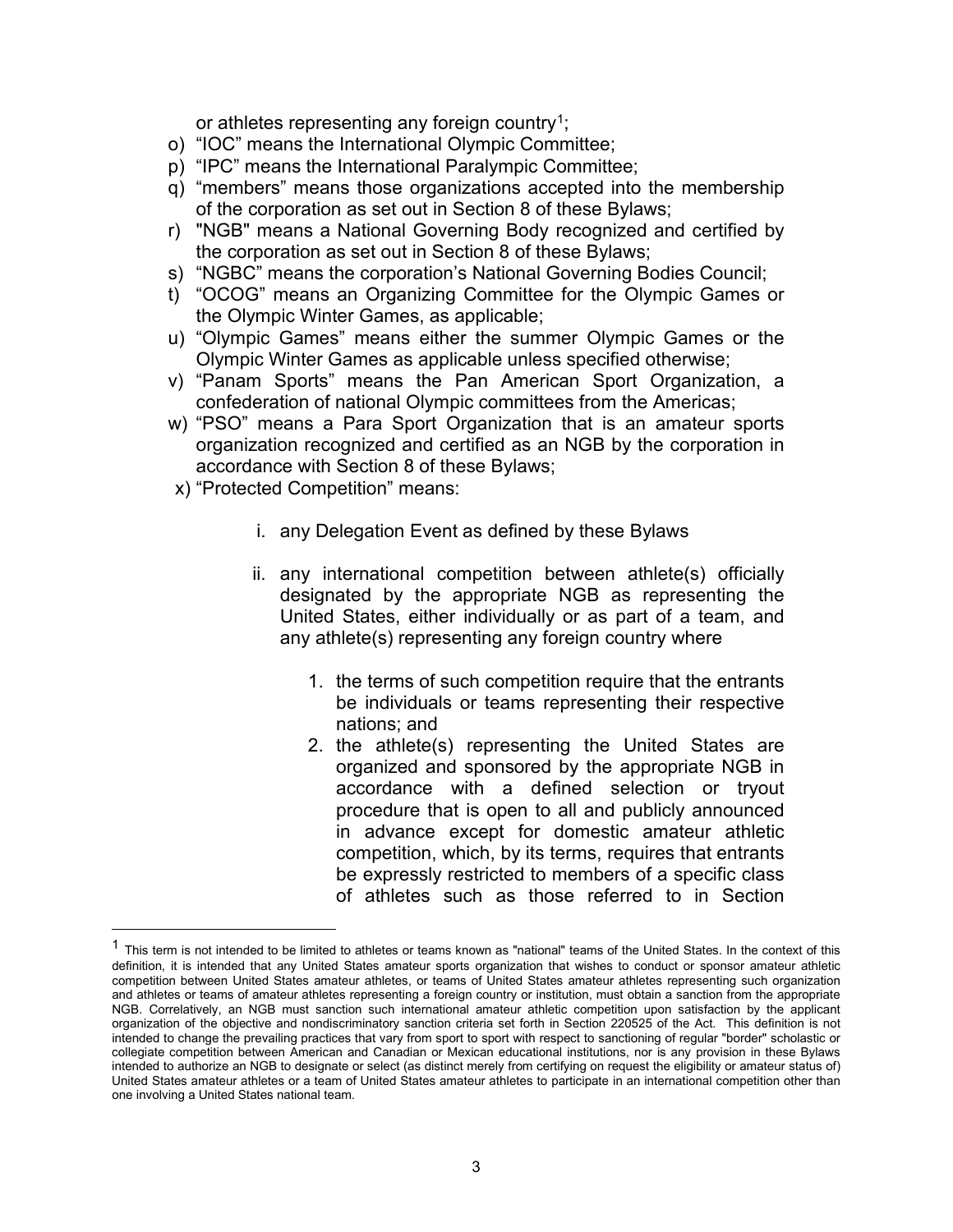<span id="page-2-1"></span>or athletes representing any foreign country<sup>[1](#page-2-0)</sup>;

- o) "IOC" means the International Olympic Committee;
- p) "IPC" means the International Paralympic Committee;
- q) "members" means those organizations accepted into the membership of the corporation as set out in Section 8 of these Bylaws;
- r) "NGB" means a National Governing Body recognized and certified by the corporation as set out in Section 8 of these Bylaws;
- s) "NGBC" means the corporation's National Governing Bodies Council;
- t) "OCOG" means an Organizing Committee for the Olympic Games or the Olympic Winter Games, as applicable;
- u) "Olympic Games" means either the summer Olympic Games or the Olympic Winter Games as applicable unless specified otherwise;
- v) "Panam Sports" means the Pan American Sport Organization, a confederation of national Olympic committees from the Americas;
- w) "PSO" means a Para Sport Organization that is an amateur sports organization recognized and certified as an NGB by the corporation in accordance with Section 8 of these Bylaws;
- x) "Protected Competition" means:
	- i. any Delegation Event as defined by these Bylaws
	- ii. any international competition between athlete(s) officially designated by the appropriate NGB as representing the United States, either individually or as part of a team, and any athlete(s) representing any foreign country where
		- 1. the terms of such competition require that the entrants be individuals or teams representing their respective nations; and
		- 2. the athlete(s) representing the United States are organized and sponsored by the appropriate NGB in accordance with a defined selection or tryout procedure that is open to all and publicly announced in advance except for domestic amateur athletic competition, which, by its terms, requires that entrants be expressly restricted to members of a specific class of athletes such as those referred to in Section

<span id="page-2-0"></span> $1$  This term is not intended to be limited to athletes or teams known as "national" teams of the United States. In the context of this definition, it is intended that any United States amateur sports organization that wishes to conduct or sponsor amateur athletic competition between United States amateur athletes, or teams of United States amateur athletes representing such organization and athletes or teams of amateur athletes representing a foreign country or institution, must obtain a sanction from the appropriate NGB. Correlatively, an NGB must sanction such international amateur athletic competition upon satisfaction by the applicant organization of the objective and nondiscriminatory sanction criteria set forth in Section 220525 of the Act. This definition is not intended to change the prevailing practices that vary from sport to sport with respect to sanctioning of regular "border" scholastic or collegiate competition between American and Canadian or Mexican educational institutions, nor is any provision in these Bylaws intended to authorize an NGB to designate or select (as distinct merely from certifying on request the eligibility or amateur status of) United States amateur athletes or a team of United States amateur athletes to participate in an international competition other than one involving a United States national team.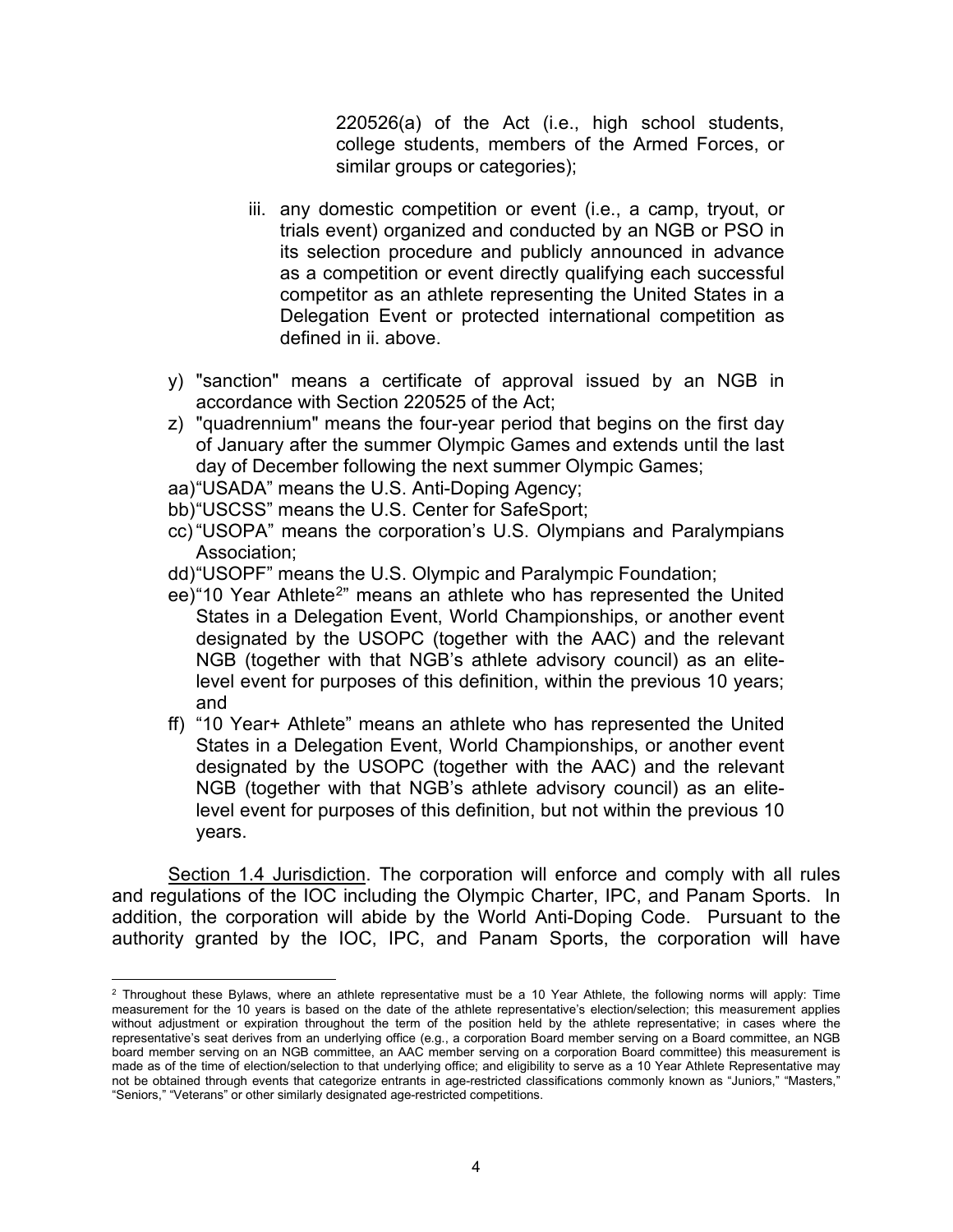220526(a) of the Act (i.e., high school students, college students, members of the Armed Forces, or similar groups or categories);

- iii. any domestic competition or event (i.e., a camp, tryout, or trials event) organized and conducted by an NGB or PSO in its selection procedure and publicly announced in advance as a competition or event directly qualifying each successful competitor as an athlete representing the United States in a Delegation Event or protected international competition as defined in ii. above.
- y) "sanction" means a certificate of approval issued by an NGB in accordance with Section 220525 of the Act;
- z) "quadrennium" means the four-year period that begins on the first day of January after the summer Olympic Games and extends until the last day of December following the next summer Olympic Games;
- aa)"USADA" means the U.S. Anti-Doping Agency;
- bb)"USCSS" means the U.S. Center for SafeSport;
- cc) "USOPA" means the corporation's U.S. Olympians and Paralympians Association;
- dd)"USOPF" means the U.S. Olympic and Paralympic Foundation;
- <span id="page-3-1"></span>ee) "10 Year Athlete<sup>[2](#page-3-0)</sup>" means an athlete who has represented the United States in a Delegation Event, World Championships, or another event designated by the USOPC (together with the AAC) and the relevant NGB (together with that NGB's athlete advisory council) as an elitelevel event for purposes of this definition, within the previous 10 years; and
- ff) "10 Year+ Athlete" means an athlete who has represented the United States in a Delegation Event, World Championships, or another event designated by the USOPC (together with the AAC) and the relevant NGB (together with that NGB's athlete advisory council) as an elitelevel event for purposes of this definition, but not within the previous 10 years.

Section 1.4 Jurisdiction. The corporation will enforce and comply with all rules and regulations of the IOC including the Olympic Charter, IPC, and Panam Sports. In addition, the corporation will abide by the World Anti-Doping Code. Pursuant to the authority granted by the IOC, IPC, and Panam Sports, the corporation will have

<span id="page-3-0"></span> $2$  Throughout these Bylaws, where an athlete representative must be a 10 Year Athlete, the following norms will apply: Time measurement for the 10 years is based on the date of the athlete representative's election/selection; this measurement applies without adjustment or expiration throughout the term of the position held by the athlete representative; in cases where the representative's seat derives from an underlying office (e.g., a corporation Board member serving on a Board committee, an NGB board member serving on an NGB committee, an AAC member serving on a corporation Board committee) this measurement is made as of the time of election/selection to that underlying office; and eligibility to serve as a 10 Year Athlete Representative may not be obtained through events that categorize entrants in age-restricted classifications commonly known as "Juniors," "Masters," "Seniors," "Veterans" or other similarly designated age-restricted competitions.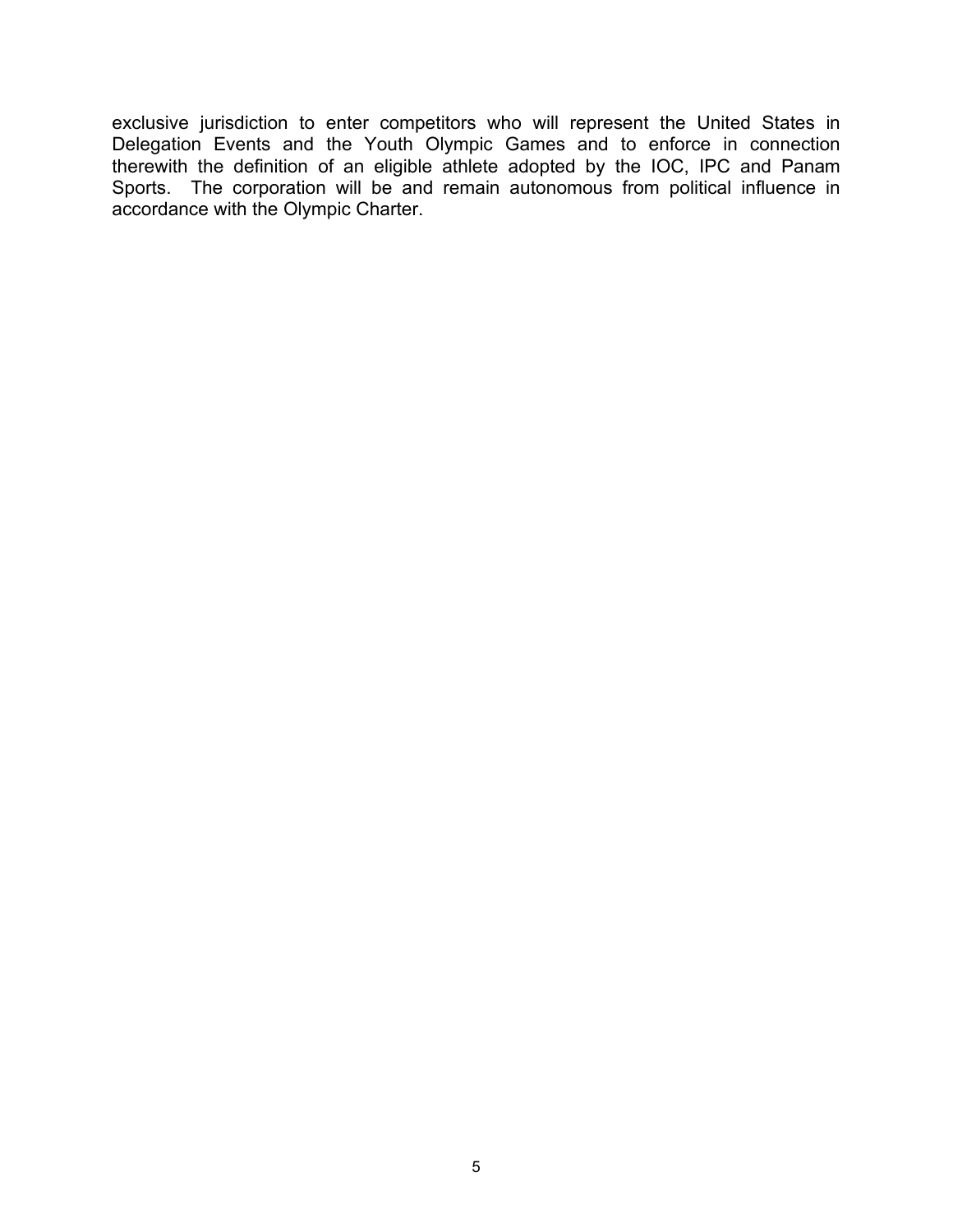exclusive jurisdiction to enter competitors who will represent the United States in Delegation Events and the Youth Olympic Games and to enforce in connection therewith the definition of an eligible athlete adopted by the IOC, IPC and Panam Sports. The corporation will be and remain autonomous from political influence in accordance with the Olympic Charter.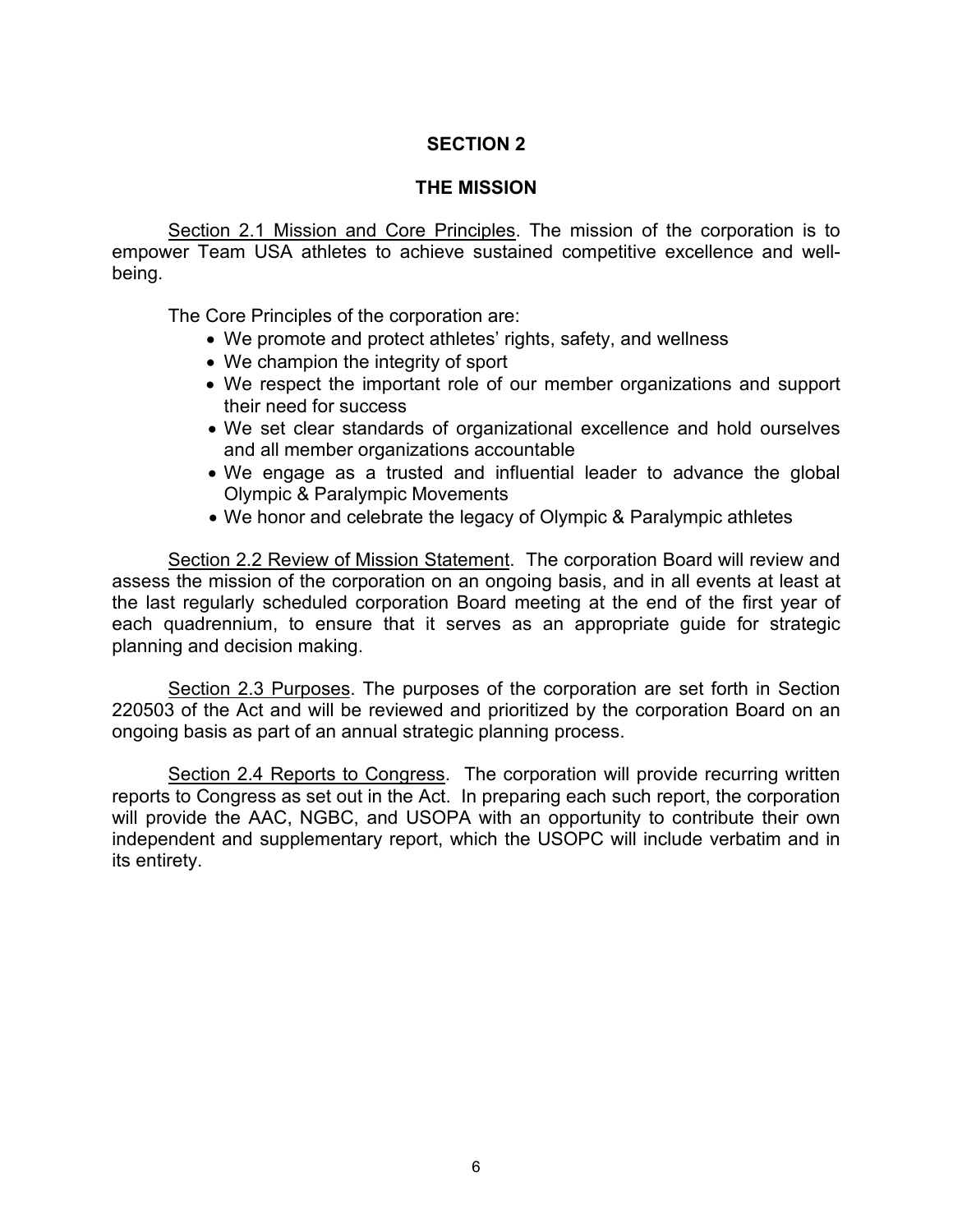# **SECTION 2**

### **THE MISSION**

Section 2.1 Mission and Core Principles. The mission of the corporation is to empower Team USA athletes to achieve sustained competitive excellence and wellbeing.

The Core Principles of the corporation are:

- We promote and protect athletes' rights, safety, and wellness
- We champion the integrity of sport
- We respect the important role of our member organizations and support their need for success
- We set clear standards of organizational excellence and hold ourselves and all member organizations accountable
- We engage as a trusted and influential leader to advance the global Olympic & Paralympic Movements
- We honor and celebrate the legacy of Olympic & Paralympic athletes

Section 2.2 Review of Mission Statement. The corporation Board will review and assess the mission of the corporation on an ongoing basis, and in all events at least at the last regularly scheduled corporation Board meeting at the end of the first year of each quadrennium, to ensure that it serves as an appropriate guide for strategic planning and decision making.

Section 2.3 Purposes. The purposes of the corporation are set forth in Section 220503 of the Act and will be reviewed and prioritized by the corporation Board on an ongoing basis as part of an annual strategic planning process.

Section 2.4 Reports to Congress. The corporation will provide recurring written reports to Congress as set out in the Act. In preparing each such report, the corporation will provide the AAC, NGBC, and USOPA with an opportunity to contribute their own independent and supplementary report, which the USOPC will include verbatim and in its entirety.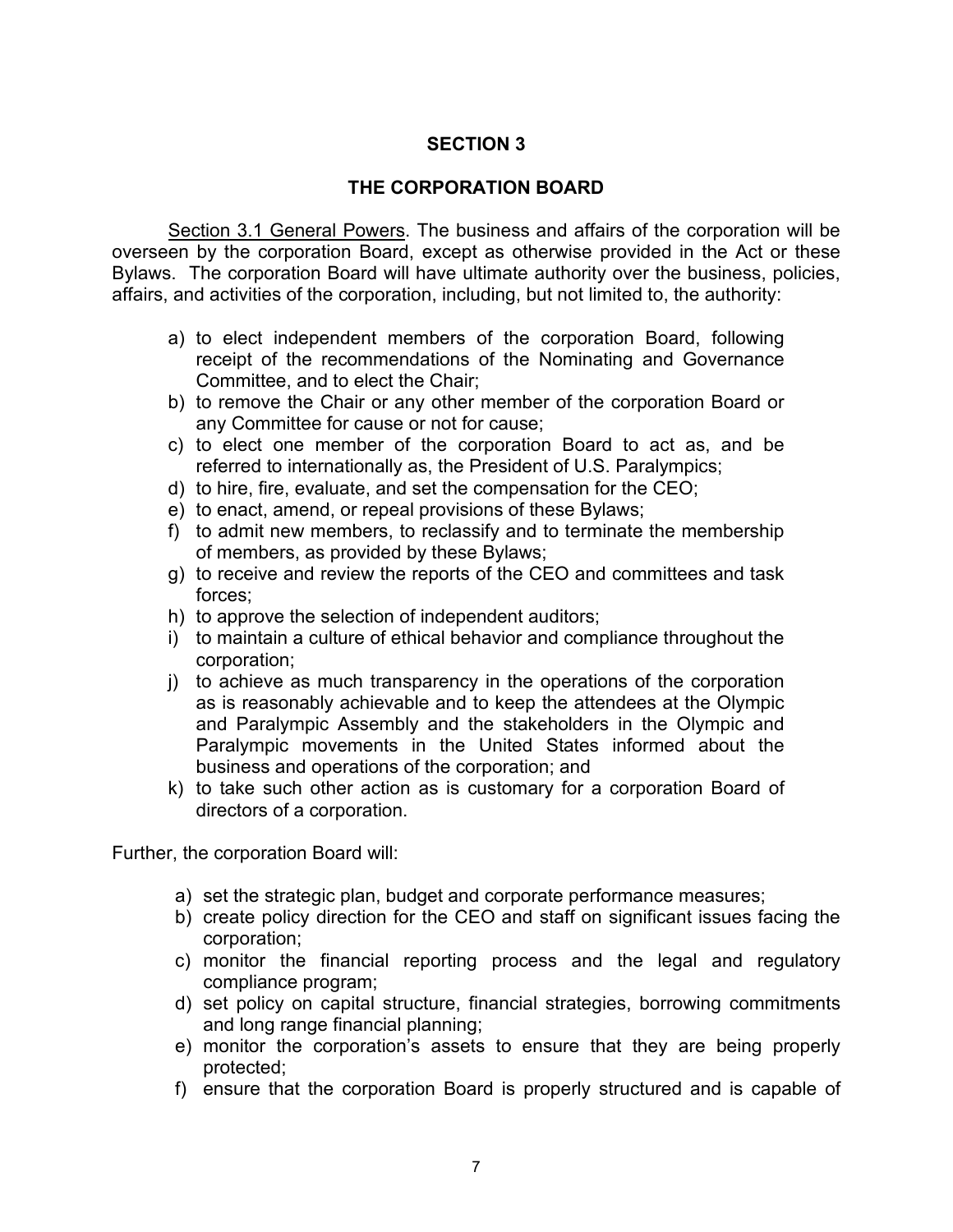# **SECTION 3**

### **THE CORPORATION BOARD**

Section 3.1 General Powers. The business and affairs of the corporation will be overseen by the corporation Board, except as otherwise provided in the Act or these Bylaws. The corporation Board will have ultimate authority over the business, policies, affairs, and activities of the corporation, including, but not limited to, the authority:

- a) to elect independent members of the corporation Board, following receipt of the recommendations of the Nominating and Governance Committee, and to elect the Chair;
- b) to remove the Chair or any other member of the corporation Board or any Committee for cause or not for cause;
- c) to elect one member of the corporation Board to act as, and be referred to internationally as, the President of U.S. Paralympics;
- d) to hire, fire, evaluate, and set the compensation for the CEO;
- e) to enact, amend, or repeal provisions of these Bylaws;
- f) to admit new members, to reclassify and to terminate the membership of members, as provided by these Bylaws;
- g) to receive and review the reports of the CEO and committees and task forces;
- h) to approve the selection of independent auditors;
- i) to maintain a culture of ethical behavior and compliance throughout the corporation;
- j) to achieve as much transparency in the operations of the corporation as is reasonably achievable and to keep the attendees at the Olympic and Paralympic Assembly and the stakeholders in the Olympic and Paralympic movements in the United States informed about the business and operations of the corporation; and
- k) to take such other action as is customary for a corporation Board of directors of a corporation.

Further, the corporation Board will:

- a) set the strategic plan, budget and corporate performance measures;
- b) create policy direction for the CEO and staff on significant issues facing the corporation;
- c) monitor the financial reporting process and the legal and regulatory compliance program;
- d) set policy on capital structure, financial strategies, borrowing commitments and long range financial planning;
- e) monitor the corporation's assets to ensure that they are being properly protected;
- f) ensure that the corporation Board is properly structured and is capable of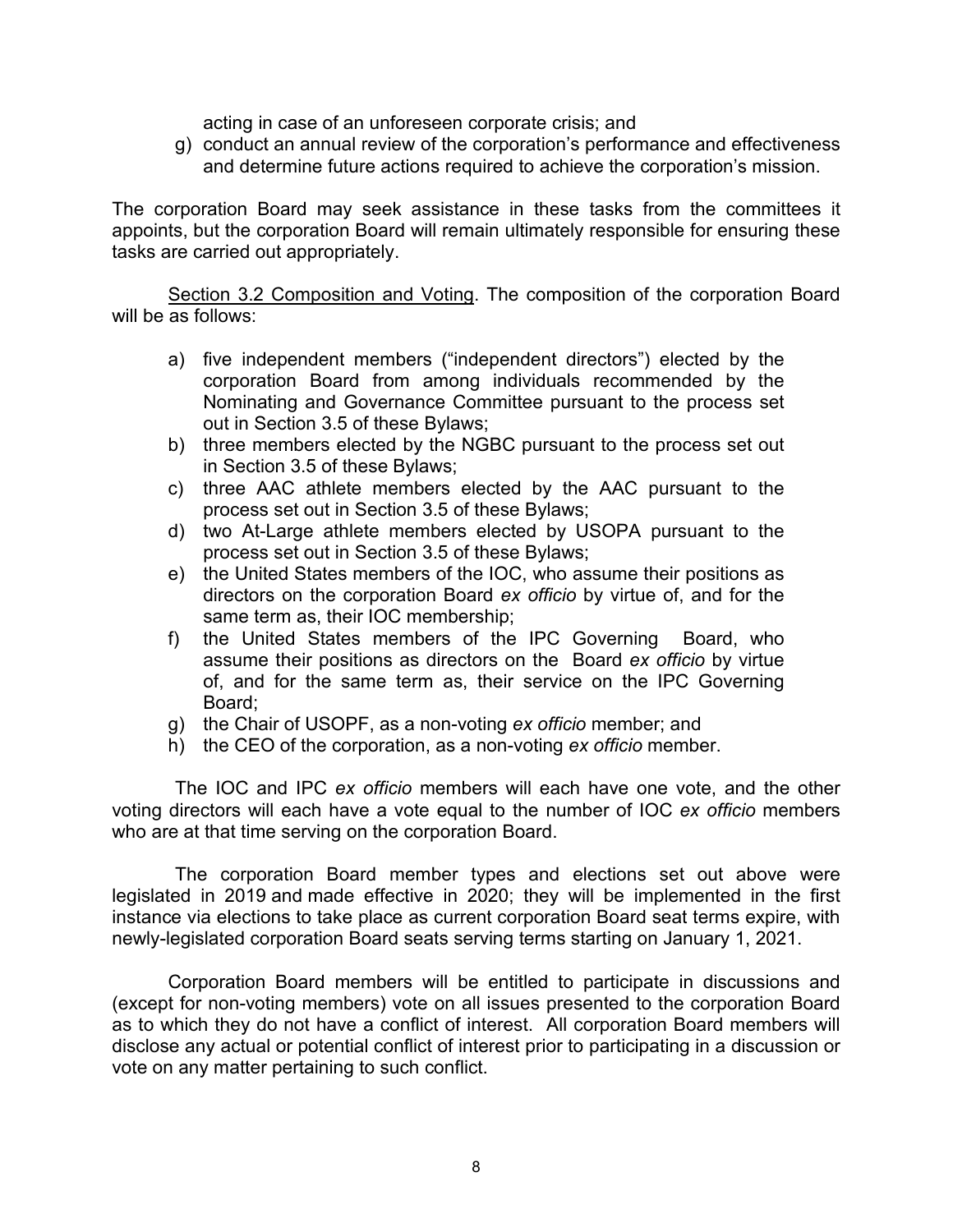acting in case of an unforeseen corporate crisis; and

g) conduct an annual review of the corporation's performance and effectiveness and determine future actions required to achieve the corporation's mission.

The corporation Board may seek assistance in these tasks from the committees it appoints, but the corporation Board will remain ultimately responsible for ensuring these tasks are carried out appropriately.

Section 3.2 Composition and Voting. The composition of the corporation Board will be as follows:

- a) five independent members ("independent directors") elected by the corporation Board from among individuals recommended by the Nominating and Governance Committee pursuant to the process set out in Section 3.5 of these Bylaws;
- b) three members elected by the NGBC pursuant to the process set out in Section 3.5 of these Bylaws;
- c) three AAC athlete members elected by the AAC pursuant to the process set out in Section 3.5 of these Bylaws;
- d) two At-Large athlete members elected by USOPA pursuant to the process set out in Section 3.5 of these Bylaws;
- e) the United States members of the IOC, who assume their positions as directors on the corporation Board *ex officio* by virtue of, and for the same term as, their IOC membership;
- f) the United States members of the IPC Governing Board, who assume their positions as directors on the Board *ex officio* by virtue of, and for the same term as, their service on the IPC Governing Board;
- g) the Chair of USOPF, as a non-voting *ex officio* member; and
- h) the CEO of the corporation, as a non-voting *ex officio* member.

The IOC and IPC *ex officio* members will each have one vote, and the other voting directors will each have a vote equal to the number of IOC *ex officio* members who are at that time serving on the corporation Board.

The corporation Board member types and elections set out above were legislated in 2019 and made effective in 2020; they will be implemented in the first instance via elections to take place as current corporation Board seat terms expire, with newly-legislated corporation Board seats serving terms starting on January 1, 2021.

Corporation Board members will be entitled to participate in discussions and (except for non-voting members) vote on all issues presented to the corporation Board as to which they do not have a conflict of interest. All corporation Board members will disclose any actual or potential conflict of interest prior to participating in a discussion or vote on any matter pertaining to such conflict.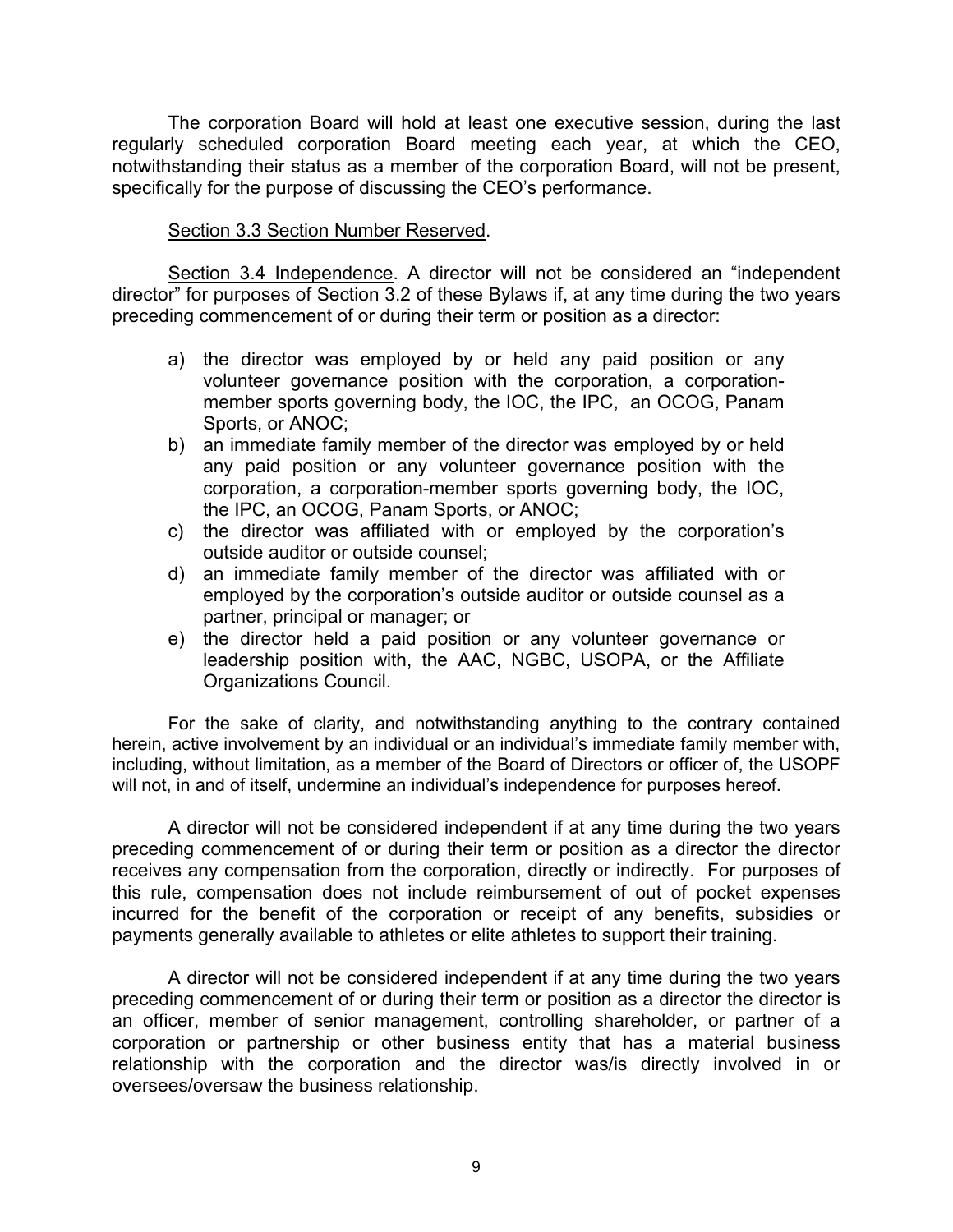The corporation Board will hold at least one executive session, during the last regularly scheduled corporation Board meeting each year, at which the CEO, notwithstanding their status as a member of the corporation Board, will not be present, specifically for the purpose of discussing the CEO's performance.

### Section 3.3 Section Number Reserved.

Section 3.4 Independence. A director will not be considered an "independent director" for purposes of Section 3.2 of these Bylaws if, at any time during the two years preceding commencement of or during their term or position as a director:

- a) the director was employed by or held any paid position or any volunteer governance position with the corporation, a corporationmember sports governing body, the IOC, the IPC, an OCOG, Panam Sports, or ANOC;
- b) an immediate family member of the director was employed by or held any paid position or any volunteer governance position with the corporation, a corporation-member sports governing body, the IOC, the IPC, an OCOG, Panam Sports, or ANOC;
- c) the director was affiliated with or employed by the corporation's outside auditor or outside counsel;
- d) an immediate family member of the director was affiliated with or employed by the corporation's outside auditor or outside counsel as a partner, principal or manager; or
- e) the director held a paid position or any volunteer governance or leadership position with, the AAC, NGBC, USOPA, or the Affiliate Organizations Council.

For the sake of clarity, and notwithstanding anything to the contrary contained herein, active involvement by an individual or an individual's immediate family member with, including, without limitation, as a member of the Board of Directors or officer of, the USOPF will not, in and of itself, undermine an individual's independence for purposes hereof.

A director will not be considered independent if at any time during the two years preceding commencement of or during their term or position as a director the director receives any compensation from the corporation, directly or indirectly. For purposes of this rule, compensation does not include reimbursement of out of pocket expenses incurred for the benefit of the corporation or receipt of any benefits, subsidies or payments generally available to athletes or elite athletes to support their training.

A director will not be considered independent if at any time during the two years preceding commencement of or during their term or position as a director the director is an officer, member of senior management, controlling shareholder, or partner of a corporation or partnership or other business entity that has a material business relationship with the corporation and the director was/is directly involved in or oversees/oversaw the business relationship.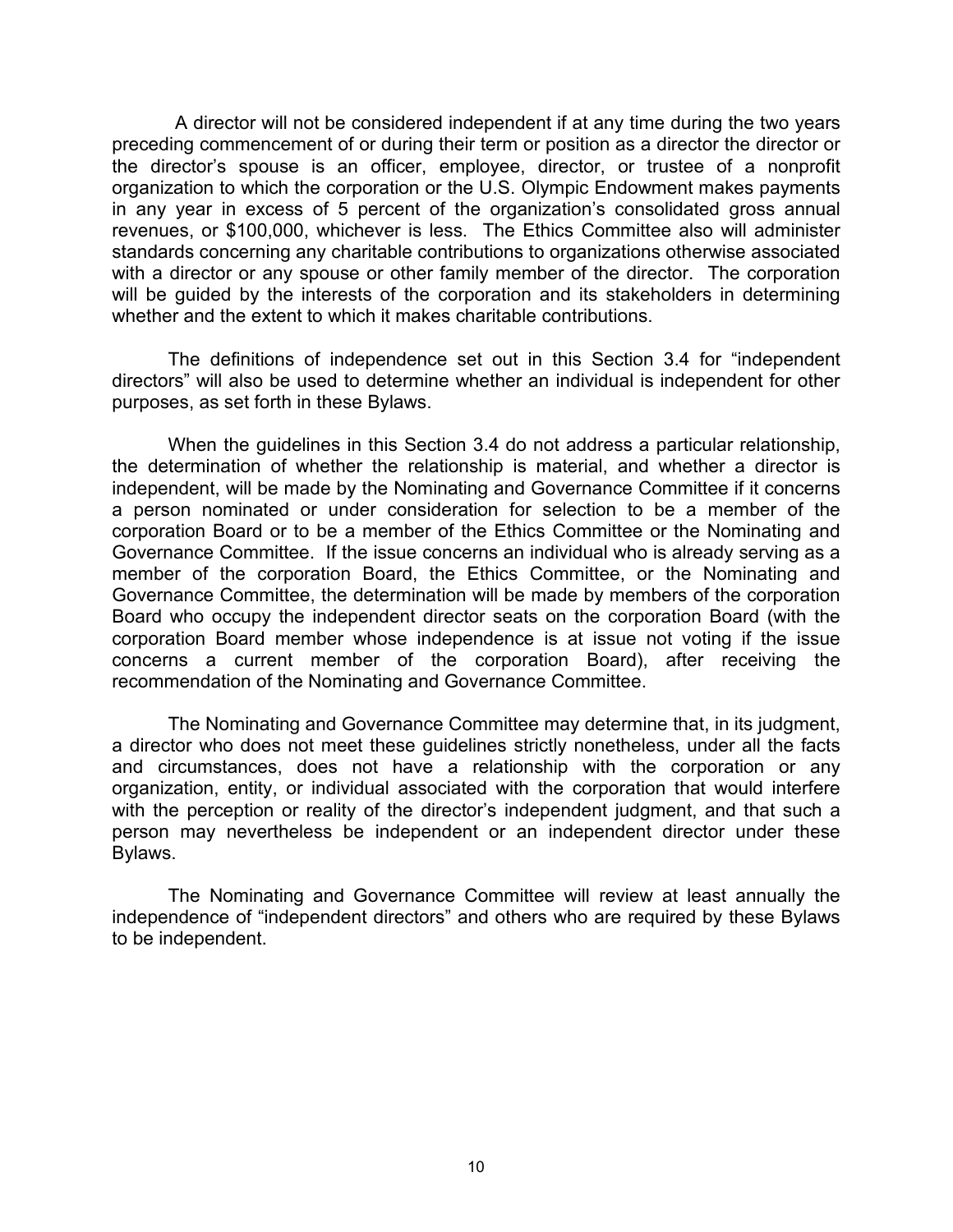A director will not be considered independent if at any time during the two years preceding commencement of or during their term or position as a director the director or the director's spouse is an officer, employee, director, or trustee of a nonprofit organization to which the corporation or the U.S. Olympic Endowment makes payments in any year in excess of 5 percent of the organization's consolidated gross annual revenues, or \$100,000, whichever is less. The Ethics Committee also will administer standards concerning any charitable contributions to organizations otherwise associated with a director or any spouse or other family member of the director. The corporation will be guided by the interests of the corporation and its stakeholders in determining whether and the extent to which it makes charitable contributions.

The definitions of independence set out in this Section 3.4 for "independent directors" will also be used to determine whether an individual is independent for other purposes, as set forth in these Bylaws.

When the guidelines in this Section 3.4 do not address a particular relationship, the determination of whether the relationship is material, and whether a director is independent, will be made by the Nominating and Governance Committee if it concerns a person nominated or under consideration for selection to be a member of the corporation Board or to be a member of the Ethics Committee or the Nominating and Governance Committee. If the issue concerns an individual who is already serving as a member of the corporation Board, the Ethics Committee, or the Nominating and Governance Committee, the determination will be made by members of the corporation Board who occupy the independent director seats on the corporation Board (with the corporation Board member whose independence is at issue not voting if the issue concerns a current member of the corporation Board), after receiving the recommendation of the Nominating and Governance Committee.

The Nominating and Governance Committee may determine that, in its judgment, a director who does not meet these guidelines strictly nonetheless, under all the facts and circumstances, does not have a relationship with the corporation or any organization, entity, or individual associated with the corporation that would interfere with the perception or reality of the director's independent judgment, and that such a person may nevertheless be independent or an independent director under these Bylaws.

The Nominating and Governance Committee will review at least annually the independence of "independent directors" and others who are required by these Bylaws to be independent.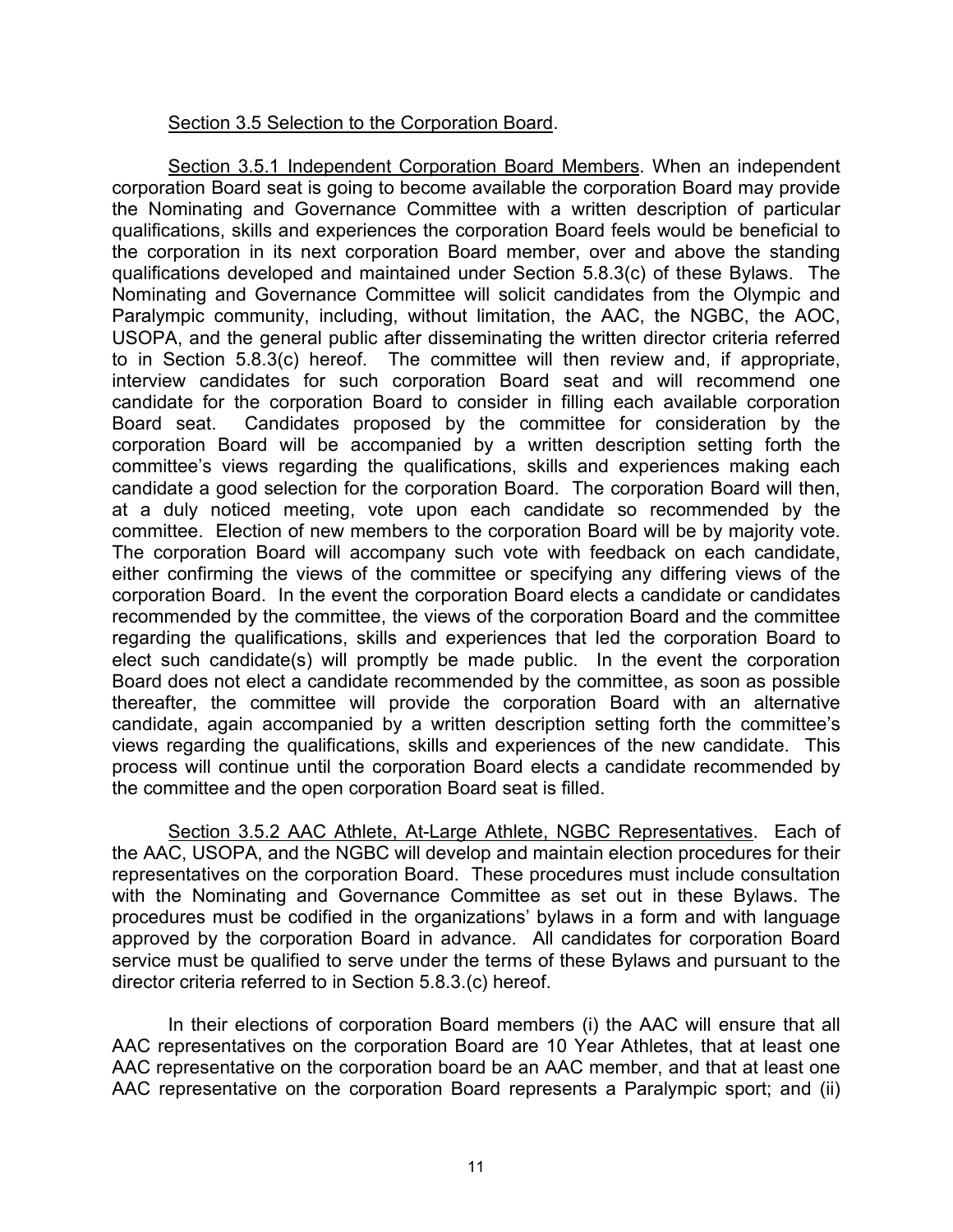### Section 3.5 Selection to the Corporation Board.

Section 3.5.1 Independent Corporation Board Members. When an independent corporation Board seat is going to become available the corporation Board may provide the Nominating and Governance Committee with a written description of particular qualifications, skills and experiences the corporation Board feels would be beneficial to the corporation in its next corporation Board member, over and above the standing qualifications developed and maintained under Section 5.8.3(c) of these Bylaws. The Nominating and Governance Committee will solicit candidates from the Olympic and Paralympic community, including, without limitation, the AAC, the NGBC, the AOC, USOPA, and the general public after disseminating the written director criteria referred to in Section 5.8.3(c) hereof. The committee will then review and, if appropriate, interview candidates for such corporation Board seat and will recommend one candidate for the corporation Board to consider in filling each available corporation Board seat. Candidates proposed by the committee for consideration by the corporation Board will be accompanied by a written description setting forth the committee's views regarding the qualifications, skills and experiences making each candidate a good selection for the corporation Board. The corporation Board will then, at a duly noticed meeting, vote upon each candidate so recommended by the committee. Election of new members to the corporation Board will be by majority vote. The corporation Board will accompany such vote with feedback on each candidate, either confirming the views of the committee or specifying any differing views of the corporation Board. In the event the corporation Board elects a candidate or candidates recommended by the committee, the views of the corporation Board and the committee regarding the qualifications, skills and experiences that led the corporation Board to elect such candidate(s) will promptly be made public. In the event the corporation Board does not elect a candidate recommended by the committee, as soon as possible thereafter, the committee will provide the corporation Board with an alternative candidate, again accompanied by a written description setting forth the committee's views regarding the qualifications, skills and experiences of the new candidate. This process will continue until the corporation Board elects a candidate recommended by the committee and the open corporation Board seat is filled.

Section 3.5.2 AAC Athlete, At-Large Athlete, NGBC Representatives. Each of the AAC, USOPA, and the NGBC will develop and maintain election procedures for their representatives on the corporation Board. These procedures must include consultation with the Nominating and Governance Committee as set out in these Bylaws. The procedures must be codified in the organizations' bylaws in a form and with language approved by the corporation Board in advance. All candidates for corporation Board service must be qualified to serve under the terms of these Bylaws and pursuant to the director criteria referred to in Section 5.8.3.(c) hereof.

In their elections of corporation Board members (i) the AAC will ensure that all AAC representatives on the corporation Board are 10 Year Athletes, that at least one AAC representative on the corporation board be an AAC member, and that at least one AAC representative on the corporation Board represents a Paralympic sport; and (ii)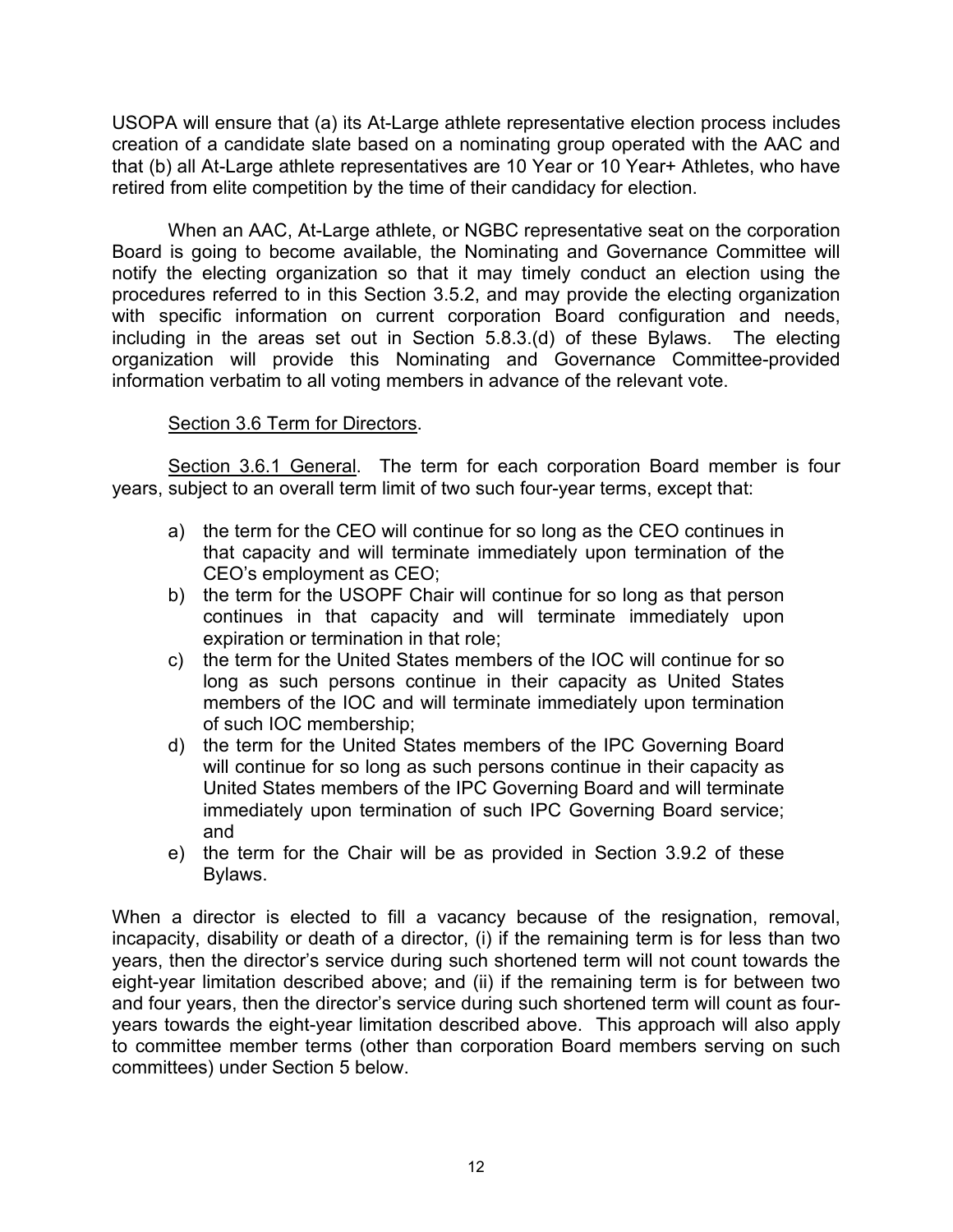USOPA will ensure that (a) its At-Large athlete representative election process includes creation of a candidate slate based on a nominating group operated with the AAC and that (b) all At-Large athlete representatives are 10 Year or 10 Year+ Athletes, who have retired from elite competition by the time of their candidacy for election.

When an AAC, At-Large athlete, or NGBC representative seat on the corporation Board is going to become available, the Nominating and Governance Committee will notify the electing organization so that it may timely conduct an election using the procedures referred to in this Section 3.5.2, and may provide the electing organization with specific information on current corporation Board configuration and needs, including in the areas set out in Section 5.8.3.(d) of these Bylaws. The electing organization will provide this Nominating and Governance Committee-provided information verbatim to all voting members in advance of the relevant vote.

### Section 3.6 Term for Directors.

 Section 3.6.1 General. The term for each corporation Board member is four years, subject to an overall term limit of two such four-year terms, except that:

- a) the term for the CEO will continue for so long as the CEO continues in that capacity and will terminate immediately upon termination of the CEO's employment as CEO;
- b) the term for the USOPF Chair will continue for so long as that person continues in that capacity and will terminate immediately upon expiration or termination in that role;
- c) the term for the United States members of the IOC will continue for so long as such persons continue in their capacity as United States members of the IOC and will terminate immediately upon termination of such IOC membership;
- d) the term for the United States members of the IPC Governing Board will continue for so long as such persons continue in their capacity as United States members of the IPC Governing Board and will terminate immediately upon termination of such IPC Governing Board service; and
- e) the term for the Chair will be as provided in Section 3.9.2 of these Bylaws.

When a director is elected to fill a vacancy because of the resignation, removal, incapacity, disability or death of a director, (i) if the remaining term is for less than two years, then the director's service during such shortened term will not count towards the eight-year limitation described above; and (ii) if the remaining term is for between two and four years, then the director's service during such shortened term will count as fouryears towards the eight-year limitation described above. This approach will also apply to committee member terms (other than corporation Board members serving on such committees) under Section 5 below.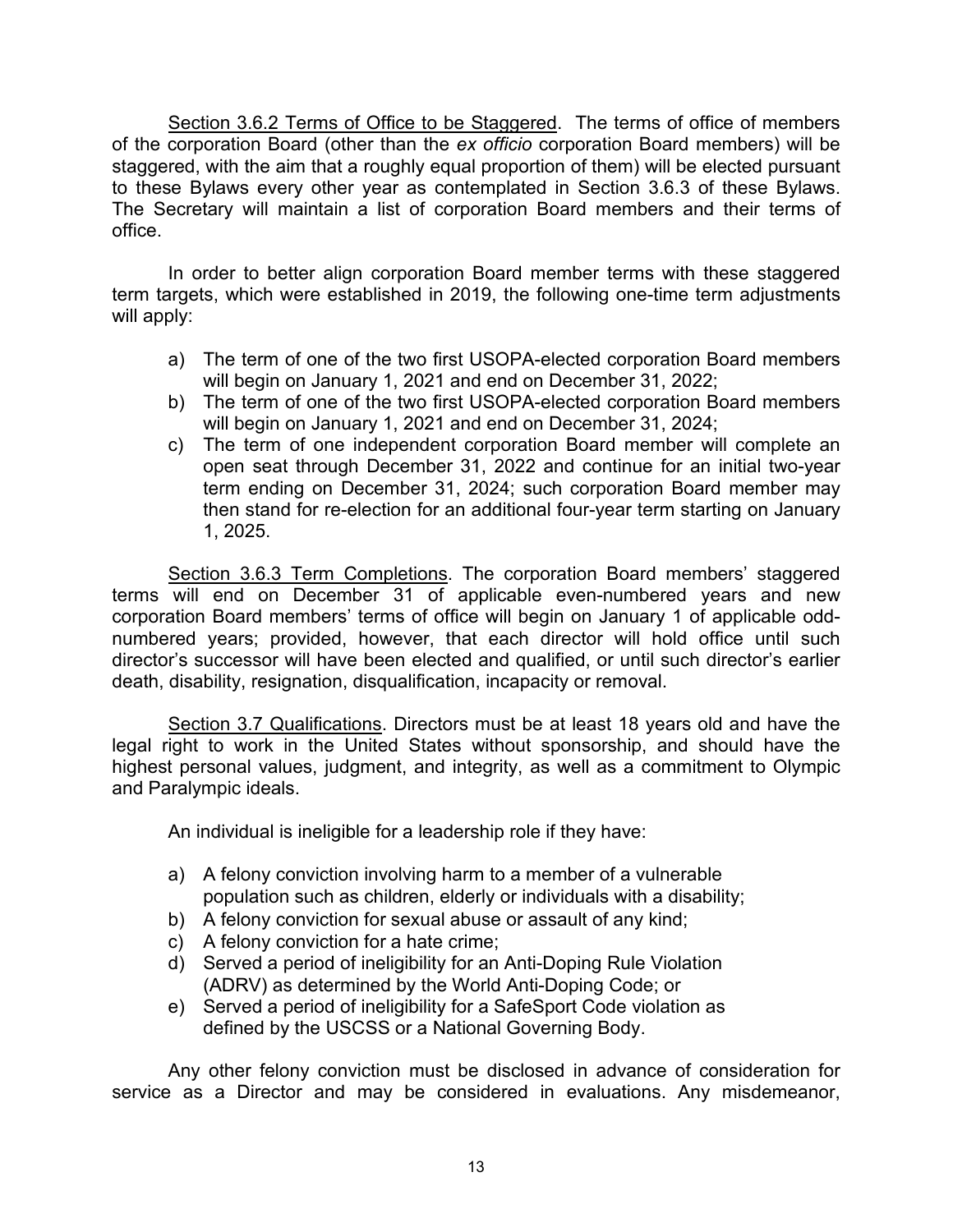Section 3.6.2 Terms of Office to be Staggered. The terms of office of members of the corporation Board (other than the *ex officio* corporation Board members) will be staggered, with the aim that a roughly equal proportion of them) will be elected pursuant to these Bylaws every other year as contemplated in Section 3.6.3 of these Bylaws. The Secretary will maintain a list of corporation Board members and their terms of office.

In order to better align corporation Board member terms with these staggered term targets, which were established in 2019, the following one-time term adjustments will apply:

- a) The term of one of the two first USOPA-elected corporation Board members will begin on January 1, 2021 and end on December 31, 2022;
- b) The term of one of the two first USOPA-elected corporation Board members will begin on January 1, 2021 and end on December 31, 2024;
- c) The term of one independent corporation Board member will complete an open seat through December 31, 2022 and continue for an initial two-year term ending on December 31, 2024; such corporation Board member may then stand for re-election for an additional four-year term starting on January 1, 2025.

Section 3.6.3 Term Completions. The corporation Board members' staggered terms will end on December 31 of applicable even-numbered years and new corporation Board members' terms of office will begin on January 1 of applicable oddnumbered years; provided, however, that each director will hold office until such director's successor will have been elected and qualified, or until such director's earlier death, disability, resignation, disqualification, incapacity or removal.

Section 3.7 Qualifications. Directors must be at least 18 years old and have the legal right to work in the United States without sponsorship, and should have the highest personal values, judgment, and integrity, as well as a commitment to Olympic and Paralympic ideals.

An individual is ineligible for a leadership role if they have:

- a) A felony conviction involving harm to a member of a vulnerable population such as children, elderly or individuals with a disability;
- b) A felony conviction for sexual abuse or assault of any kind;
- c) A felony conviction for a hate crime;
- d) Served a period of ineligibility for an Anti-Doping Rule Violation (ADRV) as determined by the World Anti-Doping Code; or
- e) Served a period of ineligibility for a SafeSport Code violation as defined by the USCSS or a National Governing Body.

Any other felony conviction must be disclosed in advance of consideration for service as a Director and may be considered in evaluations. Any misdemeanor,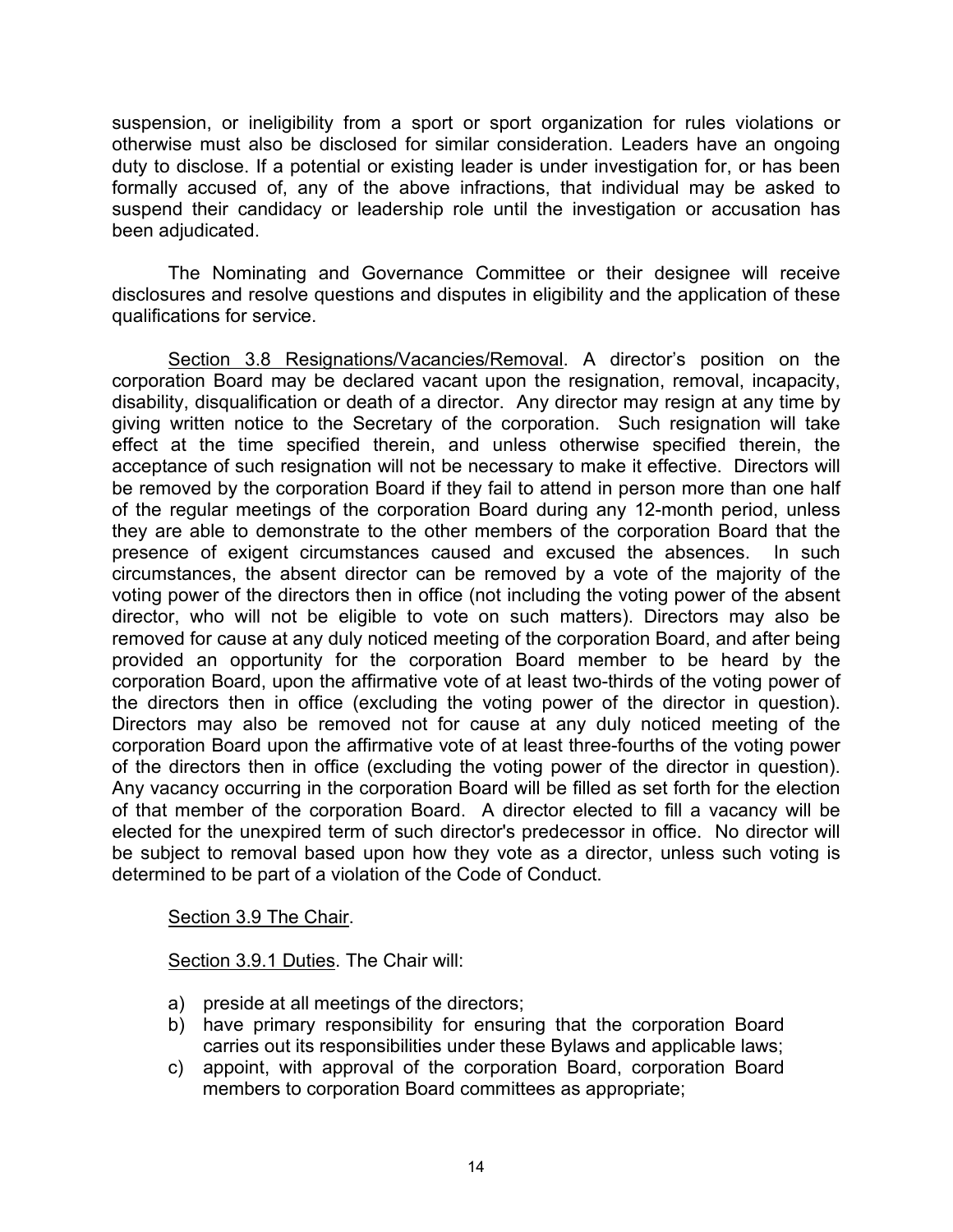suspension, or ineligibility from a sport or sport organization for rules violations or otherwise must also be disclosed for similar consideration. Leaders have an ongoing duty to disclose. If a potential or existing leader is under investigation for, or has been formally accused of, any of the above infractions, that individual may be asked to suspend their candidacy or leadership role until the investigation or accusation has been adjudicated.

The Nominating and Governance Committee or their designee will receive disclosures and resolve questions and disputes in eligibility and the application of these qualifications for service.

Section 3.8 Resignations/Vacancies/Removal. A director's position on the corporation Board may be declared vacant upon the resignation, removal, incapacity, disability, disqualification or death of a director. Any director may resign at any time by giving written notice to the Secretary of the corporation. Such resignation will take effect at the time specified therein, and unless otherwise specified therein, the acceptance of such resignation will not be necessary to make it effective. Directors will be removed by the corporation Board if they fail to attend in person more than one half of the regular meetings of the corporation Board during any 12-month period, unless they are able to demonstrate to the other members of the corporation Board that the presence of exigent circumstances caused and excused the absences. In such circumstances, the absent director can be removed by a vote of the majority of the voting power of the directors then in office (not including the voting power of the absent director, who will not be eligible to vote on such matters). Directors may also be removed for cause at any duly noticed meeting of the corporation Board, and after being provided an opportunity for the corporation Board member to be heard by the corporation Board, upon the affirmative vote of at least two-thirds of the voting power of the directors then in office (excluding the voting power of the director in question). Directors may also be removed not for cause at any duly noticed meeting of the corporation Board upon the affirmative vote of at least three-fourths of the voting power of the directors then in office (excluding the voting power of the director in question). Any vacancy occurring in the corporation Board will be filled as set forth for the election of that member of the corporation Board. A director elected to fill a vacancy will be elected for the unexpired term of such director's predecessor in office. No director will be subject to removal based upon how they vote as a director, unless such voting is determined to be part of a violation of the Code of Conduct.

Section 3.9 The Chair.

Section 3.9.1 Duties. The Chair will:

- a) preside at all meetings of the directors;
- b) have primary responsibility for ensuring that the corporation Board carries out its responsibilities under these Bylaws and applicable laws;
- c) appoint, with approval of the corporation Board, corporation Board members to corporation Board committees as appropriate;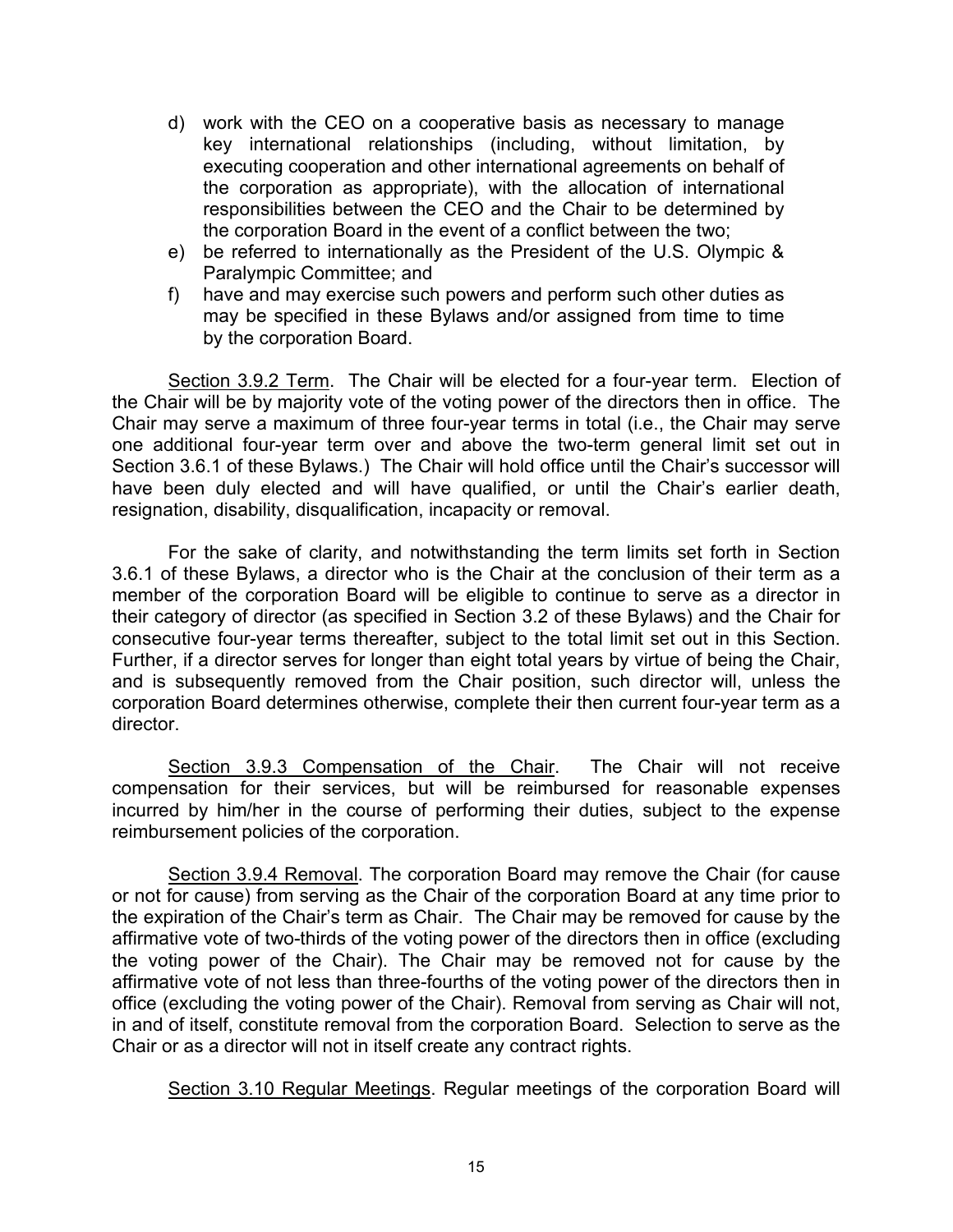- d) work with the CEO on a cooperative basis as necessary to manage key international relationships (including, without limitation, by executing cooperation and other international agreements on behalf of the corporation as appropriate), with the allocation of international responsibilities between the CEO and the Chair to be determined by the corporation Board in the event of a conflict between the two;
- e) be referred to internationally as the President of the U.S. Olympic & Paralympic Committee; and
- f) have and may exercise such powers and perform such other duties as may be specified in these Bylaws and/or assigned from time to time by the corporation Board.

Section 3.9.2 Term. The Chair will be elected for a four-year term. Election of the Chair will be by majority vote of the voting power of the directors then in office. The Chair may serve a maximum of three four-year terms in total (i.e., the Chair may serve one additional four-year term over and above the two-term general limit set out in Section 3.6.1 of these Bylaws.) The Chair will hold office until the Chair's successor will have been duly elected and will have qualified, or until the Chair's earlier death, resignation, disability, disqualification, incapacity or removal.

For the sake of clarity, and notwithstanding the term limits set forth in Section 3.6.1 of these Bylaws, a director who is the Chair at the conclusion of their term as a member of the corporation Board will be eligible to continue to serve as a director in their category of director (as specified in Section 3.2 of these Bylaws) and the Chair for consecutive four-year terms thereafter, subject to the total limit set out in this Section. Further, if a director serves for longer than eight total years by virtue of being the Chair, and is subsequently removed from the Chair position, such director will, unless the corporation Board determines otherwise, complete their then current four-year term as a director.

Section 3.9.3 Compensation of the Chair. The Chair will not receive compensation for their services, but will be reimbursed for reasonable expenses incurred by him/her in the course of performing their duties, subject to the expense reimbursement policies of the corporation.

Section 3.9.4 Removal. The corporation Board may remove the Chair (for cause or not for cause) from serving as the Chair of the corporation Board at any time prior to the expiration of the Chair's term as Chair. The Chair may be removed for cause by the affirmative vote of two-thirds of the voting power of the directors then in office (excluding the voting power of the Chair). The Chair may be removed not for cause by the affirmative vote of not less than three-fourths of the voting power of the directors then in office (excluding the voting power of the Chair). Removal from serving as Chair will not, in and of itself, constitute removal from the corporation Board. Selection to serve as the Chair or as a director will not in itself create any contract rights.

Section 3.10 Regular Meetings. Regular meetings of the corporation Board will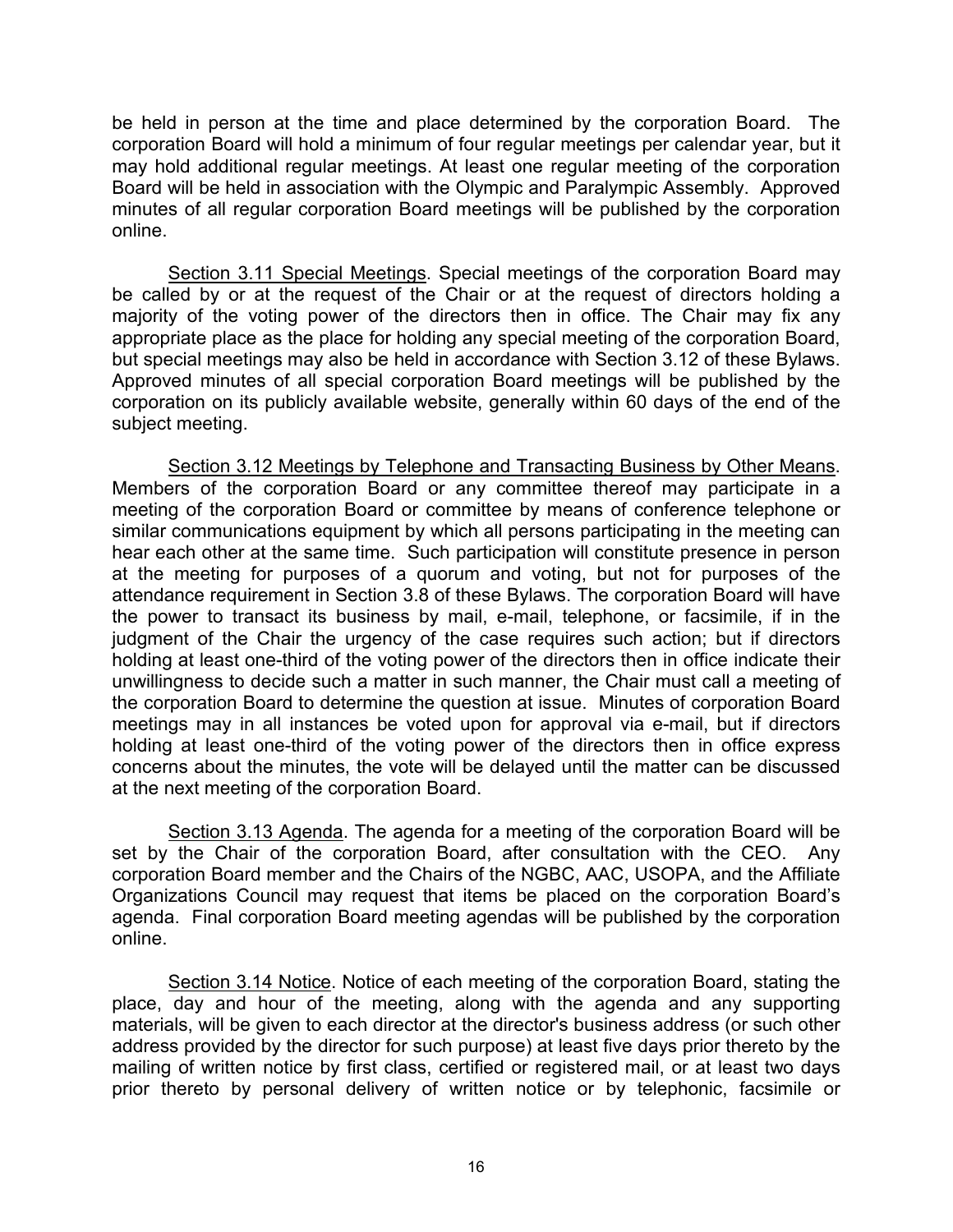be held in person at the time and place determined by the corporation Board. The corporation Board will hold a minimum of four regular meetings per calendar year, but it may hold additional regular meetings. At least one regular meeting of the corporation Board will be held in association with the Olympic and Paralympic Assembly. Approved minutes of all regular corporation Board meetings will be published by the corporation online.

Section 3.11 Special Meetings. Special meetings of the corporation Board may be called by or at the request of the Chair or at the request of directors holding a majority of the voting power of the directors then in office. The Chair may fix any appropriate place as the place for holding any special meeting of the corporation Board, but special meetings may also be held in accordance with Section 3.12 of these Bylaws. Approved minutes of all special corporation Board meetings will be published by the corporation on its publicly available website, generally within 60 days of the end of the subject meeting.

Section 3.12 Meetings by Telephone and Transacting Business by Other Means. Members of the corporation Board or any committee thereof may participate in a meeting of the corporation Board or committee by means of conference telephone or similar communications equipment by which all persons participating in the meeting can hear each other at the same time. Such participation will constitute presence in person at the meeting for purposes of a quorum and voting, but not for purposes of the attendance requirement in Section 3.8 of these Bylaws. The corporation Board will have the power to transact its business by mail, e-mail, telephone, or facsimile, if in the judgment of the Chair the urgency of the case requires such action; but if directors holding at least one-third of the voting power of the directors then in office indicate their unwillingness to decide such a matter in such manner, the Chair must call a meeting of the corporation Board to determine the question at issue. Minutes of corporation Board meetings may in all instances be voted upon for approval via e-mail, but if directors holding at least one-third of the voting power of the directors then in office express concerns about the minutes, the vote will be delayed until the matter can be discussed at the next meeting of the corporation Board.

Section 3.13 Agenda. The agenda for a meeting of the corporation Board will be set by the Chair of the corporation Board, after consultation with the CEO. Any corporation Board member and the Chairs of the NGBC, AAC, USOPA, and the Affiliate Organizations Council may request that items be placed on the corporation Board's agenda. Final corporation Board meeting agendas will be published by the corporation online.

Section 3.14 Notice. Notice of each meeting of the corporation Board, stating the place, day and hour of the meeting, along with the agenda and any supporting materials, will be given to each director at the director's business address (or such other address provided by the director for such purpose) at least five days prior thereto by the mailing of written notice by first class, certified or registered mail, or at least two days prior thereto by personal delivery of written notice or by telephonic, facsimile or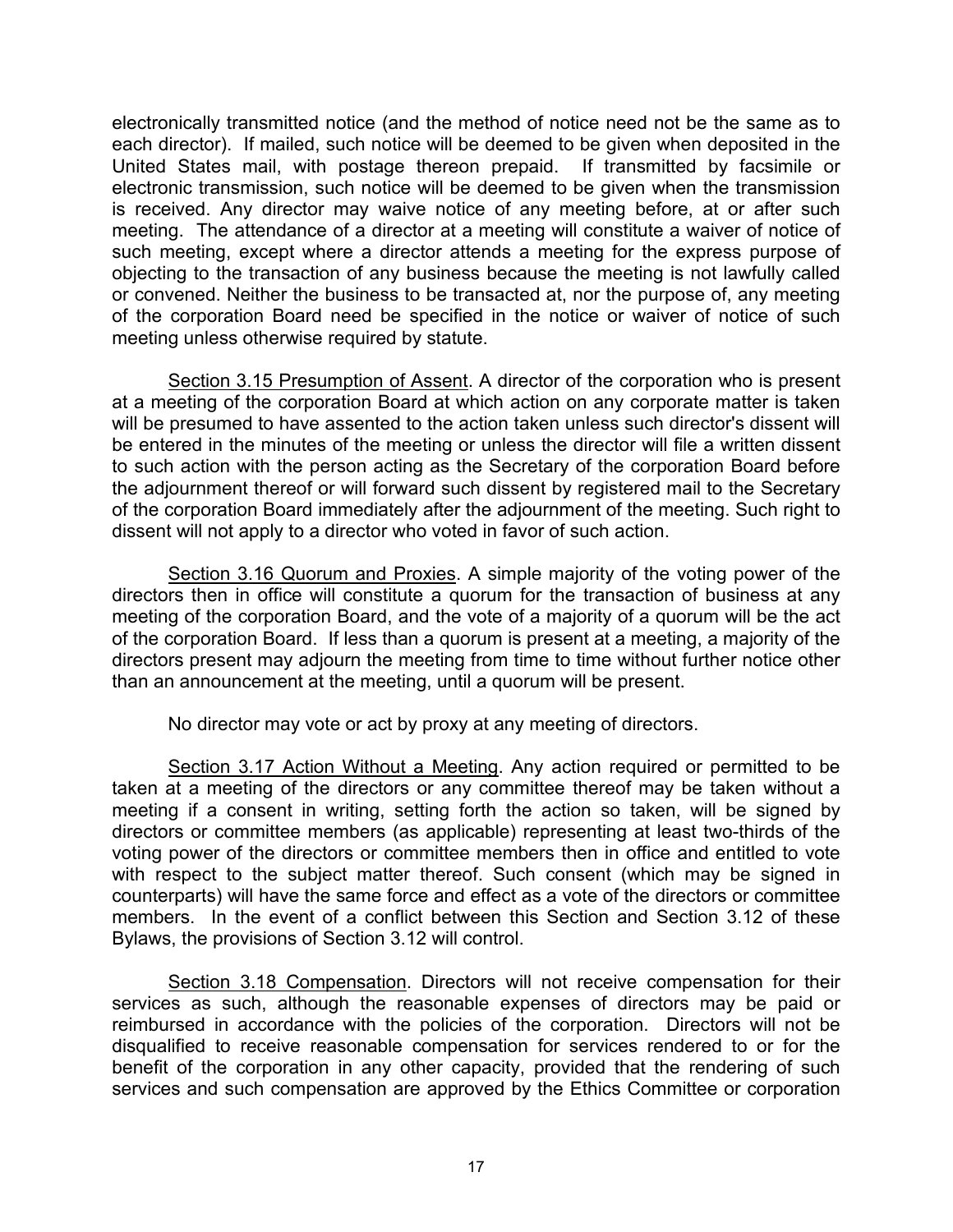electronically transmitted notice (and the method of notice need not be the same as to each director). If mailed, such notice will be deemed to be given when deposited in the United States mail, with postage thereon prepaid. If transmitted by facsimile or electronic transmission, such notice will be deemed to be given when the transmission is received. Any director may waive notice of any meeting before, at or after such meeting. The attendance of a director at a meeting will constitute a waiver of notice of such meeting, except where a director attends a meeting for the express purpose of objecting to the transaction of any business because the meeting is not lawfully called or convened. Neither the business to be transacted at, nor the purpose of, any meeting of the corporation Board need be specified in the notice or waiver of notice of such meeting unless otherwise required by statute.

Section 3.15 Presumption of Assent. A director of the corporation who is present at a meeting of the corporation Board at which action on any corporate matter is taken will be presumed to have assented to the action taken unless such director's dissent will be entered in the minutes of the meeting or unless the director will file a written dissent to such action with the person acting as the Secretary of the corporation Board before the adjournment thereof or will forward such dissent by registered mail to the Secretary of the corporation Board immediately after the adjournment of the meeting. Such right to dissent will not apply to a director who voted in favor of such action.

Section 3.16 Quorum and Proxies. A simple majority of the voting power of the directors then in office will constitute a quorum for the transaction of business at any meeting of the corporation Board, and the vote of a majority of a quorum will be the act of the corporation Board. If less than a quorum is present at a meeting, a majority of the directors present may adjourn the meeting from time to time without further notice other than an announcement at the meeting, until a quorum will be present.

No director may vote or act by proxy at any meeting of directors.

Section 3.17 Action Without a Meeting. Any action required or permitted to be taken at a meeting of the directors or any committee thereof may be taken without a meeting if a consent in writing, setting forth the action so taken, will be signed by directors or committee members (as applicable) representing at least two-thirds of the voting power of the directors or committee members then in office and entitled to vote with respect to the subject matter thereof. Such consent (which may be signed in counterparts) will have the same force and effect as a vote of the directors or committee members. In the event of a conflict between this Section and Section 3.12 of these Bylaws, the provisions of Section 3.12 will control.

Section 3.18 Compensation. Directors will not receive compensation for their services as such, although the reasonable expenses of directors may be paid or reimbursed in accordance with the policies of the corporation. Directors will not be disqualified to receive reasonable compensation for services rendered to or for the benefit of the corporation in any other capacity, provided that the rendering of such services and such compensation are approved by the Ethics Committee or corporation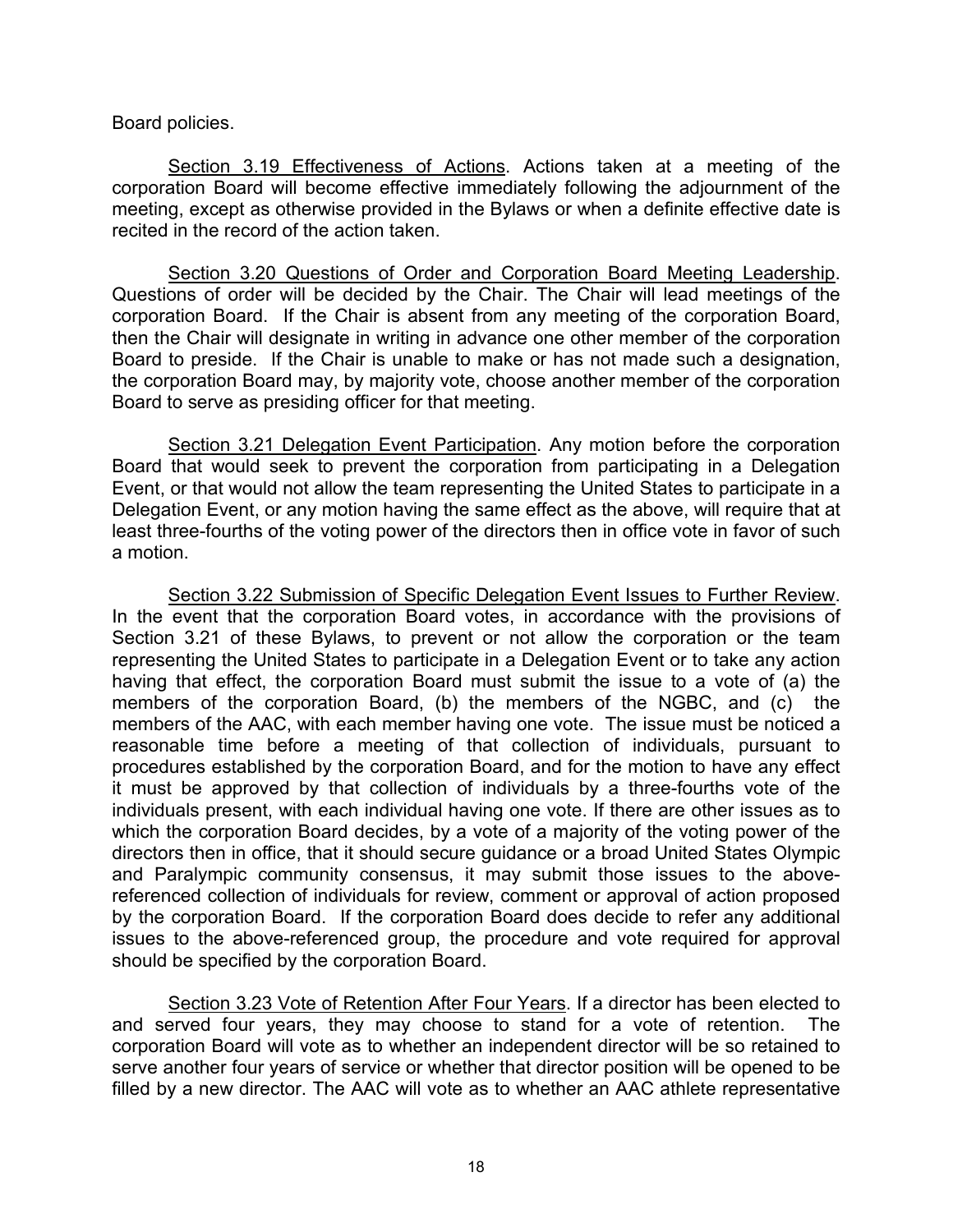Board policies.

Section 3.19 Effectiveness of Actions. Actions taken at a meeting of the corporation Board will become effective immediately following the adjournment of the meeting, except as otherwise provided in the Bylaws or when a definite effective date is recited in the record of the action taken.

Section 3.20 Questions of Order and Corporation Board Meeting Leadership. Questions of order will be decided by the Chair. The Chair will lead meetings of the corporation Board. If the Chair is absent from any meeting of the corporation Board, then the Chair will designate in writing in advance one other member of the corporation Board to preside. If the Chair is unable to make or has not made such a designation, the corporation Board may, by majority vote, choose another member of the corporation Board to serve as presiding officer for that meeting.

Section 3.21 Delegation Event Participation. Any motion before the corporation Board that would seek to prevent the corporation from participating in a Delegation Event, or that would not allow the team representing the United States to participate in a Delegation Event, or any motion having the same effect as the above, will require that at least three-fourths of the voting power of the directors then in office vote in favor of such a motion.

Section 3.22 Submission of Specific Delegation Event Issues to Further Review. In the event that the corporation Board votes, in accordance with the provisions of Section 3.21 of these Bylaws, to prevent or not allow the corporation or the team representing the United States to participate in a Delegation Event or to take any action having that effect, the corporation Board must submit the issue to a vote of (a) the members of the corporation Board, (b) the members of the NGBC, and (c) the members of the AAC, with each member having one vote. The issue must be noticed a reasonable time before a meeting of that collection of individuals, pursuant to procedures established by the corporation Board, and for the motion to have any effect it must be approved by that collection of individuals by a three-fourths vote of the individuals present, with each individual having one vote. If there are other issues as to which the corporation Board decides, by a vote of a majority of the voting power of the directors then in office, that it should secure guidance or a broad United States Olympic and Paralympic community consensus, it may submit those issues to the abovereferenced collection of individuals for review, comment or approval of action proposed by the corporation Board. If the corporation Board does decide to refer any additional issues to the above-referenced group, the procedure and vote required for approval should be specified by the corporation Board.

Section 3.23 Vote of Retention After Four Years. If a director has been elected to and served four years, they may choose to stand for a vote of retention. The corporation Board will vote as to whether an independent director will be so retained to serve another four years of service or whether that director position will be opened to be filled by a new director. The AAC will vote as to whether an AAC athlete representative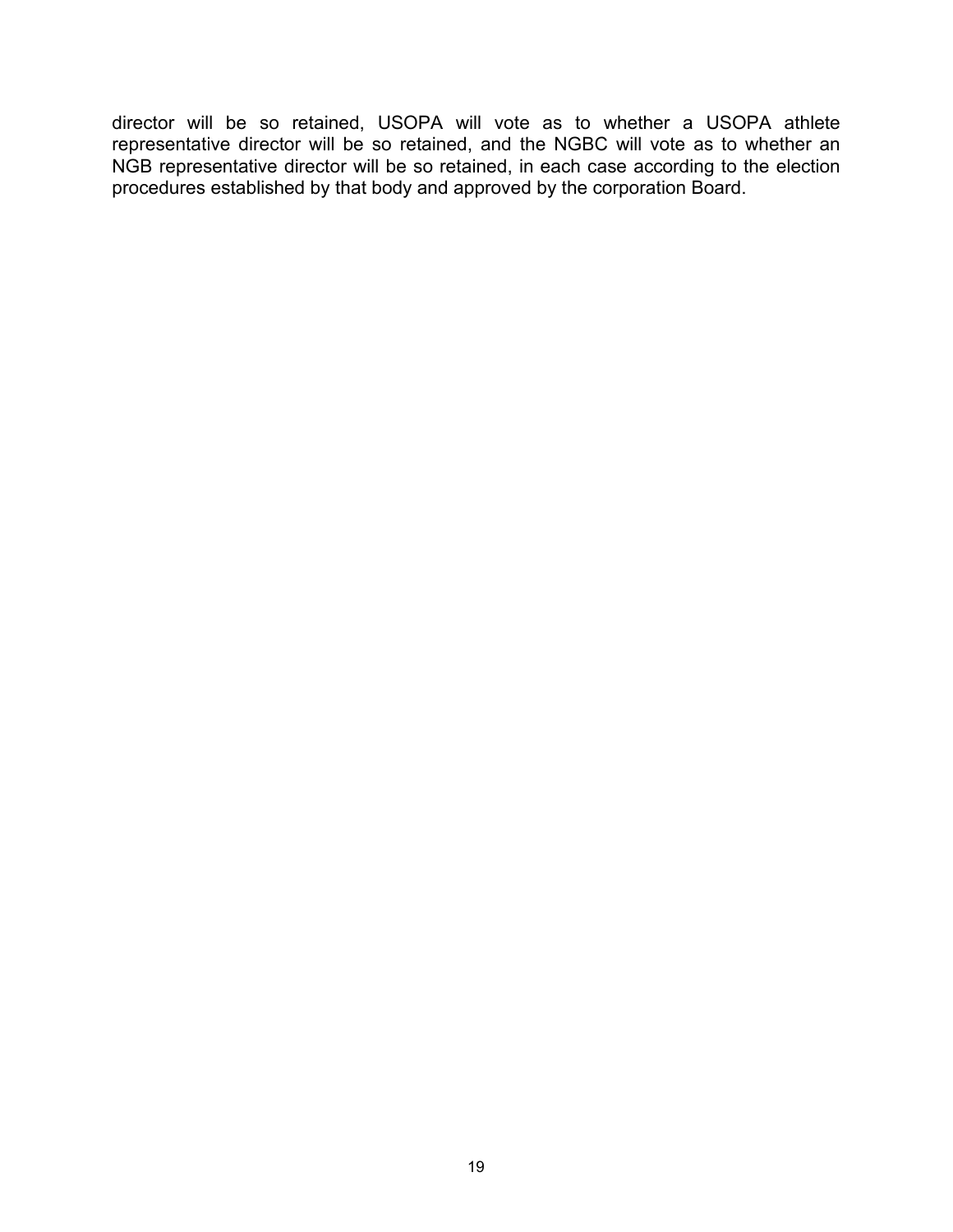director will be so retained, USOPA will vote as to whether a USOPA athlete representative director will be so retained, and the NGBC will vote as to whether an NGB representative director will be so retained, in each case according to the election procedures established by that body and approved by the corporation Board.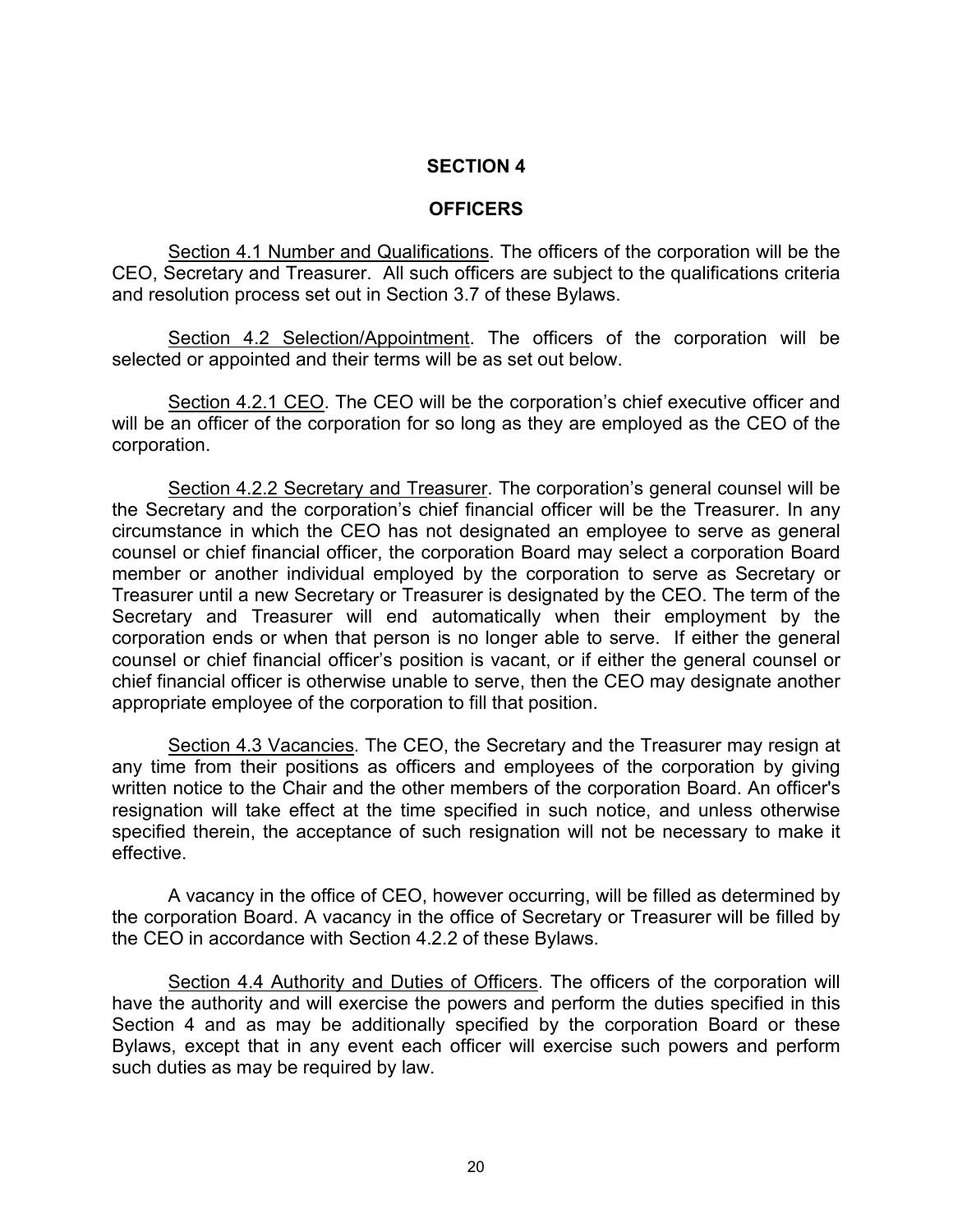### **SECTION 4**

#### **OFFICERS**

Section 4.1 Number and Qualifications. The officers of the corporation will be the CEO, Secretary and Treasurer. All such officers are subject to the qualifications criteria and resolution process set out in Section 3.7 of these Bylaws.

Section 4.2 Selection/Appointment. The officers of the corporation will be selected or appointed and their terms will be as set out below.

Section 4.2.1 CEO. The CEO will be the corporation's chief executive officer and will be an officer of the corporation for so long as they are employed as the CEO of the corporation.

Section 4.2.2 Secretary and Treasurer. The corporation's general counsel will be the Secretary and the corporation's chief financial officer will be the Treasurer. In any circumstance in which the CEO has not designated an employee to serve as general counsel or chief financial officer, the corporation Board may select a corporation Board member or another individual employed by the corporation to serve as Secretary or Treasurer until a new Secretary or Treasurer is designated by the CEO. The term of the Secretary and Treasurer will end automatically when their employment by the corporation ends or when that person is no longer able to serve. If either the general counsel or chief financial officer's position is vacant, or if either the general counsel or chief financial officer is otherwise unable to serve, then the CEO may designate another appropriate employee of the corporation to fill that position.

Section 4.3 Vacancies. The CEO, the Secretary and the Treasurer may resign at any time from their positions as officers and employees of the corporation by giving written notice to the Chair and the other members of the corporation Board. An officer's resignation will take effect at the time specified in such notice, and unless otherwise specified therein, the acceptance of such resignation will not be necessary to make it effective.

A vacancy in the office of CEO, however occurring, will be filled as determined by the corporation Board. A vacancy in the office of Secretary or Treasurer will be filled by the CEO in accordance with Section 4.2.2 of these Bylaws.

Section 4.4 Authority and Duties of Officers. The officers of the corporation will have the authority and will exercise the powers and perform the duties specified in this Section 4 and as may be additionally specified by the corporation Board or these Bylaws, except that in any event each officer will exercise such powers and perform such duties as may be required by law.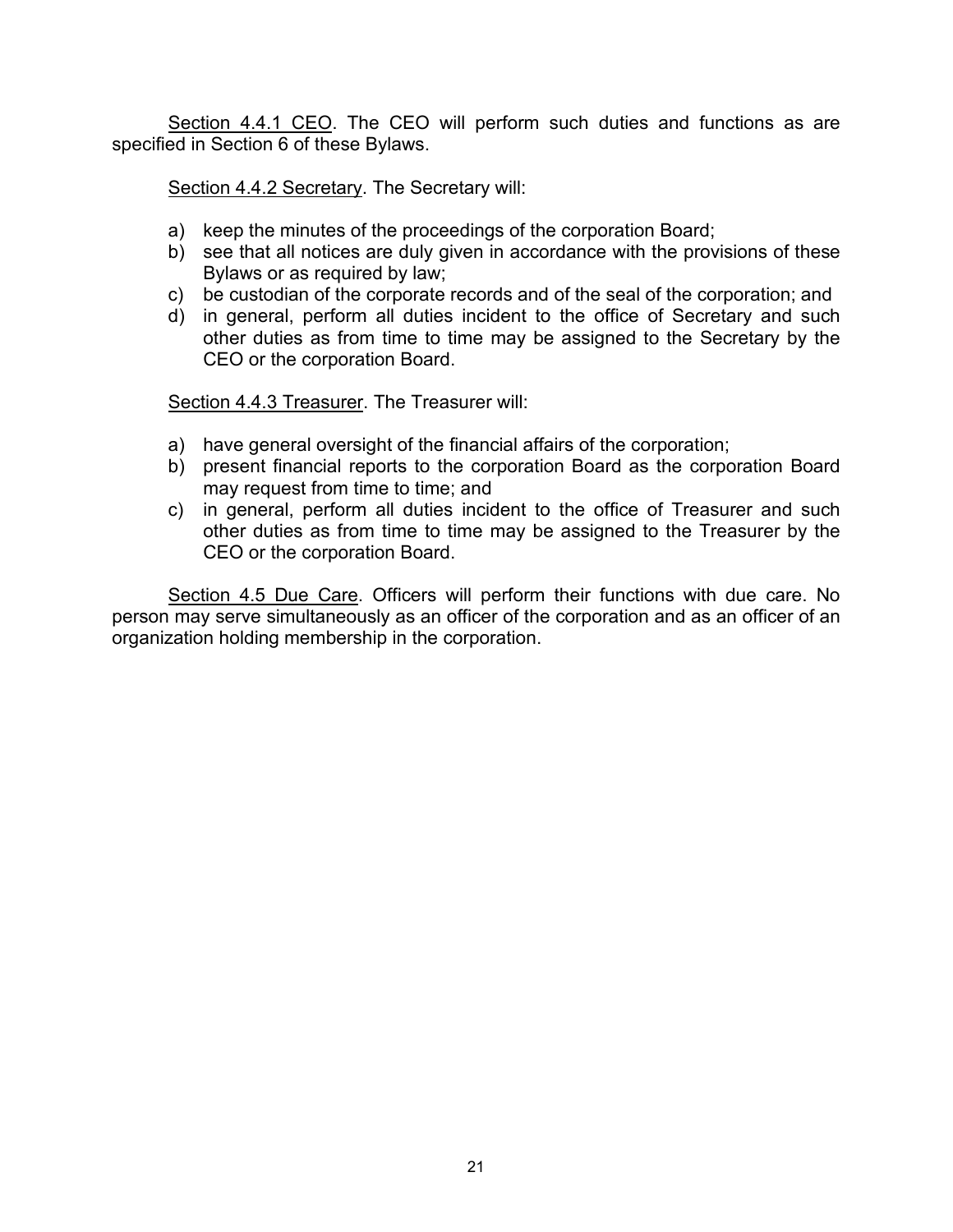Section 4.4.1 CEO. The CEO will perform such duties and functions as are specified in Section 6 of these Bylaws.

Section 4.4.2 Secretary. The Secretary will:

- a) keep the minutes of the proceedings of the corporation Board;
- b) see that all notices are duly given in accordance with the provisions of these Bylaws or as required by law;
- c) be custodian of the corporate records and of the seal of the corporation; and
- d) in general, perform all duties incident to the office of Secretary and such other duties as from time to time may be assigned to the Secretary by the CEO or the corporation Board.

Section 4.4.3 Treasurer. The Treasurer will:

- a) have general oversight of the financial affairs of the corporation;
- b) present financial reports to the corporation Board as the corporation Board may request from time to time; and
- c) in general, perform all duties incident to the office of Treasurer and such other duties as from time to time may be assigned to the Treasurer by the CEO or the corporation Board.

Section 4.5 Due Care. Officers will perform their functions with due care. No person may serve simultaneously as an officer of the corporation and as an officer of an organization holding membership in the corporation.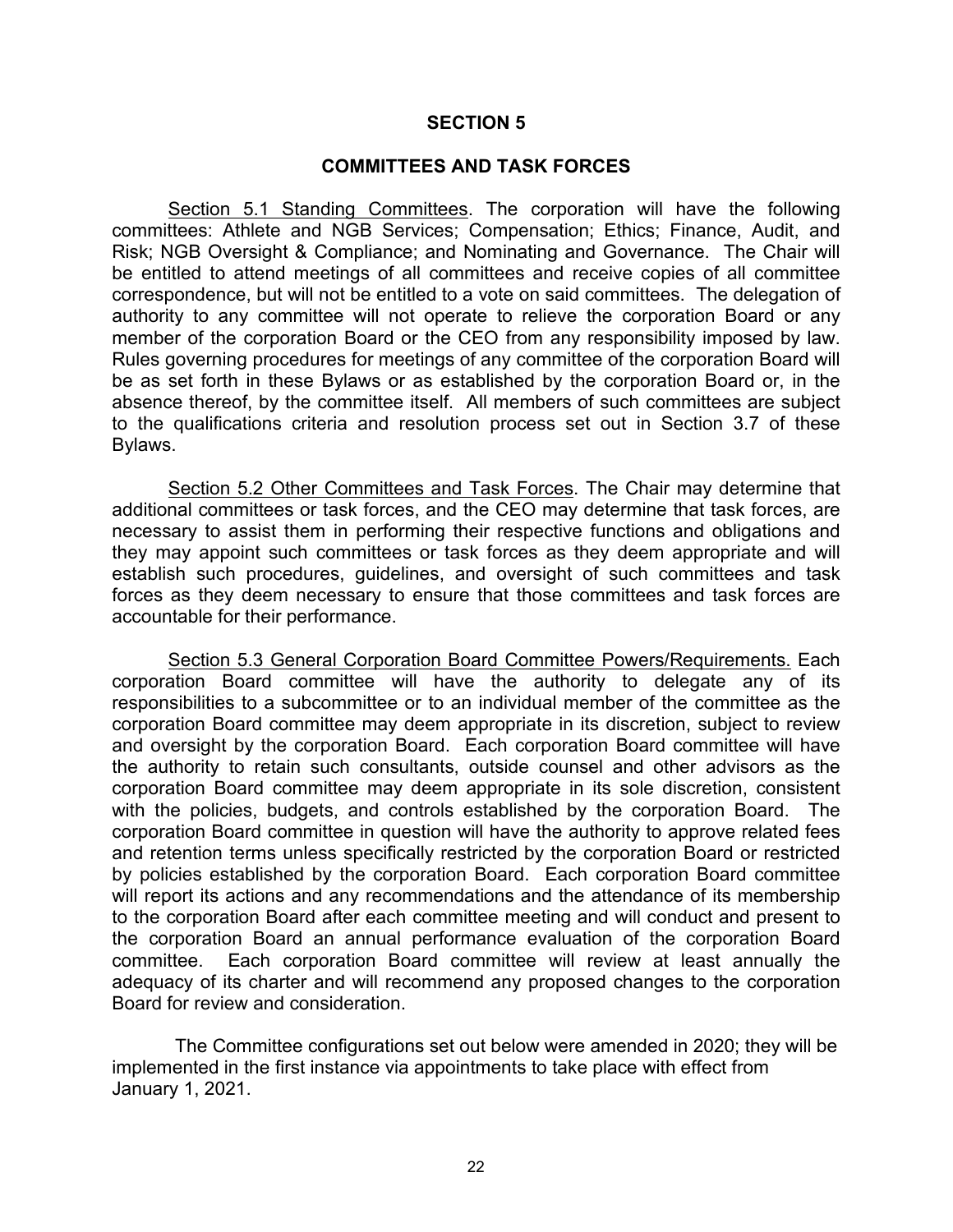#### **SECTION 5**

#### **COMMITTEES AND TASK FORCES**

Section 5.1 Standing Committees. The corporation will have the following committees: Athlete and NGB Services; Compensation; Ethics; Finance, Audit, and Risk; NGB Oversight & Compliance; and Nominating and Governance. The Chair will be entitled to attend meetings of all committees and receive copies of all committee correspondence, but will not be entitled to a vote on said committees. The delegation of authority to any committee will not operate to relieve the corporation Board or any member of the corporation Board or the CEO from any responsibility imposed by law. Rules governing procedures for meetings of any committee of the corporation Board will be as set forth in these Bylaws or as established by the corporation Board or, in the absence thereof, by the committee itself. All members of such committees are subject to the qualifications criteria and resolution process set out in Section 3.7 of these Bylaws.

Section 5.2 Other Committees and Task Forces. The Chair may determine that additional committees or task forces, and the CEO may determine that task forces, are necessary to assist them in performing their respective functions and obligations and they may appoint such committees or task forces as they deem appropriate and will establish such procedures, guidelines, and oversight of such committees and task forces as they deem necessary to ensure that those committees and task forces are accountable for their performance.

Section 5.3 General Corporation Board Committee Powers/Requirements. Each corporation Board committee will have the authority to delegate any of its responsibilities to a subcommittee or to an individual member of the committee as the corporation Board committee may deem appropriate in its discretion, subject to review and oversight by the corporation Board. Each corporation Board committee will have the authority to retain such consultants, outside counsel and other advisors as the corporation Board committee may deem appropriate in its sole discretion, consistent with the policies, budgets, and controls established by the corporation Board. The corporation Board committee in question will have the authority to approve related fees and retention terms unless specifically restricted by the corporation Board or restricted by policies established by the corporation Board. Each corporation Board committee will report its actions and any recommendations and the attendance of its membership to the corporation Board after each committee meeting and will conduct and present to the corporation Board an annual performance evaluation of the corporation Board committee. Each corporation Board committee will review at least annually the adequacy of its charter and will recommend any proposed changes to the corporation Board for review and consideration.

The Committee configurations set out below were amended in 2020; they will be implemented in the first instance via appointments to take place with effect from January 1, 2021.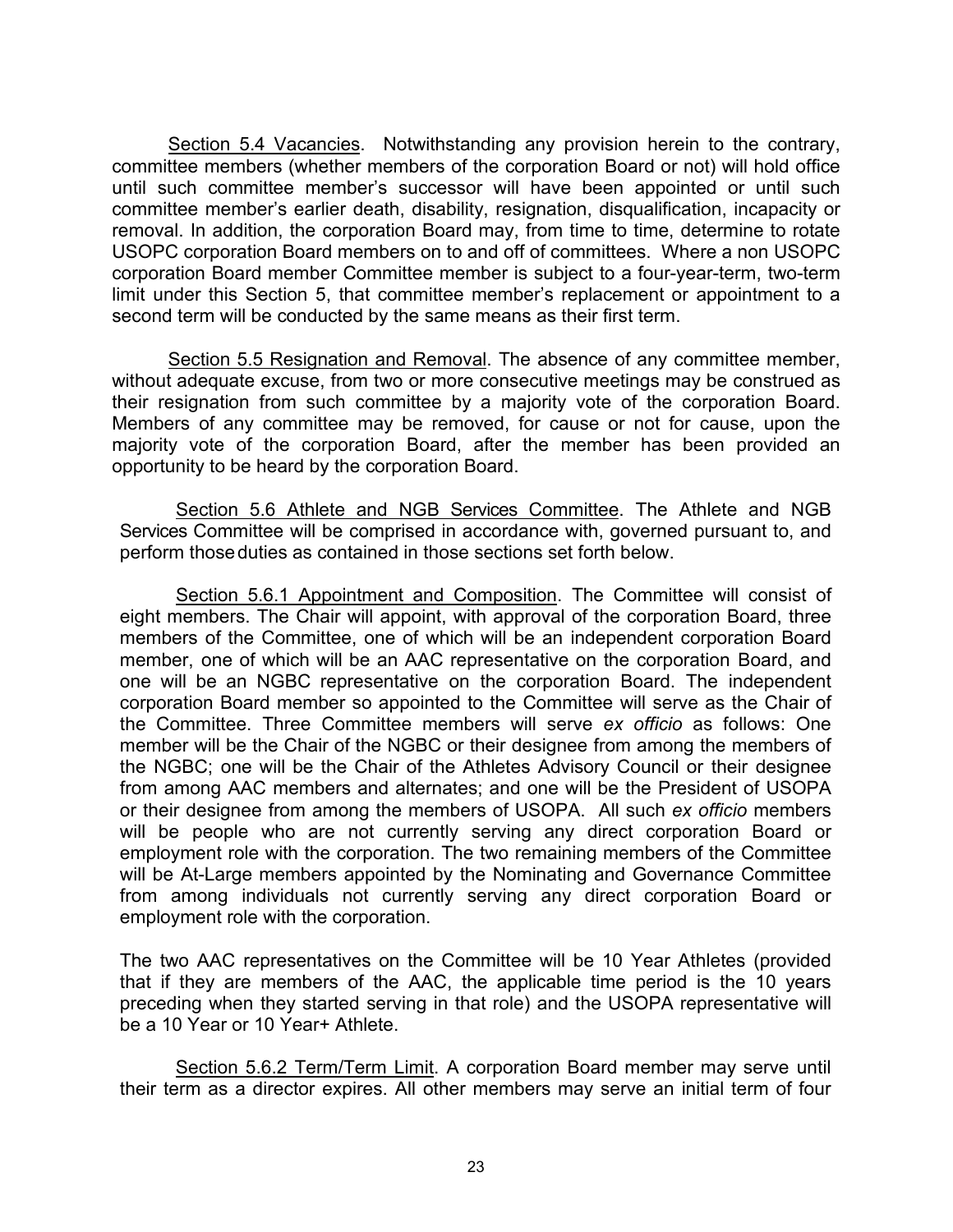Section 5.4 Vacancies. Notwithstanding any provision herein to the contrary, committee members (whether members of the corporation Board or not) will hold office until such committee member's successor will have been appointed or until such committee member's earlier death, disability, resignation, disqualification, incapacity or removal. In addition, the corporation Board may, from time to time, determine to rotate USOPC corporation Board members on to and off of committees. Where a non USOPC corporation Board member Committee member is subject to a four-year-term, two-term limit under this Section 5, that committee member's replacement or appointment to a second term will be conducted by the same means as their first term.

Section 5.5 Resignation and Removal. The absence of any committee member, without adequate excuse, from two or more consecutive meetings may be construed as their resignation from such committee by a majority vote of the corporation Board. Members of any committee may be removed, for cause or not for cause, upon the majority vote of the corporation Board, after the member has been provided an opportunity to be heard by the corporation Board.

Section 5.6 Athlete and NGB Services Committee. The Athlete and NGB Services Committee will be comprised in accordance with, governed pursuant to, and perform those duties as contained in those sections set forth below.

Section 5.6.1 Appointment and Composition. The Committee will consist of eight members. The Chair will appoint, with approval of the corporation Board, three members of the Committee, one of which will be an independent corporation Board member, one of which will be an AAC representative on the corporation Board, and one will be an NGBC representative on the corporation Board. The independent corporation Board member so appointed to the Committee will serve as the Chair of the Committee. Three Committee members will serve *ex officio* as follows: One member will be the Chair of the NGBC or their designee from among the members of the NGBC; one will be the Chair of the Athletes Advisory Council or their designee from among AAC members and alternates; and one will be the President of USOPA or their designee from among the members of USOPA. All such *ex officio* members will be people who are not currently serving any direct corporation Board or employment role with the corporation. The two remaining members of the Committee will be At-Large members appointed by the Nominating and Governance Committee from among individuals not currently serving any direct corporation Board or employment role with the corporation.

The two AAC representatives on the Committee will be 10 Year Athletes (provided that if they are members of the AAC, the applicable time period is the 10 years preceding when they started serving in that role) and the USOPA representative will be a 10 Year or 10 Year+ Athlete.

Section 5.6.2 Term/Term Limit. A corporation Board member may serve until their term as a director expires. All other members may serve an initial term of four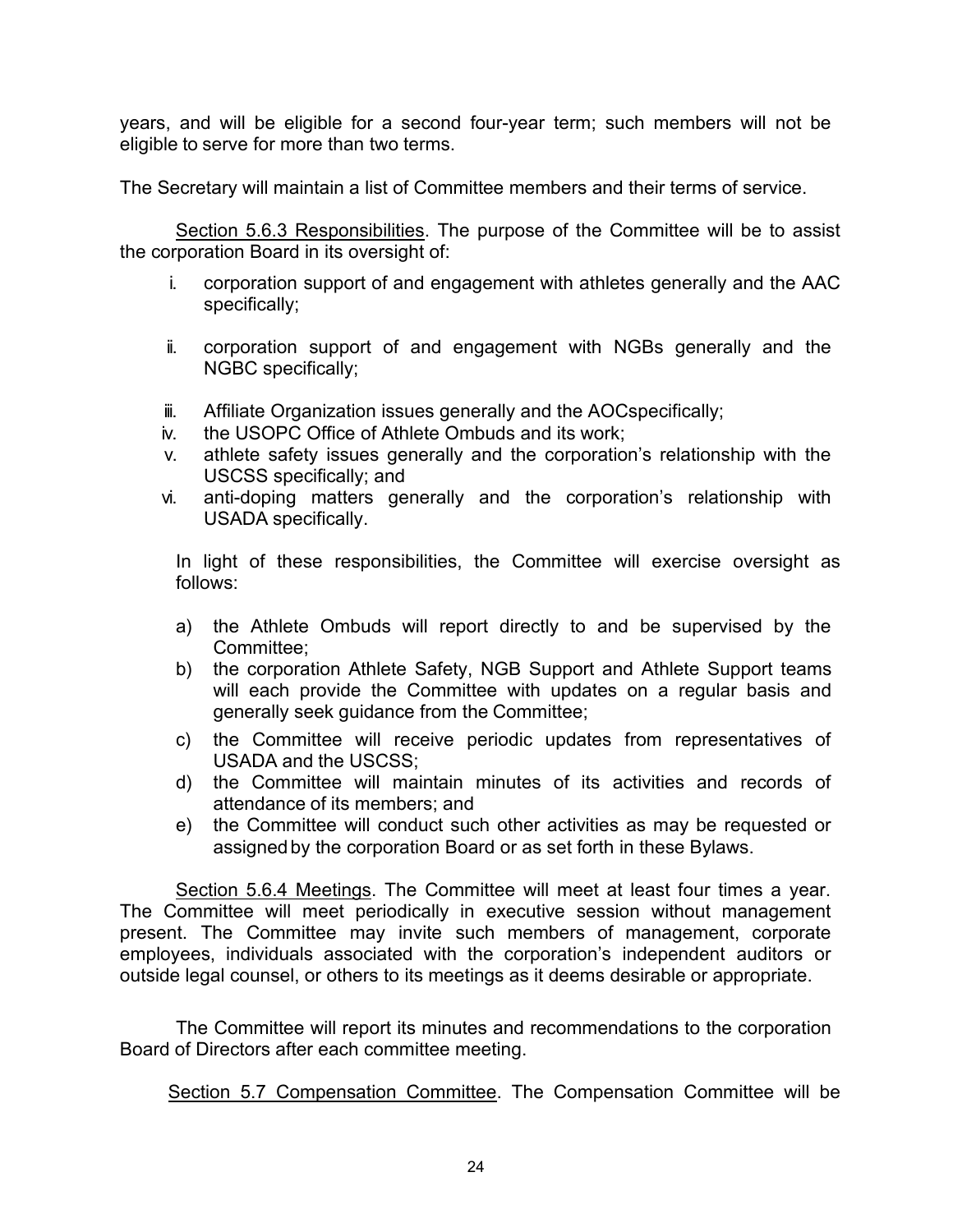years, and will be eligible for a second four-year term; such members will not be eligible to serve for more than two terms.

The Secretary will maintain a list of Committee members and their terms of service.

Section 5.6.3 Responsibilities. The purpose of the Committee will be to assist the corporation Board in its oversight of:

- i. corporation support of and engagement with athletes generally and the AAC specifically;
- ii. corporation support of and engagement with NGBs generally and the NGBC specifically;
- iii. Affiliate Organization issues generally and the AOCspecifically;
- iv. the USOPC Office of Athlete Ombuds and its work;
- v. athlete safety issues generally and the corporation's relationship with the USCSS specifically; and
- vi. anti-doping matters generally and the corporation's relationship with USADA specifically.

In light of these responsibilities, the Committee will exercise oversight as follows:

- a) the Athlete Ombuds will report directly to and be supervised by the Committee;
- b) the corporation Athlete Safety, NGB Support and Athlete Support teams will each provide the Committee with updates on a regular basis and generally seek guidance from the Committee;
- c) the Committee will receive periodic updates from representatives of USADA and the USCSS;
- d) the Committee will maintain minutes of its activities and records of attendance of its members; and
- e) the Committee will conduct such other activities as may be requested or assigned by the corporation Board or as set forth in these Bylaws.

Section 5.6.4 Meetings. The Committee will meet at least four times a year. The Committee will meet periodically in executive session without management present. The Committee may invite such members of management, corporate employees, individuals associated with the corporation's independent auditors or outside legal counsel, or others to its meetings as it deems desirable or appropriate.

The Committee will report its minutes and recommendations to the corporation Board of Directors after each committee meeting.

Section 5.7 Compensation Committee. The Compensation Committee will be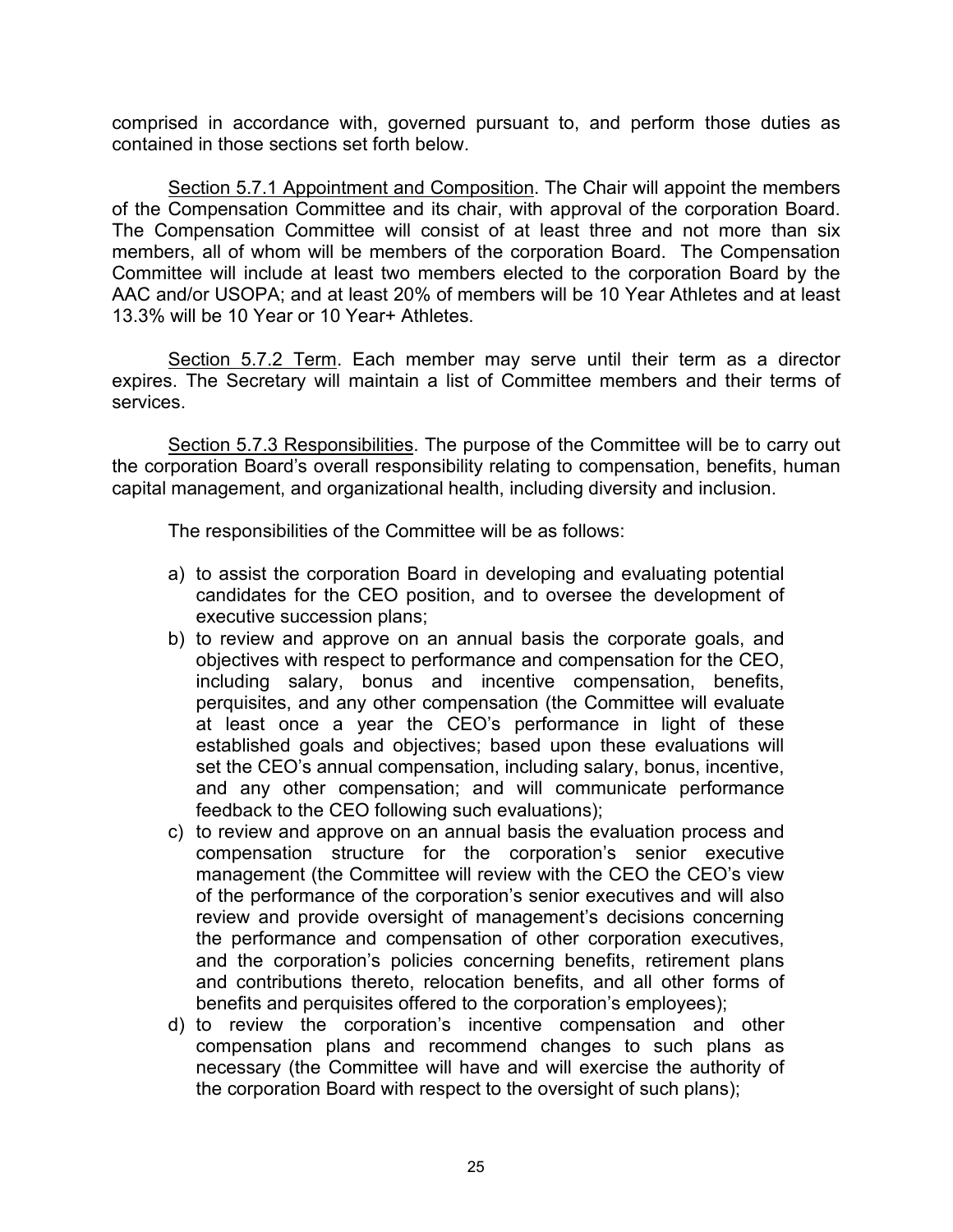comprised in accordance with, governed pursuant to, and perform those duties as contained in those sections set forth below.

Section 5.7.1 Appointment and Composition. The Chair will appoint the members of the Compensation Committee and its chair, with approval of the corporation Board. The Compensation Committee will consist of at least three and not more than six members, all of whom will be members of the corporation Board. The Compensation Committee will include at least two members elected to the corporation Board by the AAC and/or USOPA; and at least 20% of members will be 10 Year Athletes and at least 13.3% will be 10 Year or 10 Year+ Athletes.

Section 5.7.2 Term. Each member may serve until their term as a director expires. The Secretary will maintain a list of Committee members and their terms of services.

Section 5.7.3 Responsibilities. The purpose of the Committee will be to carry out the corporation Board's overall responsibility relating to compensation, benefits, human capital management, and organizational health, including diversity and inclusion.

The responsibilities of the Committee will be as follows:

- a) to assist the corporation Board in developing and evaluating potential candidates for the CEO position, and to oversee the development of executive succession plans;
- b) to review and approve on an annual basis the corporate goals, and objectives with respect to performance and compensation for the CEO, including salary, bonus and incentive compensation, benefits, perquisites, and any other compensation (the Committee will evaluate at least once a year the CEO's performance in light of these established goals and objectives; based upon these evaluations will set the CEO's annual compensation, including salary, bonus, incentive, and any other compensation; and will communicate performance feedback to the CEO following such evaluations);
- c) to review and approve on an annual basis the evaluation process and compensation structure for the corporation's senior executive management (the Committee will review with the CEO the CEO's view of the performance of the corporation's senior executives and will also review and provide oversight of management's decisions concerning the performance and compensation of other corporation executives, and the corporation's policies concerning benefits, retirement plans and contributions thereto, relocation benefits, and all other forms of benefits and perquisites offered to the corporation's employees);
- d) to review the corporation's incentive compensation and other compensation plans and recommend changes to such plans as necessary (the Committee will have and will exercise the authority of the corporation Board with respect to the oversight of such plans);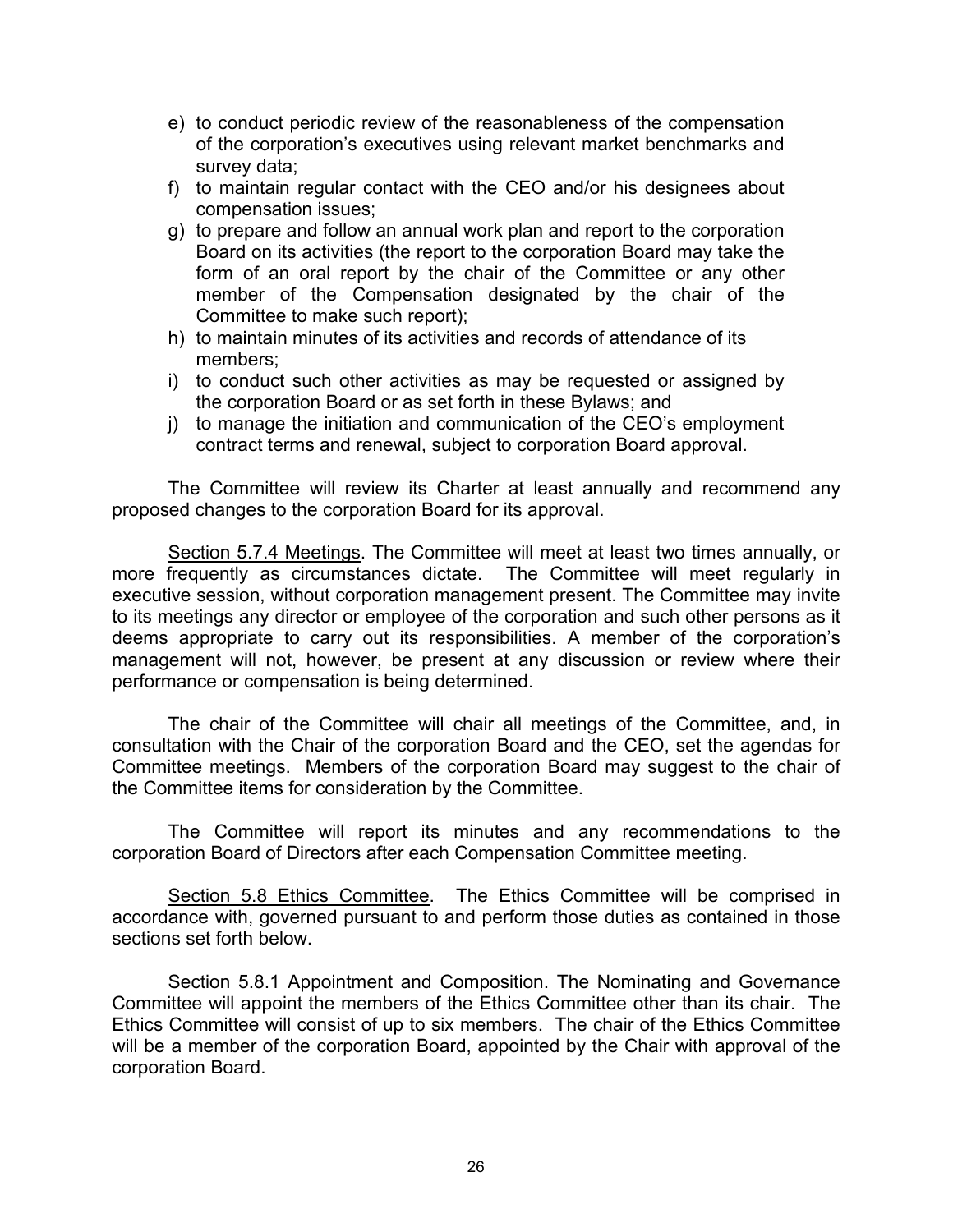- e) to conduct periodic review of the reasonableness of the compensation of the corporation's executives using relevant market benchmarks and survey data;
- f) to maintain regular contact with the CEO and/or his designees about compensation issues;
- g) to prepare and follow an annual work plan and report to the corporation Board on its activities (the report to the corporation Board may take the form of an oral report by the chair of the Committee or any other member of the Compensation designated by the chair of the Committee to make such report);
- h) to maintain minutes of its activities and records of attendance of its members;
- i) to conduct such other activities as may be requested or assigned by the corporation Board or as set forth in these Bylaws; and
- j) to manage the initiation and communication of the CEO's employment contract terms and renewal, subject to corporation Board approval.

The Committee will review its Charter at least annually and recommend any proposed changes to the corporation Board for its approval.

Section 5.7.4 Meetings. The Committee will meet at least two times annually, or more frequently as circumstances dictate. The Committee will meet regularly in executive session, without corporation management present. The Committee may invite to its meetings any director or employee of the corporation and such other persons as it deems appropriate to carry out its responsibilities. A member of the corporation's management will not, however, be present at any discussion or review where their performance or compensation is being determined.

The chair of the Committee will chair all meetings of the Committee, and, in consultation with the Chair of the corporation Board and the CEO, set the agendas for Committee meetings. Members of the corporation Board may suggest to the chair of the Committee items for consideration by the Committee.

The Committee will report its minutes and any recommendations to the corporation Board of Directors after each Compensation Committee meeting.

Section 5.8 Ethics Committee. The Ethics Committee will be comprised in accordance with, governed pursuant to and perform those duties as contained in those sections set forth below.

Section 5.8.1 Appointment and Composition. The Nominating and Governance Committee will appoint the members of the Ethics Committee other than its chair. The Ethics Committee will consist of up to six members. The chair of the Ethics Committee will be a member of the corporation Board, appointed by the Chair with approval of the corporation Board.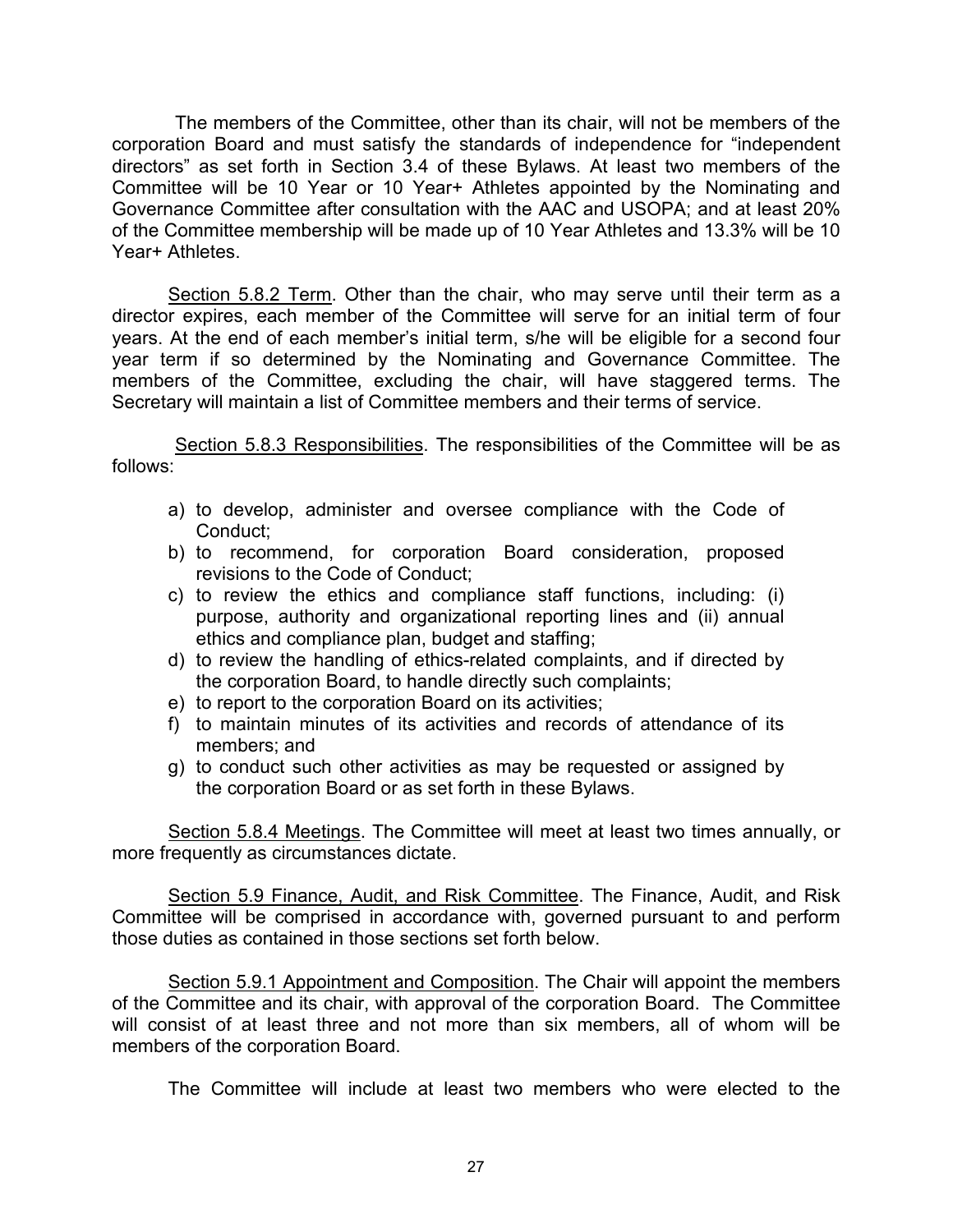The members of the Committee, other than its chair, will not be members of the corporation Board and must satisfy the standards of independence for "independent directors" as set forth in Section 3.4 of these Bylaws. At least two members of the Committee will be 10 Year or 10 Year+ Athletes appointed by the Nominating and Governance Committee after consultation with the AAC and USOPA; and at least 20% of the Committee membership will be made up of 10 Year Athletes and 13.3% will be 10 Year+ Athletes

Section 5.8.2 Term. Other than the chair, who may serve until their term as a director expires, each member of the Committee will serve for an initial term of four years. At the end of each member's initial term, s/he will be eligible for a second four year term if so determined by the Nominating and Governance Committee. The members of the Committee, excluding the chair, will have staggered terms. The Secretary will maintain a list of Committee members and their terms of service.

Section 5.8.3 Responsibilities. The responsibilities of the Committee will be as follows:

- a) to develop, administer and oversee compliance with the Code of Conduct;
- b) to recommend, for corporation Board consideration, proposed revisions to the Code of Conduct;
- c) to review the ethics and compliance staff functions, including: (i) purpose, authority and organizational reporting lines and (ii) annual ethics and compliance plan, budget and staffing;
- d) to review the handling of ethics-related complaints, and if directed by the corporation Board, to handle directly such complaints;
- e) to report to the corporation Board on its activities;
- f) to maintain minutes of its activities and records of attendance of its members; and
- g) to conduct such other activities as may be requested or assigned by the corporation Board or as set forth in these Bylaws.

Section 5.8.4 Meetings. The Committee will meet at least two times annually, or more frequently as circumstances dictate.

Section 5.9 Finance, Audit, and Risk Committee. The Finance, Audit, and Risk Committee will be comprised in accordance with, governed pursuant to and perform those duties as contained in those sections set forth below.

Section 5.9.1 Appointment and Composition. The Chair will appoint the members of the Committee and its chair, with approval of the corporation Board. The Committee will consist of at least three and not more than six members, all of whom will be members of the corporation Board.

The Committee will include at least two members who were elected to the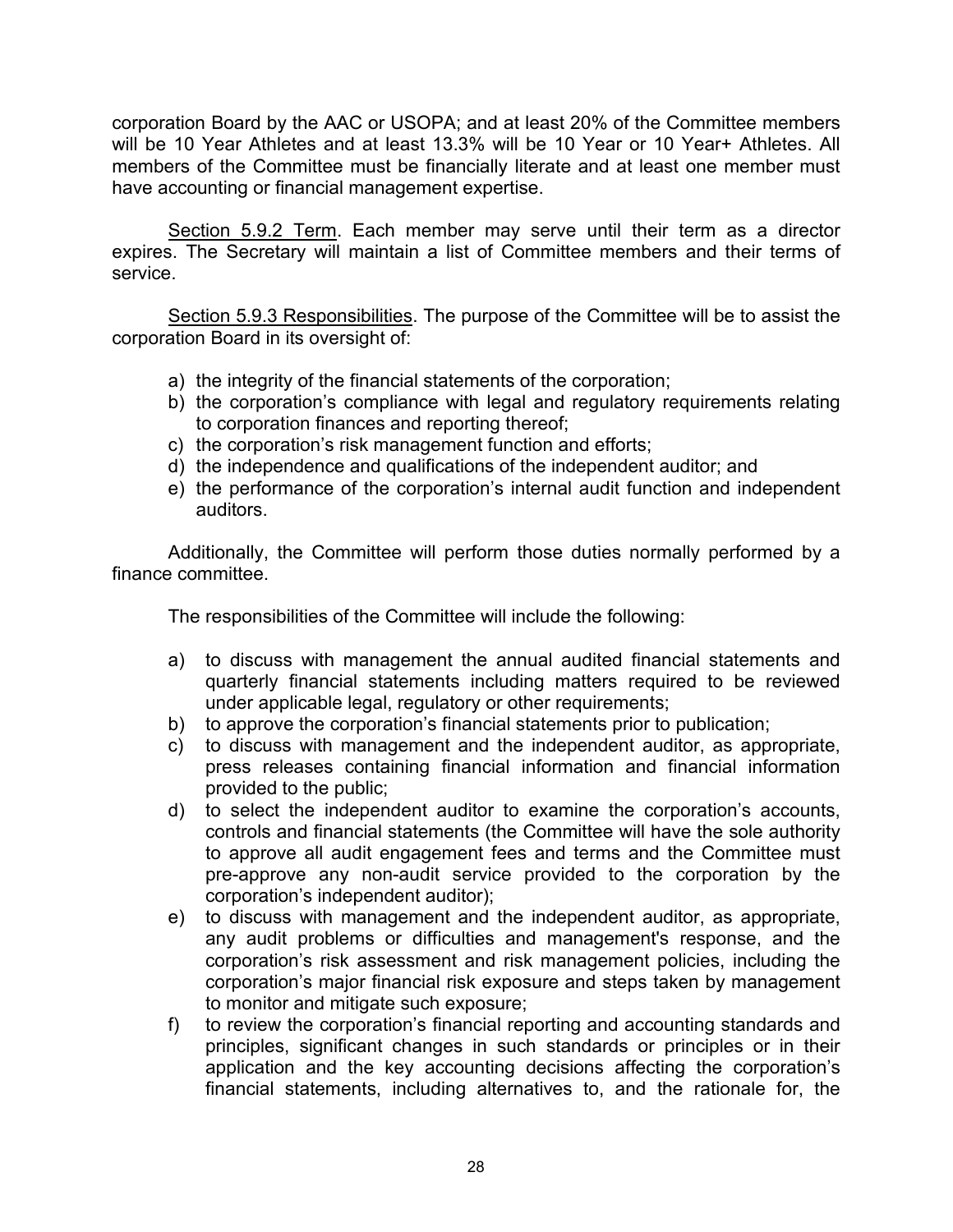corporation Board by the AAC or USOPA; and at least 20% of the Committee members will be 10 Year Athletes and at least 13.3% will be 10 Year or 10 Year+ Athletes. All members of the Committee must be financially literate and at least one member must have accounting or financial management expertise.

Section 5.9.2 Term. Each member may serve until their term as a director expires. The Secretary will maintain a list of Committee members and their terms of service.

Section 5.9.3 Responsibilities. The purpose of the Committee will be to assist the corporation Board in its oversight of:

- a) the integrity of the financial statements of the corporation;
- b) the corporation's compliance with legal and regulatory requirements relating to corporation finances and reporting thereof;
- c) the corporation's risk management function and efforts;
- d) the independence and qualifications of the independent auditor; and
- e) the performance of the corporation's internal audit function and independent auditors.

Additionally, the Committee will perform those duties normally performed by a finance committee.

The responsibilities of the Committee will include the following:

- a) to discuss with management the annual audited financial statements and quarterly financial statements including matters required to be reviewed under applicable legal, regulatory or other requirements;
- b) to approve the corporation's financial statements prior to publication;
- c) to discuss with management and the independent auditor, as appropriate, press releases containing financial information and financial information provided to the public;
- d) to select the independent auditor to examine the corporation's accounts, controls and financial statements (the Committee will have the sole authority to approve all audit engagement fees and terms and the Committee must pre-approve any non-audit service provided to the corporation by the corporation's independent auditor);
- e) to discuss with management and the independent auditor, as appropriate, any audit problems or difficulties and management's response, and the corporation's risk assessment and risk management policies, including the corporation's major financial risk exposure and steps taken by management to monitor and mitigate such exposure;
- f) to review the corporation's financial reporting and accounting standards and principles, significant changes in such standards or principles or in their application and the key accounting decisions affecting the corporation's financial statements, including alternatives to, and the rationale for, the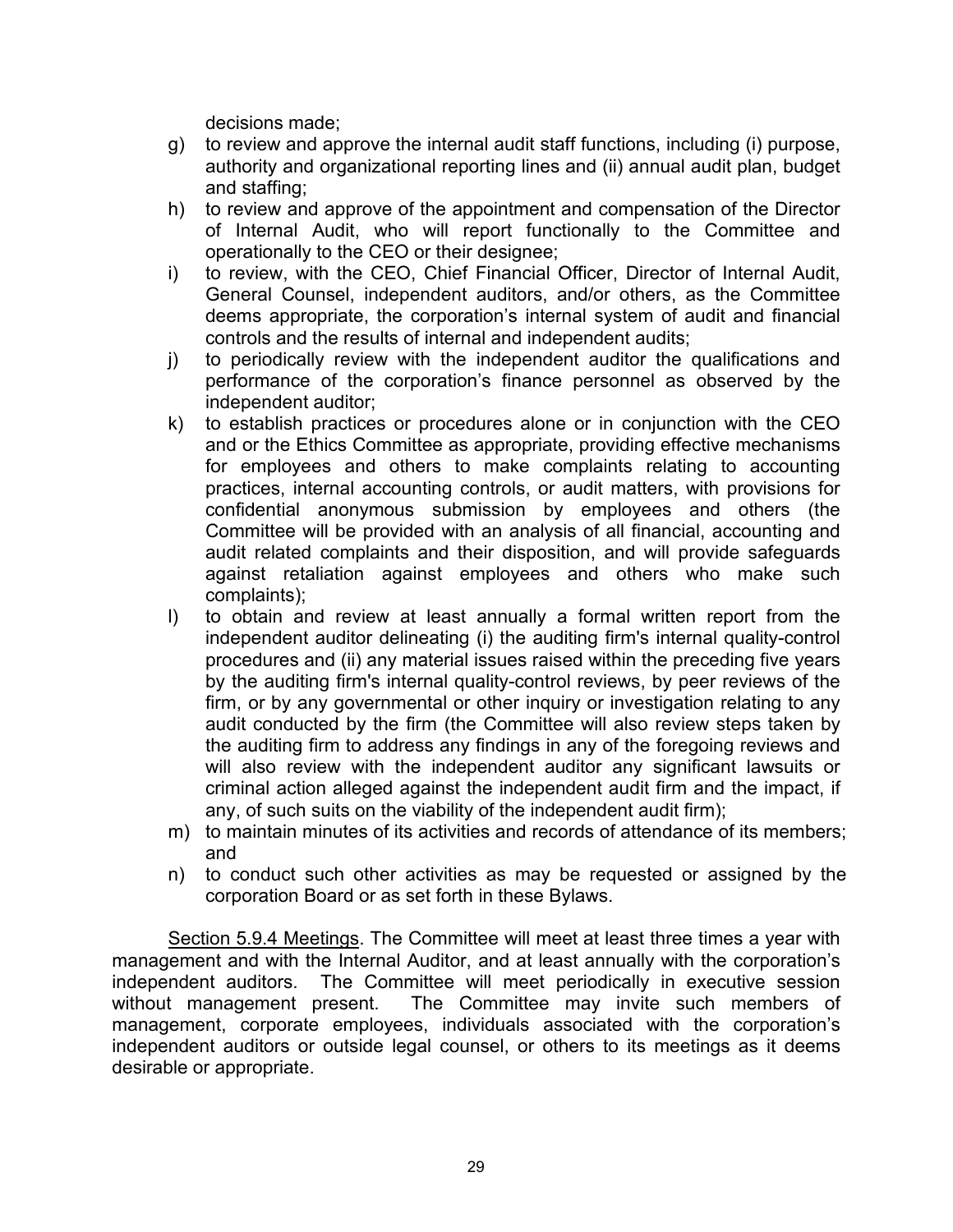decisions made;

- g) to review and approve the internal audit staff functions, including (i) purpose, authority and organizational reporting lines and (ii) annual audit plan, budget and staffing;
- h) to review and approve of the appointment and compensation of the Director of Internal Audit, who will report functionally to the Committee and operationally to the CEO or their designee;
- i) to review, with the CEO, Chief Financial Officer, Director of Internal Audit, General Counsel, independent auditors, and/or others, as the Committee deems appropriate, the corporation's internal system of audit and financial controls and the results of internal and independent audits;
- j) to periodically review with the independent auditor the qualifications and performance of the corporation's finance personnel as observed by the independent auditor;
- k) to establish practices or procedures alone or in conjunction with the CEO and or the Ethics Committee as appropriate, providing effective mechanisms for employees and others to make complaints relating to accounting practices, internal accounting controls, or audit matters, with provisions for confidential anonymous submission by employees and others (the Committee will be provided with an analysis of all financial, accounting and audit related complaints and their disposition, and will provide safeguards against retaliation against employees and others who make such complaints);
- l) to obtain and review at least annually a formal written report from the independent auditor delineating (i) the auditing firm's internal quality-control procedures and (ii) any material issues raised within the preceding five years by the auditing firm's internal quality-control reviews, by peer reviews of the firm, or by any governmental or other inquiry or investigation relating to any audit conducted by the firm (the Committee will also review steps taken by the auditing firm to address any findings in any of the foregoing reviews and will also review with the independent auditor any significant lawsuits or criminal action alleged against the independent audit firm and the impact, if any, of such suits on the viability of the independent audit firm);
- m) to maintain minutes of its activities and records of attendance of its members; and
- n) to conduct such other activities as may be requested or assigned by the corporation Board or as set forth in these Bylaws.

Section 5.9.4 Meetings. The Committee will meet at least three times a year with management and with the Internal Auditor, and at least annually with the corporation's independent auditors. The Committee will meet periodically in executive session without management present. The Committee may invite such members of management, corporate employees, individuals associated with the corporation's independent auditors or outside legal counsel, or others to its meetings as it deems desirable or appropriate.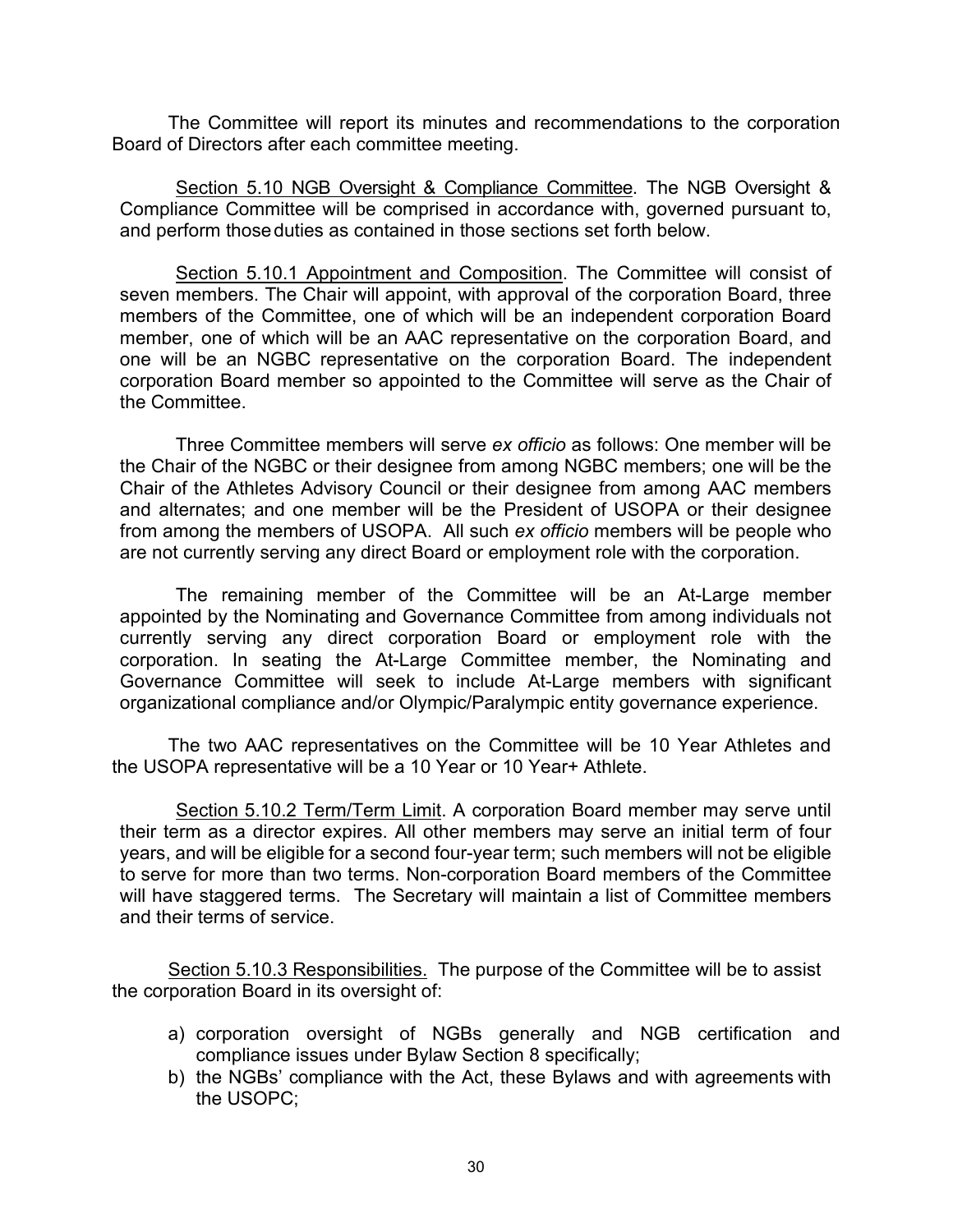The Committee will report its minutes and recommendations to the corporation Board of Directors after each committee meeting.

Section 5.10 NGB Oversight & Compliance Committee. The NGB Oversight & Compliance Committee will be comprised in accordance with, governed pursuant to, and perform thoseduties as contained in those sections set forth below.

Section 5.10.1 Appointment and Composition. The Committee will consist of seven members. The Chair will appoint, with approval of the corporation Board, three members of the Committee, one of which will be an independent corporation Board member, one of which will be an AAC representative on the corporation Board, and one will be an NGBC representative on the corporation Board. The independent corporation Board member so appointed to the Committee will serve as the Chair of the Committee.

Three Committee members will serve *ex officio* as follows: One member will be the Chair of the NGBC or their designee from among NGBC members; one will be the Chair of the Athletes Advisory Council or their designee from among AAC members and alternates; and one member will be the President of USOPA or their designee from among the members of USOPA. All such *ex officio* members will be people who are not currently serving any direct Board or employment role with the corporation.

The remaining member of the Committee will be an At-Large member appointed by the Nominating and Governance Committee from among individuals not currently serving any direct corporation Board or employment role with the corporation. In seating the At-Large Committee member, the Nominating and Governance Committee will seek to include At-Large members with significant organizational compliance and/or Olympic/Paralympic entity governance experience.

The two AAC representatives on the Committee will be 10 Year Athletes and the USOPA representative will be a 10 Year or 10 Year+ Athlete.

Section 5.10.2 Term/Term Limit. A corporation Board member may serve until their term as a director expires. All other members may serve an initial term of four years, and will be eligible for a second four-year term; such members will not be eligible to serve for more than two terms. Non-corporation Board members of the Committee will have staggered terms. The Secretary will maintain a list of Committee members and their terms of service.

Section 5.10.3 Responsibilities. The purpose of the Committee will be to assist the corporation Board in its oversight of:

- a) corporation oversight of NGBs generally and NGB certification and compliance issues under Bylaw Section 8 specifically;
- b) the NGBs' compliance with the Act, these Bylaws and with agreements with the USOPC;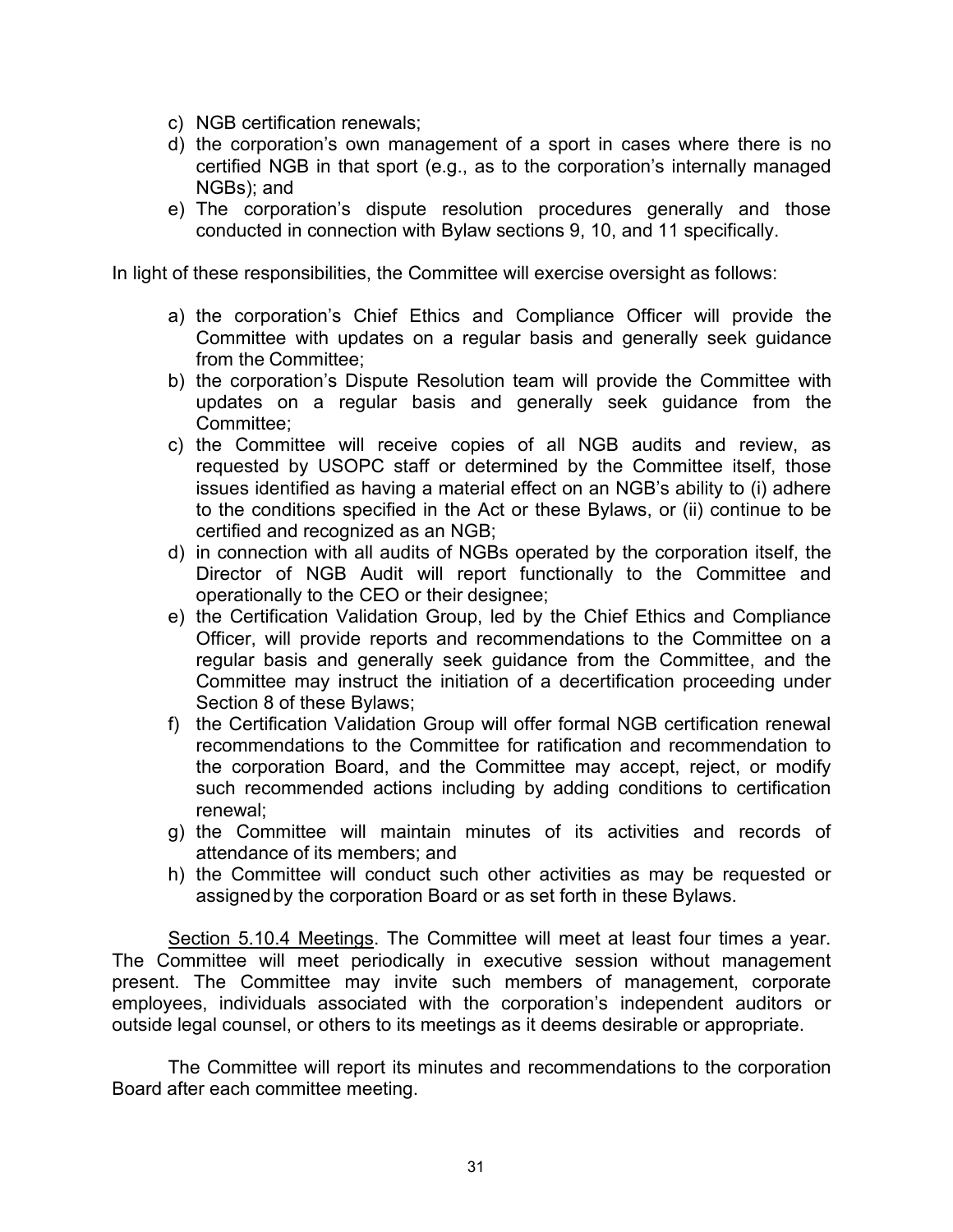- c) NGB certification renewals;
- d) the corporation's own management of a sport in cases where there is no certified NGB in that sport (e.g., as to the corporation's internally managed NGBs); and
- e) The corporation's dispute resolution procedures generally and those conducted in connection with Bylaw sections 9, 10, and 11 specifically.

In light of these responsibilities, the Committee will exercise oversight as follows:

- a) the corporation's Chief Ethics and Compliance Officer will provide the Committee with updates on a regular basis and generally seek guidance from the Committee;
- b) the corporation's Dispute Resolution team will provide the Committee with updates on a regular basis and generally seek guidance from the Committee;
- c) the Committee will receive copies of all NGB audits and review, as requested by USOPC staff or determined by the Committee itself, those issues identified as having a material effect on an NGB's ability to (i) adhere to the conditions specified in the Act or these Bylaws, or (ii) continue to be certified and recognized as an NGB;
- d) in connection with all audits of NGBs operated by the corporation itself, the Director of NGB Audit will report functionally to the Committee and operationally to the CEO or their designee;
- e) the Certification Validation Group, led by the Chief Ethics and Compliance Officer, will provide reports and recommendations to the Committee on a regular basis and generally seek guidance from the Committee, and the Committee may instruct the initiation of a decertification proceeding under Section 8 of these Bylaws;
- f) the Certification Validation Group will offer formal NGB certification renewal recommendations to the Committee for ratification and recommendation to the corporation Board, and the Committee may accept, reject, or modify such recommended actions including by adding conditions to certification renewal;
- g) the Committee will maintain minutes of its activities and records of attendance of its members; and
- h) the Committee will conduct such other activities as may be requested or assigned by the corporation Board or as set forth in these Bylaws.

Section 5.10.4 Meetings. The Committee will meet at least four times a year. The Committee will meet periodically in executive session without management present. The Committee may invite such members of management, corporate employees, individuals associated with the corporation's independent auditors or outside legal counsel, or others to its meetings as it deems desirable or appropriate.

The Committee will report its minutes and recommendations to the corporation Board after each committee meeting.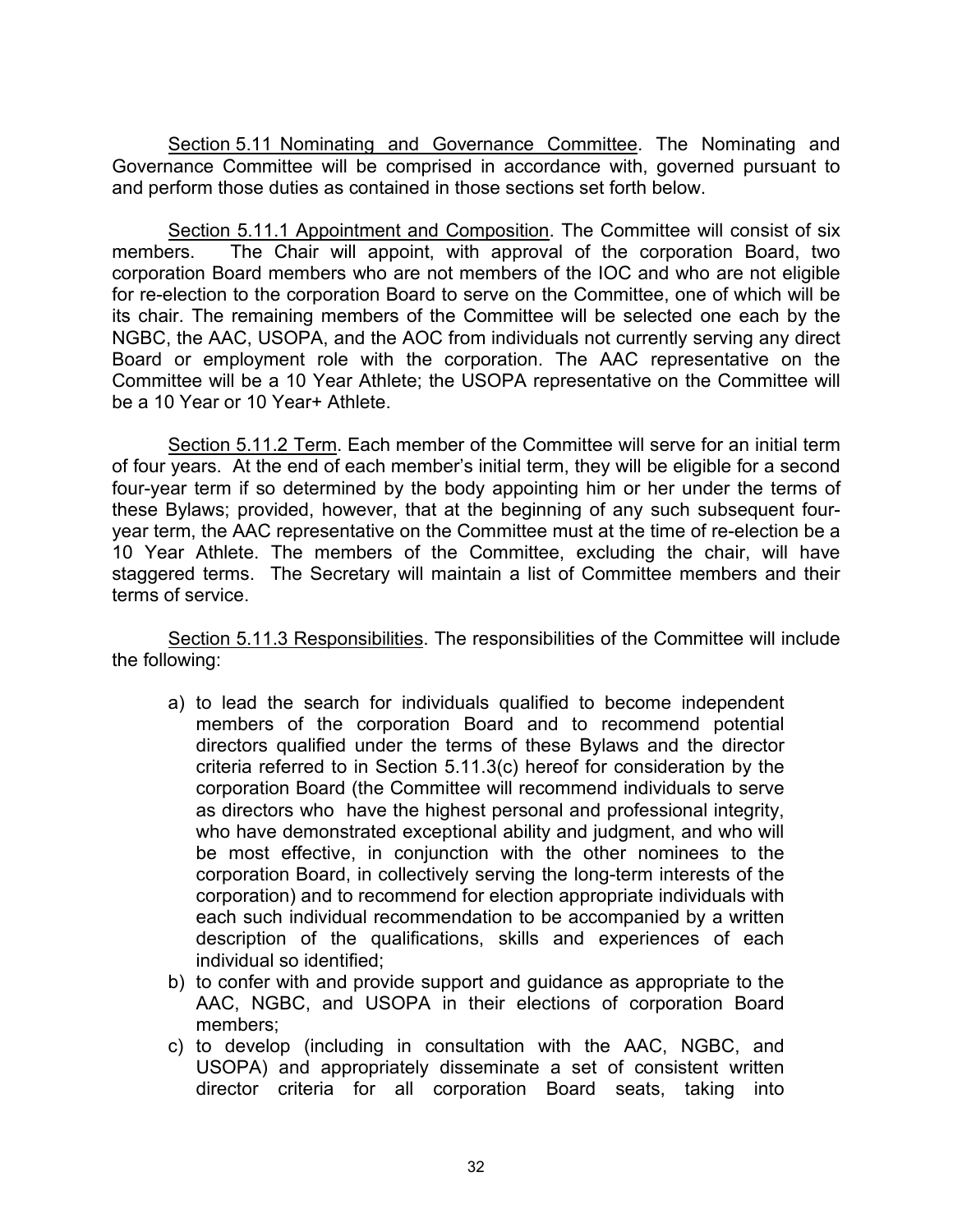Section 5.11 Nominating and Governance Committee. The Nominating and Governance Committee will be comprised in accordance with, governed pursuant to and perform those duties as contained in those sections set forth below.

Section 5.11.1 Appointment and Composition. The Committee will consist of six members. The Chair will appoint, with approval of the corporation Board, two corporation Board members who are not members of the IOC and who are not eligible for re-election to the corporation Board to serve on the Committee, one of which will be its chair. The remaining members of the Committee will be selected one each by the NGBC, the AAC, USOPA, and the AOC from individuals not currently serving any direct Board or employment role with the corporation. The AAC representative on the Committee will be a 10 Year Athlete; the USOPA representative on the Committee will be a 10 Year or 10 Year+ Athlete.

Section 5.11.2 Term. Each member of the Committee will serve for an initial term of four years. At the end of each member's initial term, they will be eligible for a second four-year term if so determined by the body appointing him or her under the terms of these Bylaws; provided, however, that at the beginning of any such subsequent fouryear term, the AAC representative on the Committee must at the time of re-election be a 10 Year Athlete. The members of the Committee, excluding the chair, will have staggered terms. The Secretary will maintain a list of Committee members and their terms of service.

Section 5.11.3 Responsibilities. The responsibilities of the Committee will include the following:

- a) to lead the search for individuals qualified to become independent members of the corporation Board and to recommend potential directors qualified under the terms of these Bylaws and the director criteria referred to in Section 5.11.3(c) hereof for consideration by the corporation Board (the Committee will recommend individuals to serve as directors who have the highest personal and professional integrity, who have demonstrated exceptional ability and judgment, and who will be most effective, in conjunction with the other nominees to the corporation Board, in collectively serving the long-term interests of the corporation) and to recommend for election appropriate individuals with each such individual recommendation to be accompanied by a written description of the qualifications, skills and experiences of each individual so identified;
- b) to confer with and provide support and guidance as appropriate to the AAC, NGBC, and USOPA in their elections of corporation Board members;
- c) to develop (including in consultation with the AAC, NGBC, and USOPA) and appropriately disseminate a set of consistent written director criteria for all corporation Board seats, taking into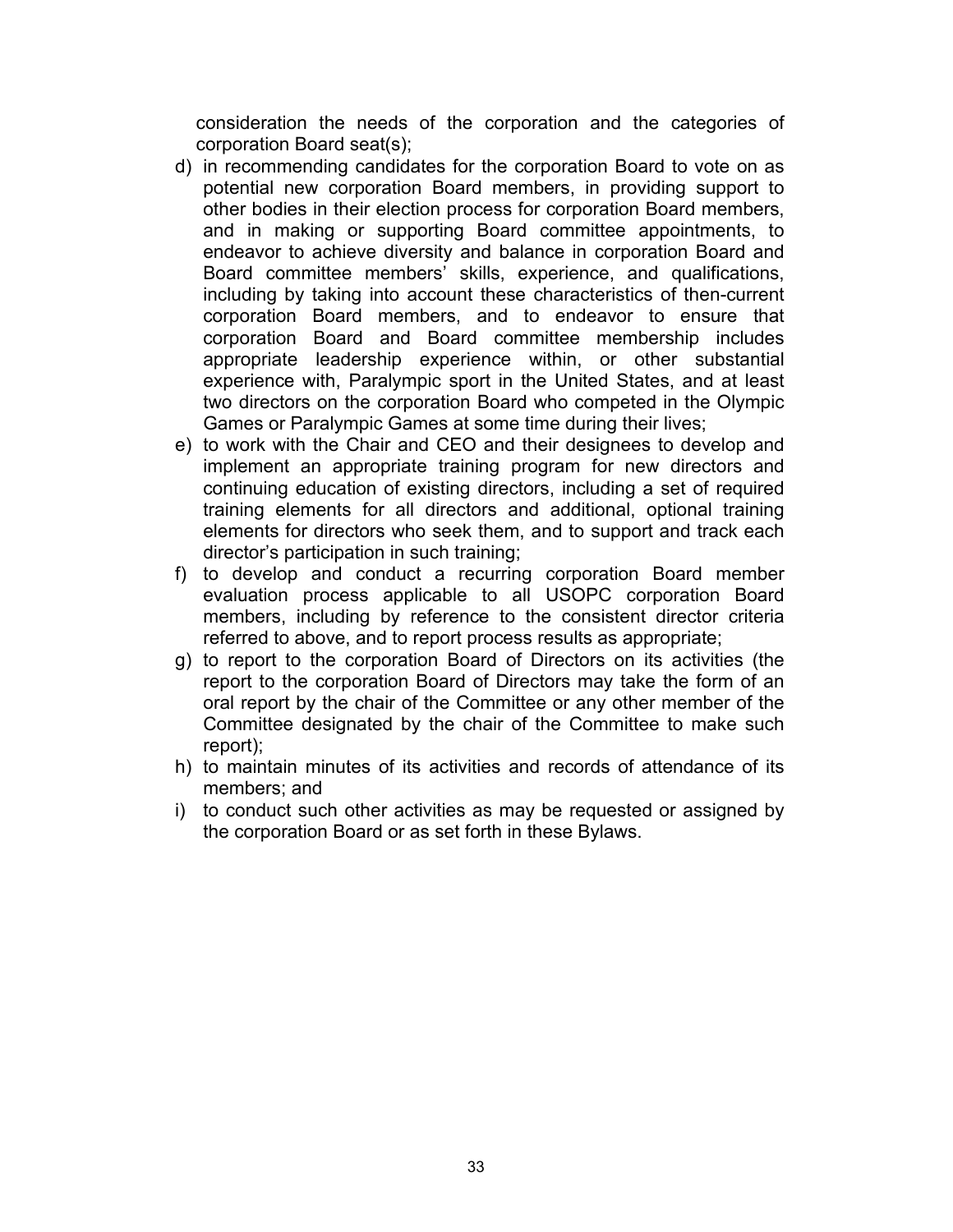consideration the needs of the corporation and the categories of corporation Board seat(s);

- d) in recommending candidates for the corporation Board to vote on as potential new corporation Board members, in providing support to other bodies in their election process for corporation Board members, and in making or supporting Board committee appointments, to endeavor to achieve diversity and balance in corporation Board and Board committee members' skills, experience, and qualifications, including by taking into account these characteristics of then-current corporation Board members, and to endeavor to ensure that corporation Board and Board committee membership includes appropriate leadership experience within, or other substantial experience with, Paralympic sport in the United States, and at least two directors on the corporation Board who competed in the Olympic Games or Paralympic Games at some time during their lives;
- e) to work with the Chair and CEO and their designees to develop and implement an appropriate training program for new directors and continuing education of existing directors, including a set of required training elements for all directors and additional, optional training elements for directors who seek them, and to support and track each director's participation in such training;
- f) to develop and conduct a recurring corporation Board member evaluation process applicable to all USOPC corporation Board members, including by reference to the consistent director criteria referred to above, and to report process results as appropriate;
- g) to report to the corporation Board of Directors on its activities (the report to the corporation Board of Directors may take the form of an oral report by the chair of the Committee or any other member of the Committee designated by the chair of the Committee to make such report);
- h) to maintain minutes of its activities and records of attendance of its members; and
- i) to conduct such other activities as may be requested or assigned by the corporation Board or as set forth in these Bylaws.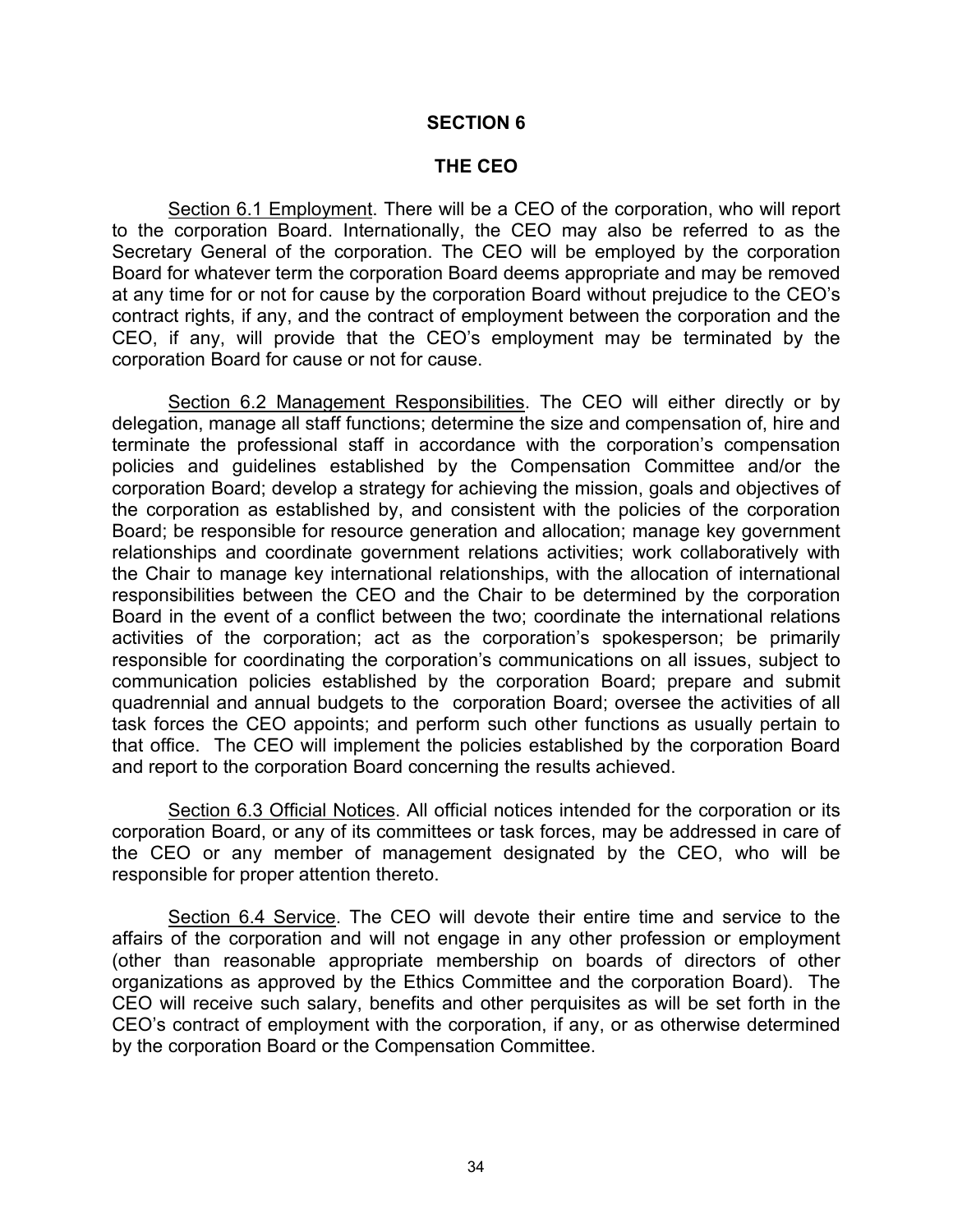#### **SECTION 6**

#### **THE CEO**

Section 6.1 Employment. There will be a CEO of the corporation, who will report to the corporation Board. Internationally, the CEO may also be referred to as the Secretary General of the corporation. The CEO will be employed by the corporation Board for whatever term the corporation Board deems appropriate and may be removed at any time for or not for cause by the corporation Board without prejudice to the CEO's contract rights, if any, and the contract of employment between the corporation and the CEO, if any, will provide that the CEO's employment may be terminated by the corporation Board for cause or not for cause.

Section 6.2 Management Responsibilities. The CEO will either directly or by delegation, manage all staff functions; determine the size and compensation of, hire and terminate the professional staff in accordance with the corporation's compensation policies and guidelines established by the Compensation Committee and/or the corporation Board; develop a strategy for achieving the mission, goals and objectives of the corporation as established by, and consistent with the policies of the corporation Board; be responsible for resource generation and allocation; manage key government relationships and coordinate government relations activities; work collaboratively with the Chair to manage key international relationships, with the allocation of international responsibilities between the CEO and the Chair to be determined by the corporation Board in the event of a conflict between the two; coordinate the international relations activities of the corporation; act as the corporation's spokesperson; be primarily responsible for coordinating the corporation's communications on all issues, subject to communication policies established by the corporation Board; prepare and submit quadrennial and annual budgets to the corporation Board; oversee the activities of all task forces the CEO appoints; and perform such other functions as usually pertain to that office. The CEO will implement the policies established by the corporation Board and report to the corporation Board concerning the results achieved.

Section 6.3 Official Notices. All official notices intended for the corporation or its corporation Board, or any of its committees or task forces, may be addressed in care of the CEO or any member of management designated by the CEO, who will be responsible for proper attention thereto.

Section 6.4 Service. The CEO will devote their entire time and service to the affairs of the corporation and will not engage in any other profession or employment (other than reasonable appropriate membership on boards of directors of other organizations as approved by the Ethics Committee and the corporation Board). The CEO will receive such salary, benefits and other perquisites as will be set forth in the CEO's contract of employment with the corporation, if any, or as otherwise determined by the corporation Board or the Compensation Committee.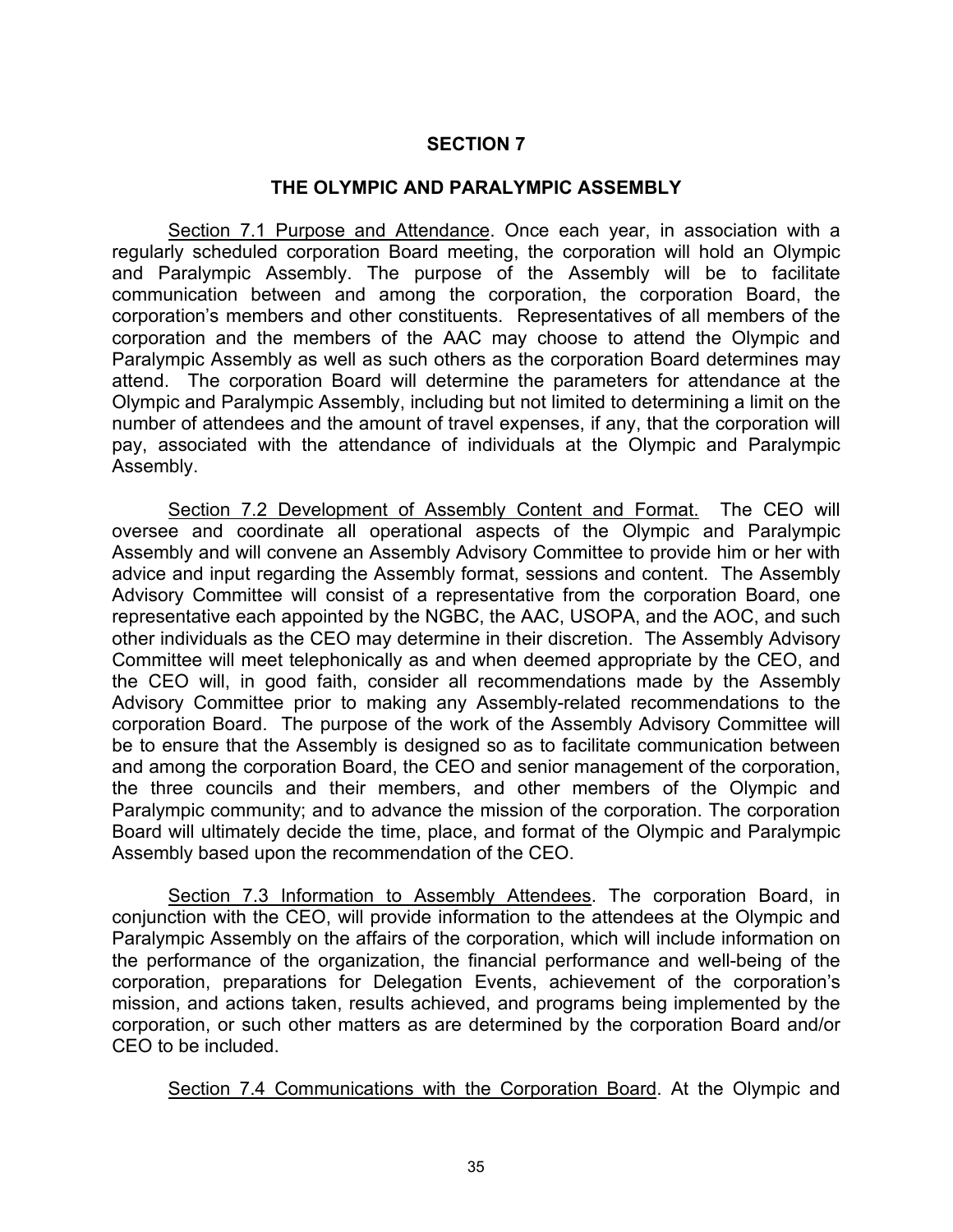## **SECTION 7**

#### **THE OLYMPIC AND PARALYMPIC ASSEMBLY**

Section 7.1 Purpose and Attendance. Once each year, in association with a regularly scheduled corporation Board meeting, the corporation will hold an Olympic and Paralympic Assembly. The purpose of the Assembly will be to facilitate communication between and among the corporation, the corporation Board, the corporation's members and other constituents. Representatives of all members of the corporation and the members of the AAC may choose to attend the Olympic and Paralympic Assembly as well as such others as the corporation Board determines may attend. The corporation Board will determine the parameters for attendance at the Olympic and Paralympic Assembly, including but not limited to determining a limit on the number of attendees and the amount of travel expenses, if any, that the corporation will pay, associated with the attendance of individuals at the Olympic and Paralympic Assembly.

Section 7.2 Development of Assembly Content and Format. The CEO will oversee and coordinate all operational aspects of the Olympic and Paralympic Assembly and will convene an Assembly Advisory Committee to provide him or her with advice and input regarding the Assembly format, sessions and content. The Assembly Advisory Committee will consist of a representative from the corporation Board, one representative each appointed by the NGBC, the AAC, USOPA, and the AOC, and such other individuals as the CEO may determine in their discretion. The Assembly Advisory Committee will meet telephonically as and when deemed appropriate by the CEO, and the CEO will, in good faith, consider all recommendations made by the Assembly Advisory Committee prior to making any Assembly-related recommendations to the corporation Board. The purpose of the work of the Assembly Advisory Committee will be to ensure that the Assembly is designed so as to facilitate communication between and among the corporation Board, the CEO and senior management of the corporation, the three councils and their members, and other members of the Olympic and Paralympic community; and to advance the mission of the corporation. The corporation Board will ultimately decide the time, place, and format of the Olympic and Paralympic Assembly based upon the recommendation of the CEO.

Section 7.3 Information to Assembly Attendees. The corporation Board, in conjunction with the CEO, will provide information to the attendees at the Olympic and Paralympic Assembly on the affairs of the corporation, which will include information on the performance of the organization, the financial performance and well-being of the corporation, preparations for Delegation Events, achievement of the corporation's mission, and actions taken, results achieved, and programs being implemented by the corporation, or such other matters as are determined by the corporation Board and/or CEO to be included.

Section 7.4 Communications with the Corporation Board. At the Olympic and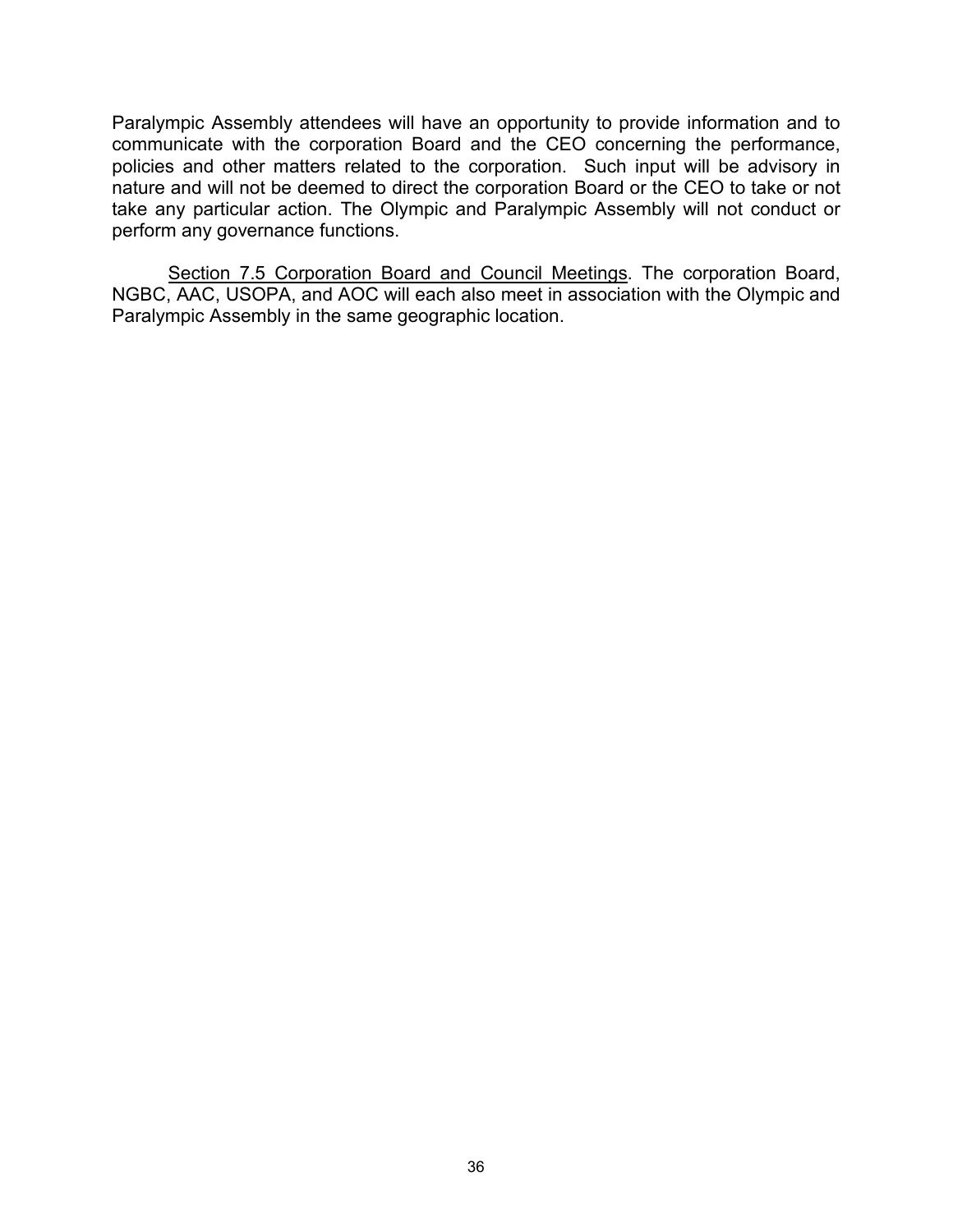Paralympic Assembly attendees will have an opportunity to provide information and to communicate with the corporation Board and the CEO concerning the performance, policies and other matters related to the corporation. Such input will be advisory in nature and will not be deemed to direct the corporation Board or the CEO to take or not take any particular action. The Olympic and Paralympic Assembly will not conduct or perform any governance functions.

Section 7.5 Corporation Board and Council Meetings. The corporation Board, NGBC, AAC, USOPA, and AOC will each also meet in association with the Olympic and Paralympic Assembly in the same geographic location.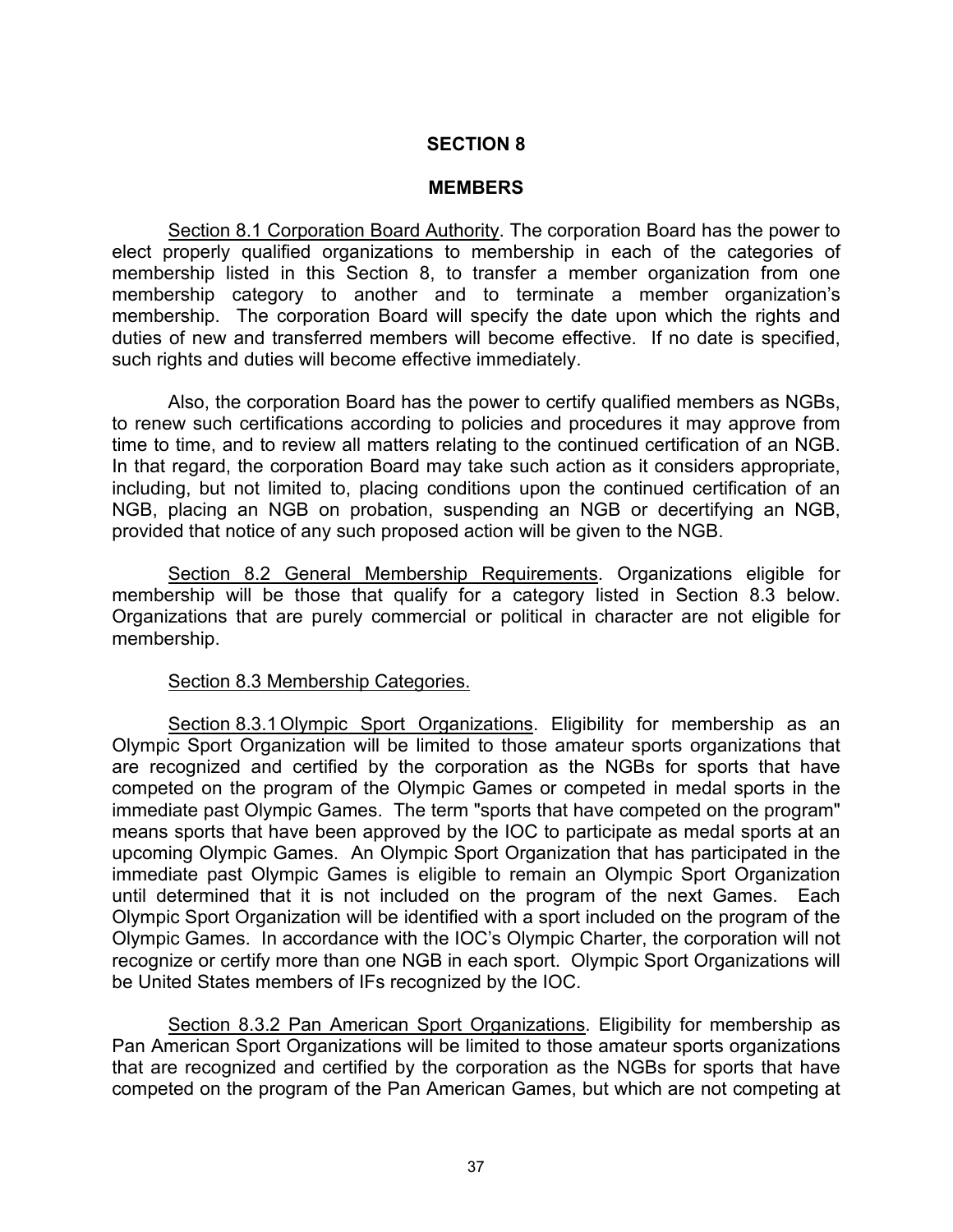#### **MEMBERS**

Section 8.1 Corporation Board Authority. The corporation Board has the power to elect properly qualified organizations to membership in each of the categories of membership listed in this Section 8, to transfer a member organization from one membership category to another and to terminate a member organization's membership. The corporation Board will specify the date upon which the rights and duties of new and transferred members will become effective. If no date is specified, such rights and duties will become effective immediately.

Also, the corporation Board has the power to certify qualified members as NGBs, to renew such certifications according to policies and procedures it may approve from time to time, and to review all matters relating to the continued certification of an NGB. In that regard, the corporation Board may take such action as it considers appropriate, including, but not limited to, placing conditions upon the continued certification of an NGB, placing an NGB on probation, suspending an NGB or decertifying an NGB, provided that notice of any such proposed action will be given to the NGB.

Section 8.2 General Membership Requirements. Organizations eligible for membership will be those that qualify for a category listed in Section 8.3 below. Organizations that are purely commercial or political in character are not eligible for membership.

#### Section 8.3 Membership Categories.

Section 8.3.1 Olympic Sport Organizations. Eligibility for membership as an Olympic Sport Organization will be limited to those amateur sports organizations that are recognized and certified by the corporation as the NGBs for sports that have competed on the program of the Olympic Games or competed in medal sports in the immediate past Olympic Games. The term "sports that have competed on the program" means sports that have been approved by the IOC to participate as medal sports at an upcoming Olympic Games. An Olympic Sport Organization that has participated in the immediate past Olympic Games is eligible to remain an Olympic Sport Organization until determined that it is not included on the program of the next Games. Each Olympic Sport Organization will be identified with a sport included on the program of the Olympic Games. In accordance with the IOC's Olympic Charter, the corporation will not recognize or certify more than one NGB in each sport. Olympic Sport Organizations will be United States members of IFs recognized by the IOC.

Section 8.3.2 Pan American Sport Organizations. Eligibility for membership as Pan American Sport Organizations will be limited to those amateur sports organizations that are recognized and certified by the corporation as the NGBs for sports that have competed on the program of the Pan American Games, but which are not competing at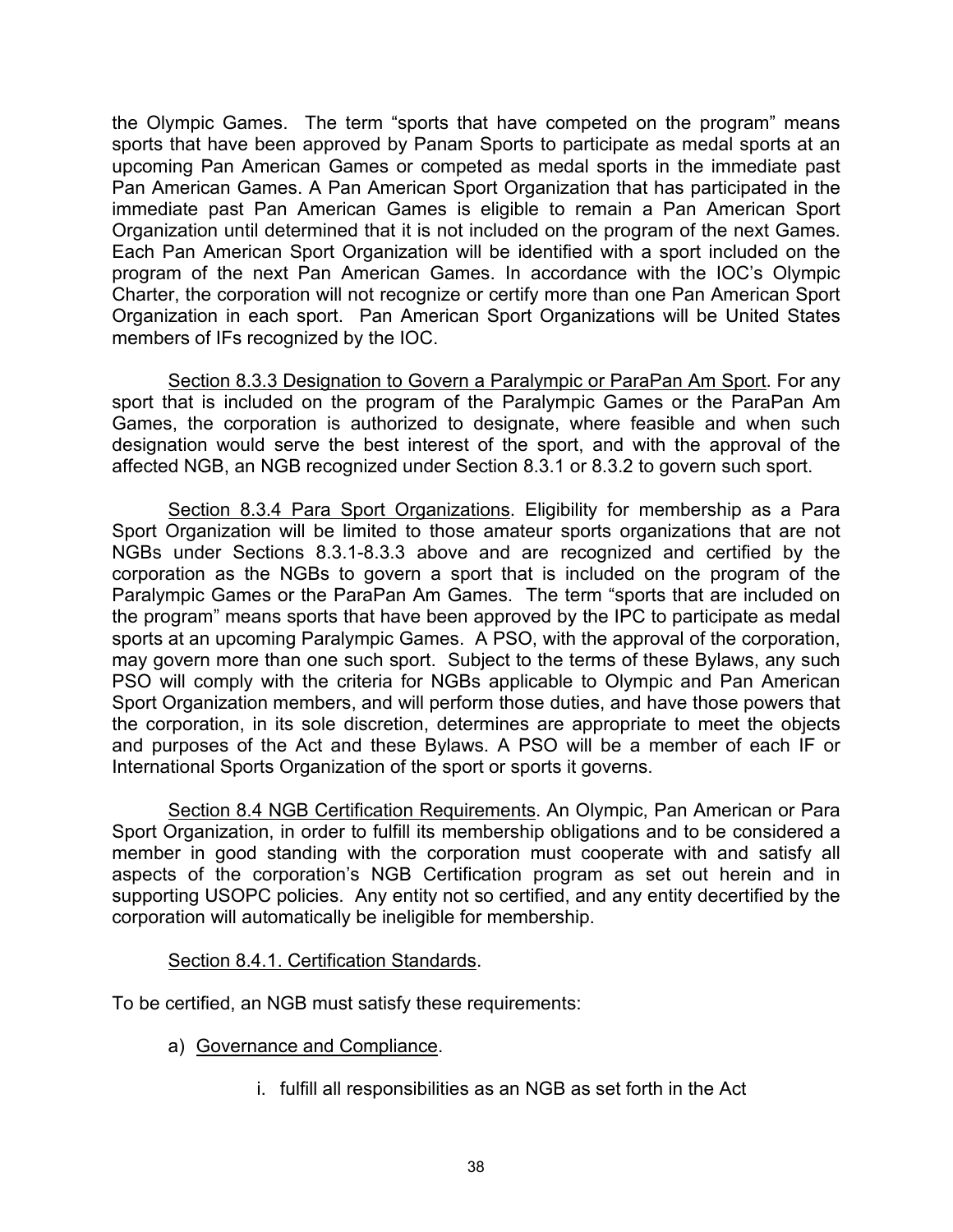the Olympic Games. The term "sports that have competed on the program" means sports that have been approved by Panam Sports to participate as medal sports at an upcoming Pan American Games or competed as medal sports in the immediate past Pan American Games. A Pan American Sport Organization that has participated in the immediate past Pan American Games is eligible to remain a Pan American Sport Organization until determined that it is not included on the program of the next Games. Each Pan American Sport Organization will be identified with a sport included on the program of the next Pan American Games. In accordance with the IOC's Olympic Charter, the corporation will not recognize or certify more than one Pan American Sport Organization in each sport. Pan American Sport Organizations will be United States members of IFs recognized by the IOC.

Section 8.3.3 Designation to Govern a Paralympic or ParaPan Am Sport. For any sport that is included on the program of the Paralympic Games or the ParaPan Am Games, the corporation is authorized to designate, where feasible and when such designation would serve the best interest of the sport, and with the approval of the affected NGB, an NGB recognized under Section 8.3.1 or 8.3.2 to govern such sport.

Section 8.3.4 Para Sport Organizations. Eligibility for membership as a Para Sport Organization will be limited to those amateur sports organizations that are not NGBs under Sections 8.3.1-8.3.3 above and are recognized and certified by the corporation as the NGBs to govern a sport that is included on the program of the Paralympic Games or the ParaPan Am Games. The term "sports that are included on the program" means sports that have been approved by the IPC to participate as medal sports at an upcoming Paralympic Games. A PSO, with the approval of the corporation, may govern more than one such sport. Subject to the terms of these Bylaws, any such PSO will comply with the criteria for NGBs applicable to Olympic and Pan American Sport Organization members, and will perform those duties, and have those powers that the corporation, in its sole discretion, determines are appropriate to meet the objects and purposes of the Act and these Bylaws. A PSO will be a member of each IF or International Sports Organization of the sport or sports it governs.

Section 8.4 NGB Certification Requirements. An Olympic, Pan American or Para Sport Organization, in order to fulfill its membership obligations and to be considered a member in good standing with the corporation must cooperate with and satisfy all aspects of the corporation's NGB Certification program as set out herein and in supporting USOPC policies. Any entity not so certified, and any entity decertified by the corporation will automatically be ineligible for membership.

## Section 8.4.1. Certification Standards.

To be certified, an NGB must satisfy these requirements:

- a) Governance and Compliance.
	- i. fulfill all responsibilities as an NGB as set forth in the Act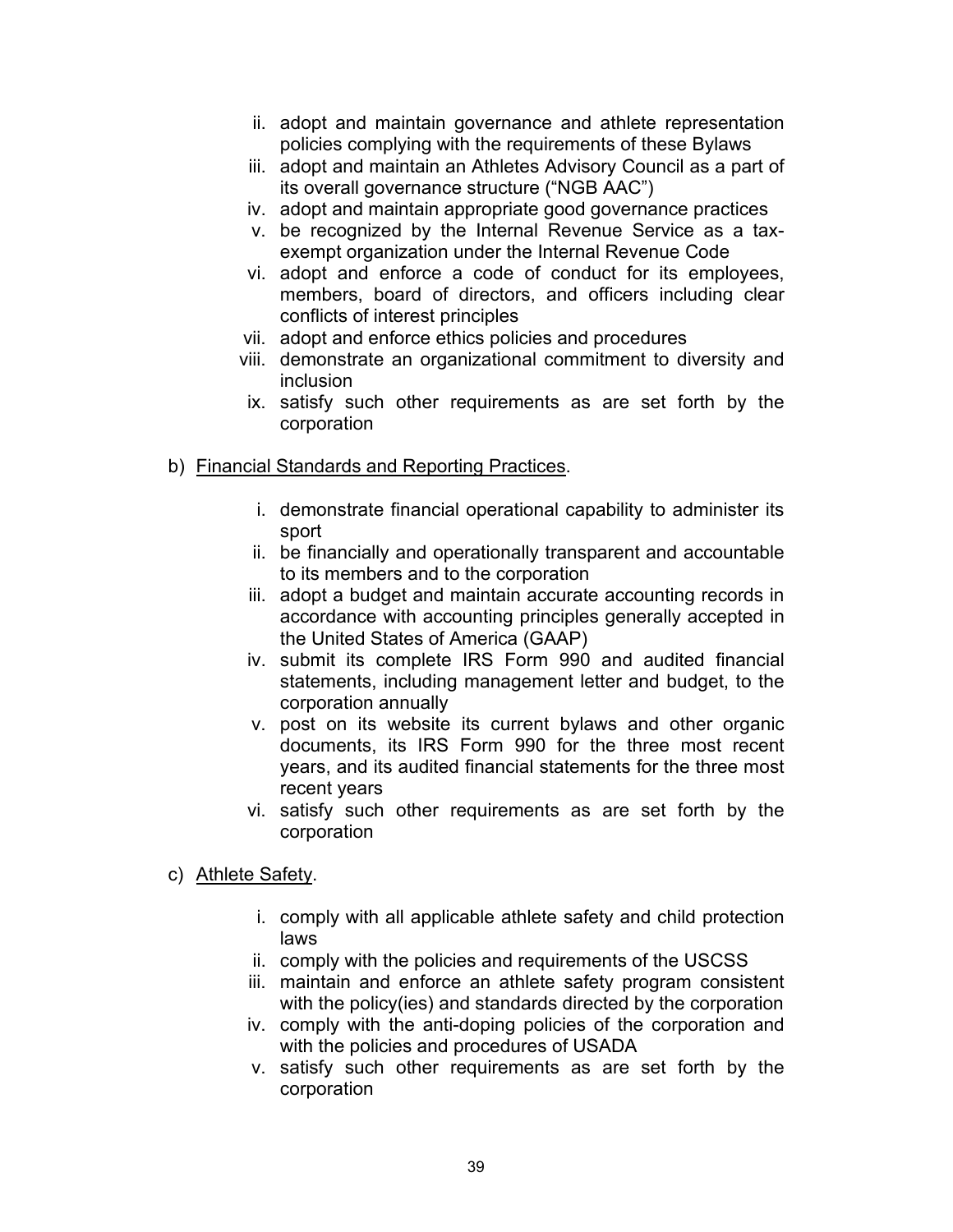- ii. adopt and maintain governance and athlete representation policies complying with the requirements of these Bylaws
- iii. adopt and maintain an Athletes Advisory Council as a part of its overall governance structure ("NGB AAC")
- iv. adopt and maintain appropriate good governance practices
- v. be recognized by the Internal Revenue Service as a taxexempt organization under the Internal Revenue Code
- vi. adopt and enforce a code of conduct for its employees, members, board of directors, and officers including clear conflicts of interest principles
- vii. adopt and enforce ethics policies and procedures
- viii. demonstrate an organizational commitment to diversity and inclusion
- ix. satisfy such other requirements as are set forth by the corporation
- b) Financial Standards and Reporting Practices.
	- i. demonstrate financial operational capability to administer its sport
	- ii. be financially and operationally transparent and accountable to its members and to the corporation
	- iii. adopt a budget and maintain accurate accounting records in accordance with accounting principles generally accepted in the United States of America (GAAP)
	- iv. submit its complete IRS Form 990 and audited financial statements, including management letter and budget, to the corporation annually
	- v. post on its website its current bylaws and other organic documents, its IRS Form 990 for the three most recent years, and its audited financial statements for the three most recent years
	- vi. satisfy such other requirements as are set forth by the corporation
- c) Athlete Safety.
	- i. comply with all applicable athlete safety and child protection laws
	- ii. comply with the policies and requirements of the USCSS
	- iii. maintain and enforce an athlete safety program consistent with the policy(ies) and standards directed by the corporation
	- iv. comply with the anti-doping policies of the corporation and with the policies and procedures of USADA
	- v. satisfy such other requirements as are set forth by the corporation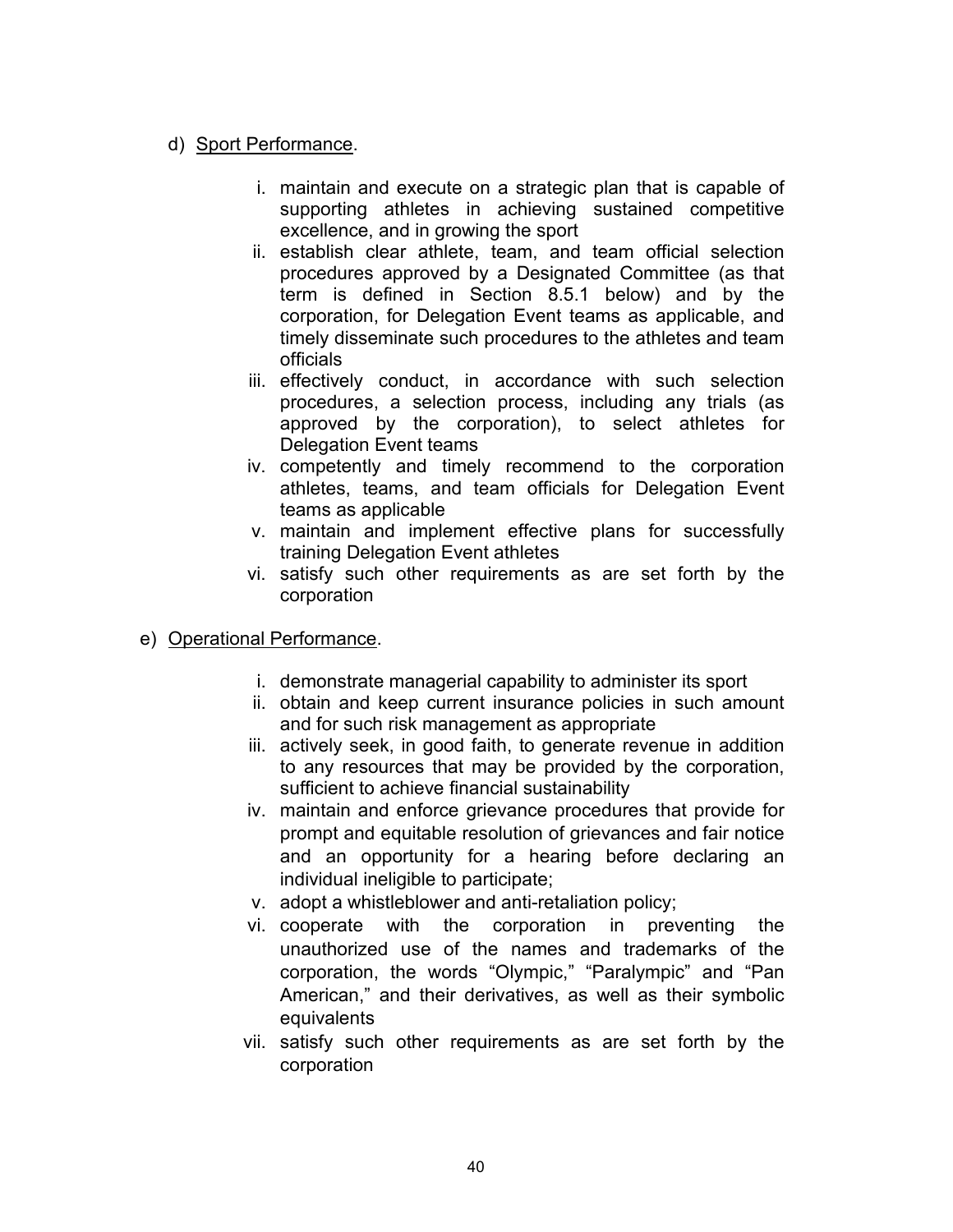# d) Sport Performance.

- i. maintain and execute on a strategic plan that is capable of supporting athletes in achieving sustained competitive excellence, and in growing the sport
- ii. establish clear athlete, team, and team official selection procedures approved by a Designated Committee (as that term is defined in Section 8.5.1 below) and by the corporation, for Delegation Event teams as applicable, and timely disseminate such procedures to the athletes and team officials
- iii. effectively conduct, in accordance with such selection procedures, a selection process, including any trials (as approved by the corporation), to select athletes for Delegation Event teams
- iv. competently and timely recommend to the corporation athletes, teams, and team officials for Delegation Event teams as applicable
- v. maintain and implement effective plans for successfully training Delegation Event athletes
- vi. satisfy such other requirements as are set forth by the corporation
- e) Operational Performance.
	- i. demonstrate managerial capability to administer its sport
	- ii. obtain and keep current insurance policies in such amount and for such risk management as appropriate
	- iii. actively seek, in good faith, to generate revenue in addition to any resources that may be provided by the corporation, sufficient to achieve financial sustainability
	- iv. maintain and enforce grievance procedures that provide for prompt and equitable resolution of grievances and fair notice and an opportunity for a hearing before declaring an individual ineligible to participate;
	- v. adopt a whistleblower and anti-retaliation policy;
	- vi. cooperate with the corporation in preventing the unauthorized use of the names and trademarks of the corporation, the words "Olympic," "Paralympic" and "Pan American," and their derivatives, as well as their symbolic equivalents
	- vii. satisfy such other requirements as are set forth by the corporation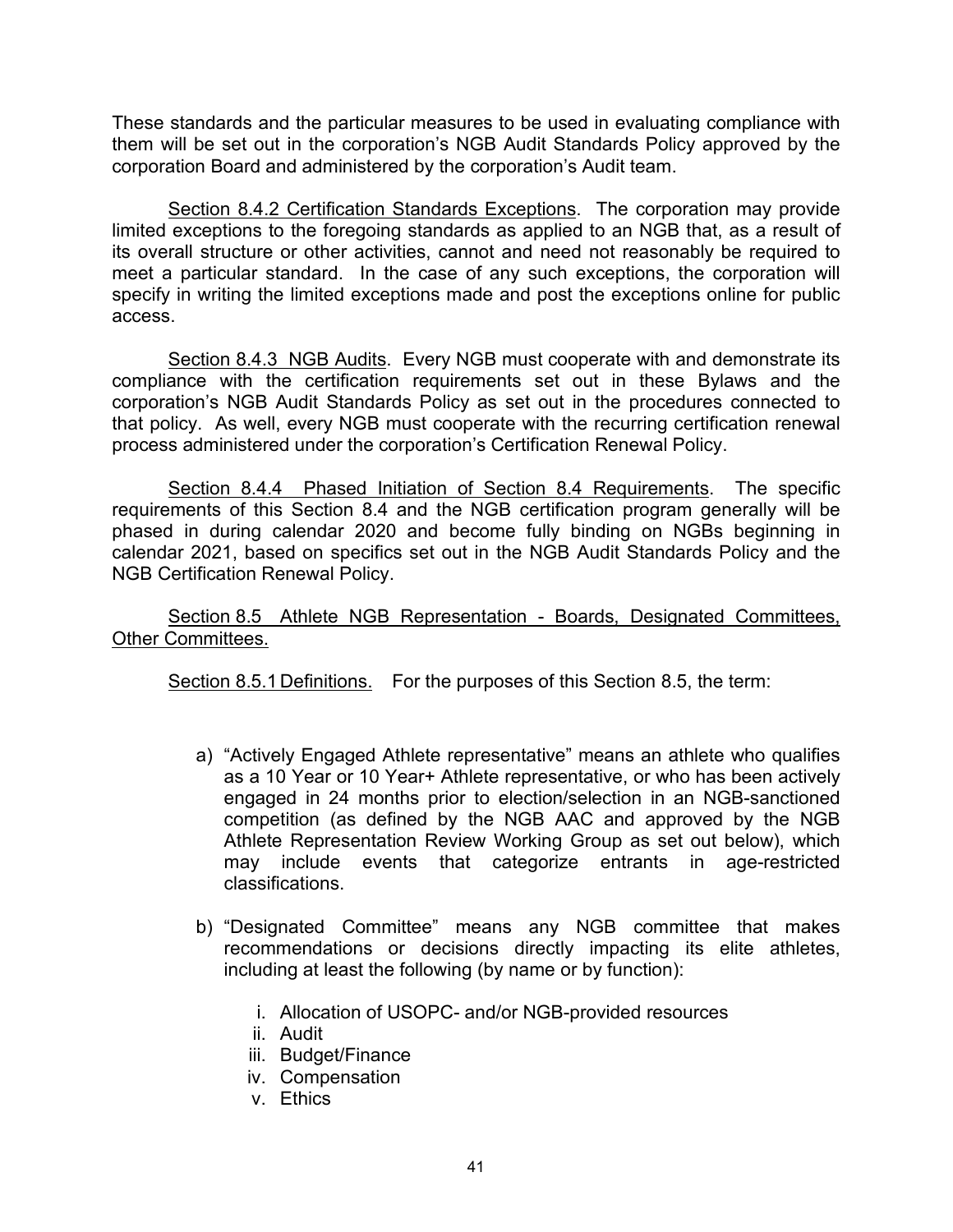These standards and the particular measures to be used in evaluating compliance with them will be set out in the corporation's NGB Audit Standards Policy approved by the corporation Board and administered by the corporation's Audit team.

Section 8.4.2 Certification Standards Exceptions. The corporation may provide limited exceptions to the foregoing standards as applied to an NGB that, as a result of its overall structure or other activities, cannot and need not reasonably be required to meet a particular standard. In the case of any such exceptions, the corporation will specify in writing the limited exceptions made and post the exceptions online for public access.

Section 8.4.3 NGB Audits. Every NGB must cooperate with and demonstrate its compliance with the certification requirements set out in these Bylaws and the corporation's NGB Audit Standards Policy as set out in the procedures connected to that policy. As well, every NGB must cooperate with the recurring certification renewal process administered under the corporation's Certification Renewal Policy.

Section 8.4.4 Phased Initiation of Section 8.4 Requirements. The specific requirements of this Section 8.4 and the NGB certification program generally will be phased in during calendar 2020 and become fully binding on NGBs beginning in calendar 2021, based on specifics set out in the NGB Audit Standards Policy and the NGB Certification Renewal Policy.

Section 8.5 Athlete NGB Representation - Boards, Designated Committees, Other Committees.

Section 8.5.1 Definitions. For the purposes of this Section 8.5, the term:

- a) "Actively Engaged Athlete representative" means an athlete who qualifies as a 10 Year or 10 Year+ Athlete representative, or who has been actively engaged in 24 months prior to election/selection in an NGB-sanctioned competition (as defined by the NGB AAC and approved by the NGB Athlete Representation Review Working Group as set out below), which may include events that categorize entrants in age-restricted classifications.
- b) "Designated Committee" means any NGB committee that makes recommendations or decisions directly impacting its elite athletes, including at least the following (by name or by function):
	- i. Allocation of USOPC- and/or NGB-provided resources
	- ii. Audit
	- iii. Budget/Finance
	- iv. Compensation
	- v. Ethics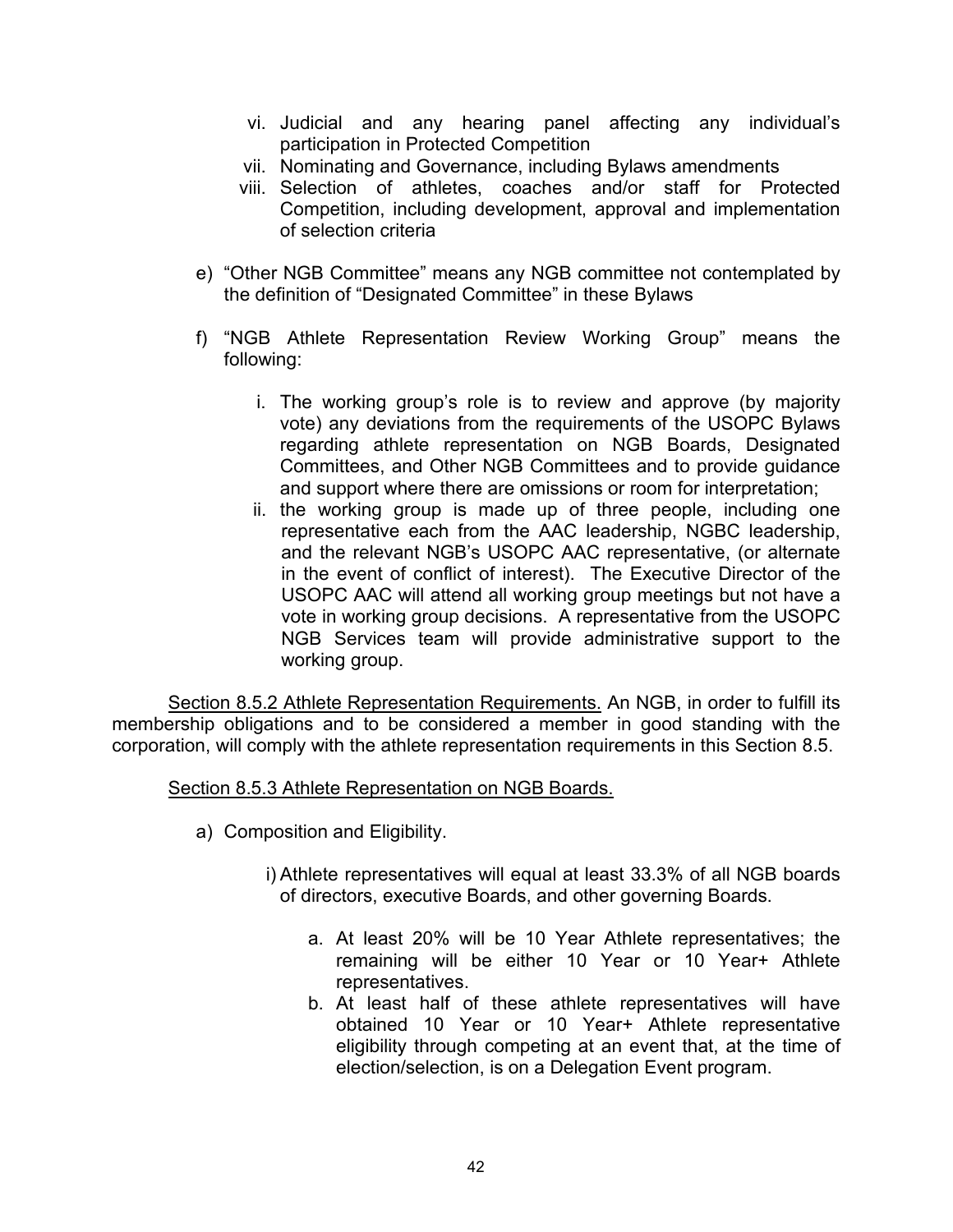- vi. Judicial and any hearing panel affecting any individual's participation in Protected Competition
- vii. Nominating and Governance, including Bylaws amendments
- viii. Selection of athletes, coaches and/or staff for Protected Competition, including development, approval and implementation of selection criteria
- e) "Other NGB Committee" means any NGB committee not contemplated by the definition of "Designated Committee" in these Bylaws
- f) "NGB Athlete Representation Review Working Group" means the following:
	- i. The working group's role is to review and approve (by majority vote) any deviations from the requirements of the USOPC Bylaws regarding athlete representation on NGB Boards, Designated Committees, and Other NGB Committees and to provide guidance and support where there are omissions or room for interpretation;
	- ii. the working group is made up of three people, including one representative each from the AAC leadership, NGBC leadership, and the relevant NGB's USOPC AAC representative, (or alternate in the event of conflict of interest). The Executive Director of the USOPC AAC will attend all working group meetings but not have a vote in working group decisions. A representative from the USOPC NGB Services team will provide administrative support to the working group.

Section 8.5.2 Athlete Representation Requirements. An NGB, in order to fulfill its membership obligations and to be considered a member in good standing with the corporation, will comply with the athlete representation requirements in this Section 8.5.

Section 8.5.3 Athlete Representation on NGB Boards.

- a) Composition and Eligibility.
	- i) Athlete representatives will equal at least 33.3% of all NGB boards of directors, executive Boards, and other governing Boards.
		- a. At least 20% will be 10 Year Athlete representatives; the remaining will be either 10 Year or 10 Year+ Athlete representatives.
		- b. At least half of these athlete representatives will have obtained 10 Year or 10 Year+ Athlete representative eligibility through competing at an event that, at the time of election/selection, is on a Delegation Event program.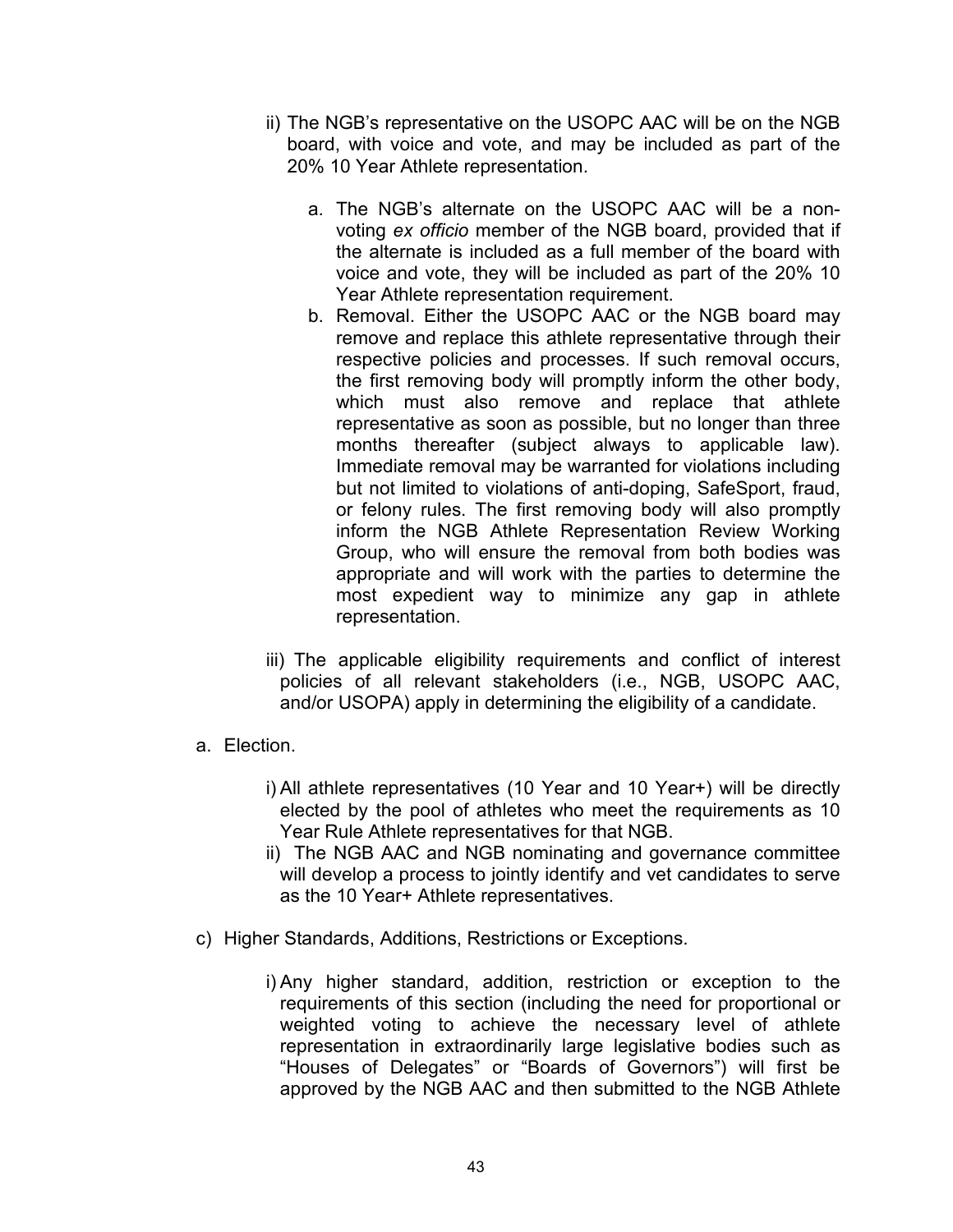- ii) The NGB's representative on the USOPC AAC will be on the NGB board, with voice and vote, and may be included as part of the 20% 10 Year Athlete representation.
	- a. The NGB's alternate on the USOPC AAC will be a nonvoting *ex officio* member of the NGB board, provided that if the alternate is included as a full member of the board with voice and vote, they will be included as part of the 20% 10 Year Athlete representation requirement.
	- b. Removal. Either the USOPC AAC or the NGB board may remove and replace this athlete representative through their respective policies and processes. If such removal occurs, the first removing body will promptly inform the other body, which must also remove and replace that athlete representative as soon as possible, but no longer than three months thereafter (subject always to applicable law). Immediate removal may be warranted for violations including but not limited to violations of anti-doping, SafeSport, fraud, or felony rules. The first removing body will also promptly inform the NGB Athlete Representation Review Working Group, who will ensure the removal from both bodies was appropriate and will work with the parties to determine the most expedient way to minimize any gap in athlete representation.
- iii) The applicable eligibility requirements and conflict of interest policies of all relevant stakeholders (i.e., NGB, USOPC AAC, and/or USOPA) apply in determining the eligibility of a candidate.
- a. Election.
	- i) All athlete representatives (10 Year and 10 Year+) will be directly elected by the pool of athletes who meet the requirements as 10 Year Rule Athlete representatives for that NGB.
	- ii) The NGB AAC and NGB nominating and governance committee will develop a process to jointly identify and vet candidates to serve as the 10 Year+ Athlete representatives.
- c) Higher Standards, Additions, Restrictions or Exceptions.
	- i) Any higher standard, addition, restriction or exception to the requirements of this section (including the need for proportional or weighted voting to achieve the necessary level of athlete representation in extraordinarily large legislative bodies such as "Houses of Delegates" or "Boards of Governors") will first be approved by the NGB AAC and then submitted to the NGB Athlete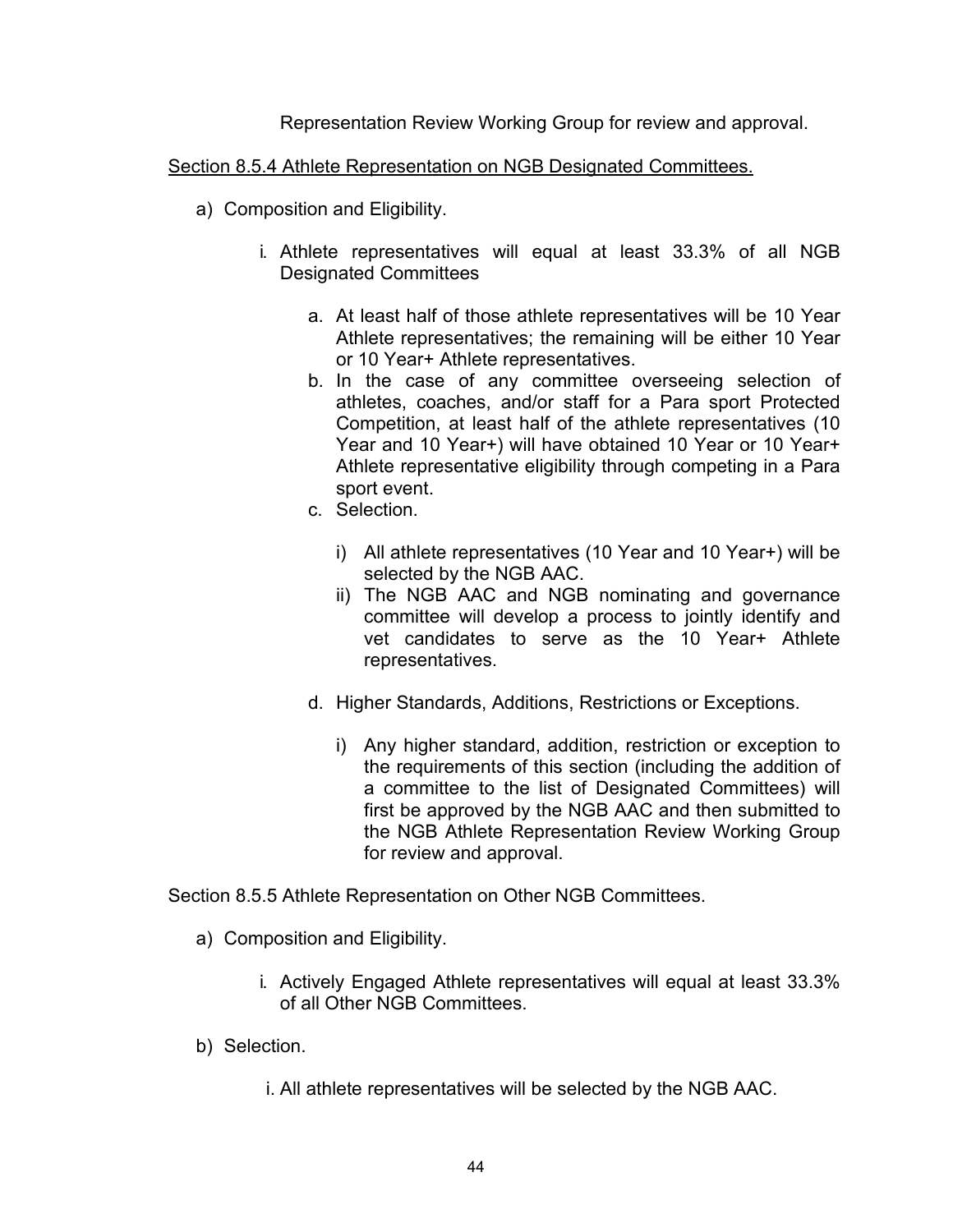Representation Review Working Group for review and approval.

## Section 8.5.4 Athlete Representation on NGB Designated Committees.

- a) Composition and Eligibility.
	- i. Athlete representatives will equal at least 33.3% of all NGB Designated Committees
		- a. At least half of those athlete representatives will be 10 Year Athlete representatives; the remaining will be either 10 Year or 10 Year+ Athlete representatives.
		- b. In the case of any committee overseeing selection of athletes, coaches, and/or staff for a Para sport Protected Competition, at least half of the athlete representatives (10 Year and 10 Year+) will have obtained 10 Year or 10 Year+ Athlete representative eligibility through competing in a Para sport event.
		- c. Selection.
			- i) All athlete representatives (10 Year and 10 Year+) will be selected by the NGB AAC.
			- ii) The NGB AAC and NGB nominating and governance committee will develop a process to jointly identify and vet candidates to serve as the 10 Year+ Athlete representatives.
		- d. Higher Standards, Additions, Restrictions or Exceptions.
			- i) Any higher standard, addition, restriction or exception to the requirements of this section (including the addition of a committee to the list of Designated Committees) will first be approved by the NGB AAC and then submitted to the NGB Athlete Representation Review Working Group for review and approval.

Section 8.5.5 Athlete Representation on Other NGB Committees.

- a) Composition and Eligibility.
	- i. Actively Engaged Athlete representatives will equal at least 33.3% of all Other NGB Committees.
- b) Selection.
	- i. All athlete representatives will be selected by the NGB AAC.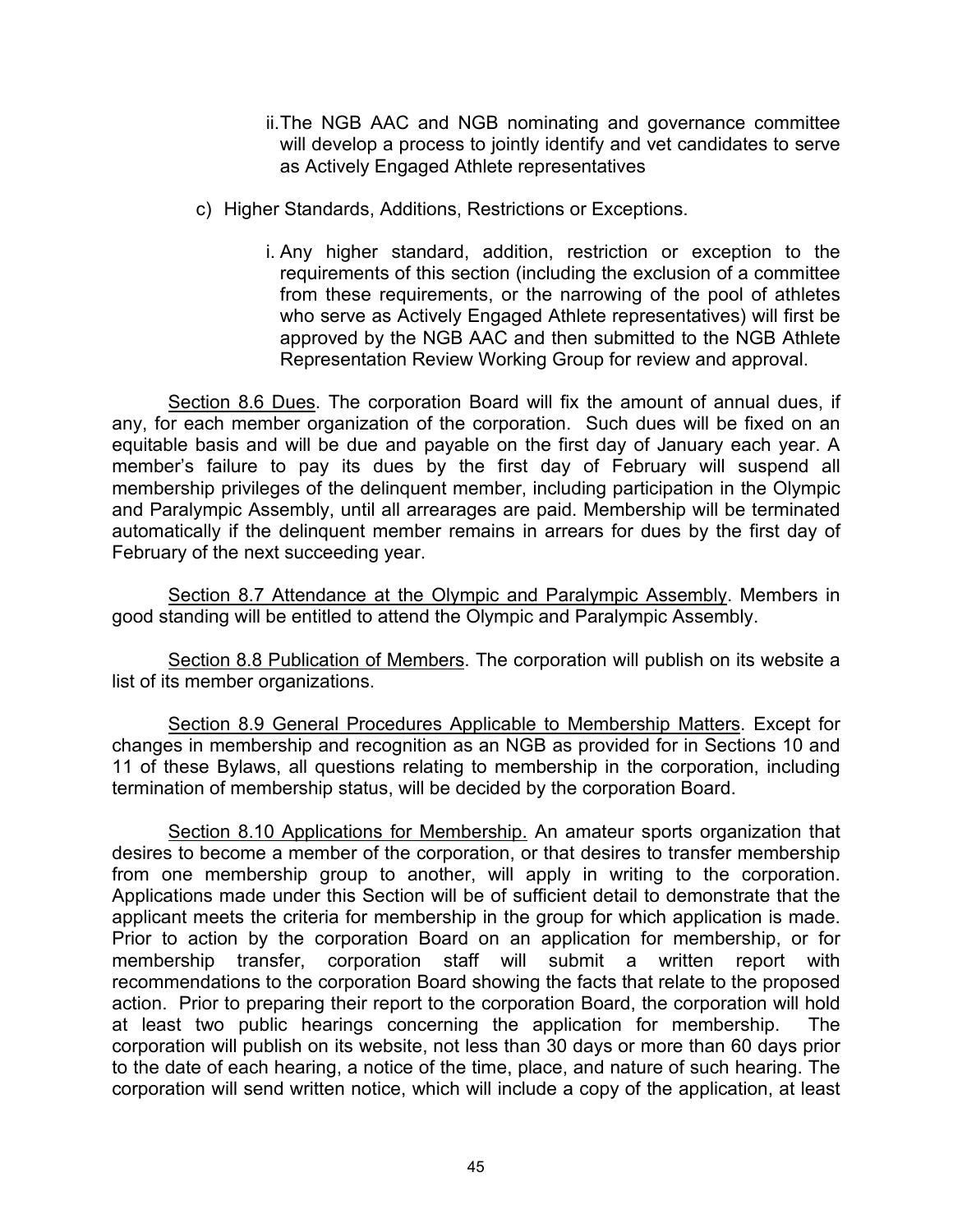- ii.The NGB AAC and NGB nominating and governance committee will develop a process to jointly identify and vet candidates to serve as Actively Engaged Athlete representatives
- c) Higher Standards, Additions, Restrictions or Exceptions.
	- i. Any higher standard, addition, restriction or exception to the requirements of this section (including the exclusion of a committee from these requirements, or the narrowing of the pool of athletes who serve as Actively Engaged Athlete representatives) will first be approved by the NGB AAC and then submitted to the NGB Athlete Representation Review Working Group for review and approval.

Section 8.6 Dues. The corporation Board will fix the amount of annual dues, if any, for each member organization of the corporation. Such dues will be fixed on an equitable basis and will be due and payable on the first day of January each year. A member's failure to pay its dues by the first day of February will suspend all membership privileges of the delinquent member, including participation in the Olympic and Paralympic Assembly, until all arrearages are paid. Membership will be terminated automatically if the delinquent member remains in arrears for dues by the first day of February of the next succeeding year.

Section 8.7 Attendance at the Olympic and Paralympic Assembly. Members in good standing will be entitled to attend the Olympic and Paralympic Assembly.

Section 8.8 Publication of Members. The corporation will publish on its website a list of its member organizations.

Section 8.9 General Procedures Applicable to Membership Matters. Except for changes in membership and recognition as an NGB as provided for in Sections 10 and 11 of these Bylaws, all questions relating to membership in the corporation, including termination of membership status, will be decided by the corporation Board.

Section 8.10 Applications for Membership. An amateur sports organization that desires to become a member of the corporation, or that desires to transfer membership from one membership group to another, will apply in writing to the corporation. Applications made under this Section will be of sufficient detail to demonstrate that the applicant meets the criteria for membership in the group for which application is made. Prior to action by the corporation Board on an application for membership, or for membership transfer, corporation staff will submit a written report with recommendations to the corporation Board showing the facts that relate to the proposed action. Prior to preparing their report to the corporation Board, the corporation will hold at least two public hearings concerning the application for membership. The corporation will publish on its website, not less than 30 days or more than 60 days prior to the date of each hearing, a notice of the time, place, and nature of such hearing. The corporation will send written notice, which will include a copy of the application, at least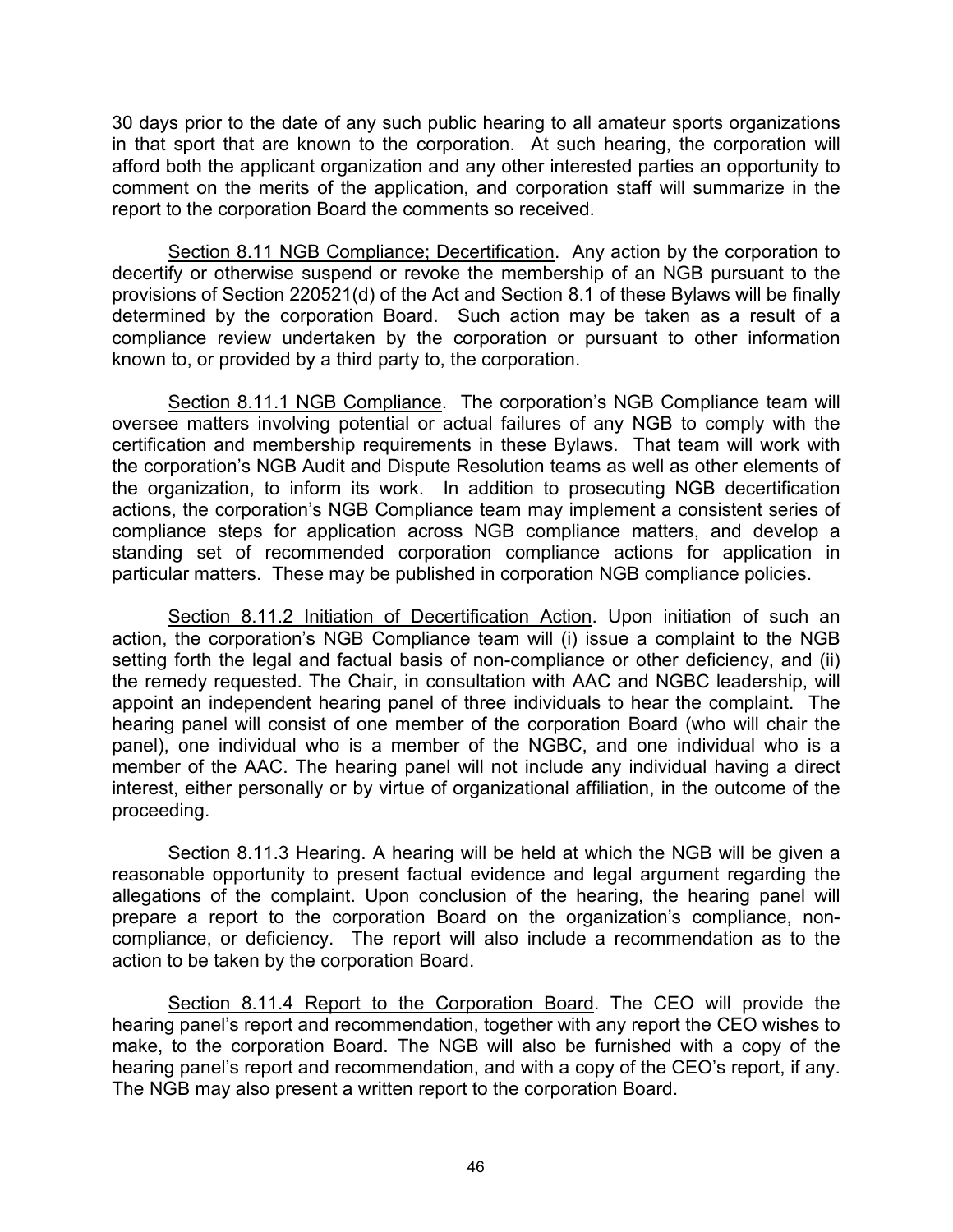30 days prior to the date of any such public hearing to all amateur sports organizations in that sport that are known to the corporation. At such hearing, the corporation will afford both the applicant organization and any other interested parties an opportunity to comment on the merits of the application, and corporation staff will summarize in the report to the corporation Board the comments so received.

Section 8.11 NGB Compliance; Decertification. Any action by the corporation to decertify or otherwise suspend or revoke the membership of an NGB pursuant to the provisions of Section 220521(d) of the Act and Section 8.1 of these Bylaws will be finally determined by the corporation Board. Such action may be taken as a result of a compliance review undertaken by the corporation or pursuant to other information known to, or provided by a third party to, the corporation.

Section 8.11.1 NGB Compliance. The corporation's NGB Compliance team will oversee matters involving potential or actual failures of any NGB to comply with the certification and membership requirements in these Bylaws. That team will work with the corporation's NGB Audit and Dispute Resolution teams as well as other elements of the organization, to inform its work. In addition to prosecuting NGB decertification actions, the corporation's NGB Compliance team may implement a consistent series of compliance steps for application across NGB compliance matters, and develop a standing set of recommended corporation compliance actions for application in particular matters. These may be published in corporation NGB compliance policies.

Section 8.11.2 Initiation of Decertification Action. Upon initiation of such an action, the corporation's NGB Compliance team will (i) issue a complaint to the NGB setting forth the legal and factual basis of non-compliance or other deficiency, and (ii) the remedy requested. The Chair, in consultation with AAC and NGBC leadership, will appoint an independent hearing panel of three individuals to hear the complaint. The hearing panel will consist of one member of the corporation Board (who will chair the panel), one individual who is a member of the NGBC, and one individual who is a member of the AAC. The hearing panel will not include any individual having a direct interest, either personally or by virtue of organizational affiliation, in the outcome of the proceeding.

Section 8.11.3 Hearing. A hearing will be held at which the NGB will be given a reasonable opportunity to present factual evidence and legal argument regarding the allegations of the complaint. Upon conclusion of the hearing, the hearing panel will prepare a report to the corporation Board on the organization's compliance, noncompliance, or deficiency. The report will also include a recommendation as to the action to be taken by the corporation Board.

Section 8.11.4 Report to the Corporation Board. The CEO will provide the hearing panel's report and recommendation, together with any report the CEO wishes to make, to the corporation Board. The NGB will also be furnished with a copy of the hearing panel's report and recommendation, and with a copy of the CEO's report, if any. The NGB may also present a written report to the corporation Board.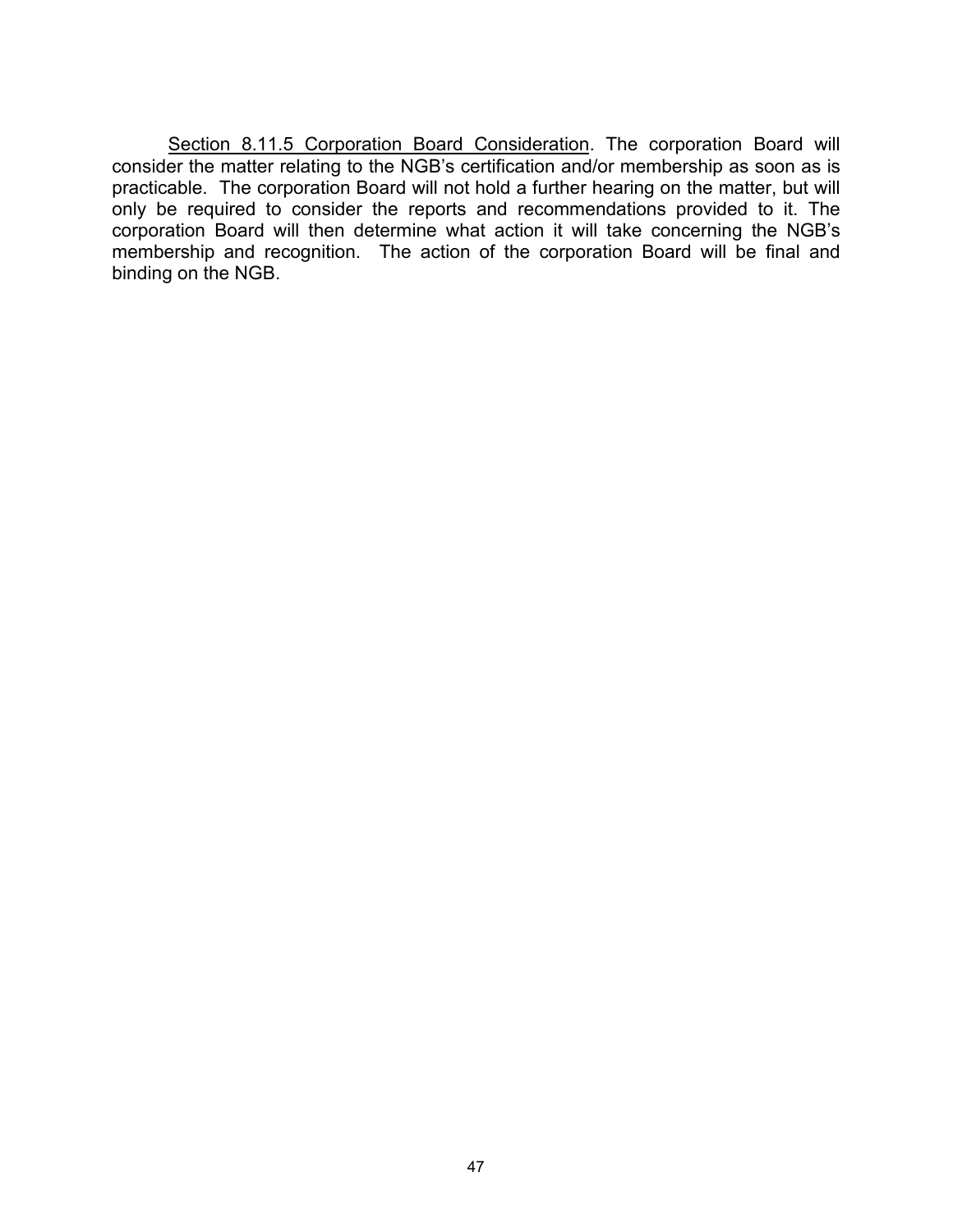Section 8.11.5 Corporation Board Consideration. The corporation Board will consider the matter relating to the NGB's certification and/or membership as soon as is practicable. The corporation Board will not hold a further hearing on the matter, but will only be required to consider the reports and recommendations provided to it. The corporation Board will then determine what action it will take concerning the NGB's membership and recognition. The action of the corporation Board will be final and binding on the NGB.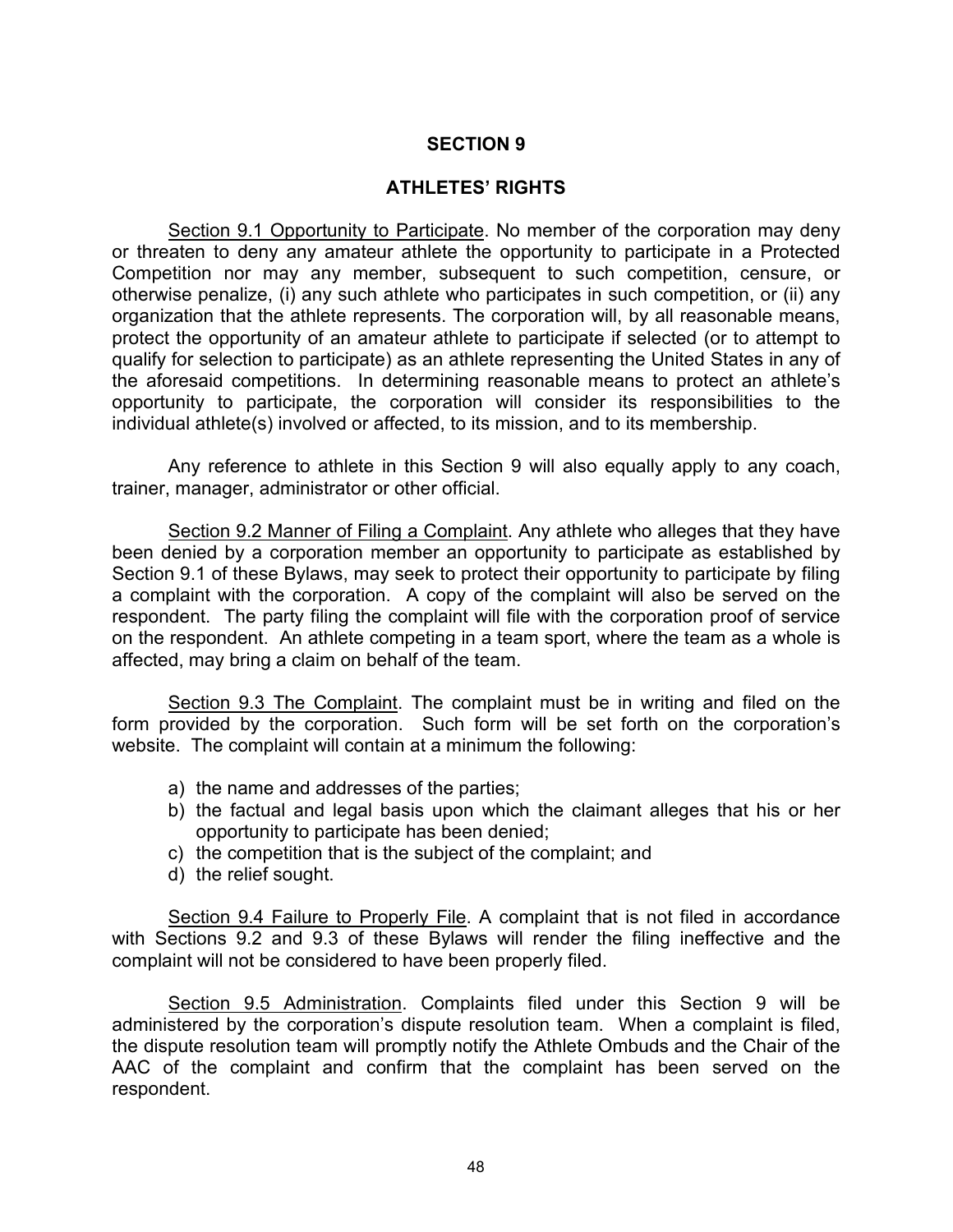### **ATHLETES' RIGHTS**

Section 9.1 Opportunity to Participate. No member of the corporation may deny or threaten to deny any amateur athlete the opportunity to participate in a Protected Competition nor may any member, subsequent to such competition, censure, or otherwise penalize, (i) any such athlete who participates in such competition, or (ii) any organization that the athlete represents. The corporation will, by all reasonable means, protect the opportunity of an amateur athlete to participate if selected (or to attempt to qualify for selection to participate) as an athlete representing the United States in any of the aforesaid competitions. In determining reasonable means to protect an athlete's opportunity to participate, the corporation will consider its responsibilities to the individual athlete(s) involved or affected, to its mission, and to its membership.

Any reference to athlete in this Section 9 will also equally apply to any coach, trainer, manager, administrator or other official.

Section 9.2 Manner of Filing a Complaint. Any athlete who alleges that they have been denied by a corporation member an opportunity to participate as established by Section 9.1 of these Bylaws, may seek to protect their opportunity to participate by filing a complaint with the corporation. A copy of the complaint will also be served on the respondent. The party filing the complaint will file with the corporation proof of service on the respondent. An athlete competing in a team sport, where the team as a whole is affected, may bring a claim on behalf of the team.

Section 9.3 The Complaint. The complaint must be in writing and filed on the form provided by the corporation. Such form will be set forth on the corporation's website. The complaint will contain at a minimum the following:

- a) the name and addresses of the parties;
- b) the factual and legal basis upon which the claimant alleges that his or her opportunity to participate has been denied;
- c) the competition that is the subject of the complaint; and
- d) the relief sought.

Section 9.4 Failure to Properly File. A complaint that is not filed in accordance with Sections 9.2 and 9.3 of these Bylaws will render the filing ineffective and the complaint will not be considered to have been properly filed.

Section 9.5 Administration. Complaints filed under this Section 9 will be administered by the corporation's dispute resolution team. When a complaint is filed, the dispute resolution team will promptly notify the Athlete Ombuds and the Chair of the AAC of the complaint and confirm that the complaint has been served on the respondent.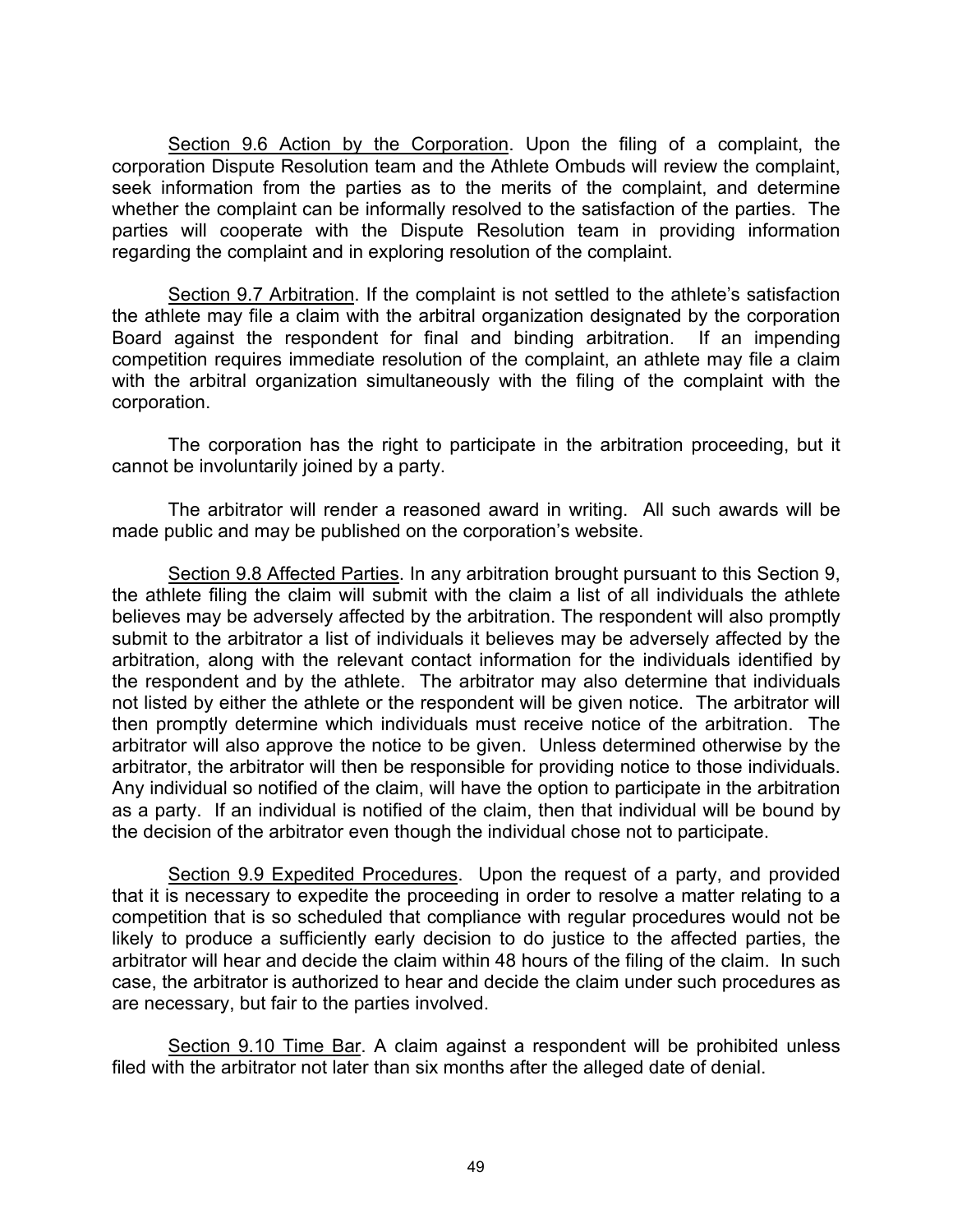Section 9.6 Action by the Corporation. Upon the filing of a complaint, the corporation Dispute Resolution team and the Athlete Ombuds will review the complaint, seek information from the parties as to the merits of the complaint, and determine whether the complaint can be informally resolved to the satisfaction of the parties. The parties will cooperate with the Dispute Resolution team in providing information regarding the complaint and in exploring resolution of the complaint.

Section 9.7 Arbitration. If the complaint is not settled to the athlete's satisfaction the athlete may file a claim with the arbitral organization designated by the corporation Board against the respondent for final and binding arbitration. If an impending competition requires immediate resolution of the complaint, an athlete may file a claim with the arbitral organization simultaneously with the filing of the complaint with the corporation.

The corporation has the right to participate in the arbitration proceeding, but it cannot be involuntarily joined by a party.

The arbitrator will render a reasoned award in writing. All such awards will be made public and may be published on the corporation's website.

Section 9.8 Affected Parties. In any arbitration brought pursuant to this Section 9, the athlete filing the claim will submit with the claim a list of all individuals the athlete believes may be adversely affected by the arbitration. The respondent will also promptly submit to the arbitrator a list of individuals it believes may be adversely affected by the arbitration, along with the relevant contact information for the individuals identified by the respondent and by the athlete. The arbitrator may also determine that individuals not listed by either the athlete or the respondent will be given notice. The arbitrator will then promptly determine which individuals must receive notice of the arbitration. The arbitrator will also approve the notice to be given. Unless determined otherwise by the arbitrator, the arbitrator will then be responsible for providing notice to those individuals. Any individual so notified of the claim, will have the option to participate in the arbitration as a party. If an individual is notified of the claim, then that individual will be bound by the decision of the arbitrator even though the individual chose not to participate.

Section 9.9 Expedited Procedures. Upon the request of a party, and provided that it is necessary to expedite the proceeding in order to resolve a matter relating to a competition that is so scheduled that compliance with regular procedures would not be likely to produce a sufficiently early decision to do justice to the affected parties, the arbitrator will hear and decide the claim within 48 hours of the filing of the claim. In such case, the arbitrator is authorized to hear and decide the claim under such procedures as are necessary, but fair to the parties involved.

Section 9.10 Time Bar. A claim against a respondent will be prohibited unless filed with the arbitrator not later than six months after the alleged date of denial.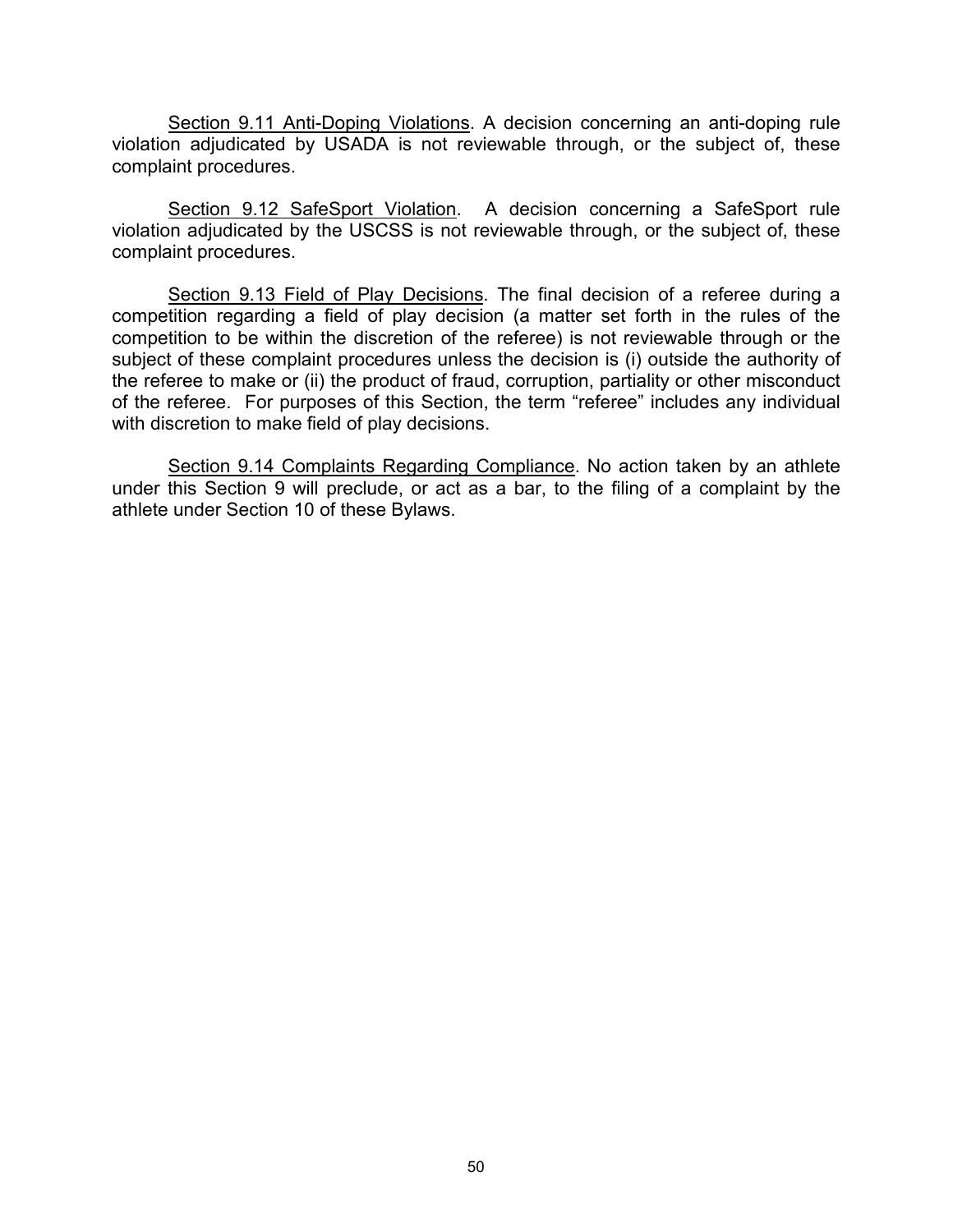Section 9.11 Anti-Doping Violations. A decision concerning an anti-doping rule violation adjudicated by USADA is not reviewable through, or the subject of, these complaint procedures.

Section 9.12 SafeSport Violation. A decision concerning a SafeSport rule violation adjudicated by the USCSS is not reviewable through, or the subject of, these complaint procedures.

Section 9.13 Field of Play Decisions. The final decision of a referee during a competition regarding a field of play decision (a matter set forth in the rules of the competition to be within the discretion of the referee) is not reviewable through or the subject of these complaint procedures unless the decision is (i) outside the authority of the referee to make or (ii) the product of fraud, corruption, partiality or other misconduct of the referee. For purposes of this Section, the term "referee" includes any individual with discretion to make field of play decisions.

Section 9.14 Complaints Regarding Compliance. No action taken by an athlete under this Section 9 will preclude, or act as a bar, to the filing of a complaint by the athlete under Section 10 of these Bylaws.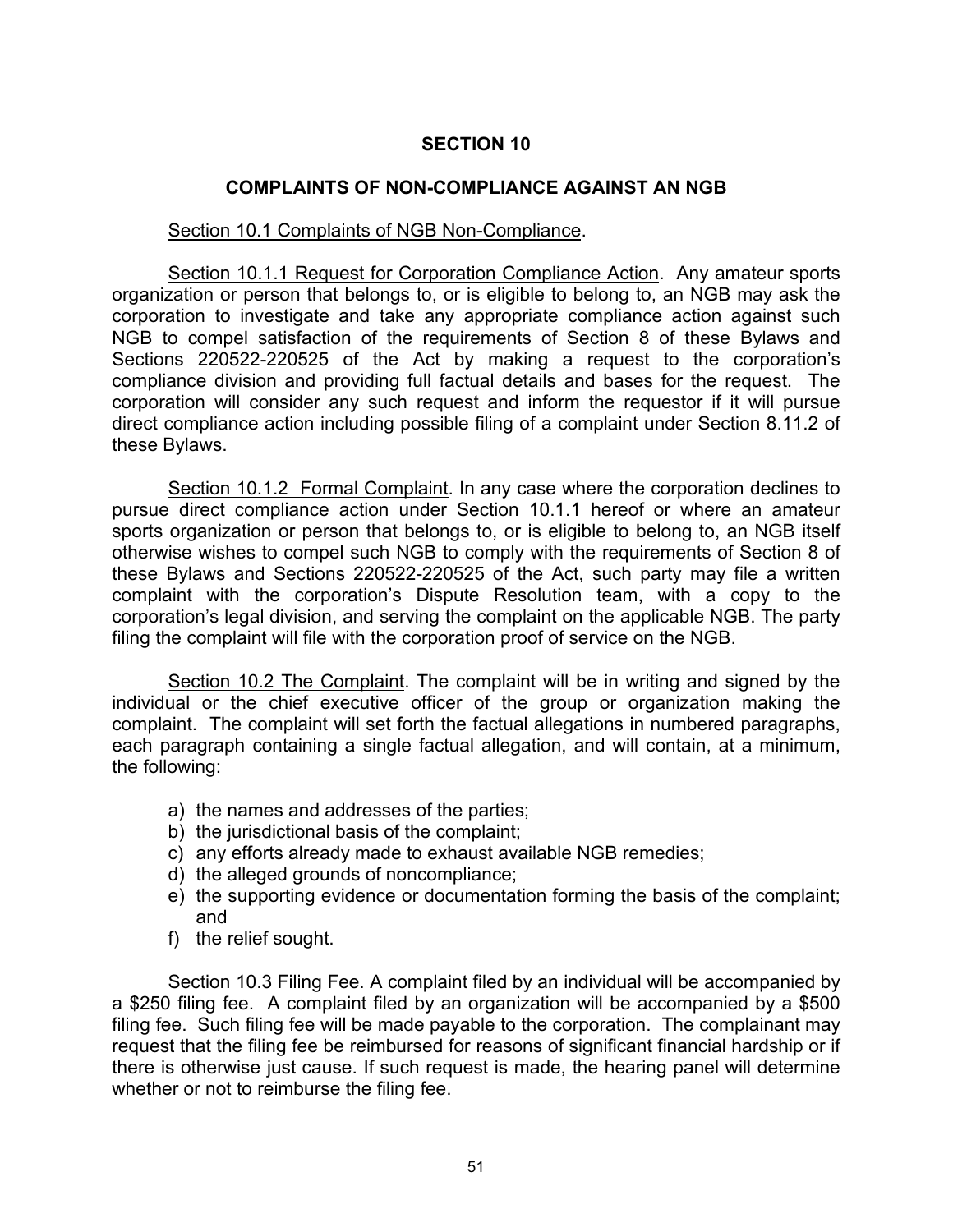# **COMPLAINTS OF NON-COMPLIANCE AGAINST AN NGB**

## Section 10.1 Complaints of NGB Non-Compliance.

Section 10.1.1 Request for Corporation Compliance Action. Any amateur sports organization or person that belongs to, or is eligible to belong to, an NGB may ask the corporation to investigate and take any appropriate compliance action against such NGB to compel satisfaction of the requirements of Section 8 of these Bylaws and Sections 220522-220525 of the Act by making a request to the corporation's compliance division and providing full factual details and bases for the request. The corporation will consider any such request and inform the requestor if it will pursue direct compliance action including possible filing of a complaint under Section 8.11.2 of these Bylaws.

Section 10.1.2 Formal Complaint. In any case where the corporation declines to pursue direct compliance action under Section 10.1.1 hereof or where an amateur sports organization or person that belongs to, or is eligible to belong to, an NGB itself otherwise wishes to compel such NGB to comply with the requirements of Section 8 of these Bylaws and Sections 220522-220525 of the Act, such party may file a written complaint with the corporation's Dispute Resolution team, with a copy to the corporation's legal division, and serving the complaint on the applicable NGB. The party filing the complaint will file with the corporation proof of service on the NGB.

Section 10.2 The Complaint. The complaint will be in writing and signed by the individual or the chief executive officer of the group or organization making the complaint. The complaint will set forth the factual allegations in numbered paragraphs, each paragraph containing a single factual allegation, and will contain, at a minimum, the following:

- a) the names and addresses of the parties;
- b) the jurisdictional basis of the complaint;
- c) any efforts already made to exhaust available NGB remedies;
- d) the alleged grounds of noncompliance;
- e) the supporting evidence or documentation forming the basis of the complaint; and
- f) the relief sought.

Section 10.3 Filing Fee. A complaint filed by an individual will be accompanied by a \$250 filing fee. A complaint filed by an organization will be accompanied by a \$500 filing fee. Such filing fee will be made payable to the corporation. The complainant may request that the filing fee be reimbursed for reasons of significant financial hardship or if there is otherwise just cause. If such request is made, the hearing panel will determine whether or not to reimburse the filing fee.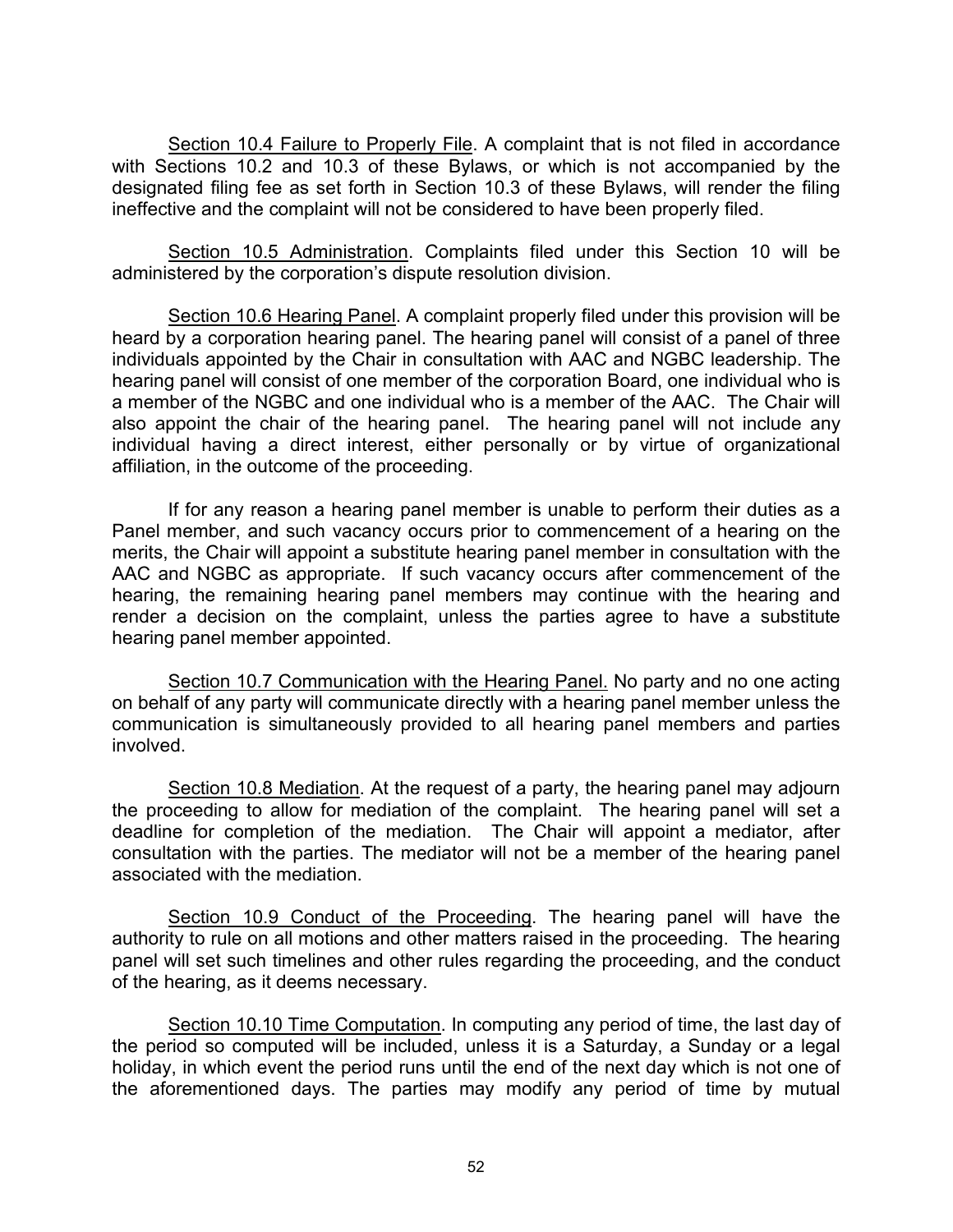Section 10.4 Failure to Properly File. A complaint that is not filed in accordance with Sections 10.2 and 10.3 of these Bylaws, or which is not accompanied by the designated filing fee as set forth in Section 10.3 of these Bylaws, will render the filing ineffective and the complaint will not be considered to have been properly filed.

Section 10.5 Administration. Complaints filed under this Section 10 will be administered by the corporation's dispute resolution division.

Section 10.6 Hearing Panel. A complaint properly filed under this provision will be heard by a corporation hearing panel. The hearing panel will consist of a panel of three individuals appointed by the Chair in consultation with AAC and NGBC leadership. The hearing panel will consist of one member of the corporation Board, one individual who is a member of the NGBC and one individual who is a member of the AAC. The Chair will also appoint the chair of the hearing panel. The hearing panel will not include any individual having a direct interest, either personally or by virtue of organizational affiliation, in the outcome of the proceeding.

If for any reason a hearing panel member is unable to perform their duties as a Panel member, and such vacancy occurs prior to commencement of a hearing on the merits, the Chair will appoint a substitute hearing panel member in consultation with the AAC and NGBC as appropriate. If such vacancy occurs after commencement of the hearing, the remaining hearing panel members may continue with the hearing and render a decision on the complaint, unless the parties agree to have a substitute hearing panel member appointed.

Section 10.7 Communication with the Hearing Panel. No party and no one acting on behalf of any party will communicate directly with a hearing panel member unless the communication is simultaneously provided to all hearing panel members and parties involved.

Section 10.8 Mediation. At the request of a party, the hearing panel may adjourn the proceeding to allow for mediation of the complaint. The hearing panel will set a deadline for completion of the mediation. The Chair will appoint a mediator, after consultation with the parties. The mediator will not be a member of the hearing panel associated with the mediation.

Section 10.9 Conduct of the Proceeding. The hearing panel will have the authority to rule on all motions and other matters raised in the proceeding. The hearing panel will set such timelines and other rules regarding the proceeding, and the conduct of the hearing, as it deems necessary.

Section 10.10 Time Computation. In computing any period of time, the last day of the period so computed will be included, unless it is a Saturday, a Sunday or a legal holiday, in which event the period runs until the end of the next day which is not one of the aforementioned days. The parties may modify any period of time by mutual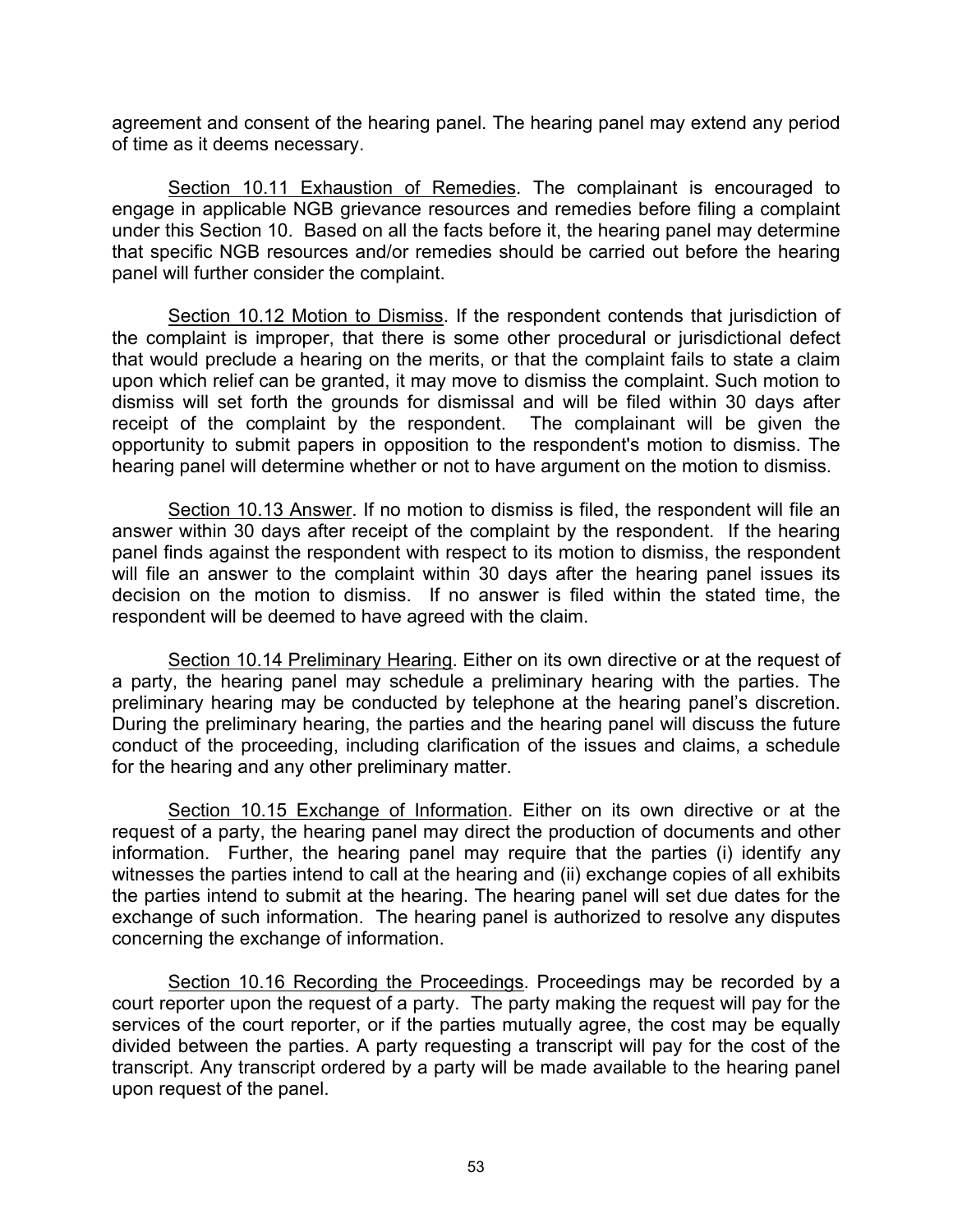agreement and consent of the hearing panel. The hearing panel may extend any period of time as it deems necessary.

Section 10.11 Exhaustion of Remedies. The complainant is encouraged to engage in applicable NGB grievance resources and remedies before filing a complaint under this Section 10. Based on all the facts before it, the hearing panel may determine that specific NGB resources and/or remedies should be carried out before the hearing panel will further consider the complaint.

Section 10.12 Motion to Dismiss. If the respondent contends that jurisdiction of the complaint is improper, that there is some other procedural or jurisdictional defect that would preclude a hearing on the merits, or that the complaint fails to state a claim upon which relief can be granted, it may move to dismiss the complaint. Such motion to dismiss will set forth the grounds for dismissal and will be filed within 30 days after receipt of the complaint by the respondent. The complainant will be given the opportunity to submit papers in opposition to the respondent's motion to dismiss. The hearing panel will determine whether or not to have argument on the motion to dismiss.

Section 10.13 Answer. If no motion to dismiss is filed, the respondent will file an answer within 30 days after receipt of the complaint by the respondent. If the hearing panel finds against the respondent with respect to its motion to dismiss, the respondent will file an answer to the complaint within 30 days after the hearing panel issues its decision on the motion to dismiss. If no answer is filed within the stated time, the respondent will be deemed to have agreed with the claim.

Section 10.14 Preliminary Hearing. Either on its own directive or at the request of a party, the hearing panel may schedule a preliminary hearing with the parties. The preliminary hearing may be conducted by telephone at the hearing panel's discretion. During the preliminary hearing, the parties and the hearing panel will discuss the future conduct of the proceeding, including clarification of the issues and claims, a schedule for the hearing and any other preliminary matter.

Section 10.15 Exchange of Information. Either on its own directive or at the request of a party, the hearing panel may direct the production of documents and other information. Further, the hearing panel may require that the parties (i) identify any witnesses the parties intend to call at the hearing and (ii) exchange copies of all exhibits the parties intend to submit at the hearing. The hearing panel will set due dates for the exchange of such information. The hearing panel is authorized to resolve any disputes concerning the exchange of information.

Section 10.16 Recording the Proceedings. Proceedings may be recorded by a court reporter upon the request of a party. The party making the request will pay for the services of the court reporter, or if the parties mutually agree, the cost may be equally divided between the parties. A party requesting a transcript will pay for the cost of the transcript. Any transcript ordered by a party will be made available to the hearing panel upon request of the panel.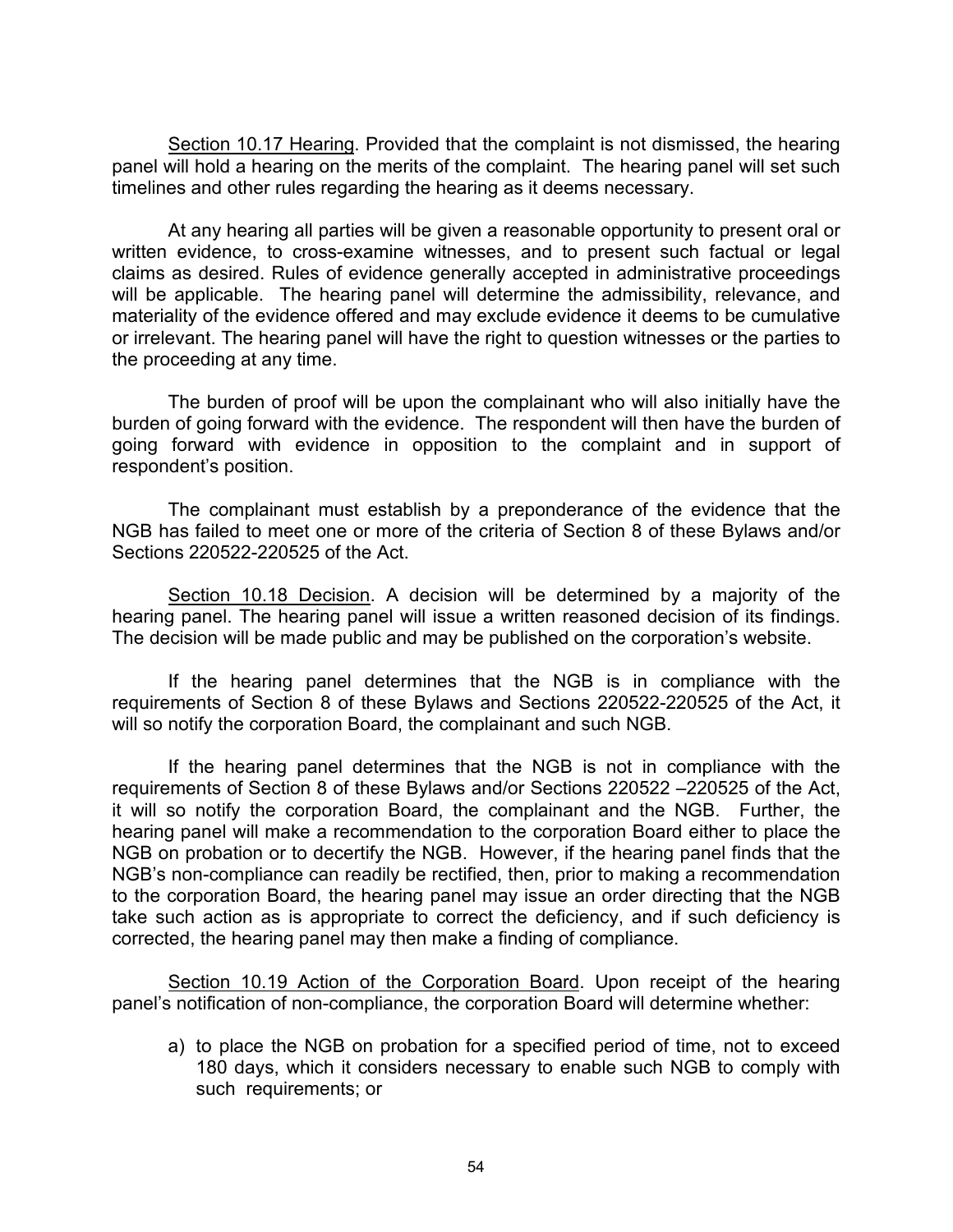Section 10.17 Hearing. Provided that the complaint is not dismissed, the hearing panel will hold a hearing on the merits of the complaint. The hearing panel will set such timelines and other rules regarding the hearing as it deems necessary.

At any hearing all parties will be given a reasonable opportunity to present oral or written evidence, to cross-examine witnesses, and to present such factual or legal claims as desired. Rules of evidence generally accepted in administrative proceedings will be applicable. The hearing panel will determine the admissibility, relevance, and materiality of the evidence offered and may exclude evidence it deems to be cumulative or irrelevant. The hearing panel will have the right to question witnesses or the parties to the proceeding at any time.

The burden of proof will be upon the complainant who will also initially have the burden of going forward with the evidence. The respondent will then have the burden of going forward with evidence in opposition to the complaint and in support of respondent's position.

The complainant must establish by a preponderance of the evidence that the NGB has failed to meet one or more of the criteria of Section 8 of these Bylaws and/or Sections 220522-220525 of the Act.

Section 10.18 Decision. A decision will be determined by a majority of the hearing panel. The hearing panel will issue a written reasoned decision of its findings. The decision will be made public and may be published on the corporation's website.

If the hearing panel determines that the NGB is in compliance with the requirements of Section 8 of these Bylaws and Sections 220522-220525 of the Act, it will so notify the corporation Board, the complainant and such NGB.

If the hearing panel determines that the NGB is not in compliance with the requirements of Section 8 of these Bylaws and/or Sections 220522 –220525 of the Act, it will so notify the corporation Board, the complainant and the NGB. Further, the hearing panel will make a recommendation to the corporation Board either to place the NGB on probation or to decertify the NGB. However, if the hearing panel finds that the NGB's non-compliance can readily be rectified, then, prior to making a recommendation to the corporation Board, the hearing panel may issue an order directing that the NGB take such action as is appropriate to correct the deficiency, and if such deficiency is corrected, the hearing panel may then make a finding of compliance.

Section 10.19 Action of the Corporation Board. Upon receipt of the hearing panel's notification of non-compliance, the corporation Board will determine whether:

a) to place the NGB on probation for a specified period of time, not to exceed 180 days, which it considers necessary to enable such NGB to comply with such requirements; or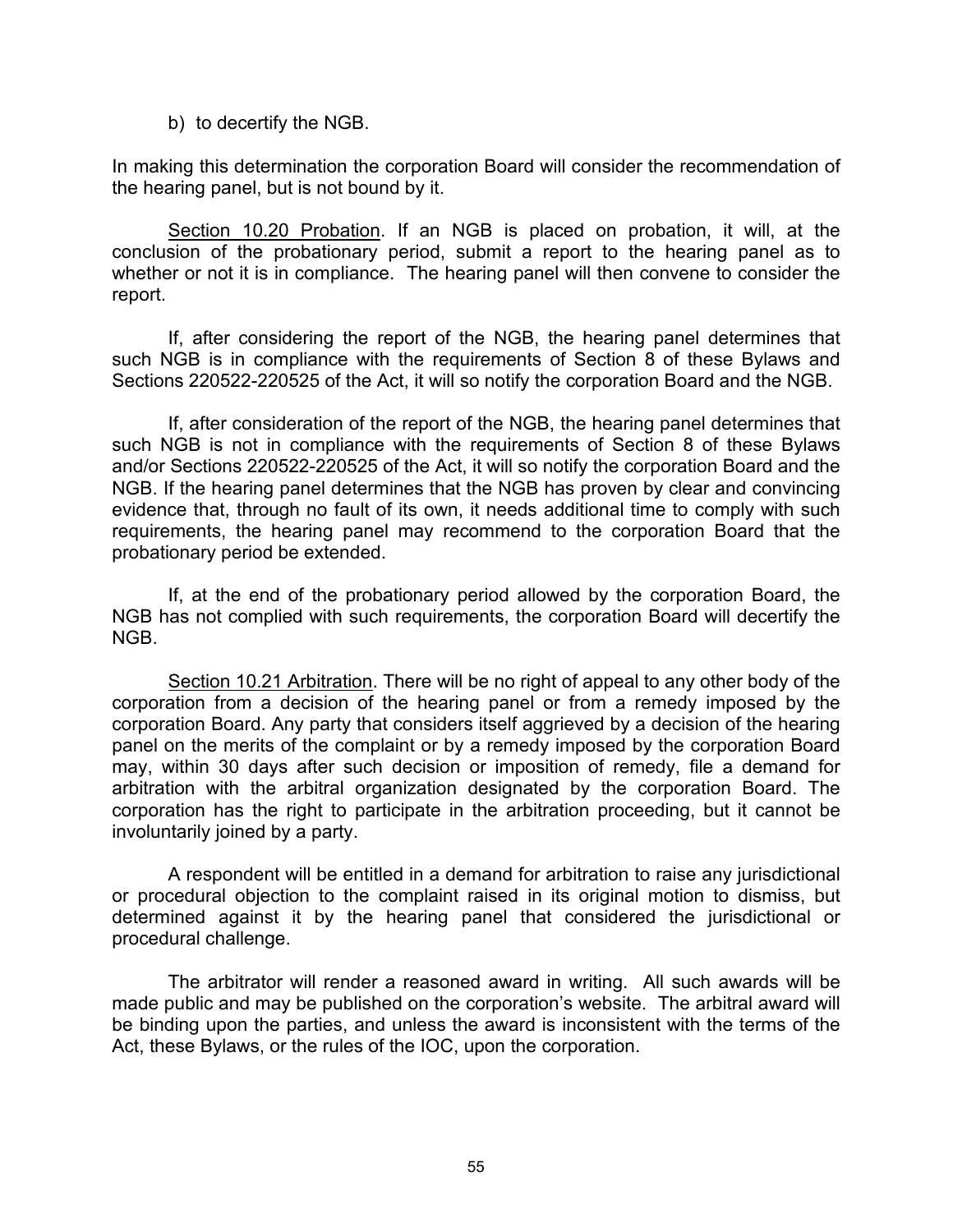b) to decertify the NGB.

In making this determination the corporation Board will consider the recommendation of the hearing panel, but is not bound by it.

Section 10.20 Probation. If an NGB is placed on probation, it will, at the conclusion of the probationary period, submit a report to the hearing panel as to whether or not it is in compliance. The hearing panel will then convene to consider the report.

If, after considering the report of the NGB, the hearing panel determines that such NGB is in compliance with the requirements of Section 8 of these Bylaws and Sections 220522-220525 of the Act, it will so notify the corporation Board and the NGB.

If, after consideration of the report of the NGB, the hearing panel determines that such NGB is not in compliance with the requirements of Section 8 of these Bylaws and/or Sections 220522-220525 of the Act, it will so notify the corporation Board and the NGB. If the hearing panel determines that the NGB has proven by clear and convincing evidence that, through no fault of its own, it needs additional time to comply with such requirements, the hearing panel may recommend to the corporation Board that the probationary period be extended.

If, at the end of the probationary period allowed by the corporation Board, the NGB has not complied with such requirements, the corporation Board will decertify the NGB.

Section 10.21 Arbitration. There will be no right of appeal to any other body of the corporation from a decision of the hearing panel or from a remedy imposed by the corporation Board. Any party that considers itself aggrieved by a decision of the hearing panel on the merits of the complaint or by a remedy imposed by the corporation Board may, within 30 days after such decision or imposition of remedy, file a demand for arbitration with the arbitral organization designated by the corporation Board. The corporation has the right to participate in the arbitration proceeding, but it cannot be involuntarily joined by a party.

A respondent will be entitled in a demand for arbitration to raise any jurisdictional or procedural objection to the complaint raised in its original motion to dismiss, but determined against it by the hearing panel that considered the jurisdictional or procedural challenge.

The arbitrator will render a reasoned award in writing. All such awards will be made public and may be published on the corporation's website. The arbitral award will be binding upon the parties, and unless the award is inconsistent with the terms of the Act, these Bylaws, or the rules of the IOC, upon the corporation.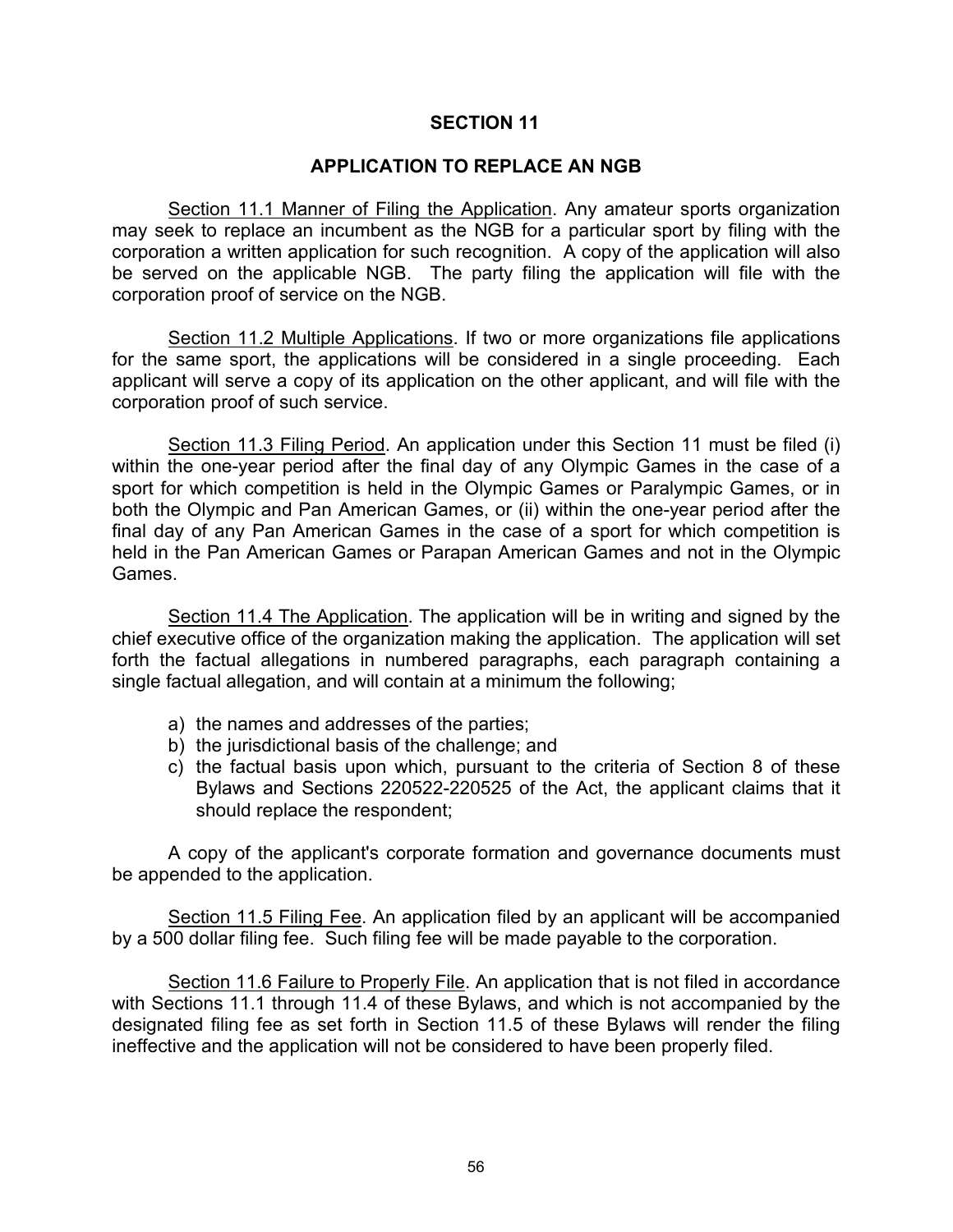## **APPLICATION TO REPLACE AN NGB**

Section 11.1 Manner of Filing the Application. Any amateur sports organization may seek to replace an incumbent as the NGB for a particular sport by filing with the corporation a written application for such recognition. A copy of the application will also be served on the applicable NGB. The party filing the application will file with the corporation proof of service on the NGB.

Section 11.2 Multiple Applications. If two or more organizations file applications for the same sport, the applications will be considered in a single proceeding. Each applicant will serve a copy of its application on the other applicant, and will file with the corporation proof of such service.

Section 11.3 Filing Period. An application under this Section 11 must be filed (i) within the one-year period after the final day of any Olympic Games in the case of a sport for which competition is held in the Olympic Games or Paralympic Games, or in both the Olympic and Pan American Games, or (ii) within the one-year period after the final day of any Pan American Games in the case of a sport for which competition is held in the Pan American Games or Parapan American Games and not in the Olympic Games.

Section 11.4 The Application. The application will be in writing and signed by the chief executive office of the organization making the application. The application will set forth the factual allegations in numbered paragraphs, each paragraph containing a single factual allegation, and will contain at a minimum the following;

- a) the names and addresses of the parties;
- b) the jurisdictional basis of the challenge; and
- c) the factual basis upon which, pursuant to the criteria of Section 8 of these Bylaws and Sections 220522-220525 of the Act, the applicant claims that it should replace the respondent;

A copy of the applicant's corporate formation and governance documents must be appended to the application.

Section 11.5 Filing Fee. An application filed by an applicant will be accompanied by a 500 dollar filing fee. Such filing fee will be made payable to the corporation.

Section 11.6 Failure to Properly File. An application that is not filed in accordance with Sections 11.1 through 11.4 of these Bylaws, and which is not accompanied by the designated filing fee as set forth in Section 11.5 of these Bylaws will render the filing ineffective and the application will not be considered to have been properly filed.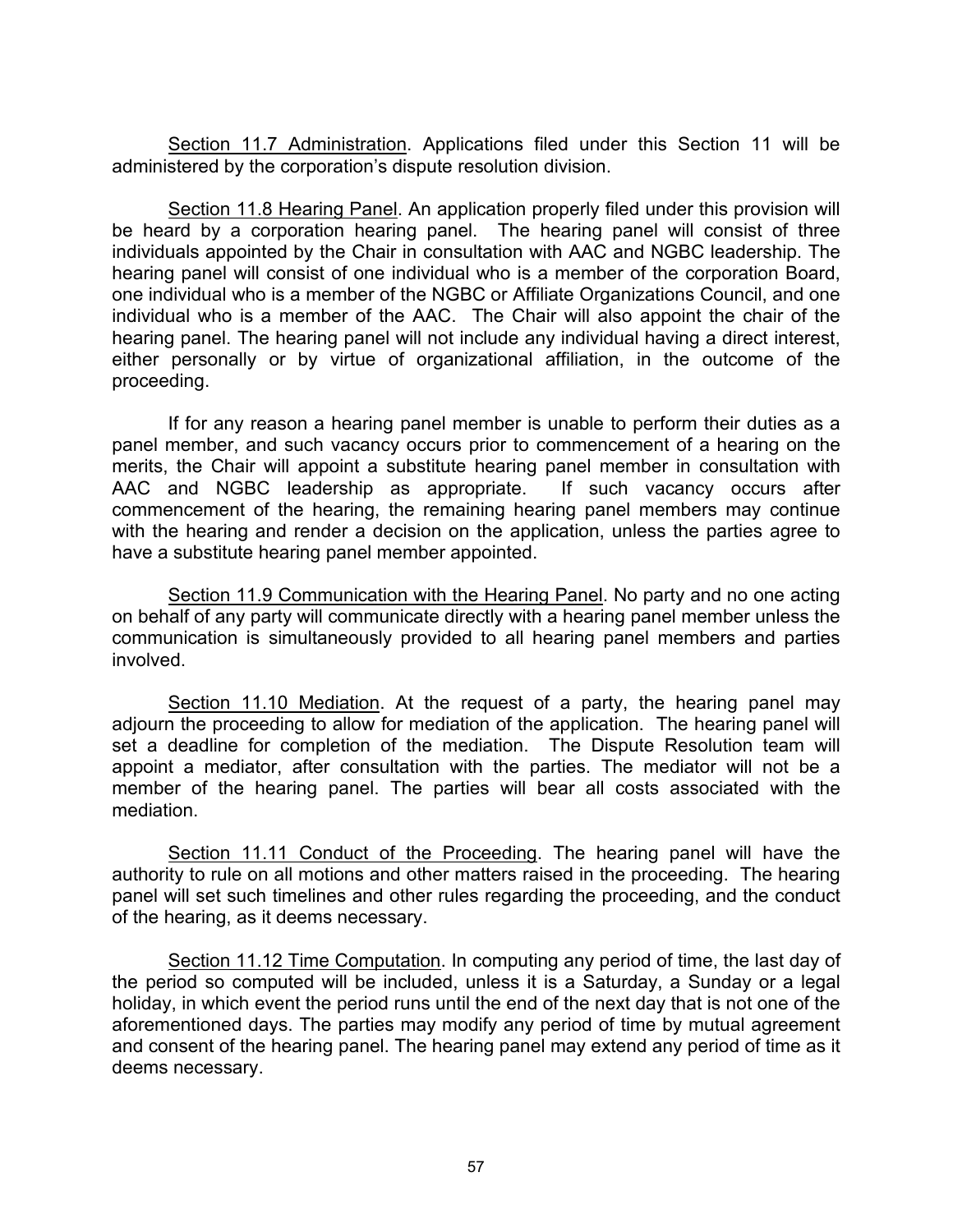Section 11.7 Administration. Applications filed under this Section 11 will be administered by the corporation's dispute resolution division.

Section 11.8 Hearing Panel. An application properly filed under this provision will be heard by a corporation hearing panel. The hearing panel will consist of three individuals appointed by the Chair in consultation with AAC and NGBC leadership. The hearing panel will consist of one individual who is a member of the corporation Board, one individual who is a member of the NGBC or Affiliate Organizations Council, and one individual who is a member of the AAC. The Chair will also appoint the chair of the hearing panel. The hearing panel will not include any individual having a direct interest, either personally or by virtue of organizational affiliation, in the outcome of the proceeding.

If for any reason a hearing panel member is unable to perform their duties as a panel member, and such vacancy occurs prior to commencement of a hearing on the merits, the Chair will appoint a substitute hearing panel member in consultation with AAC and NGBC leadership as appropriate. If such vacancy occurs after commencement of the hearing, the remaining hearing panel members may continue with the hearing and render a decision on the application, unless the parties agree to have a substitute hearing panel member appointed.

Section 11.9 Communication with the Hearing Panel. No party and no one acting on behalf of any party will communicate directly with a hearing panel member unless the communication is simultaneously provided to all hearing panel members and parties involved.

Section 11.10 Mediation. At the request of a party, the hearing panel may adjourn the proceeding to allow for mediation of the application. The hearing panel will set a deadline for completion of the mediation. The Dispute Resolution team will appoint a mediator, after consultation with the parties. The mediator will not be a member of the hearing panel. The parties will bear all costs associated with the mediation.

Section 11.11 Conduct of the Proceeding. The hearing panel will have the authority to rule on all motions and other matters raised in the proceeding. The hearing panel will set such timelines and other rules regarding the proceeding, and the conduct of the hearing, as it deems necessary.

Section 11.12 Time Computation. In computing any period of time, the last day of the period so computed will be included, unless it is a Saturday, a Sunday or a legal holiday, in which event the period runs until the end of the next day that is not one of the aforementioned days. The parties may modify any period of time by mutual agreement and consent of the hearing panel. The hearing panel may extend any period of time as it deems necessary.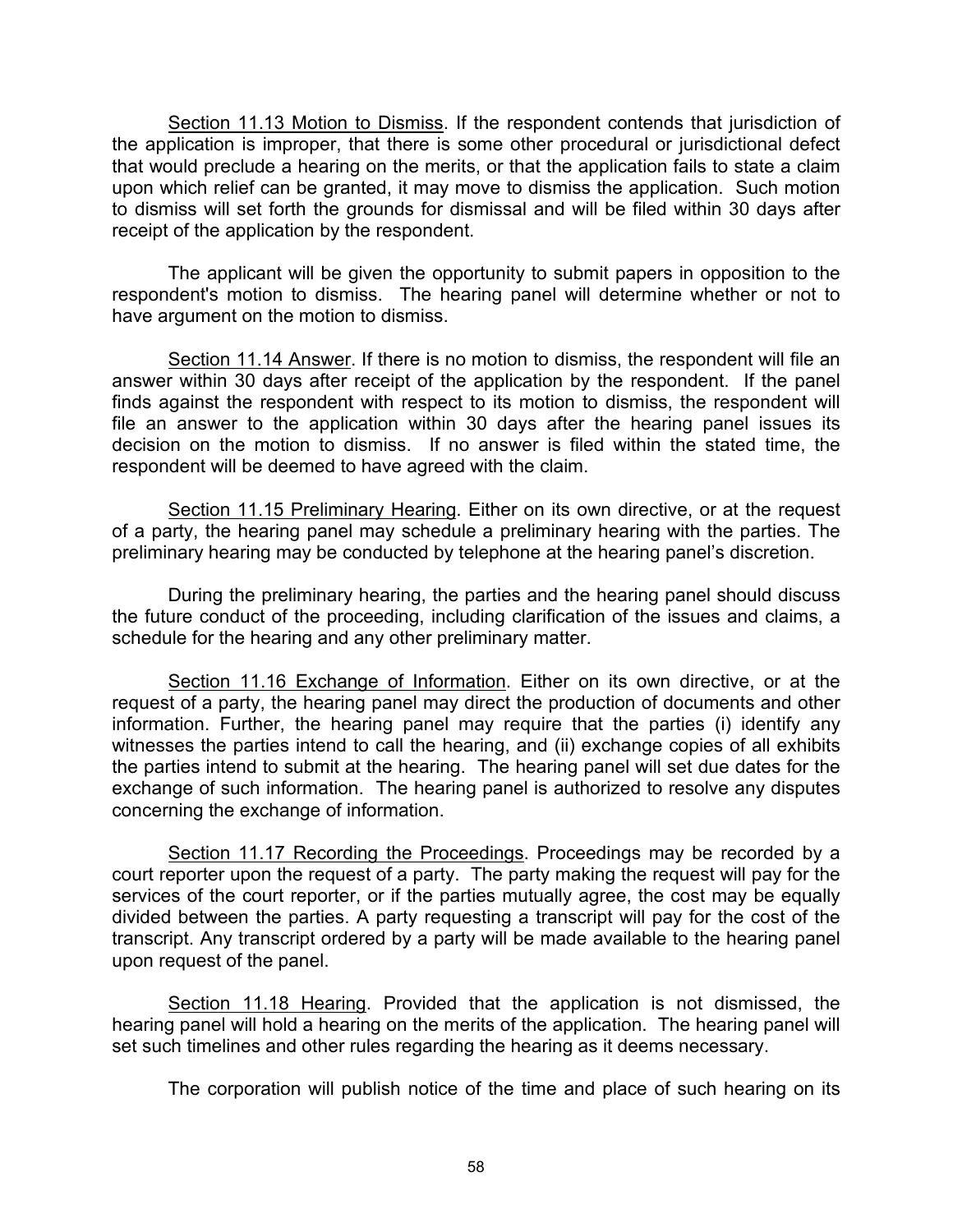Section 11.13 Motion to Dismiss. If the respondent contends that jurisdiction of the application is improper, that there is some other procedural or jurisdictional defect that would preclude a hearing on the merits, or that the application fails to state a claim upon which relief can be granted, it may move to dismiss the application. Such motion to dismiss will set forth the grounds for dismissal and will be filed within 30 days after receipt of the application by the respondent.

The applicant will be given the opportunity to submit papers in opposition to the respondent's motion to dismiss. The hearing panel will determine whether or not to have argument on the motion to dismiss.

Section 11.14 Answer. If there is no motion to dismiss, the respondent will file an answer within 30 days after receipt of the application by the respondent. If the panel finds against the respondent with respect to its motion to dismiss, the respondent will file an answer to the application within 30 days after the hearing panel issues its decision on the motion to dismiss. If no answer is filed within the stated time, the respondent will be deemed to have agreed with the claim.

Section 11.15 Preliminary Hearing. Either on its own directive, or at the request of a party, the hearing panel may schedule a preliminary hearing with the parties. The preliminary hearing may be conducted by telephone at the hearing panel's discretion.

During the preliminary hearing, the parties and the hearing panel should discuss the future conduct of the proceeding, including clarification of the issues and claims, a schedule for the hearing and any other preliminary matter.

Section 11.16 Exchange of Information. Either on its own directive, or at the request of a party, the hearing panel may direct the production of documents and other information. Further, the hearing panel may require that the parties (i) identify any witnesses the parties intend to call the hearing, and (ii) exchange copies of all exhibits the parties intend to submit at the hearing. The hearing panel will set due dates for the exchange of such information. The hearing panel is authorized to resolve any disputes concerning the exchange of information.

Section 11.17 Recording the Proceedings. Proceedings may be recorded by a court reporter upon the request of a party. The party making the request will pay for the services of the court reporter, or if the parties mutually agree, the cost may be equally divided between the parties. A party requesting a transcript will pay for the cost of the transcript. Any transcript ordered by a party will be made available to the hearing panel upon request of the panel.

Section 11.18 Hearing. Provided that the application is not dismissed, the hearing panel will hold a hearing on the merits of the application. The hearing panel will set such timelines and other rules regarding the hearing as it deems necessary.

The corporation will publish notice of the time and place of such hearing on its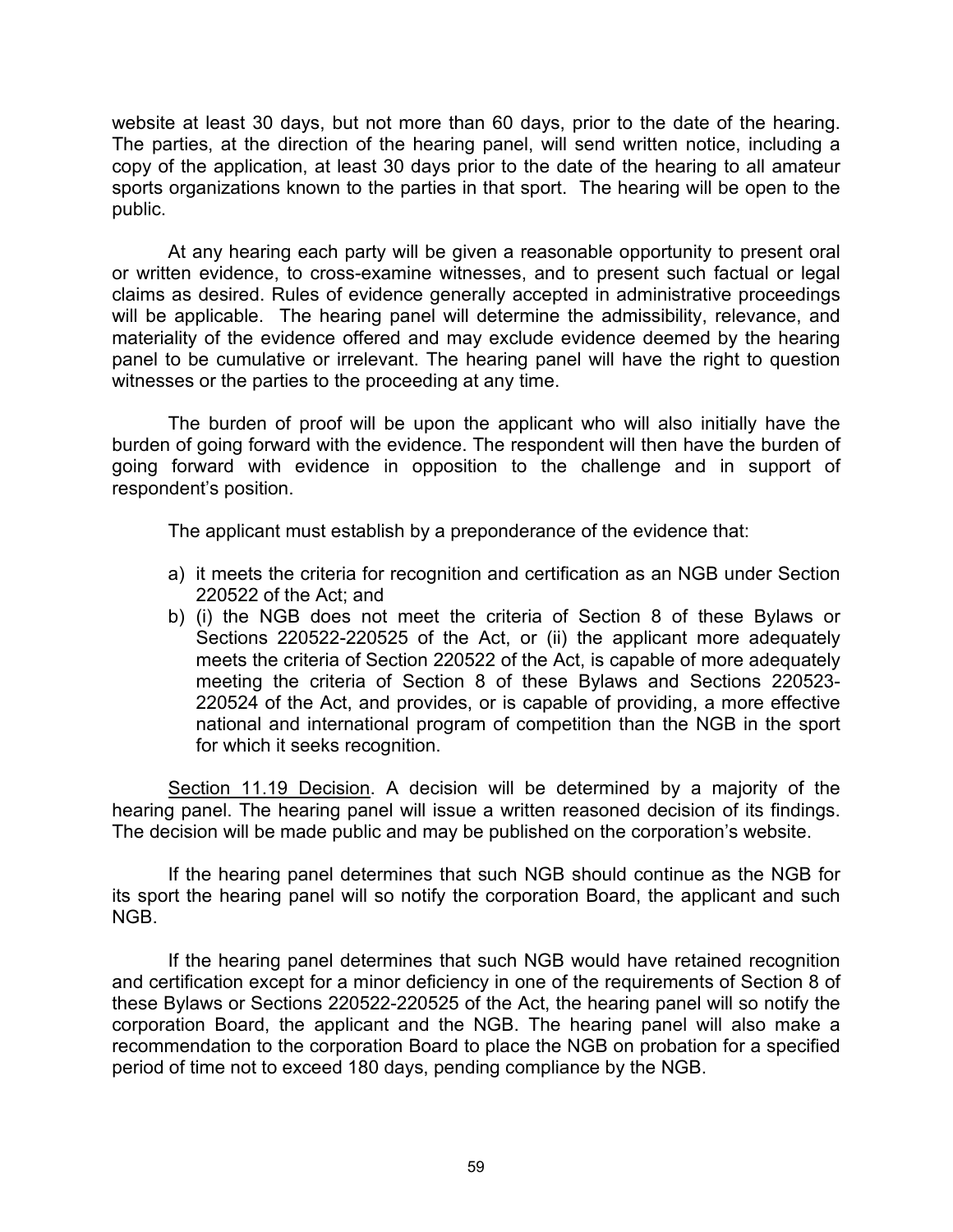website at least 30 days, but not more than 60 days, prior to the date of the hearing. The parties, at the direction of the hearing panel, will send written notice, including a copy of the application, at least 30 days prior to the date of the hearing to all amateur sports organizations known to the parties in that sport. The hearing will be open to the public.

At any hearing each party will be given a reasonable opportunity to present oral or written evidence, to cross-examine witnesses, and to present such factual or legal claims as desired. Rules of evidence generally accepted in administrative proceedings will be applicable. The hearing panel will determine the admissibility, relevance, and materiality of the evidence offered and may exclude evidence deemed by the hearing panel to be cumulative or irrelevant. The hearing panel will have the right to question witnesses or the parties to the proceeding at any time.

The burden of proof will be upon the applicant who will also initially have the burden of going forward with the evidence. The respondent will then have the burden of going forward with evidence in opposition to the challenge and in support of respondent's position.

The applicant must establish by a preponderance of the evidence that:

- a) it meets the criteria for recognition and certification as an NGB under Section 220522 of the Act; and
- b) (i) the NGB does not meet the criteria of Section 8 of these Bylaws or Sections 220522-220525 of the Act, or (ii) the applicant more adequately meets the criteria of Section 220522 of the Act, is capable of more adequately meeting the criteria of Section 8 of these Bylaws and Sections 220523- 220524 of the Act, and provides, or is capable of providing, a more effective national and international program of competition than the NGB in the sport for which it seeks recognition.

Section 11.19 Decision. A decision will be determined by a majority of the hearing panel. The hearing panel will issue a written reasoned decision of its findings. The decision will be made public and may be published on the corporation's website.

If the hearing panel determines that such NGB should continue as the NGB for its sport the hearing panel will so notify the corporation Board, the applicant and such NGB.

If the hearing panel determines that such NGB would have retained recognition and certification except for a minor deficiency in one of the requirements of Section 8 of these Bylaws or Sections 220522-220525 of the Act, the hearing panel will so notify the corporation Board, the applicant and the NGB. The hearing panel will also make a recommendation to the corporation Board to place the NGB on probation for a specified period of time not to exceed 180 days, pending compliance by the NGB.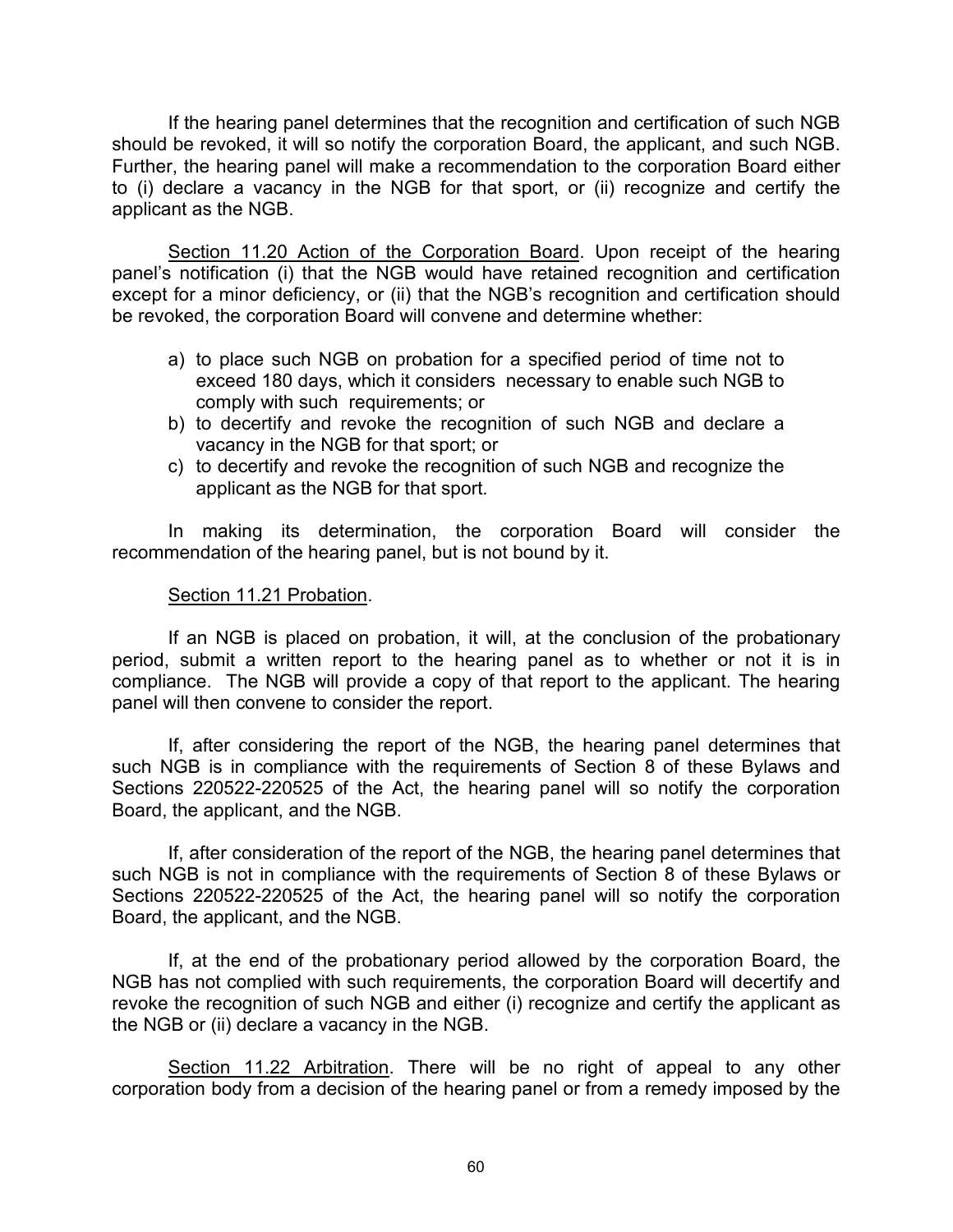If the hearing panel determines that the recognition and certification of such NGB should be revoked, it will so notify the corporation Board, the applicant, and such NGB. Further, the hearing panel will make a recommendation to the corporation Board either to (i) declare a vacancy in the NGB for that sport, or (ii) recognize and certify the applicant as the NGB.

Section 11.20 Action of the Corporation Board. Upon receipt of the hearing panel's notification (i) that the NGB would have retained recognition and certification except for a minor deficiency, or (ii) that the NGB's recognition and certification should be revoked, the corporation Board will convene and determine whether:

- a) to place such NGB on probation for a specified period of time not to exceed 180 days, which it considers necessary to enable such NGB to comply with such requirements; or
- b) to decertify and revoke the recognition of such NGB and declare a vacancy in the NGB for that sport; or
- c) to decertify and revoke the recognition of such NGB and recognize the applicant as the NGB for that sport.

In making its determination, the corporation Board will consider the recommendation of the hearing panel, but is not bound by it.

### Section 11.21 Probation.

If an NGB is placed on probation, it will, at the conclusion of the probationary period, submit a written report to the hearing panel as to whether or not it is in compliance. The NGB will provide a copy of that report to the applicant. The hearing panel will then convene to consider the report.

If, after considering the report of the NGB, the hearing panel determines that such NGB is in compliance with the requirements of Section 8 of these Bylaws and Sections 220522-220525 of the Act, the hearing panel will so notify the corporation Board, the applicant, and the NGB.

If, after consideration of the report of the NGB, the hearing panel determines that such NGB is not in compliance with the requirements of Section 8 of these Bylaws or Sections 220522-220525 of the Act, the hearing panel will so notify the corporation Board, the applicant, and the NGB.

If, at the end of the probationary period allowed by the corporation Board, the NGB has not complied with such requirements, the corporation Board will decertify and revoke the recognition of such NGB and either (i) recognize and certify the applicant as the NGB or (ii) declare a vacancy in the NGB.

Section 11.22 Arbitration. There will be no right of appeal to any other corporation body from a decision of the hearing panel or from a remedy imposed by the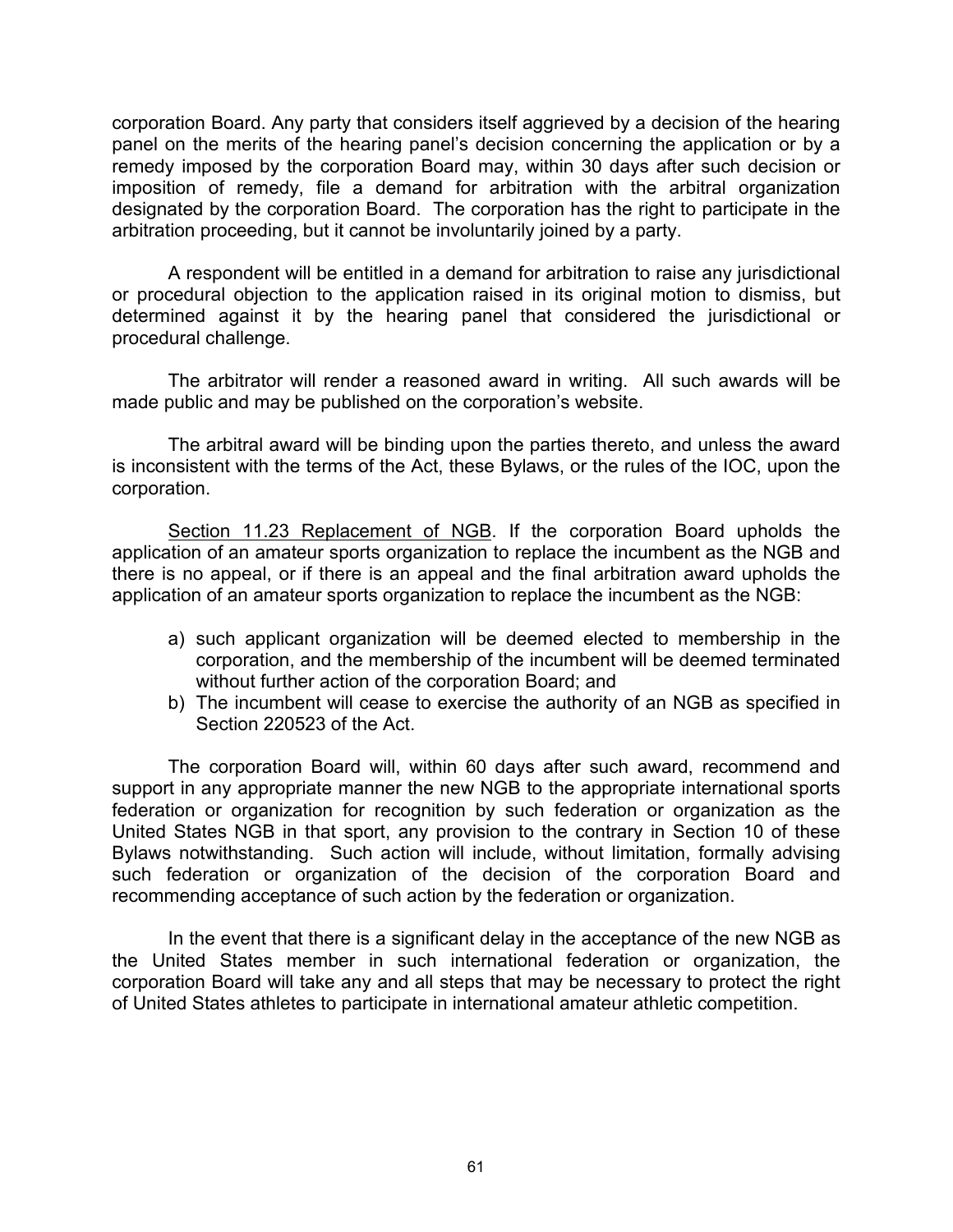corporation Board. Any party that considers itself aggrieved by a decision of the hearing panel on the merits of the hearing panel's decision concerning the application or by a remedy imposed by the corporation Board may, within 30 days after such decision or imposition of remedy, file a demand for arbitration with the arbitral organization designated by the corporation Board. The corporation has the right to participate in the arbitration proceeding, but it cannot be involuntarily joined by a party.

A respondent will be entitled in a demand for arbitration to raise any jurisdictional or procedural objection to the application raised in its original motion to dismiss, but determined against it by the hearing panel that considered the jurisdictional or procedural challenge.

The arbitrator will render a reasoned award in writing. All such awards will be made public and may be published on the corporation's website.

The arbitral award will be binding upon the parties thereto, and unless the award is inconsistent with the terms of the Act, these Bylaws, or the rules of the IOC, upon the corporation.

Section 11.23 Replacement of NGB. If the corporation Board upholds the application of an amateur sports organization to replace the incumbent as the NGB and there is no appeal, or if there is an appeal and the final arbitration award upholds the application of an amateur sports organization to replace the incumbent as the NGB:

- a) such applicant organization will be deemed elected to membership in the corporation, and the membership of the incumbent will be deemed terminated without further action of the corporation Board; and
- b) The incumbent will cease to exercise the authority of an NGB as specified in Section 220523 of the Act.

The corporation Board will, within 60 days after such award, recommend and support in any appropriate manner the new NGB to the appropriate international sports federation or organization for recognition by such federation or organization as the United States NGB in that sport, any provision to the contrary in Section 10 of these Bylaws notwithstanding. Such action will include, without limitation, formally advising such federation or organization of the decision of the corporation Board and recommending acceptance of such action by the federation or organization.

In the event that there is a significant delay in the acceptance of the new NGB as the United States member in such international federation or organization, the corporation Board will take any and all steps that may be necessary to protect the right of United States athletes to participate in international amateur athletic competition.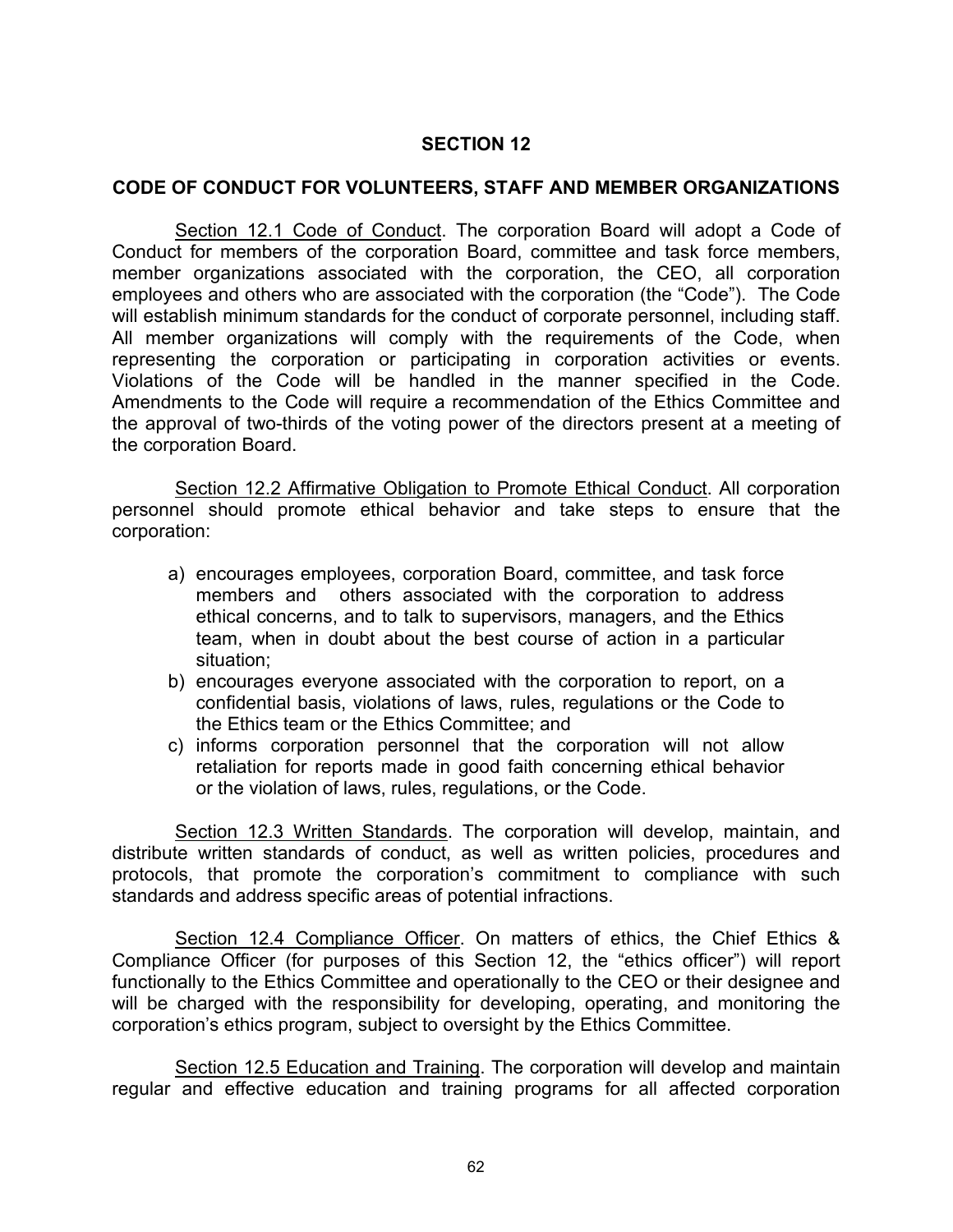### **CODE OF CONDUCT FOR VOLUNTEERS, STAFF AND MEMBER ORGANIZATIONS**

Section 12.1 Code of Conduct. The corporation Board will adopt a Code of Conduct for members of the corporation Board, committee and task force members, member organizations associated with the corporation, the CEO, all corporation employees and others who are associated with the corporation (the "Code"). The Code will establish minimum standards for the conduct of corporate personnel, including staff. All member organizations will comply with the requirements of the Code, when representing the corporation or participating in corporation activities or events. Violations of the Code will be handled in the manner specified in the Code. Amendments to the Code will require a recommendation of the Ethics Committee and the approval of two-thirds of the voting power of the directors present at a meeting of the corporation Board.

Section 12.2 Affirmative Obligation to Promote Ethical Conduct. All corporation personnel should promote ethical behavior and take steps to ensure that the corporation:

- a) encourages employees, corporation Board, committee, and task force members and others associated with the corporation to address ethical concerns, and to talk to supervisors, managers, and the Ethics team, when in doubt about the best course of action in a particular situation;
- b) encourages everyone associated with the corporation to report, on a confidential basis, violations of laws, rules, regulations or the Code to the Ethics team or the Ethics Committee; and
- c) informs corporation personnel that the corporation will not allow retaliation for reports made in good faith concerning ethical behavior or the violation of laws, rules, regulations, or the Code.

 Section 12.3 Written Standards. The corporation will develop, maintain, and distribute written standards of conduct, as well as written policies, procedures and protocols, that promote the corporation's commitment to compliance with such standards and address specific areas of potential infractions.

 Section 12.4 Compliance Officer. On matters of ethics, the Chief Ethics & Compliance Officer (for purposes of this Section 12, the "ethics officer") will report functionally to the Ethics Committee and operationally to the CEO or their designee and will be charged with the responsibility for developing, operating, and monitoring the corporation's ethics program, subject to oversight by the Ethics Committee.

Section 12.5 Education and Training. The corporation will develop and maintain regular and effective education and training programs for all affected corporation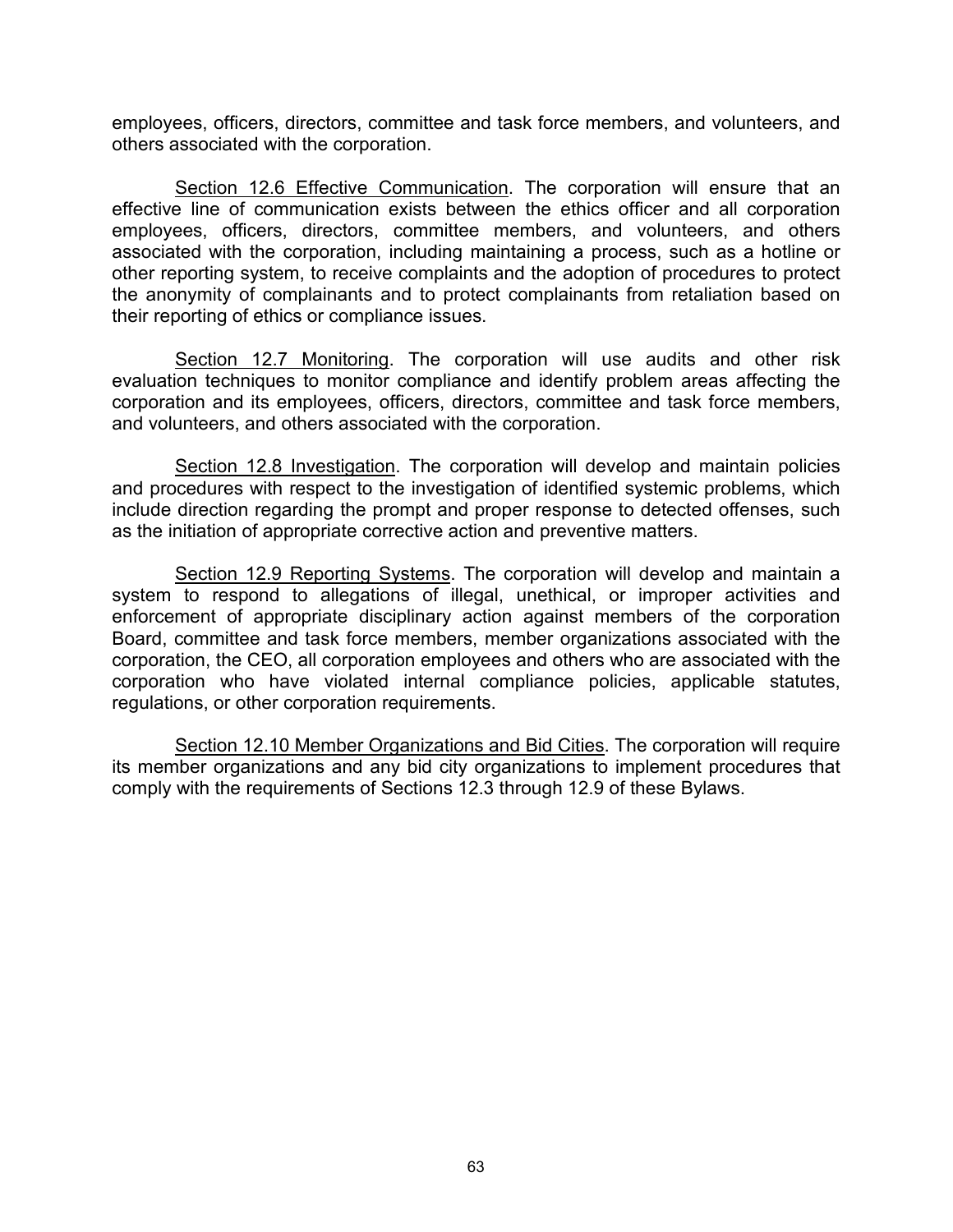employees, officers, directors, committee and task force members, and volunteers, and others associated with the corporation.

Section 12.6 Effective Communication. The corporation will ensure that an effective line of communication exists between the ethics officer and all corporation employees, officers, directors, committee members, and volunteers, and others associated with the corporation, including maintaining a process, such as a hotline or other reporting system, to receive complaints and the adoption of procedures to protect the anonymity of complainants and to protect complainants from retaliation based on their reporting of ethics or compliance issues.

Section 12.7 Monitoring. The corporation will use audits and other risk evaluation techniques to monitor compliance and identify problem areas affecting the corporation and its employees, officers, directors, committee and task force members, and volunteers, and others associated with the corporation.

Section 12.8 Investigation. The corporation will develop and maintain policies and procedures with respect to the investigation of identified systemic problems, which include direction regarding the prompt and proper response to detected offenses, such as the initiation of appropriate corrective action and preventive matters.

Section 12.9 Reporting Systems. The corporation will develop and maintain a system to respond to allegations of illegal, unethical, or improper activities and enforcement of appropriate disciplinary action against members of the corporation Board, committee and task force members, member organizations associated with the corporation, the CEO, all corporation employees and others who are associated with the corporation who have violated internal compliance policies, applicable statutes, regulations, or other corporation requirements.

Section 12.10 Member Organizations and Bid Cities. The corporation will require its member organizations and any bid city organizations to implement procedures that comply with the requirements of Sections 12.3 through 12.9 of these Bylaws.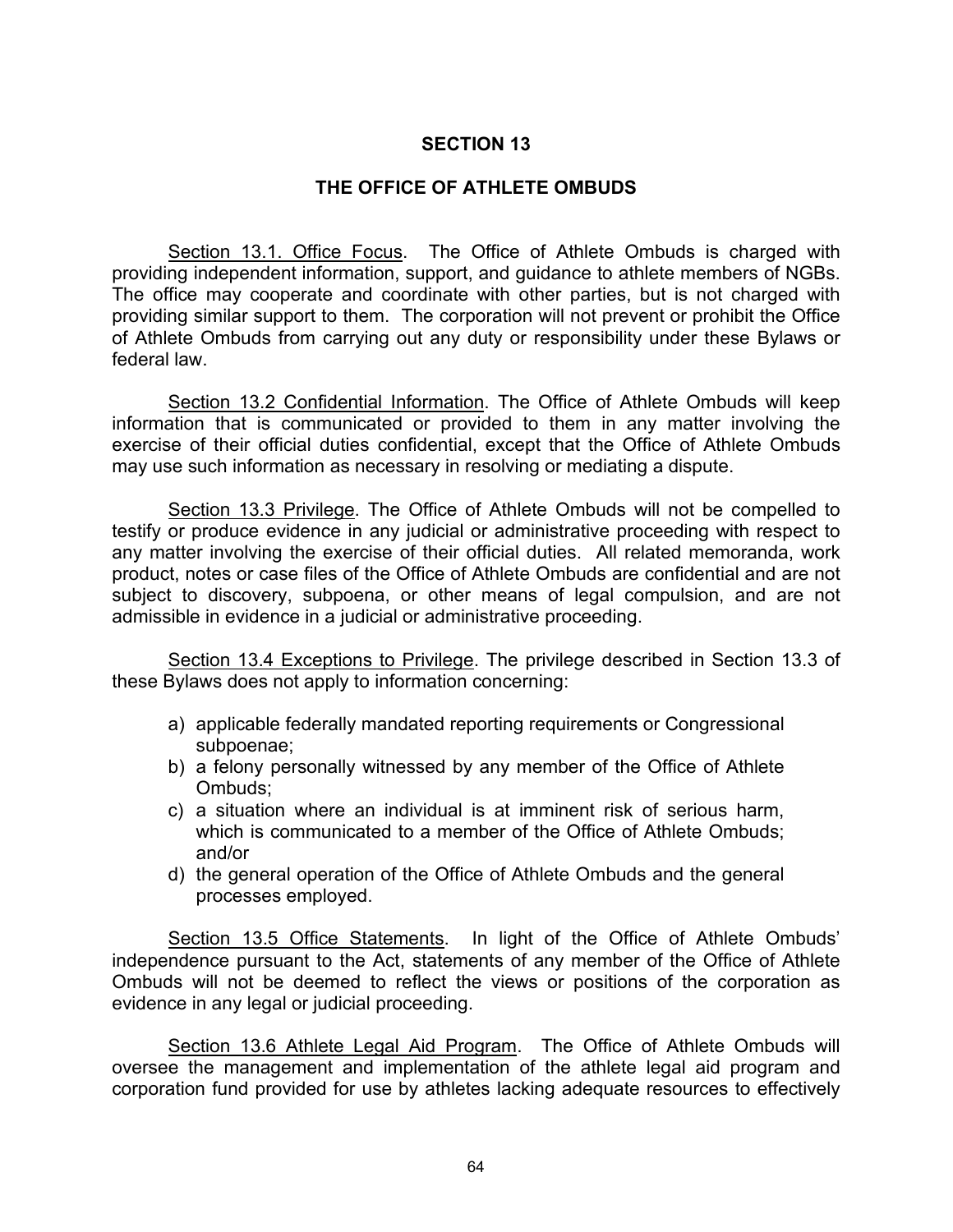## **THE OFFICE OF ATHLETE OMBUDS**

Section 13.1. Office Focus. The Office of Athlete Ombuds is charged with providing independent information, support, and guidance to athlete members of NGBs. The office may cooperate and coordinate with other parties, but is not charged with providing similar support to them. The corporation will not prevent or prohibit the Office of Athlete Ombuds from carrying out any duty or responsibility under these Bylaws or federal law.

Section 13.2 Confidential Information. The Office of Athlete Ombuds will keep information that is communicated or provided to them in any matter involving the exercise of their official duties confidential, except that the Office of Athlete Ombuds may use such information as necessary in resolving or mediating a dispute.

Section 13.3 Privilege. The Office of Athlete Ombuds will not be compelled to testify or produce evidence in any judicial or administrative proceeding with respect to any matter involving the exercise of their official duties. All related memoranda, work product, notes or case files of the Office of Athlete Ombuds are confidential and are not subject to discovery, subpoena, or other means of legal compulsion, and are not admissible in evidence in a judicial or administrative proceeding.

Section 13.4 Exceptions to Privilege. The privilege described in Section 13.3 of these Bylaws does not apply to information concerning:

- a) applicable federally mandated reporting requirements or Congressional subpoenae;
- b) a felony personally witnessed by any member of the Office of Athlete Ombuds;
- c) a situation where an individual is at imminent risk of serious harm, which is communicated to a member of the Office of Athlete Ombuds; and/or
- d) the general operation of the Office of Athlete Ombuds and the general processes employed.

Section 13.5 Office Statements. In light of the Office of Athlete Ombuds' independence pursuant to the Act, statements of any member of the Office of Athlete Ombuds will not be deemed to reflect the views or positions of the corporation as evidence in any legal or judicial proceeding.

Section 13.6 Athlete Legal Aid Program. The Office of Athlete Ombuds will oversee the management and implementation of the athlete legal aid program and corporation fund provided for use by athletes lacking adequate resources to effectively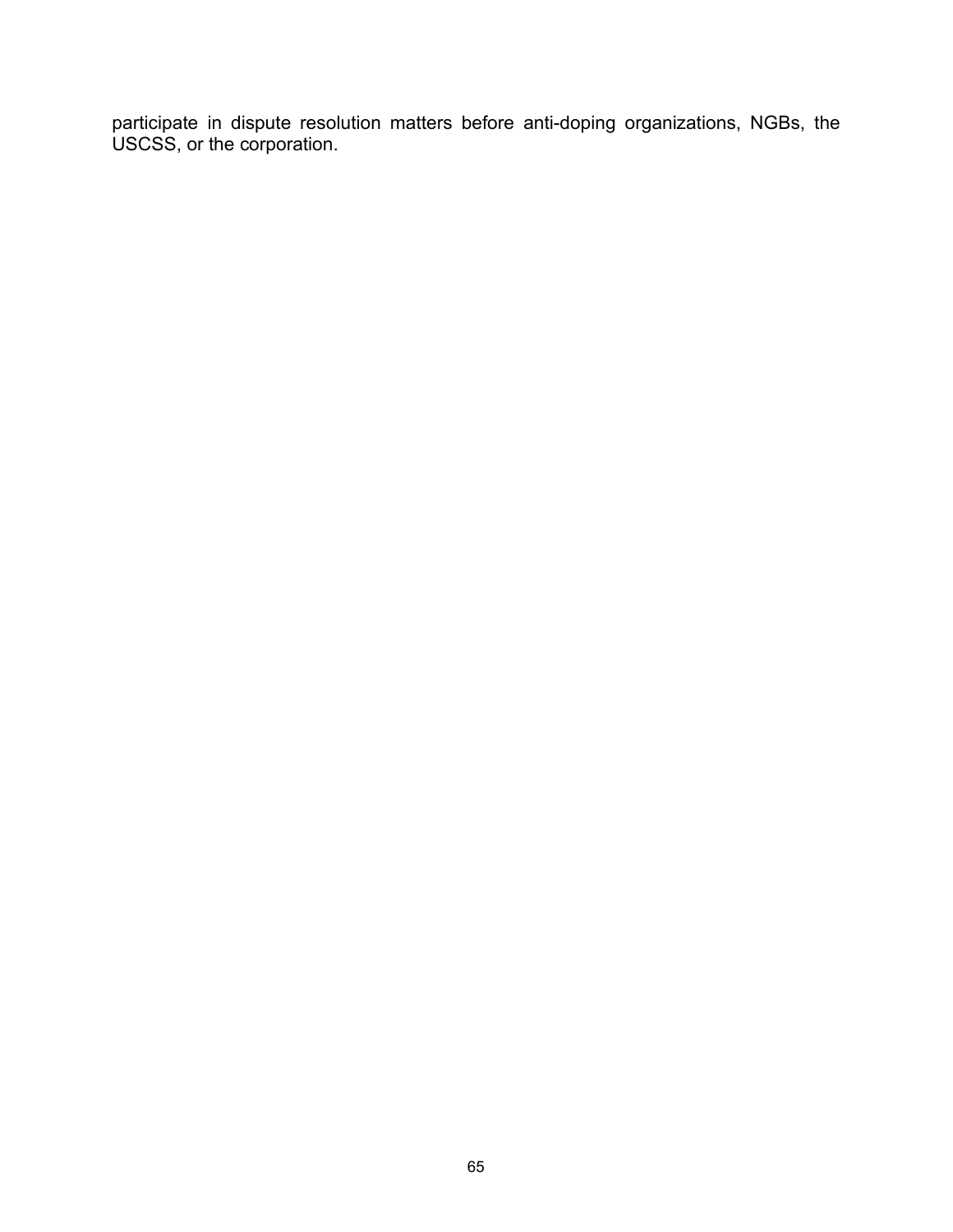participate in dispute resolution matters before anti-doping organizations, NGBs, the USCSS, or the corporation.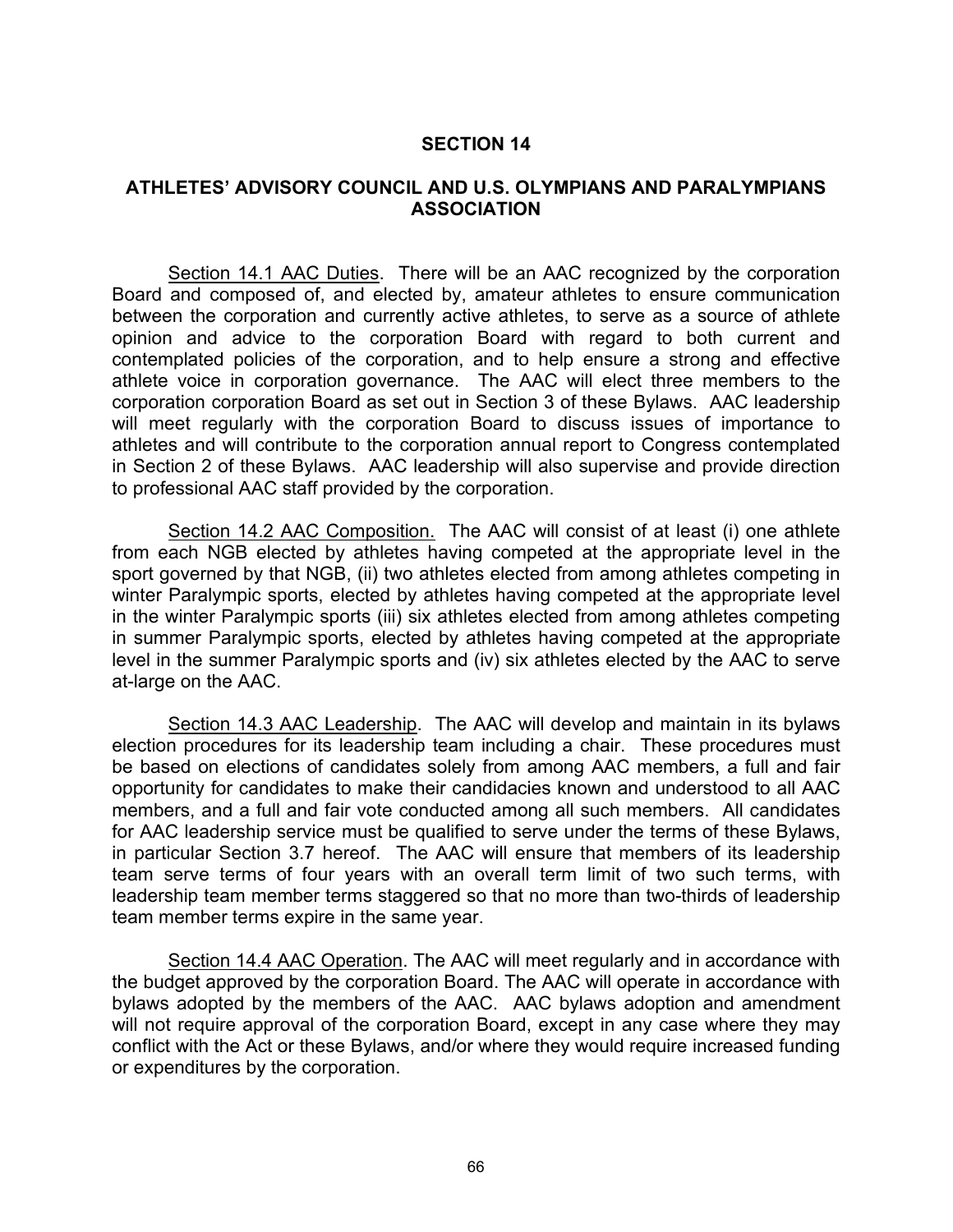## **ATHLETES' ADVISORY COUNCIL AND U.S. OLYMPIANS AND PARALYMPIANS ASSOCIATION**

Section 14.1 AAC Duties. There will be an AAC recognized by the corporation Board and composed of, and elected by, amateur athletes to ensure communication between the corporation and currently active athletes, to serve as a source of athlete opinion and advice to the corporation Board with regard to both current and contemplated policies of the corporation, and to help ensure a strong and effective athlete voice in corporation governance. The AAC will elect three members to the corporation corporation Board as set out in Section 3 of these Bylaws. AAC leadership will meet regularly with the corporation Board to discuss issues of importance to athletes and will contribute to the corporation annual report to Congress contemplated in Section 2 of these Bylaws. AAC leadership will also supervise and provide direction to professional AAC staff provided by the corporation.

Section 14.2 AAC Composition. The AAC will consist of at least (i) one athlete from each NGB elected by athletes having competed at the appropriate level in the sport governed by that NGB, (ii) two athletes elected from among athletes competing in winter Paralympic sports, elected by athletes having competed at the appropriate level in the winter Paralympic sports (iii) six athletes elected from among athletes competing in summer Paralympic sports, elected by athletes having competed at the appropriate level in the summer Paralympic sports and (iv) six athletes elected by the AAC to serve at-large on the AAC.

Section 14.3 AAC Leadership. The AAC will develop and maintain in its bylaws election procedures for its leadership team including a chair. These procedures must be based on elections of candidates solely from among AAC members, a full and fair opportunity for candidates to make their candidacies known and understood to all AAC members, and a full and fair vote conducted among all such members. All candidates for AAC leadership service must be qualified to serve under the terms of these Bylaws, in particular Section 3.7 hereof. The AAC will ensure that members of its leadership team serve terms of four years with an overall term limit of two such terms, with leadership team member terms staggered so that no more than two-thirds of leadership team member terms expire in the same year.

Section 14.4 AAC Operation. The AAC will meet regularly and in accordance with the budget approved by the corporation Board. The AAC will operate in accordance with bylaws adopted by the members of the AAC. AAC bylaws adoption and amendment will not require approval of the corporation Board, except in any case where they may conflict with the Act or these Bylaws, and/or where they would require increased funding or expenditures by the corporation.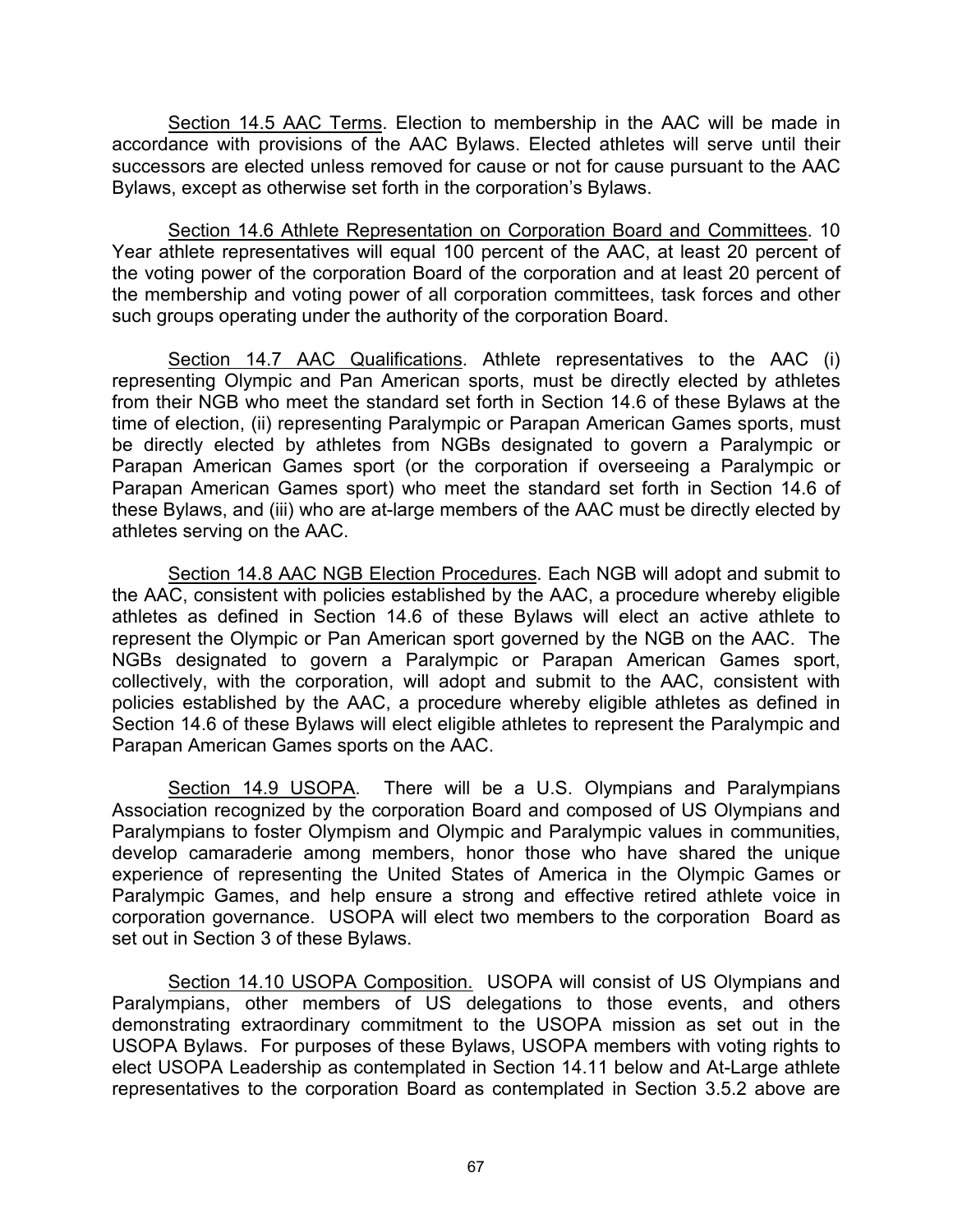Section 14.5 AAC Terms. Election to membership in the AAC will be made in accordance with provisions of the AAC Bylaws. Elected athletes will serve until their successors are elected unless removed for cause or not for cause pursuant to the AAC Bylaws, except as otherwise set forth in the corporation's Bylaws.

Section 14.6 Athlete Representation on Corporation Board and Committees. 10 Year athlete representatives will equal 100 percent of the AAC, at least 20 percent of the voting power of the corporation Board of the corporation and at least 20 percent of the membership and voting power of all corporation committees, task forces and other such groups operating under the authority of the corporation Board.

Section 14.7 AAC Qualifications. Athlete representatives to the AAC (i) representing Olympic and Pan American sports, must be directly elected by athletes from their NGB who meet the standard set forth in Section 14.6 of these Bylaws at the time of election, (ii) representing Paralympic or Parapan American Games sports, must be directly elected by athletes from NGBs designated to govern a Paralympic or Parapan American Games sport (or the corporation if overseeing a Paralympic or Parapan American Games sport) who meet the standard set forth in Section 14.6 of these Bylaws, and (iii) who are at-large members of the AAC must be directly elected by athletes serving on the AAC.

Section 14.8 AAC NGB Election Procedures. Each NGB will adopt and submit to the AAC, consistent with policies established by the AAC, a procedure whereby eligible athletes as defined in Section 14.6 of these Bylaws will elect an active athlete to represent the Olympic or Pan American sport governed by the NGB on the AAC. The NGBs designated to govern a Paralympic or Parapan American Games sport, collectively, with the corporation, will adopt and submit to the AAC, consistent with policies established by the AAC, a procedure whereby eligible athletes as defined in Section 14.6 of these Bylaws will elect eligible athletes to represent the Paralympic and Parapan American Games sports on the AAC.

Section 14.9 USOPA. There will be a U.S. Olympians and Paralympians Association recognized by the corporation Board and composed of US Olympians and Paralympians to foster Olympism and Olympic and Paralympic values in communities, develop camaraderie among members, honor those who have shared the unique experience of representing the United States of America in the Olympic Games or Paralympic Games, and help ensure a strong and effective retired athlete voice in corporation governance. USOPA will elect two members to the corporation Board as set out in Section 3 of these Bylaws.

Section 14.10 USOPA Composition. USOPA will consist of US Olympians and Paralympians, other members of US delegations to those events, and others demonstrating extraordinary commitment to the USOPA mission as set out in the USOPA Bylaws. For purposes of these Bylaws, USOPA members with voting rights to elect USOPA Leadership as contemplated in Section 14.11 below and At-Large athlete representatives to the corporation Board as contemplated in Section 3.5.2 above are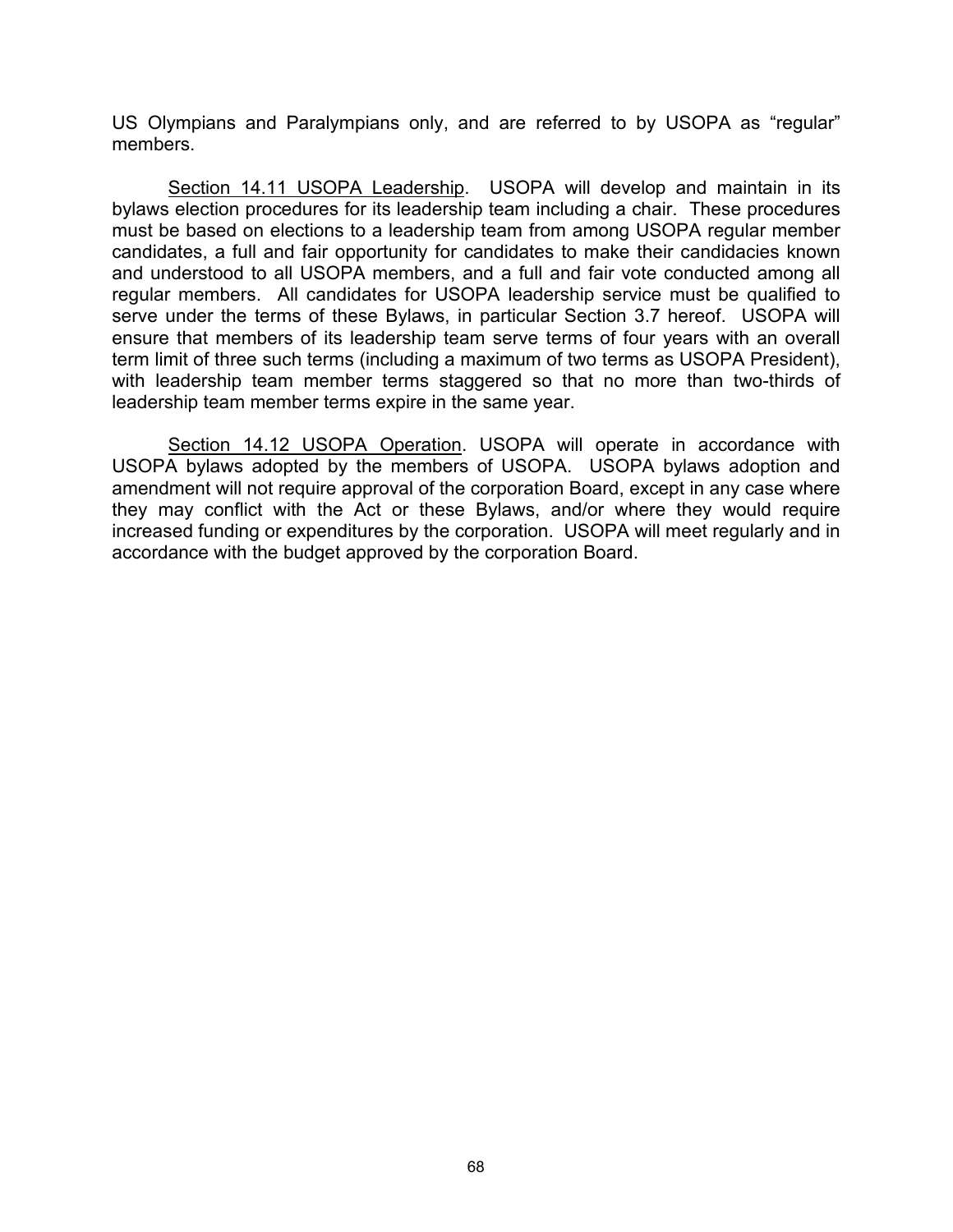US Olympians and Paralympians only, and are referred to by USOPA as "regular" members.

Section 14.11 USOPA Leadership. USOPA will develop and maintain in its bylaws election procedures for its leadership team including a chair. These procedures must be based on elections to a leadership team from among USOPA regular member candidates, a full and fair opportunity for candidates to make their candidacies known and understood to all USOPA members, and a full and fair vote conducted among all regular members. All candidates for USOPA leadership service must be qualified to serve under the terms of these Bylaws, in particular Section 3.7 hereof. USOPA will ensure that members of its leadership team serve terms of four years with an overall term limit of three such terms (including a maximum of two terms as USOPA President), with leadership team member terms staggered so that no more than two-thirds of leadership team member terms expire in the same year.

Section 14.12 USOPA Operation. USOPA will operate in accordance with USOPA bylaws adopted by the members of USOPA. USOPA bylaws adoption and amendment will not require approval of the corporation Board, except in any case where they may conflict with the Act or these Bylaws, and/or where they would require increased funding or expenditures by the corporation. USOPA will meet regularly and in accordance with the budget approved by the corporation Board.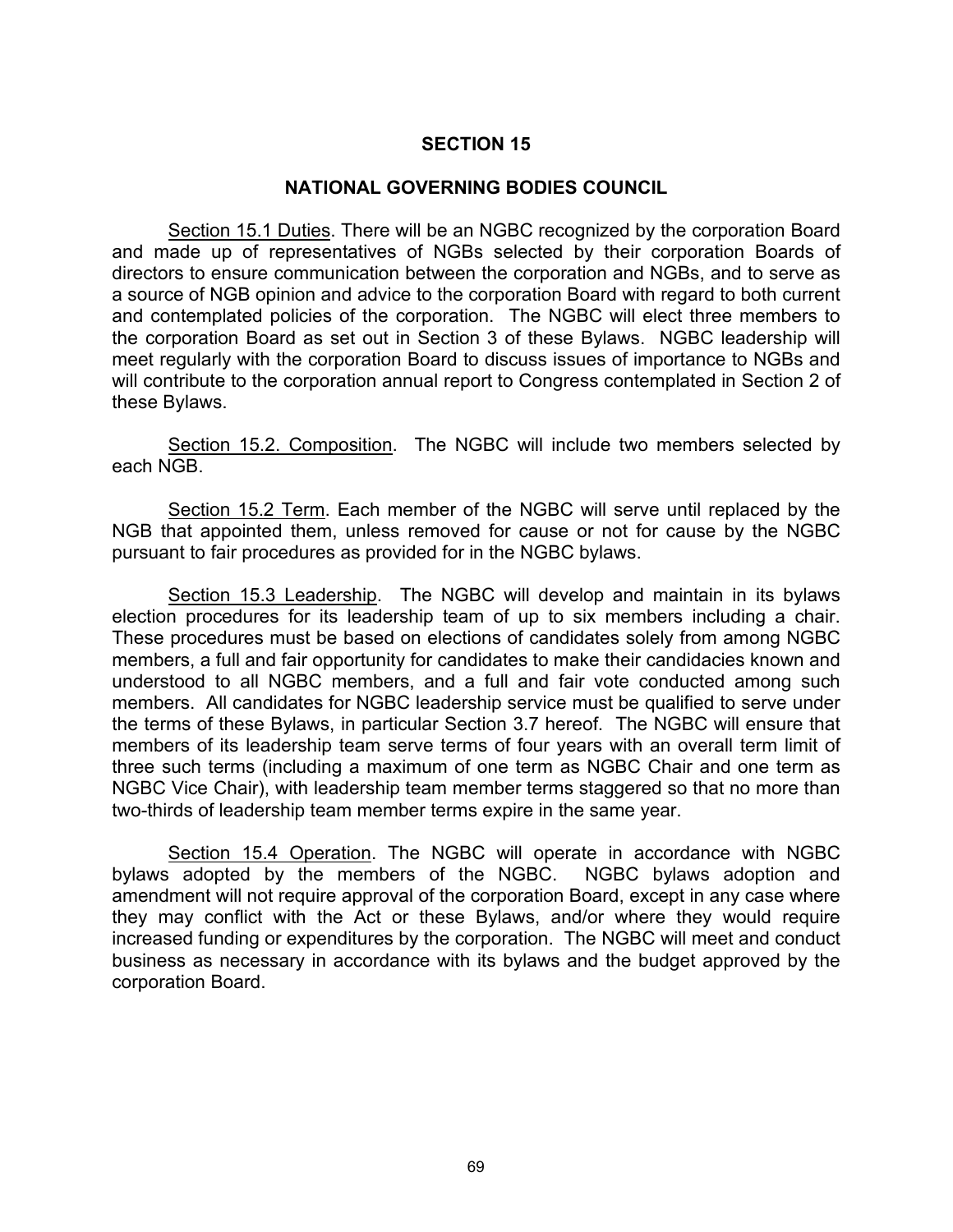#### **NATIONAL GOVERNING BODIES COUNCIL**

Section 15.1 Duties. There will be an NGBC recognized by the corporation Board and made up of representatives of NGBs selected by their corporation Boards of directors to ensure communication between the corporation and NGBs, and to serve as a source of NGB opinion and advice to the corporation Board with regard to both current and contemplated policies of the corporation. The NGBC will elect three members to the corporation Board as set out in Section 3 of these Bylaws. NGBC leadership will meet regularly with the corporation Board to discuss issues of importance to NGBs and will contribute to the corporation annual report to Congress contemplated in Section 2 of these Bylaws.

Section 15.2. Composition. The NGBC will include two members selected by each NGB.

Section 15.2 Term. Each member of the NGBC will serve until replaced by the NGB that appointed them, unless removed for cause or not for cause by the NGBC pursuant to fair procedures as provided for in the NGBC bylaws.

Section 15.3 Leadership. The NGBC will develop and maintain in its bylaws election procedures for its leadership team of up to six members including a chair. These procedures must be based on elections of candidates solely from among NGBC members, a full and fair opportunity for candidates to make their candidacies known and understood to all NGBC members, and a full and fair vote conducted among such members. All candidates for NGBC leadership service must be qualified to serve under the terms of these Bylaws, in particular Section 3.7 hereof. The NGBC will ensure that members of its leadership team serve terms of four years with an overall term limit of three such terms (including a maximum of one term as NGBC Chair and one term as NGBC Vice Chair), with leadership team member terms staggered so that no more than two-thirds of leadership team member terms expire in the same year.

Section 15.4 Operation. The NGBC will operate in accordance with NGBC bylaws adopted by the members of the NGBC. NGBC bylaws adoption and amendment will not require approval of the corporation Board, except in any case where they may conflict with the Act or these Bylaws, and/or where they would require increased funding or expenditures by the corporation. The NGBC will meet and conduct business as necessary in accordance with its bylaws and the budget approved by the corporation Board.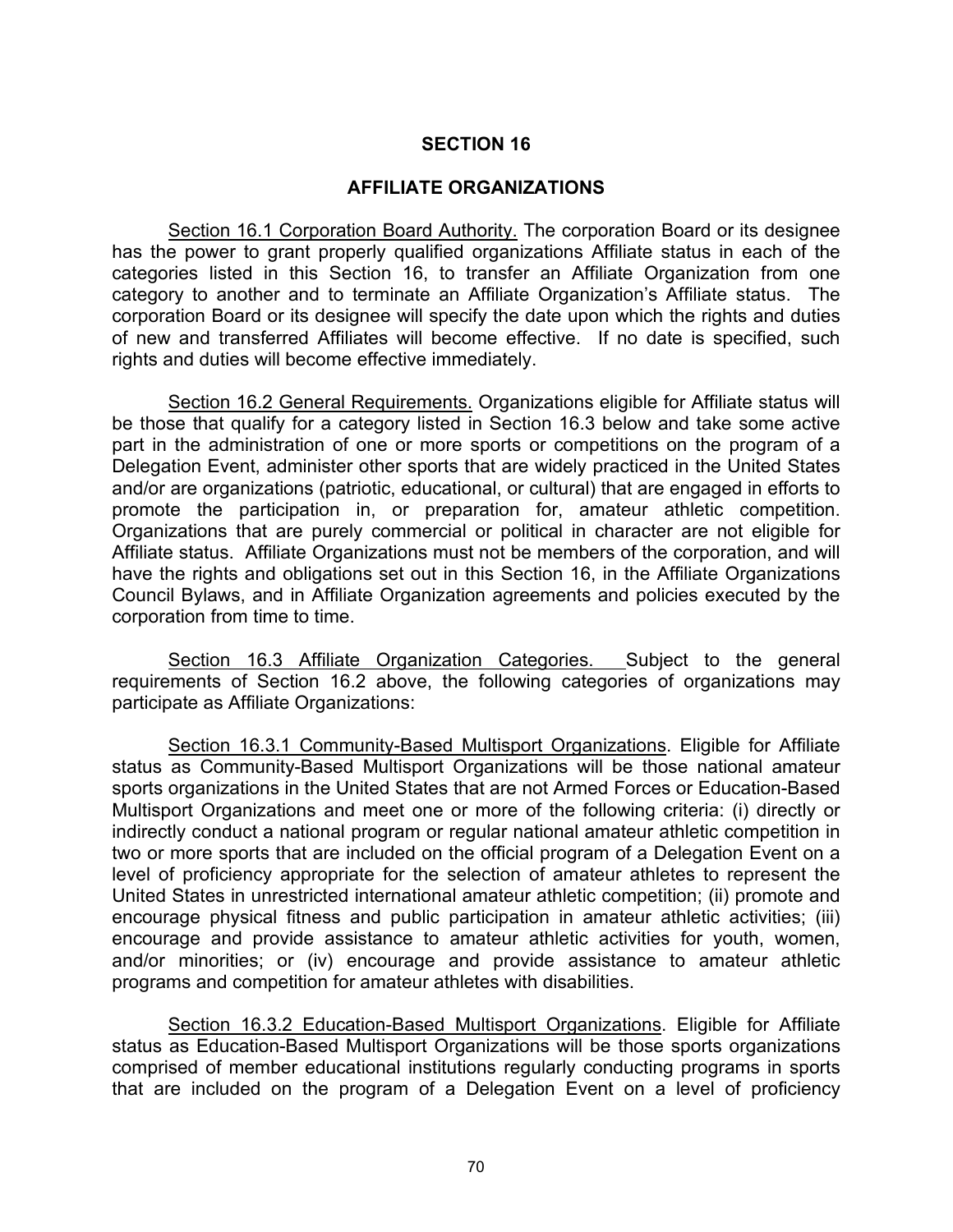#### **AFFILIATE ORGANIZATIONS**

Section 16.1 Corporation Board Authority. The corporation Board or its designee has the power to grant properly qualified organizations Affiliate status in each of the categories listed in this Section 16, to transfer an Affiliate Organization from one category to another and to terminate an Affiliate Organization's Affiliate status. The corporation Board or its designee will specify the date upon which the rights and duties of new and transferred Affiliates will become effective. If no date is specified, such rights and duties will become effective immediately.

Section 16.2 General Requirements. Organizations eligible for Affiliate status will be those that qualify for a category listed in Section 16.3 below and take some active part in the administration of one or more sports or competitions on the program of a Delegation Event, administer other sports that are widely practiced in the United States and/or are organizations (patriotic, educational, or cultural) that are engaged in efforts to promote the participation in, or preparation for, amateur athletic competition. Organizations that are purely commercial or political in character are not eligible for Affiliate status. Affiliate Organizations must not be members of the corporation, and will have the rights and obligations set out in this Section 16, in the Affiliate Organizations Council Bylaws, and in Affiliate Organization agreements and policies executed by the corporation from time to time.

Section 16.3 Affiliate Organization Categories. Subject to the general requirements of Section 16.2 above, the following categories of organizations may participate as Affiliate Organizations:

Section 16.3.1 Community-Based Multisport Organizations. Eligible for Affiliate status as Community-Based Multisport Organizations will be those national amateur sports organizations in the United States that are not Armed Forces or Education-Based Multisport Organizations and meet one or more of the following criteria: (i) directly or indirectly conduct a national program or regular national amateur athletic competition in two or more sports that are included on the official program of a Delegation Event on a level of proficiency appropriate for the selection of amateur athletes to represent the United States in unrestricted international amateur athletic competition; (ii) promote and encourage physical fitness and public participation in amateur athletic activities; (iii) encourage and provide assistance to amateur athletic activities for youth, women, and/or minorities; or (iv) encourage and provide assistance to amateur athletic programs and competition for amateur athletes with disabilities.

Section 16.3.2 Education-Based Multisport Organizations. Eligible for Affiliate status as Education-Based Multisport Organizations will be those sports organizations comprised of member educational institutions regularly conducting programs in sports that are included on the program of a Delegation Event on a level of proficiency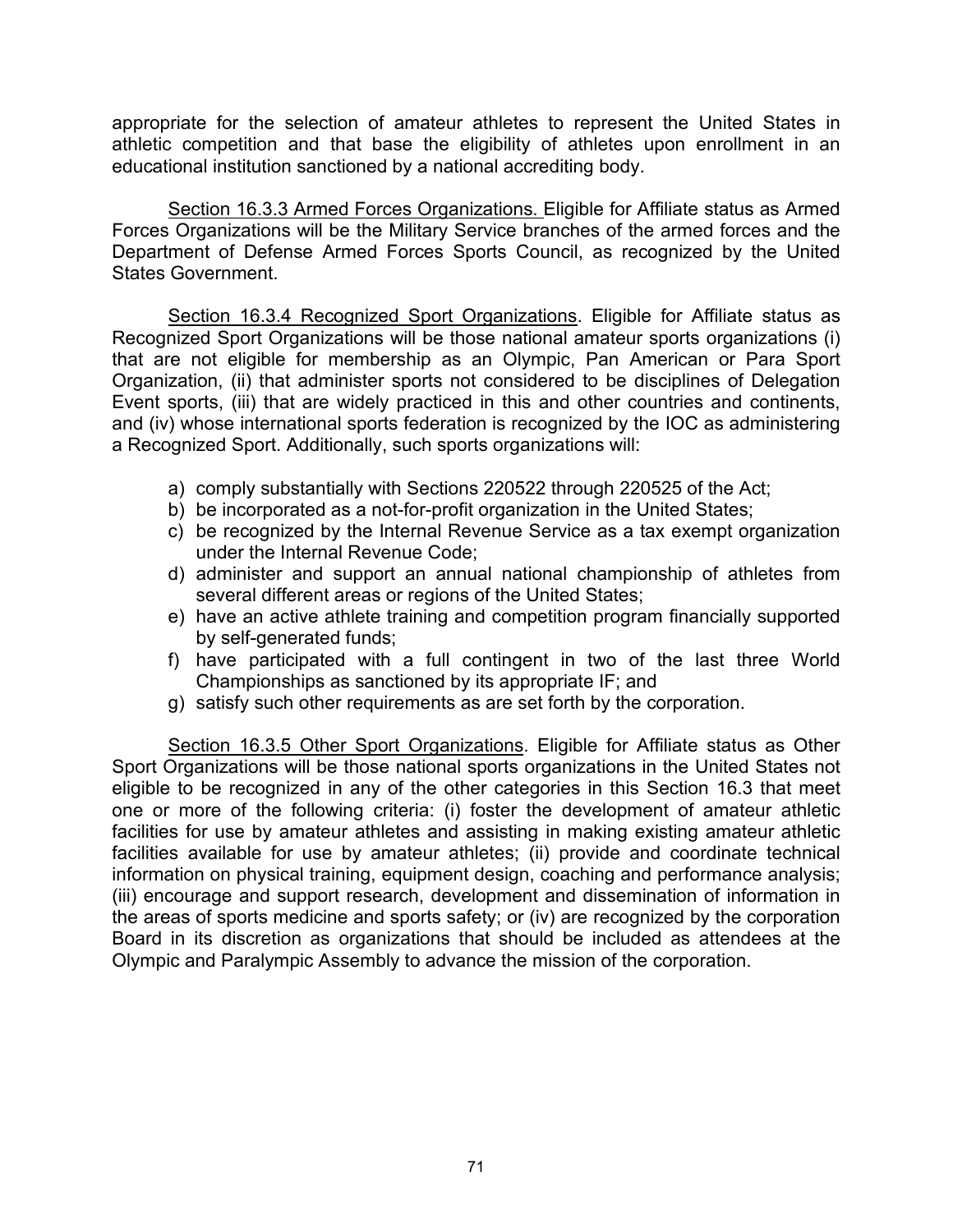appropriate for the selection of amateur athletes to represent the United States in athletic competition and that base the eligibility of athletes upon enrollment in an educational institution sanctioned by a national accrediting body.

Section 16.3.3 Armed Forces Organizations. Eligible for Affiliate status as Armed Forces Organizations will be the Military Service branches of the armed forces and the Department of Defense Armed Forces Sports Council, as recognized by the United States Government.

Section 16.3.4 Recognized Sport Organizations. Eligible for Affiliate status as Recognized Sport Organizations will be those national amateur sports organizations (i) that are not eligible for membership as an Olympic, Pan American or Para Sport Organization, (ii) that administer sports not considered to be disciplines of Delegation Event sports, (iii) that are widely practiced in this and other countries and continents, and (iv) whose international sports federation is recognized by the IOC as administering a Recognized Sport. Additionally, such sports organizations will:

- a) comply substantially with Sections 220522 through 220525 of the Act;
- b) be incorporated as a not-for-profit organization in the United States;
- c) be recognized by the Internal Revenue Service as a tax exempt organization under the Internal Revenue Code;
- d) administer and support an annual national championship of athletes from several different areas or regions of the United States;
- e) have an active athlete training and competition program financially supported by self-generated funds;
- f) have participated with a full contingent in two of the last three World Championships as sanctioned by its appropriate IF; and
- g) satisfy such other requirements as are set forth by the corporation.

Section 16.3.5 Other Sport Organizations. Eligible for Affiliate status as Other Sport Organizations will be those national sports organizations in the United States not eligible to be recognized in any of the other categories in this Section 16.3 that meet one or more of the following criteria: (i) foster the development of amateur athletic facilities for use by amateur athletes and assisting in making existing amateur athletic facilities available for use by amateur athletes; (ii) provide and coordinate technical information on physical training, equipment design, coaching and performance analysis; (iii) encourage and support research, development and dissemination of information in the areas of sports medicine and sports safety; or (iv) are recognized by the corporation Board in its discretion as organizations that should be included as attendees at the Olympic and Paralympic Assembly to advance the mission of the corporation.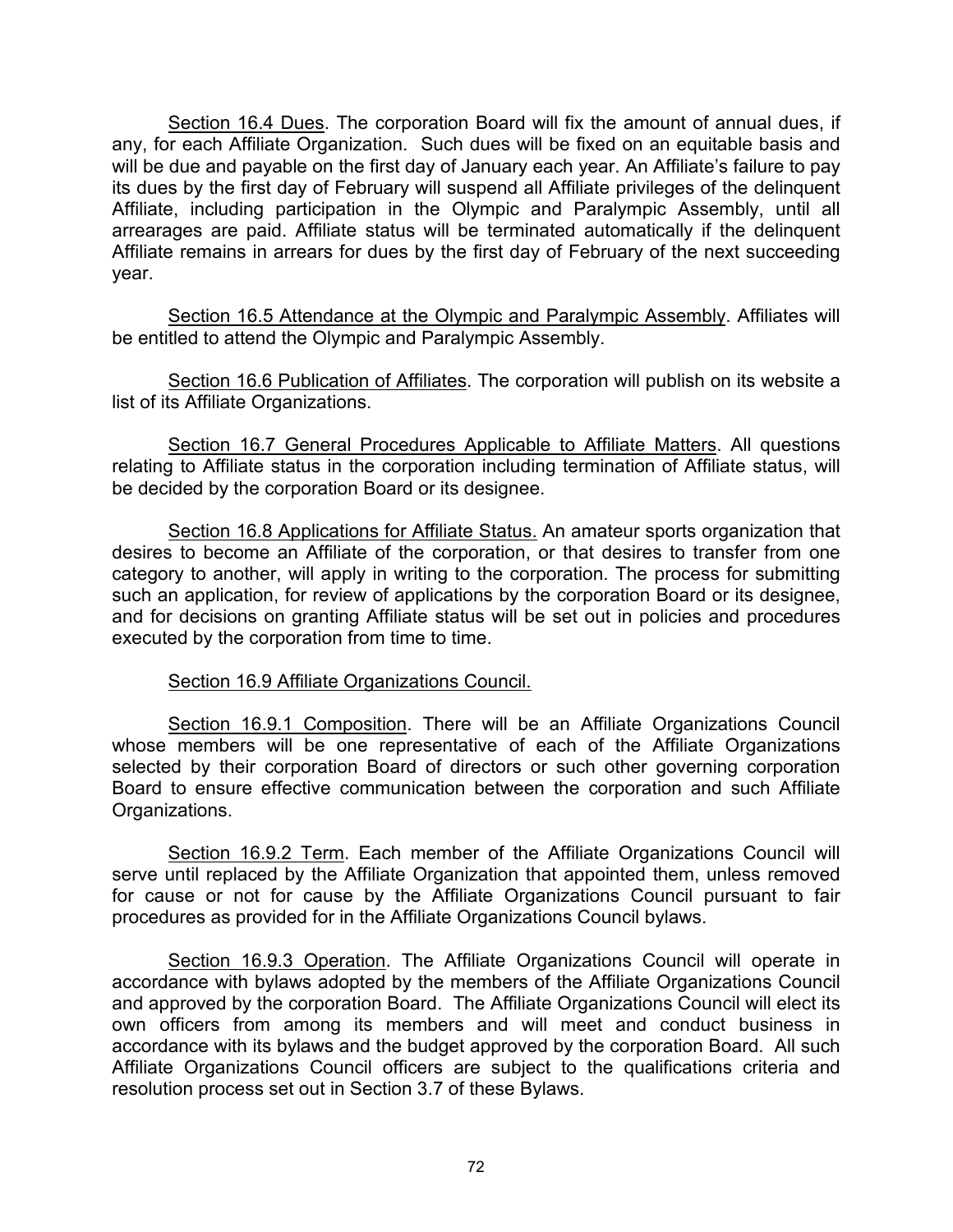Section 16.4 Dues. The corporation Board will fix the amount of annual dues, if any, for each Affiliate Organization. Such dues will be fixed on an equitable basis and will be due and payable on the first day of January each year. An Affiliate's failure to pay its dues by the first day of February will suspend all Affiliate privileges of the delinquent Affiliate, including participation in the Olympic and Paralympic Assembly, until all arrearages are paid. Affiliate status will be terminated automatically if the delinquent Affiliate remains in arrears for dues by the first day of February of the next succeeding year.

Section 16.5 Attendance at the Olympic and Paralympic Assembly. Affiliates will be entitled to attend the Olympic and Paralympic Assembly.

Section 16.6 Publication of Affiliates. The corporation will publish on its website a list of its Affiliate Organizations.

Section 16.7 General Procedures Applicable to Affiliate Matters. All questions relating to Affiliate status in the corporation including termination of Affiliate status, will be decided by the corporation Board or its designee.

Section 16.8 Applications for Affiliate Status. An amateur sports organization that desires to become an Affiliate of the corporation, or that desires to transfer from one category to another, will apply in writing to the corporation. The process for submitting such an application, for review of applications by the corporation Board or its designee, and for decisions on granting Affiliate status will be set out in policies and procedures executed by the corporation from time to time.

## Section 16.9 Affiliate Organizations Council.

Section 16.9.1 Composition. There will be an Affiliate Organizations Council whose members will be one representative of each of the Affiliate Organizations selected by their corporation Board of directors or such other governing corporation Board to ensure effective communication between the corporation and such Affiliate Organizations.

Section 16.9.2 Term. Each member of the Affiliate Organizations Council will serve until replaced by the Affiliate Organization that appointed them, unless removed for cause or not for cause by the Affiliate Organizations Council pursuant to fair procedures as provided for in the Affiliate Organizations Council bylaws.

Section 16.9.3 Operation. The Affiliate Organizations Council will operate in accordance with bylaws adopted by the members of the Affiliate Organizations Council and approved by the corporation Board. The Affiliate Organizations Council will elect its own officers from among its members and will meet and conduct business in accordance with its bylaws and the budget approved by the corporation Board. All such Affiliate Organizations Council officers are subject to the qualifications criteria and resolution process set out in Section 3.7 of these Bylaws.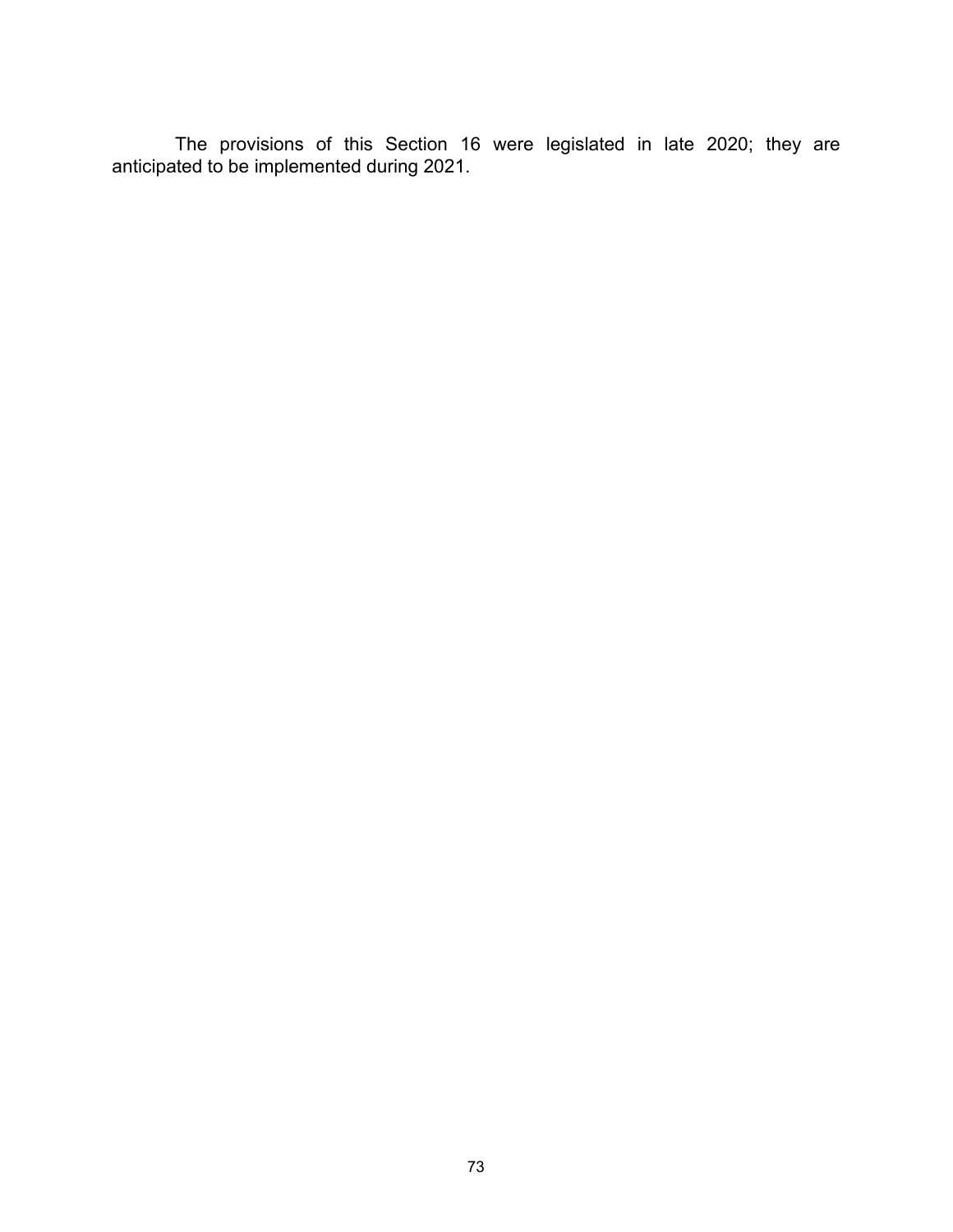The provisions of this Section 16 were legislated in late 2020; they are anticipated to be implemented during 2021.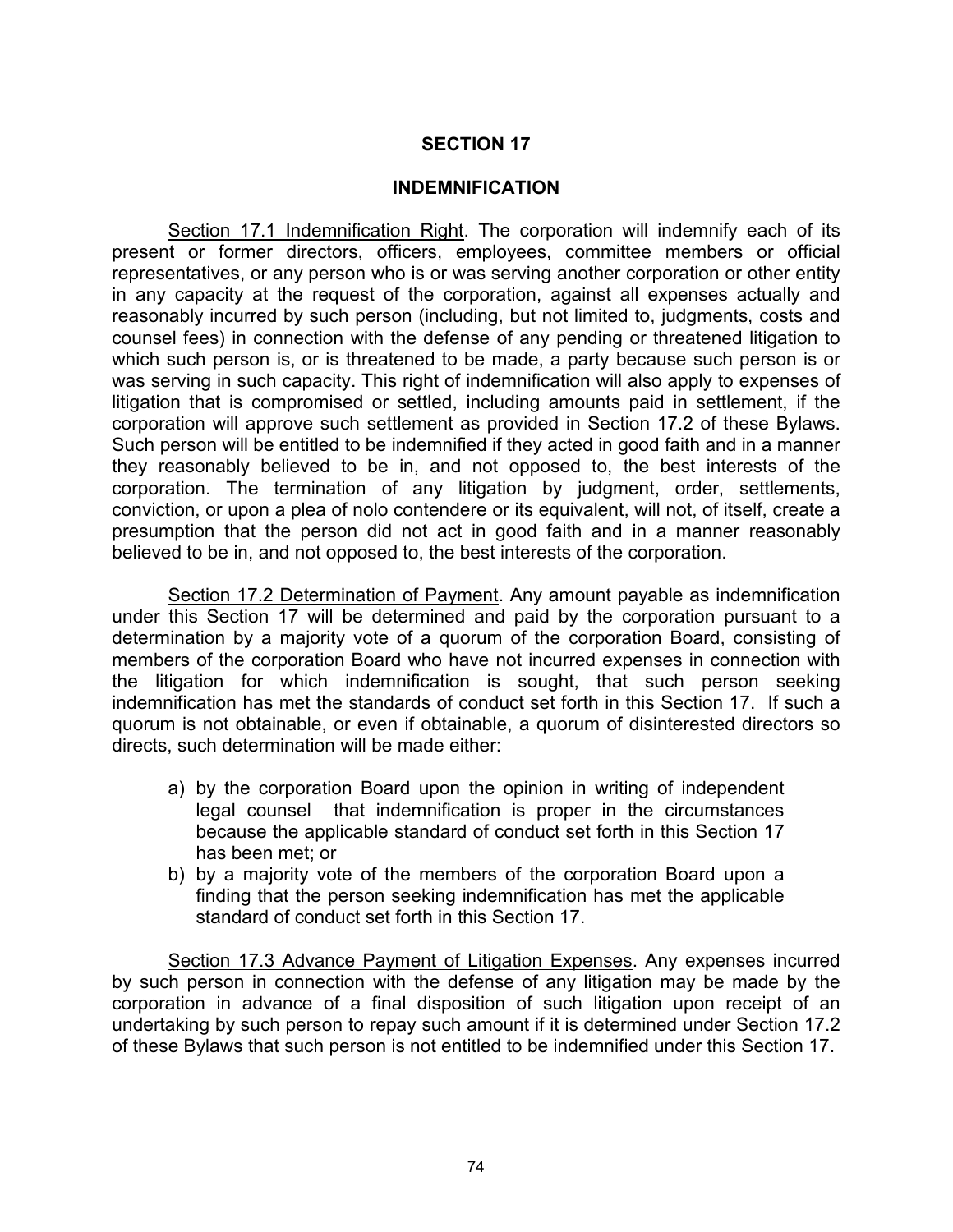#### **INDEMNIFICATION**

Section 17.1 Indemnification Right. The corporation will indemnify each of its present or former directors, officers, employees, committee members or official representatives, or any person who is or was serving another corporation or other entity in any capacity at the request of the corporation, against all expenses actually and reasonably incurred by such person (including, but not limited to, judgments, costs and counsel fees) in connection with the defense of any pending or threatened litigation to which such person is, or is threatened to be made, a party because such person is or was serving in such capacity. This right of indemnification will also apply to expenses of litigation that is compromised or settled, including amounts paid in settlement, if the corporation will approve such settlement as provided in Section 17.2 of these Bylaws. Such person will be entitled to be indemnified if they acted in good faith and in a manner they reasonably believed to be in, and not opposed to, the best interests of the corporation. The termination of any litigation by judgment, order, settlements, conviction, or upon a plea of nolo contendere or its equivalent, will not, of itself, create a presumption that the person did not act in good faith and in a manner reasonably believed to be in, and not opposed to, the best interests of the corporation.

Section 17.2 Determination of Payment. Any amount payable as indemnification under this Section 17 will be determined and paid by the corporation pursuant to a determination by a majority vote of a quorum of the corporation Board, consisting of members of the corporation Board who have not incurred expenses in connection with the litigation for which indemnification is sought, that such person seeking indemnification has met the standards of conduct set forth in this Section 17. If such a quorum is not obtainable, or even if obtainable, a quorum of disinterested directors so directs, such determination will be made either:

- a) by the corporation Board upon the opinion in writing of independent legal counsel that indemnification is proper in the circumstances because the applicable standard of conduct set forth in this Section 17 has been met; or
- b) by a majority vote of the members of the corporation Board upon a finding that the person seeking indemnification has met the applicable standard of conduct set forth in this Section 17.

Section 17.3 Advance Payment of Litigation Expenses. Any expenses incurred by such person in connection with the defense of any litigation may be made by the corporation in advance of a final disposition of such litigation upon receipt of an undertaking by such person to repay such amount if it is determined under Section 17.2 of these Bylaws that such person is not entitled to be indemnified under this Section 17.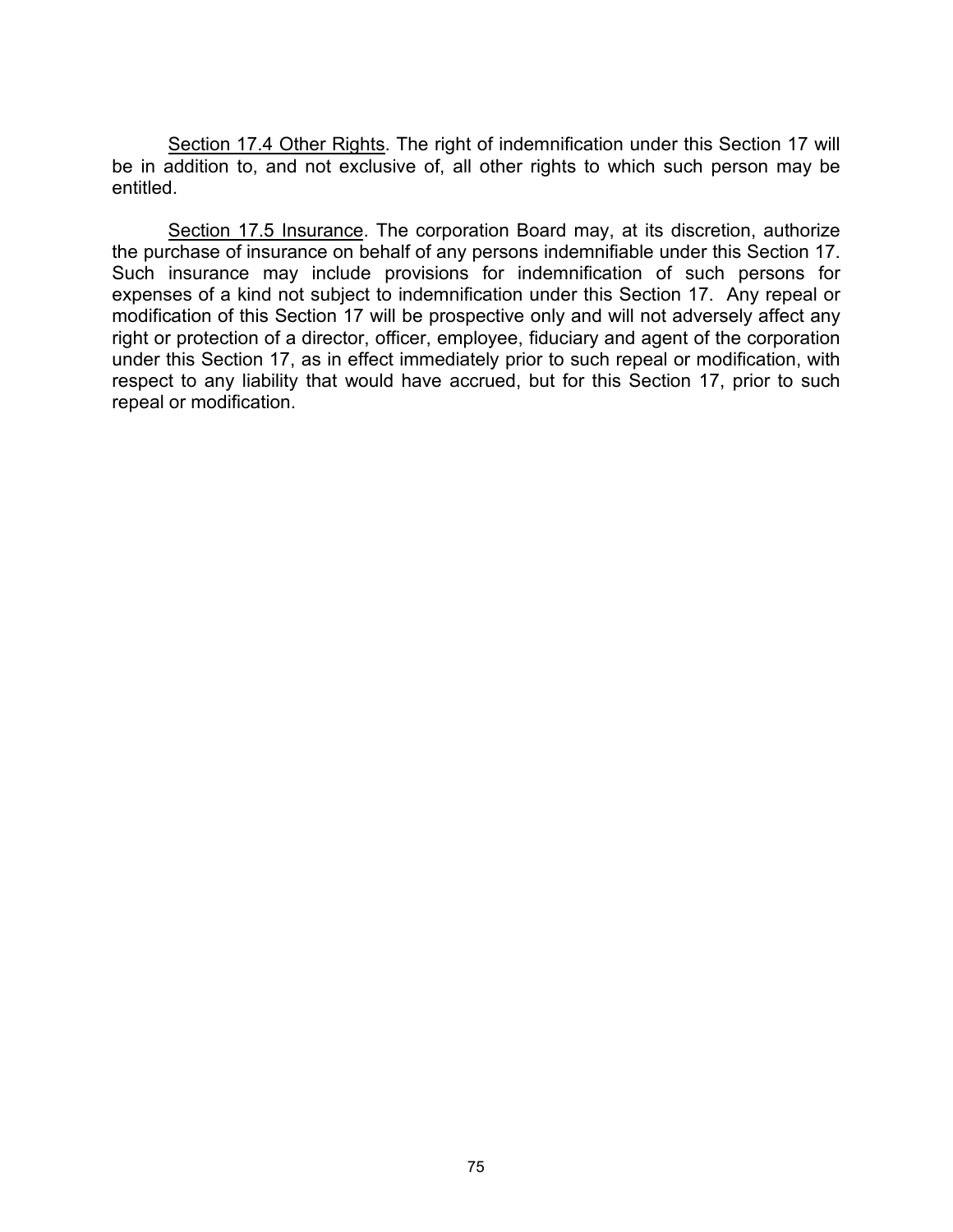Section 17.4 Other Rights. The right of indemnification under this Section 17 will be in addition to, and not exclusive of, all other rights to which such person may be entitled.

Section 17.5 Insurance. The corporation Board may, at its discretion, authorize the purchase of insurance on behalf of any persons indemnifiable under this Section 17. Such insurance may include provisions for indemnification of such persons for expenses of a kind not subject to indemnification under this Section 17. Any repeal or modification of this Section 17 will be prospective only and will not adversely affect any right or protection of a director, officer, employee, fiduciary and agent of the corporation under this Section 17, as in effect immediately prior to such repeal or modification, with respect to any liability that would have accrued, but for this Section 17, prior to such repeal or modification.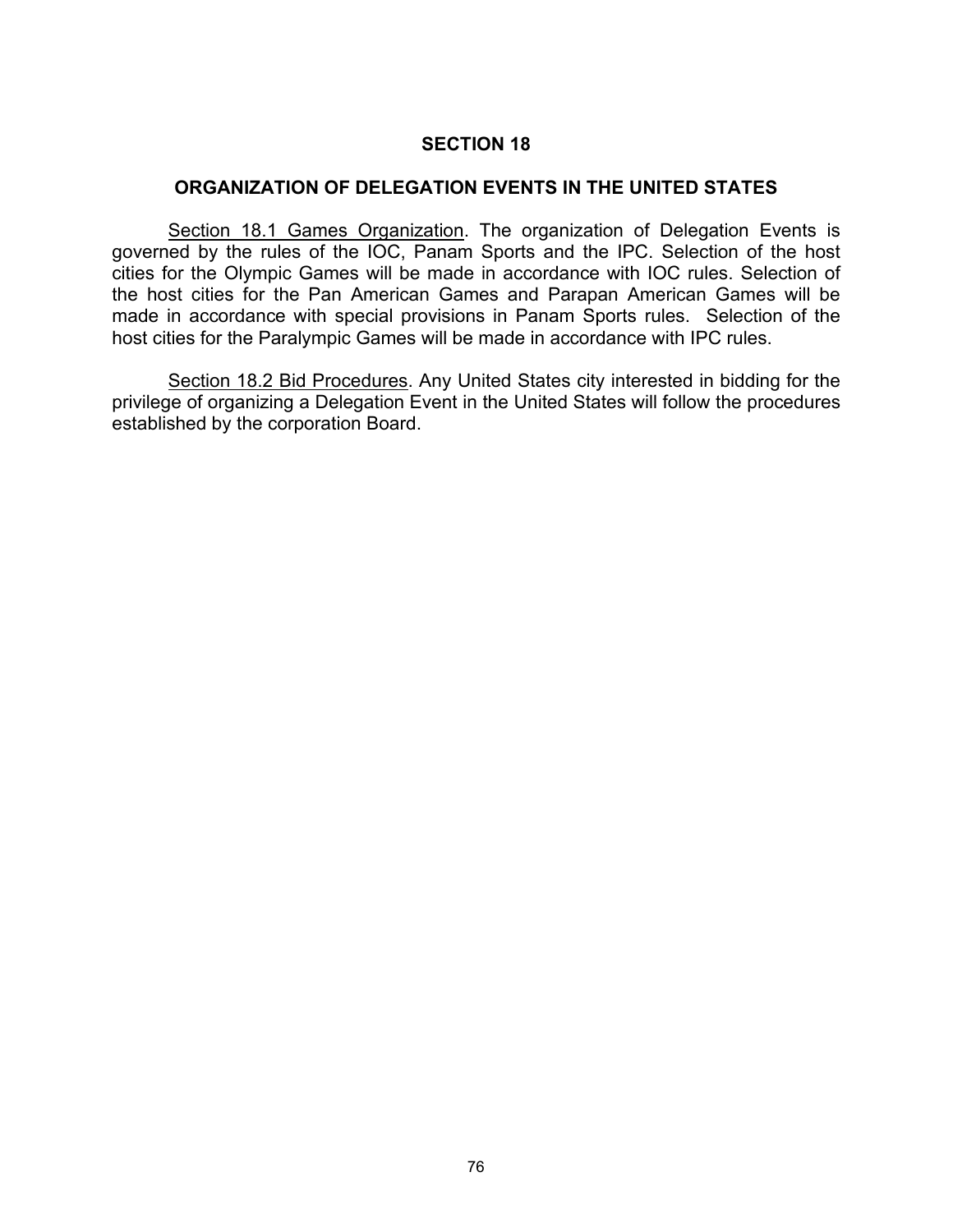### **ORGANIZATION OF DELEGATION EVENTS IN THE UNITED STATES**

Section 18.1 Games Organization. The organization of Delegation Events is governed by the rules of the IOC, Panam Sports and the IPC. Selection of the host cities for the Olympic Games will be made in accordance with IOC rules. Selection of the host cities for the Pan American Games and Parapan American Games will be made in accordance with special provisions in Panam Sports rules. Selection of the host cities for the Paralympic Games will be made in accordance with IPC rules.

Section 18.2 Bid Procedures. Any United States city interested in bidding for the privilege of organizing a Delegation Event in the United States will follow the procedures established by the corporation Board.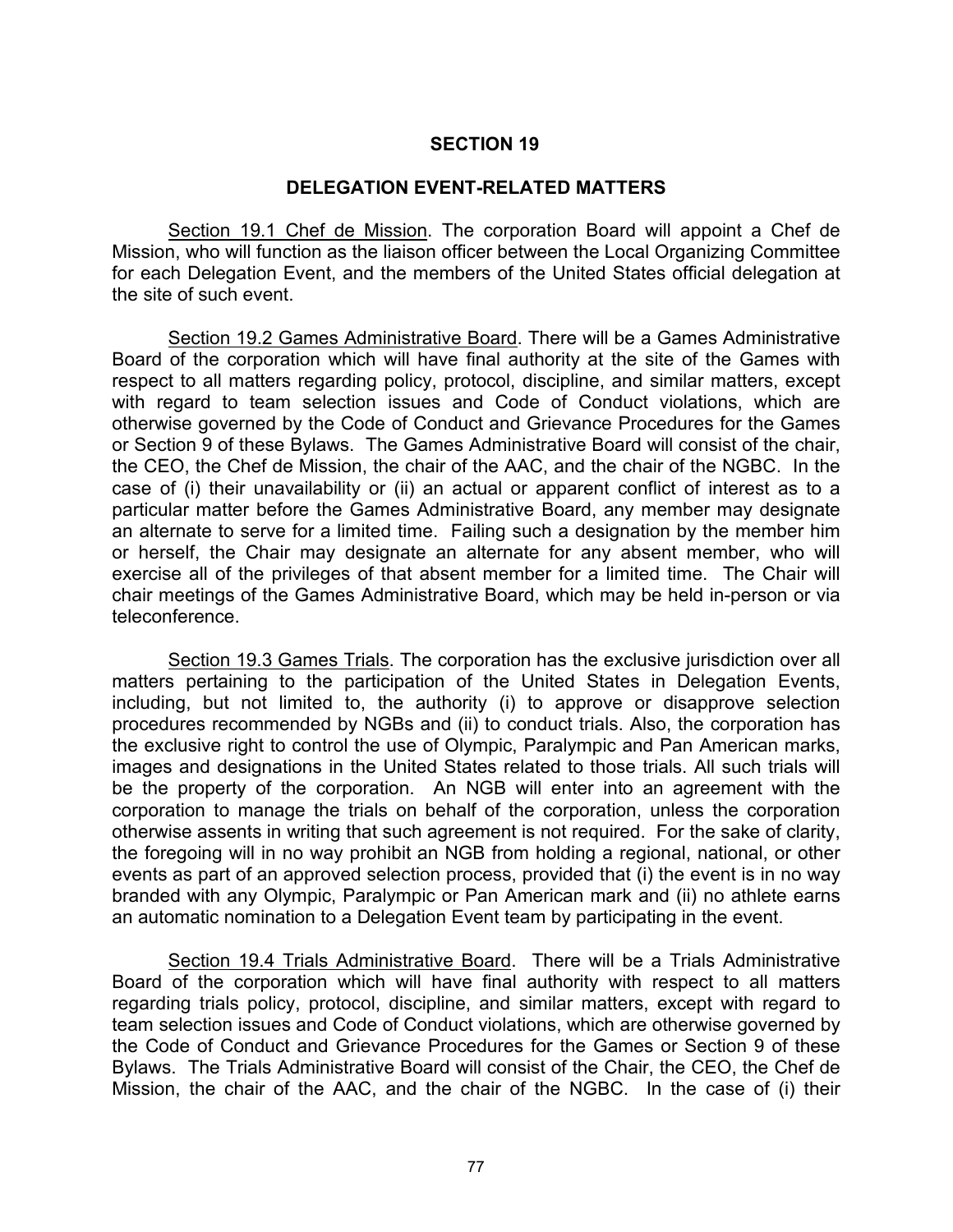#### **DELEGATION EVENT-RELATED MATTERS**

Section 19.1 Chef de Mission. The corporation Board will appoint a Chef de Mission, who will function as the liaison officer between the Local Organizing Committee for each Delegation Event, and the members of the United States official delegation at the site of such event.

Section 19.2 Games Administrative Board. There will be a Games Administrative Board of the corporation which will have final authority at the site of the Games with respect to all matters regarding policy, protocol, discipline, and similar matters, except with regard to team selection issues and Code of Conduct violations, which are otherwise governed by the Code of Conduct and Grievance Procedures for the Games or Section 9 of these Bylaws. The Games Administrative Board will consist of the chair, the CEO, the Chef de Mission, the chair of the AAC, and the chair of the NGBC. In the case of (i) their unavailability or (ii) an actual or apparent conflict of interest as to a particular matter before the Games Administrative Board, any member may designate an alternate to serve for a limited time. Failing such a designation by the member him or herself, the Chair may designate an alternate for any absent member, who will exercise all of the privileges of that absent member for a limited time. The Chair will chair meetings of the Games Administrative Board, which may be held in-person or via teleconference.

Section 19.3 Games Trials. The corporation has the exclusive jurisdiction over all matters pertaining to the participation of the United States in Delegation Events, including, but not limited to, the authority (i) to approve or disapprove selection procedures recommended by NGBs and (ii) to conduct trials. Also, the corporation has the exclusive right to control the use of Olympic, Paralympic and Pan American marks, images and designations in the United States related to those trials. All such trials will be the property of the corporation. An NGB will enter into an agreement with the corporation to manage the trials on behalf of the corporation, unless the corporation otherwise assents in writing that such agreement is not required. For the sake of clarity, the foregoing will in no way prohibit an NGB from holding a regional, national, or other events as part of an approved selection process, provided that (i) the event is in no way branded with any Olympic, Paralympic or Pan American mark and (ii) no athlete earns an automatic nomination to a Delegation Event team by participating in the event.

Section 19.4 Trials Administrative Board. There will be a Trials Administrative Board of the corporation which will have final authority with respect to all matters regarding trials policy, protocol, discipline, and similar matters, except with regard to team selection issues and Code of Conduct violations, which are otherwise governed by the Code of Conduct and Grievance Procedures for the Games or Section 9 of these Bylaws. The Trials Administrative Board will consist of the Chair, the CEO, the Chef de Mission, the chair of the AAC, and the chair of the NGBC. In the case of (i) their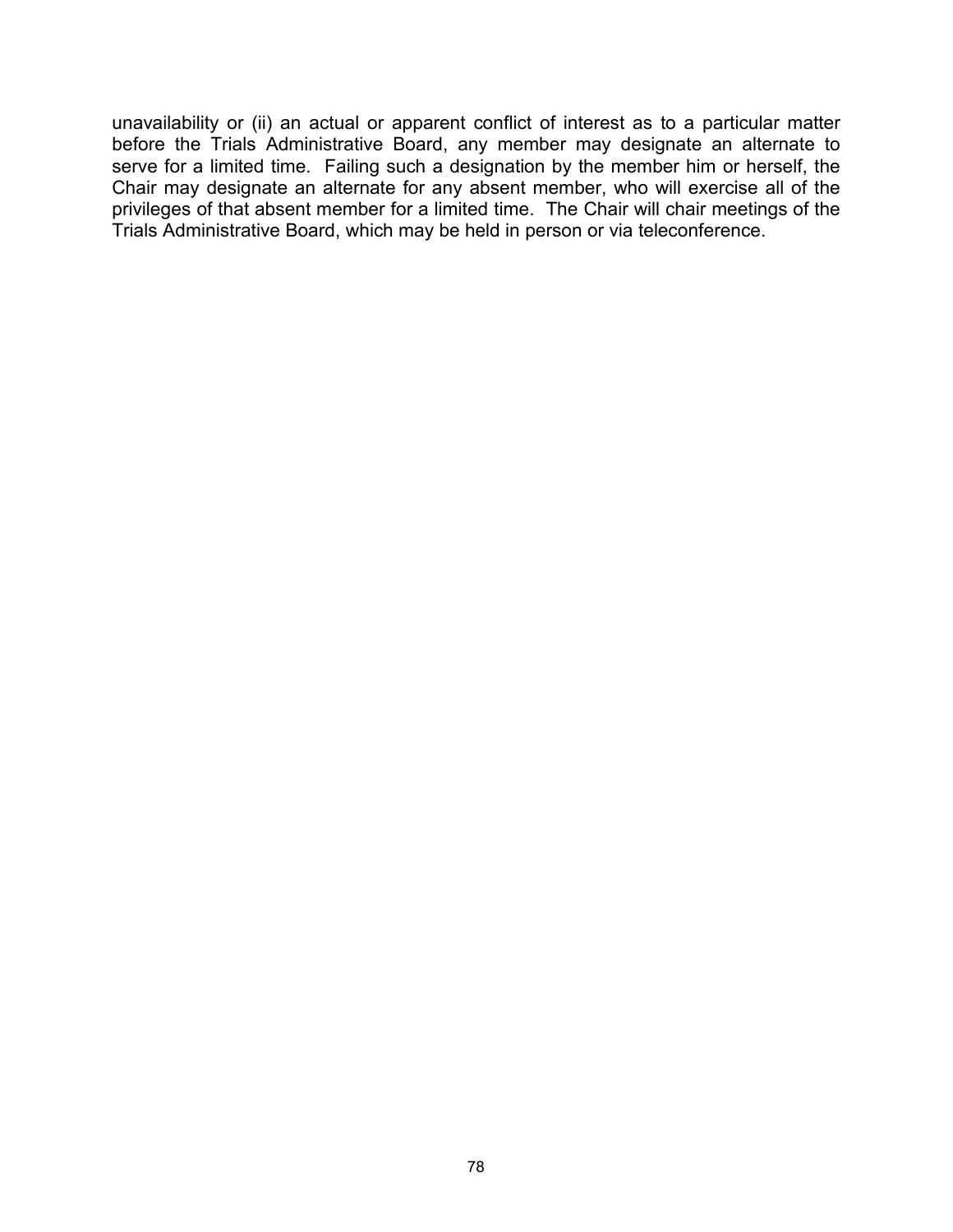unavailability or (ii) an actual or apparent conflict of interest as to a particular matter before the Trials Administrative Board, any member may designate an alternate to serve for a limited time. Failing such a designation by the member him or herself, the Chair may designate an alternate for any absent member, who will exercise all of the privileges of that absent member for a limited time. The Chair will chair meetings of the Trials Administrative Board, which may be held in person or via teleconference.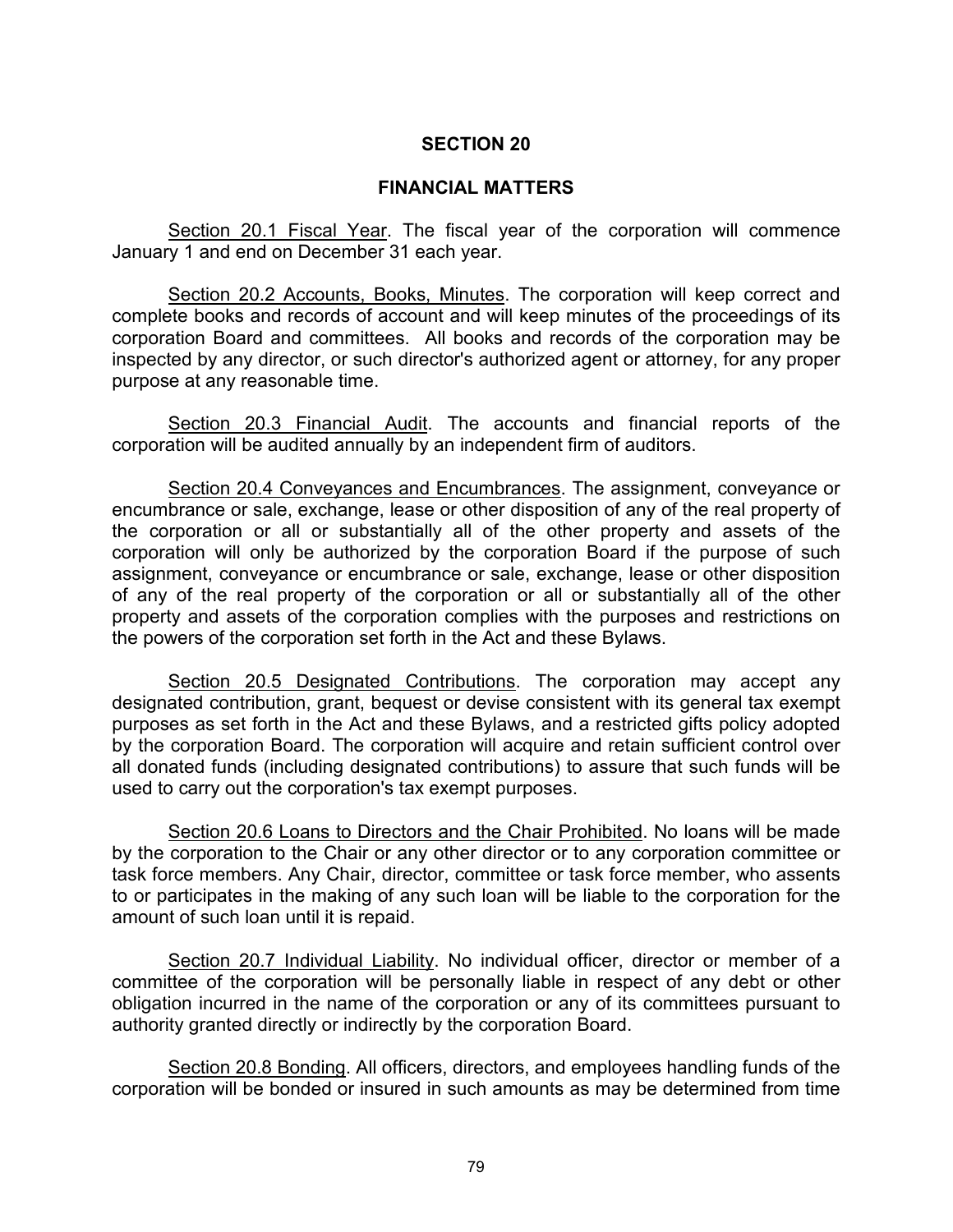#### **FINANCIAL MATTERS**

Section 20.1 Fiscal Year. The fiscal year of the corporation will commence January 1 and end on December 31 each year.

Section 20.2 Accounts, Books, Minutes. The corporation will keep correct and complete books and records of account and will keep minutes of the proceedings of its corporation Board and committees. All books and records of the corporation may be inspected by any director, or such director's authorized agent or attorney, for any proper purpose at any reasonable time.

Section 20.3 Financial Audit. The accounts and financial reports of the corporation will be audited annually by an independent firm of auditors.

Section 20.4 Conveyances and Encumbrances. The assignment, conveyance or encumbrance or sale, exchange, lease or other disposition of any of the real property of the corporation or all or substantially all of the other property and assets of the corporation will only be authorized by the corporation Board if the purpose of such assignment, conveyance or encumbrance or sale, exchange, lease or other disposition of any of the real property of the corporation or all or substantially all of the other property and assets of the corporation complies with the purposes and restrictions on the powers of the corporation set forth in the Act and these Bylaws.

Section 20.5 Designated Contributions. The corporation may accept any designated contribution, grant, bequest or devise consistent with its general tax exempt purposes as set forth in the Act and these Bylaws, and a restricted gifts policy adopted by the corporation Board. The corporation will acquire and retain sufficient control over all donated funds (including designated contributions) to assure that such funds will be used to carry out the corporation's tax exempt purposes.

Section 20.6 Loans to Directors and the Chair Prohibited. No loans will be made by the corporation to the Chair or any other director or to any corporation committee or task force members. Any Chair, director, committee or task force member, who assents to or participates in the making of any such loan will be liable to the corporation for the amount of such loan until it is repaid.

Section 20.7 Individual Liability. No individual officer, director or member of a committee of the corporation will be personally liable in respect of any debt or other obligation incurred in the name of the corporation or any of its committees pursuant to authority granted directly or indirectly by the corporation Board.

Section 20.8 Bonding. All officers, directors, and employees handling funds of the corporation will be bonded or insured in such amounts as may be determined from time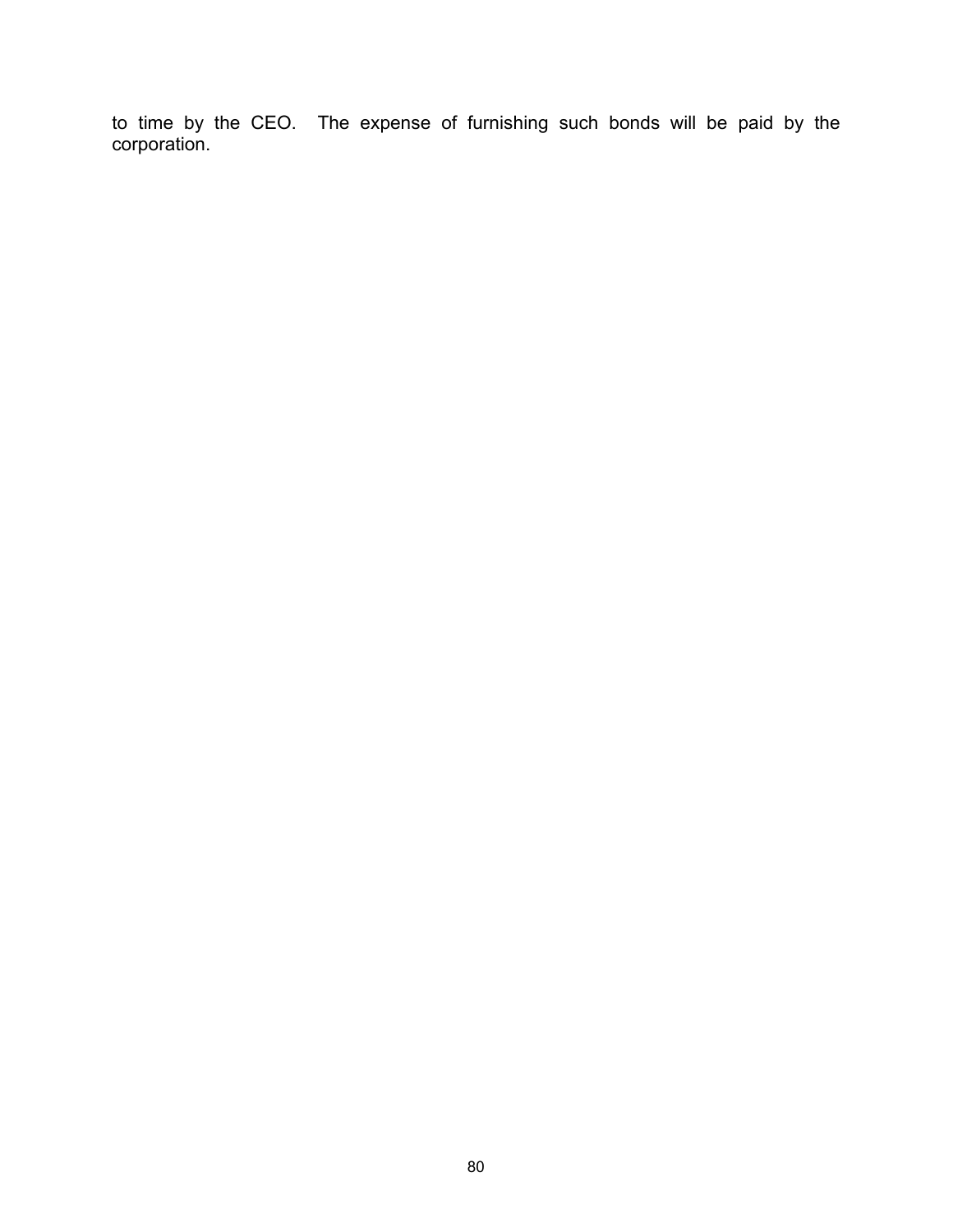to time by the CEO. The expense of furnishing such bonds will be paid by the corporation.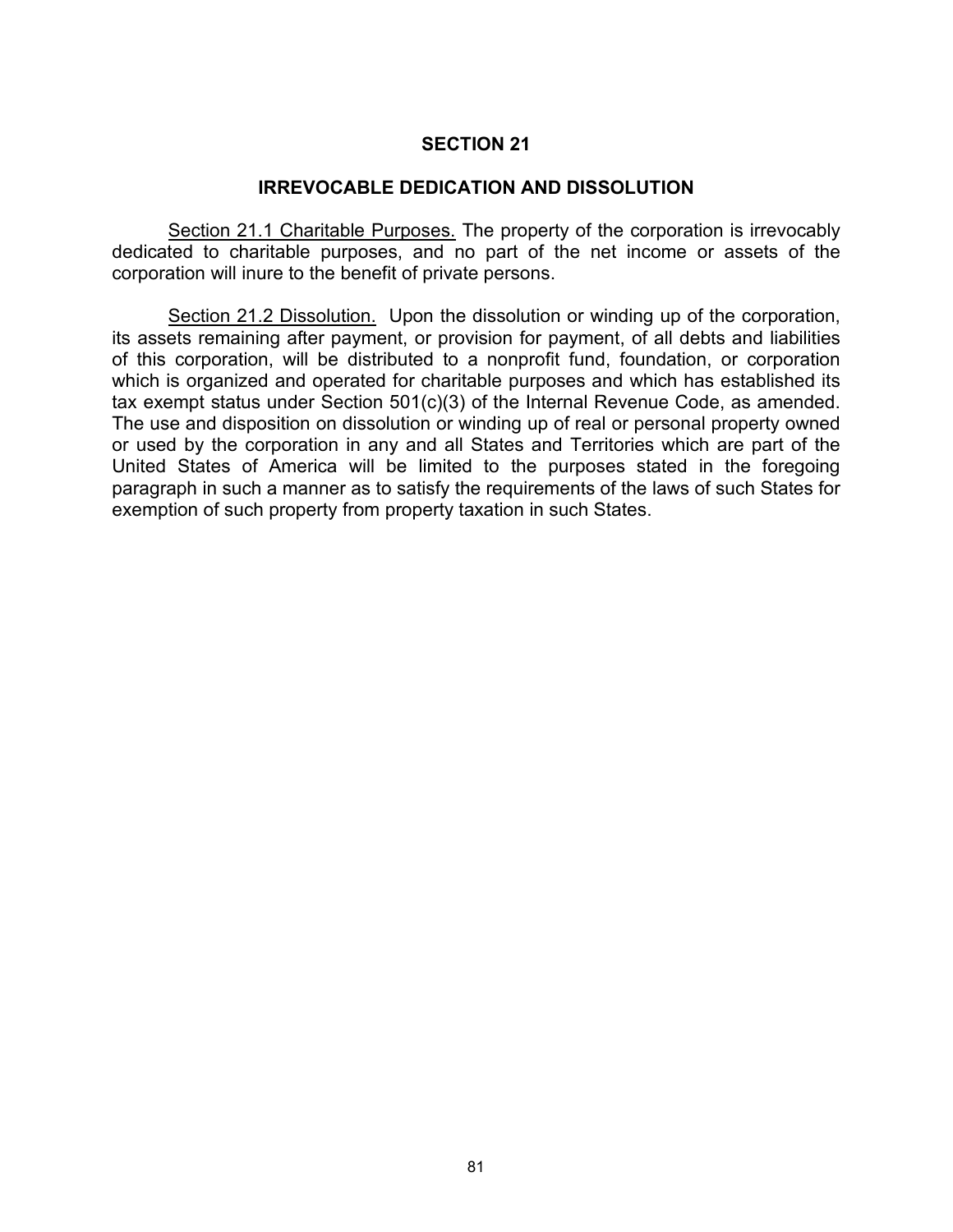#### **IRREVOCABLE DEDICATION AND DISSOLUTION**

Section 21.1 Charitable Purposes. The property of the corporation is irrevocably dedicated to charitable purposes, and no part of the net income or assets of the corporation will inure to the benefit of private persons.

Section 21.2 Dissolution. Upon the dissolution or winding up of the corporation, its assets remaining after payment, or provision for payment, of all debts and liabilities of this corporation, will be distributed to a nonprofit fund, foundation, or corporation which is organized and operated for charitable purposes and which has established its tax exempt status under Section 501(c)(3) of the Internal Revenue Code, as amended. The use and disposition on dissolution or winding up of real or personal property owned or used by the corporation in any and all States and Territories which are part of the United States of America will be limited to the purposes stated in the foregoing paragraph in such a manner as to satisfy the requirements of the laws of such States for exemption of such property from property taxation in such States.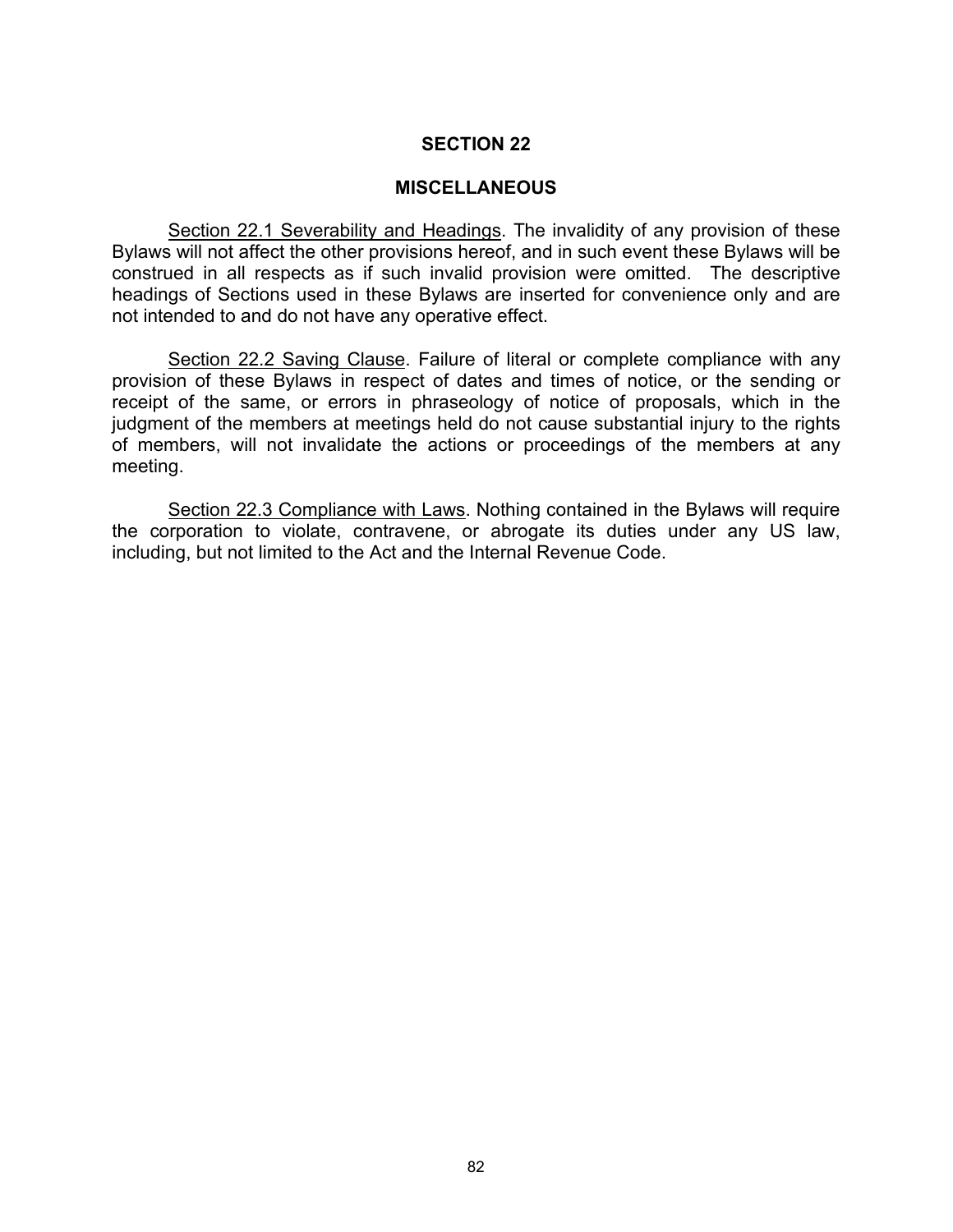#### **MISCELLANEOUS**

Section 22.1 Severability and Headings. The invalidity of any provision of these Bylaws will not affect the other provisions hereof, and in such event these Bylaws will be construed in all respects as if such invalid provision were omitted. The descriptive headings of Sections used in these Bylaws are inserted for convenience only and are not intended to and do not have any operative effect.

Section 22.2 Saving Clause. Failure of literal or complete compliance with any provision of these Bylaws in respect of dates and times of notice, or the sending or receipt of the same, or errors in phraseology of notice of proposals, which in the judgment of the members at meetings held do not cause substantial injury to the rights of members, will not invalidate the actions or proceedings of the members at any meeting.

Section 22.3 Compliance with Laws. Nothing contained in the Bylaws will require the corporation to violate, contravene, or abrogate its duties under any US law, including, but not limited to the Act and the Internal Revenue Code.